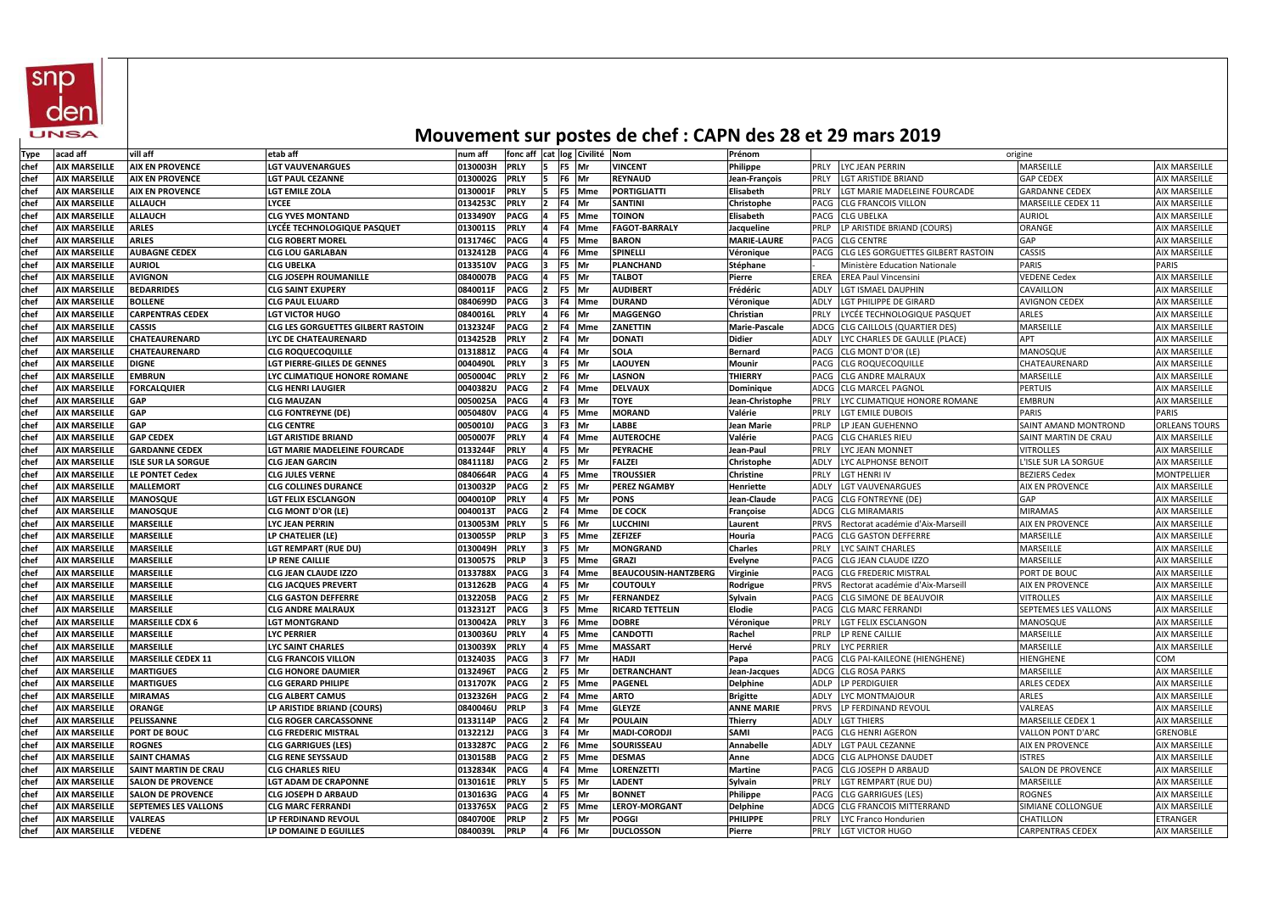|             |                      |                             |                                           |                 |                               |              |                 |            |                             |                      | MOUVENIER SUI POSTES UE CHET : CAT IV UES ZO ET ZU MIGIS ZUIU |                             |                      |
|-------------|----------------------|-----------------------------|-------------------------------------------|-----------------|-------------------------------|--------------|-----------------|------------|-----------------------------|----------------------|---------------------------------------------------------------|-----------------------------|----------------------|
| Type        | acad aff             | vill aff                    | etab aff                                  | num aff         | fonc aff cat log Civilité Nom |              |                 |            |                             | Prénom               |                                                               | origine                     |                      |
| chef        | <b>AIX MARSEILLE</b> | <b>AIX EN PROVENCE</b>      | <b>LGT VAUVENARGUES</b>                   | 0130003H        | <b>PRLY</b>                   | 15.          | F5 Mr           |            | <b>VINCENT</b>              | Philippe             | <b>LYC JEAN PERRIN</b><br>PRLY                                | MARSEILLE                   | <b>AIX MARSEILLE</b> |
| chef        | <b>AIX MARSEILLE</b> | <b>AIX EN PROVENCE</b>      | <b>LGT PAUL CEZANNE</b>                   | 0130002G        | <b>PRLY</b>                   | 15.          | F6 Mr           |            | <b>REYNAUD</b>              | Jean-François        | LGT ARISTIDE BRIAND<br>PRLY                                   | <b>GAP CEDEX</b>            | <b>AIX MARSEILLE</b> |
| chef        | <b>AIX MARSEILLE</b> | <b>AIX EN PROVENCE</b>      | <b>LGT EMILE ZOLA</b>                     | 0130001F        | <b>PRLY</b>                   |              | F5 Mme          |            | <b>PORTIGLIATTI</b>         | <b>Elisabeth</b>     | LGT MARIE MADELEINE FOURCADE<br>PRLY                          | <b>GARDANNE CEDEX</b>       | <b>AIX MARSEILLE</b> |
| lchef       | <b>AIX MARSEILLE</b> | <b>ALLAUCH</b>              | <b>LYCEE</b>                              | 0134253C        | <b>PRLY</b>                   |              | F4 Mr           |            | <b>SANTINI</b>              | Christophe           | <b>PACG</b><br><b>CLG FRANCOIS VILLON</b>                     | MARSEILLE CEDEX 11          | <b>AIX MARSEILLE</b> |
| chef        | <b>AIX MARSEILLE</b> | <b>ALLAUCH</b>              | <b>CLG YVES MONTAND</b>                   | 0133490Y        | <b>PACG</b>                   |              | F5              | Mme        | <b>TOINON</b>               | <b>Elisabeth</b>     | <b>PACG</b><br>CLG UBELKA                                     | <b>AURIOL</b>               | <b>AIX MARSEILLE</b> |
| chef        | <b>AIX MARSEILLE</b> | <b>ARLES</b>                | LYCÉE TECHNOLOGIQUE PASQUET               | <b>0130011S</b> | <b>PRLY</b>                   |              | F4              | <b>Mme</b> | <b>FAGOT-BARRALY</b>        | Jacqueline           | LP ARISTIDE BRIAND (COURS)<br><b>PRLP</b>                     | ORANGE                      | <b>AIX MARSEILLE</b> |
| chef        | <b>AIX MARSEILLE</b> | <b>ARLES</b>                | CLG ROBERT MOREL                          | 0131746C        | <b>PACG</b>                   |              | F5 Mme          |            | <b>BARON</b>                | <b>MARIE-LAURE</b>   | <b>CLG CENTRE</b><br>PACG                                     | GAP                         | <b>AIX MARSEILLE</b> |
| chef        | <b>AIX MARSEILLE</b> | <b>AUBAGNE CEDEX</b>        | <b>CLG LOU GARLABAN</b>                   | 0132412B        | <b>PACG</b>                   |              | F6 Mme          |            | <b>SPINELLI</b>             | Véronique            | CLG LES GORGUETTES GILBERT RASTOIN<br><b>PACG</b>             | CASSIS                      | <b>AIX MARSEILLE</b> |
| chef        | <b>AIX MARSEILLE</b> | <b>AURIOL</b>               | <b>CLG UBELKA</b>                         | 0133510V        | <b>PACG</b>                   |              | F5 Mr           |            | <b>PLANCHAND</b>            | <b>Stéphane</b>      | Ministère Education Nationale                                 | <b>PARIS</b>                | <b>PARIS</b>         |
| <b>chef</b> | <b>AIX MARSEILLE</b> | <b>AVIGNON</b>              | <b>CLG JOSEPH ROUMANILLE</b>              | 0840007B        | <b>PACG</b>                   |              | F5 Mr           |            | <b>TALBOT</b>               | Pierre               | <b>EREA</b><br><b>EREA Paul Vincensini</b>                    | <b>VEDENE Cedex</b>         | <b>AIX MARSEILLE</b> |
| <b>chef</b> | <b>AIX MARSEILLE</b> | <b>BEDARRIDES</b>           | <b>CLG SAINT EXUPERY</b>                  | 0840011F        | <b>PACG</b>                   |              | F5 Mr           |            | <b>AUDIBERT</b>             | Frédéric             | LGT ISMAEL DAUPHIN<br>ADLY                                    | CAVAILLON                   | <b>AIX MARSEILLE</b> |
| chef        | <b>AIX MARSEILLE</b> | <b>BOLLENE</b>              | CLG PAUL ELUARD                           | 0840699D        | <b>PACG</b>                   |              | F4 Mme          |            | <b>DURAND</b>               | Véronique            | LGT PHILIPPE DE GIRARD<br>ADLY                                | <b>AVIGNON CEDEX</b>        | <b>AIX MARSEILLE</b> |
| chef        | <b>AIX MARSEILLE</b> | <b>CARPENTRAS CEDEX</b>     | <b>LGT VICTOR HUGO</b>                    | 0840016L        | <b>PRLY</b>                   |              | F6 Mr           |            | <b>MAGGENGO</b>             | Christian            | LYCÉE TECHNOLOGIQUE PASQUET<br><b>PRLY</b>                    | <b>ARLES</b>                | <b>AIX MARSEILLE</b> |
| chef        | <b>AIX MARSEILLE</b> | <b>CASSIS</b>               | <b>CLG LES GORGUETTES GILBERT RASTOIN</b> | 0132324F        | <b>PACG</b>                   |              | F4 Mme          |            | <b>ZANETTIN</b>             | <b>Marie-Pascale</b> | ADCG CLG CAILLOLS (QUARTIER DES)                              | MARSEILLE                   | <b>AIX MARSEILLE</b> |
| chef        | <b>AIX MARSEILLE</b> | <b>CHATEAURENARD</b>        | LYC DE CHATEAURENARD                      | 0134252B        | <b>PRLY</b>                   |              | F4 Mr           |            | <b>DONATI</b>               | <b>Didier</b>        | ADLY<br>LYC CHARLES DE GAULLE (PLACE)                         | <b>APT</b>                  | <b>AIX MARSEILLE</b> |
| lchef       | <b>AIX MARSEILLE</b> | CHATEAURENARD               | CLG ROQUECOQUILLE                         | 0131881Z        | <b>PACG</b>                   |              | F4 Mr           |            | <b>SOLA</b>                 | <b>Bernard</b>       | <b>PACG</b><br>CLG MONT D'OR (LE)                             | MANOSQUE                    | <b>AIX MARSEILLE</b> |
| chef        | <b>AIX MARSEILLE</b> | <b>DIGNE</b>                | LGT PIERRE-GILLES DE GENNES               | 0040490L        | <b>PRLY</b>                   |              | F5 Mr           |            | <b>LAOUYEN</b>              | Mounir               | <b>CLG ROQUECOQUILLE</b><br><b>PACG</b>                       | CHATEAURENARD               | <b>AIX MARSEILLE</b> |
| chef        | <b>AIX MARSEILLE</b> | <b>EMBRUN</b>               | LYC CLIMATIQUE HONORE ROMANE              | 0050004C        | <b>PRLY</b>                   |              | F6 Mr           |            | <b>LASNON</b>               | <b>THIERRY</b>       | PACG<br>CLG ANDRE MALRAUX                                     | MARSEILLE                   | <b>AIX MARSEILLE</b> |
| chef        | <b>AIX MARSEILLE</b> | <b>FORCALQUIER</b>          | <b>CLG HENRI LAUGIER</b>                  | 0040382U        | <b>PACG</b>                   |              | F4 Mme          |            | <b>DELVAUX</b>              | Dominique            | ADCG<br><b>CLG MARCEL PAGNOL</b>                              | <b>PERTUIS</b>              | <b>AIX MARSEILLE</b> |
| chef        | <b>AIX MARSEILLE</b> | <b>GAP</b>                  | <b>CLG MAUZAN</b>                         | 0050025A        | <b>PACG</b>                   |              | F3 Mr           |            | <b>TOYE</b>                 | Jean-Christophe      | PRLY<br>LYC CLIMATIQUE HONORE ROMANE                          | <b>EMBRUN</b>               | <b>AIX MARSEILLE</b> |
| chef        | <b>AIX MARSEILLE</b> | <b>GAP</b>                  | <b>CLG FONTREYNE (DE)</b>                 | 0050480V        | <b>PACG</b>                   |              | F5 Mme          |            | <b>MORAND</b>               | Valérie              | PRLY<br><b>LGT EMILE DUBOIS</b>                               | <b>PARIS</b>                | PARIS                |
| <b>chef</b> | <b>AIX MARSEILLE</b> | <b>GAP</b>                  | CLG CENTRE                                | 0050010J        | <b>PACG</b>                   |              | F3 Mr           |            | <b>LABBE</b>                | Jean Marie           | <b>PRLP</b><br>LP JEAN GUEHENNO                               | <b>SAINT AMAND MONTROND</b> | <b>ORLEANS TOURS</b> |
| <b>chef</b> | <b>AIX MARSEILLE</b> | <b>GAP CEDEX</b>            | <b>LGT ARISTIDE BRIAND</b>                | 0050007F        | <b>PRLY</b>                   |              | F4 Mme          |            | <b>AUTEROCHE</b>            | Valérie              | PACG<br><b>CLG CHARLES RIEU</b>                               | SAINT MARTIN DE CRAU        | <b>AIX MARSEILLE</b> |
| chef        | <b>AIX MARSEILLE</b> | <b>GARDANNE CEDEX</b>       | LGT MARIE MADELEINE FOURCADE              | 0133244F        | <b>PRLY</b>                   |              | F5 Mr           |            | <b>PEYRACHE</b>             | Jean-Paul            | PRLY<br>LYC JEAN MONNET                                       | <b>VITROLLES</b>            | <b>AIX MARSEILLE</b> |
| chef        | <b>AIX MARSEILLE</b> | <b>ISLE SUR LA SORGUE</b>   | <b>CLG JEAN GARCIN</b>                    | 0841118J        | <b>PACG</b>                   |              | F5 Mr           |            | <b>FALZEI</b>               | Christophe           | LYC ALPHONSE BENOIT<br>ADLY                                   | L'ISLE SUR LA SORGUE        | <b>AIX MARSEILLE</b> |
| <b>chef</b> | <b>AIX MARSEILLE</b> | LE PONTET Cedex             | <b>CLG JULES VERNE</b>                    | 0840664R        | <b>PACG</b>                   |              | F5 Mme          |            | <b>TROUSSIER</b>            | <b>Christine</b>     | PRLY<br>LGT HENRI IV                                          | <b>BEZIERS Cedex</b>        | <b>MONTPELLIER</b>   |
| chef        | <b>AIX MARSEILLE</b> | <b>MALLEMORT</b>            | <b>CLG COLLINES DURANCE</b>               | 0130032P        | <b>PACG</b>                   |              | F5 Mr           |            | <b>PEREZ NGAMBY</b>         | <b>Henriette</b>     | ADLY<br><b>LGT VAUVENARGUES</b>                               | AIX EN PROVENCE             | <b>AIX MARSEILLE</b> |
| chef        | <b>AIX MARSEILLE</b> | <b>MANOSQUE</b>             | <b>LGT FELIX ESCLANGON</b>                | 0040010P        | <b>PRLY</b>                   |              | F5 Mr           |            | <b>PONS</b>                 | Jean-Claude          | <b>CLG FONTREYNE (DE)</b><br>PACG                             | <b>GAP</b>                  | <b>AIX MARSEILLE</b> |
| chef        | <b>AIX MARSEILLE</b> | <b>MANOSQUE</b>             | <b>CLG MONT D'OR (LE)</b>                 | 0040013T        | <b>PACG</b>                   |              | F4 Mme          |            | DE COCK                     | Françoise            | <b>CLG MIRAMARIS</b><br>ADCG                                  | <b>MIRAMAS</b>              | <b>AIX MARSEILLE</b> |
| chef        | <b>AIX MARSEILLE</b> | <b>MARSEILLE</b>            | LYC JEAN PERRIN                           | 0130053M        | <b>PRLY</b>                   |              | F6 Mr           |            | LUCCHINI                    | Laurent              | <b>PRVS</b><br>Rectorat académie d'Aix-Marseill               | AIX EN PROVENCE             | <b>AIX MARSEILLE</b> |
| chef        | <b>AIX MARSEILLE</b> | <b>MARSEILLE</b>            | LP CHATELIER (LE)                         | 0130055P        | <b>PRLP</b>                   |              | F5              | Mme        | <b>ZEFIZEF</b>              | Houria               | <b>CLG GASTON DEFFERRE</b><br>PACG                            | MARSEILLE                   | <b>AIX MARSEILLE</b> |
| chef        | <b>AIX MARSEILLE</b> | <b>MARSEILLE</b>            | <b>LGT REMPART (RUE DU)</b>               | 0130049H        | <b>PRLY</b>                   |              | <b>F5</b><br>Mr |            | <b>MONGRAND</b>             | <b>Charles</b>       | PRLY<br>LYC SAINT CHARLES                                     | MARSEILLE                   | <b>AIX MARSEILLE</b> |
| chef        | <b>AIX MARSEILLE</b> | <b>MARSEILLE</b>            | LP RENE CAILLIE                           | 0130057S        | <b>PRLP</b>                   |              | F5 Mme          |            | <b>GRAZI</b>                | <b>Evelyne</b>       | <b>CLG JEAN CLAUDE IZZO</b><br>PACG                           | MARSEILLE                   | <b>AIX MARSEILLE</b> |
| chef        | <b>AIX MARSEILLE</b> | <b>MARSEILLE</b>            | <b>CLG JEAN CLAUDE IZZO</b>               | 0133788X        | <b>PACG</b>                   |              | F4 Mme          |            | <b>BEAUCOUSIN-HANTZBERG</b> | <b>Virginie</b>      | <b>CLG FREDERIC MISTRAL</b><br><b>PACG</b>                    | PORT DE BOUC                | <b>AIX MARSEILLE</b> |
| chef        | <b>AIX MARSEILLE</b> | <b>MARSEILLE</b>            | <b>CLG JACQUES PREVERT</b>                | 0131262B        | <b>PACG</b>                   |              | F5 Mr           |            | <b>COUTOULY</b>             | Rodrigue             | Rectorat académie d'Aix-Marseill<br><b>PRVS</b>               | AIX EN PROVENCE             | <b>AIX MARSEILLE</b> |
| <b>chef</b> | <b>AIX MARSEILLE</b> | <b>MARSEILLE</b>            | <b>CLG GASTON DEFFERRE</b>                | 0132205B        | <b>PACG</b>                   |              | F5 Mr           |            | <b>FERNANDEZ</b>            | Sylvain              | <b>CLG SIMONE DE BEAUVOIR</b><br>PACG                         | VITROLLES                   | <b>AIX MARSEILLE</b> |
| chef        | <b>AIX MARSEILLE</b> | <b>MARSEILLE</b>            | <b>CLG ANDRE MALRAUX</b>                  | 0132312T        | <b>PACG</b>                   |              | F5 Mme          |            | <b>RICARD TETTELIN</b>      | <b>Elodie</b>        | PACG CLG MARC FERRANDI                                        | <b>SEPTEMES LES VALLONS</b> | <b>AIX MARSEILLE</b> |
| <b>chef</b> | <b>AIX MARSEILLE</b> | <b>MARSEILLE CDX 6</b>      | <b>LGT MONTGRAND</b>                      | 0130042A PRLY   |                               | $ 3 F6 $ Mme |                 |            | <b>DOBRE</b>                | Véronique            | LGT FELIX ESCLANGON<br>PRLY                                   | MANOSQUE                    | <b>AIX MARSEILLE</b> |
| lchef       | <b>AIX MARSEILLE</b> | <b>MARSEILLE</b>            | <b>LYC PERRIER</b>                        | 0130036U        | <b>PRLY</b>                   |              | F5 Mme          |            | <b>CANDOTTI</b>             | Rachel               | PRLP<br>LP RENE CAILLIE                                       | MARSEILLE                   | <b>AIX MARSEILLE</b> |
| chef        | <b>AIX MARSEILLE</b> | <b>MARSEILLE</b>            | <b>LYC SAINT CHARLES</b>                  | 0130039X        | <b>PRLY</b>                   |              | F5 Mme          |            | <b>MASSART</b>              | Hervé                | LYC PERRIER<br><b>PRLY</b>                                    | MARSEILLE                   | <b>AIX MARSEILLE</b> |
| chef        | <b>AIX MARSEILLE</b> | <b>MARSEILLE CEDEX 11</b>   | <b>CLG FRANCOIS VILLON</b>                | 0132403S        | <b>PACG</b>                   |              | F7 Mr           |            | <b>HADJI</b>                | Papa                 | CLG PAI-KAILEONE (HIENGHENE)<br>PACG                          | <b>HIENGHENE</b>            | COM                  |
| <b>chef</b> | <b>AIX MARSEILLE</b> | <b>MARTIGUES</b>            | <b>CLG HONORE DAUMIER</b>                 | 0132496T        | <b>PACG</b>                   |              | F5 Mr           |            | DETRANCHANT                 | Jean-Jacques         | <b>ADCG CLG ROSA PARKS</b>                                    | MARSEILLE                   | <b>AIX MARSEILLE</b> |
| <b>chef</b> | <b>AIX MARSEILLE</b> | <b>MARTIGUES</b>            | CLG GERARD PHILIPE                        | 0131707K        | <b>PACG</b>                   |              | F5 Mme          |            | <b>PAGENEL</b>              | <b>Delphine</b>      | <b>ADLP</b><br>LP PERDIGUIER                                  | <b>ARLES CEDEX</b>          | <b>AIX MARSEILLE</b> |
| <b>chef</b> | <b>AIX MARSEILLE</b> | <b>MIRAMAS</b>              | <b>CLG ALBERT CAMUS</b>                   | 0132326H        | <b>PACG</b>                   |              | F4 Mme          |            | <b>ARTO</b>                 | <b>Brigitte</b>      | <b>ADLY</b><br>LYC MONTMAJOUR                                 | <b>ARLES</b>                | <b>AIX MARSEILLE</b> |
| chef        | <b>AIX MARSEILLE</b> | <b>ORANGE</b>               | LP ARISTIDE BRIAND (COURS)                | 0840046U        | <b>PRLP</b>                   |              | F4 Mme          |            | <b>GLEYZE</b>               | <b>ANNE MARIE</b>    | LP FERDINAND REVOUL<br><b>PRVS</b>                            | VALREAS                     | <b>AIX MARSEILLE</b> |
| chef        | <b>AIX MARSEILLE</b> | PELISSANNE                  | <b>CLG ROGER CARCASSONNE</b>              | 0133114P        | <b>PACG</b>                   |              | F4 Mr           |            | <b>POULAIN</b>              | <b>Thierry</b>       | ADLY<br><b>LGT THIERS</b>                                     | MARSEILLE CEDEX 1           | <b>AIX MARSEILLE</b> |
| chef        | <b>AIX MARSEILLE</b> | <b>PORT DE BOUC</b>         | <b>CLG FREDERIC MISTRAL</b>               | 0132212J        | <b>PACG</b>                   |              | F4 Mr           |            | <b>MADI-CORODJI</b>         | <b>SAMI</b>          | PACG CLG HENRI AGERON                                         | VALLON PONT D'ARC           | <b>GRENOBLE</b>      |
| chef        | <b>AIX MARSEILLE</b> | <b>ROGNES</b>               | <b>CLG GARRIGUES (LES)</b>                | 0133287C        | <b>PACG</b>                   |              | F6 Mme          |            | SOURISSEAU                  | Annabelle            | <b>LGT PAUL CEZANNE</b><br>ADLY                               | <b>AIX EN PROVENCE</b>      | <b>AIX MARSEILLE</b> |
| chef        | <b>AIX MARSEILLE</b> | <b>SAINT CHAMAS</b>         | <b>CLG RENE SEYSSAUD</b>                  | 0130158B        | <b>PACG</b>                   |              | F5 Mme          |            | <b>DESMAS</b>               | Anne                 | ADCG CLG ALPHONSE DAUDET                                      | <b>ISTRES</b>               | <b>AIX MARSEILLE</b> |
| chef        | <b>AIX MARSEILLE</b> | <b>SAINT MARTIN DE CRAU</b> | <b>CLG CHARLES RIEU</b>                   | 0132834K        | <b>PACG</b>                   |              | F4 Mme          |            | <b>LORENZETTI</b>           | <b>Martine</b>       | PACG CLG JOSEPH D ARBAUD                                      | <b>SALON DE PROVENCE</b>    | <b>AIX MARSEILLE</b> |
| chef        | <b>AIX MARSEILLE</b> | <b>SALON DE PROVENCE</b>    | <b>LGT ADAM DE CRAPONNE</b>               | 0130161E        | <b>PRLY</b>                   |              | F5 Mr           |            | <b>LADENT</b>               | Sylvain              | <b>PRLY</b><br>LGT REMPART (RUE DU)                           | MARSEILLE                   | <b>AIX MARSEILLE</b> |
| chef        | <b>AIX MARSEILLE</b> | <b>SALON DE PROVENCE</b>    | <b>CLG JOSEPH D ARBAUD</b>                | 0130163G        | <b>PACG</b>                   |              | F5 Mr           |            | <b>BONNET</b>               | Philippe             | PACG CLG GARRIGUES (LES)                                      | <b>ROGNES</b>               | <b>AIX MARSEILLE</b> |
| chef        | <b>AIX MARSEILLE</b> | <b>SEPTEMES LES VALLONS</b> | <b>CLG MARC FERRANDI</b>                  | 0133765X        | <b>PACG</b>                   |              | F5 Mme          |            | <b>LEROY-MORGANT</b>        | Delphine             | ADCG CLG FRANCOIS MITTERRAND                                  | SIMIANE COLLONGUE           | <b>AIX MARSEILLE</b> |
| <b>chef</b> | <b>AIX MARSEILLE</b> | <b>VALREAS</b>              | LP FERDINAND REVOUL                       | 0840700E        | <b>PRLP</b>                   |              | F5 Mr           |            | <b>POGGI</b>                | <b>PHILIPPE</b>      | PRLY<br>LYC Franco Hondurien                                  | <b>CHATILLON</b>            | <b>ETRANGER</b>      |
| chef        | <b>AIX MARSEILLE</b> | <b>VEDENE</b>               | LP DOMAINE D EGUILLES                     | 0840039L        | <b>PRLP</b>                   |              | F6 Mr           |            | <b>DUCLOSSON</b>            | Pierre               | <b>PRLY</b><br><b>LGT VICTOR HUGO</b>                         | <b>CARPENTRAS CEDEX</b>     | <b>AIX MARSEILLE</b> |



## **Mouvement sur postes de chef : CAPN des 28 et 29 mars 2019**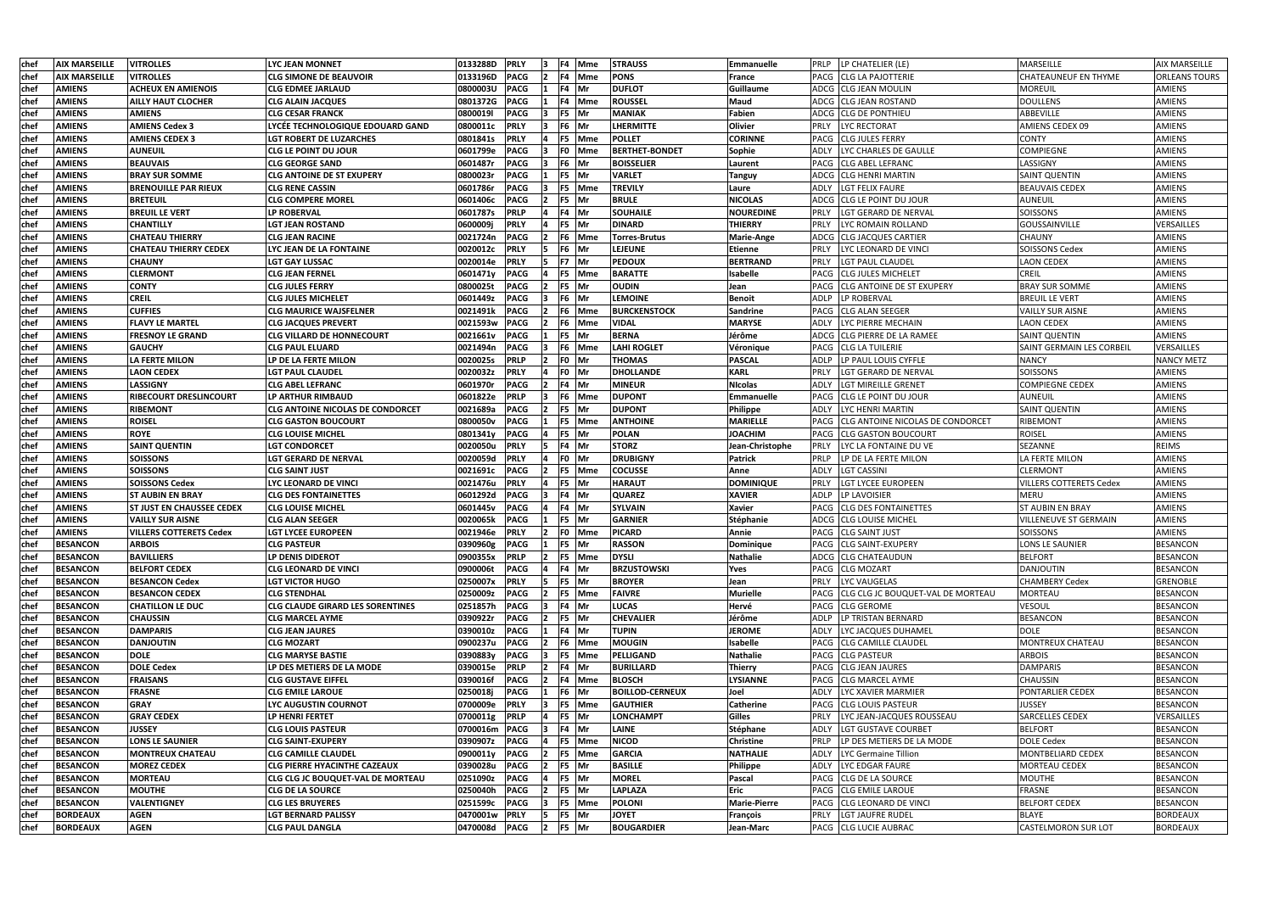| chef         | <b>AIX MARSEILLE</b>               | <b>VITROLLES</b>                 | LYC JEAN MONNET                                                     | 0133288D             | <b>PRLY</b>                |                | F4 Mme          | <b>STRAUSS</b>                 | Emmanuelle                          | LP CHATELIER (LE)<br><b>PRLP</b>                | MARSEILLE                              | <b>AIX MARSEILLE</b>               |
|--------------|------------------------------------|----------------------------------|---------------------------------------------------------------------|----------------------|----------------------------|----------------|-----------------|--------------------------------|-------------------------------------|-------------------------------------------------|----------------------------------------|------------------------------------|
| <b>chef</b>  | <b>AIX MARSEILLE</b>               | <b>VITROLLES</b>                 | <b>CLG SIMONE DE BEAUVOIR</b>                                       | 0133196D             | <b>PACG</b>                |                | F4 Mme          | <b>PONS</b>                    | France                              | <b>CLG LA PAJOTTERIE</b><br>PACG                | <b>CHATEAUNEUF EN THYME</b>            | <b>ORLEANS TOURS</b>               |
| <b>chef</b>  | <b>AMIENS</b>                      | <b>ACHEUX EN AMIENOIS</b>        | <b>CLG EDMEE JARLAUD</b>                                            | <b>0800003U</b>      | <b>PACG</b>                |                | F4 Mr           | <b>DUFLOT</b>                  | Guillaume                           | ADCG  CLG JEAN MOULIN                           | <b>MOREUIL</b>                         | <b>AMIENS</b>                      |
| <b>chef</b>  | <b>AMIENS</b>                      | <b>AILLY HAUT CLOCHER</b>        | <b>CLG ALAIN JACQUES</b>                                            | 0801372G             | <b>PACG</b>                |                | F4 Mme          | <b>ROUSSEL</b>                 | Maud                                | ADCG<br><b>CLG JEAN ROSTAND</b>                 | <b>DOULLENS</b>                        | <b>AMIENS</b>                      |
| chef         | <b>AMIENS</b>                      | <b>AMIENS</b>                    | <b>CLG CESAR FRANCK</b>                                             | 0800019I             | <b>PACG</b>                |                | F5 Mr           | <b>MANIAK</b>                  | <b>Fabien</b>                       | ADCG CLLG DE PONTHIEU                           | ABBEVILLE                              | <b>AMIENS</b>                      |
| chef         | <b>AMIENS</b>                      | <b>AMIENS Cedex 3</b>            | LYCÉE TECHNOLOGIQUE EDOUARD GAND                                    | 0800011c             | <b>PRLY</b>                |                | F6 Mr           | <b>LHERMITTE</b>               | Olivier                             | <b>LYC RECTORAT</b><br>PRLY                     | AMIENS CEDEX 09                        | AMIENS                             |
| chef         | <b>AMIENS</b>                      | <b>AMIENS CEDEX 3</b>            | <b>LGT ROBERT DE LUZARCHES</b>                                      | 0801841s             | <b>PRLY</b>                |                | F5 Mme          | <b>POLLET</b>                  | <b>CORINNE</b>                      | PACG CLG JULES FERRY                            | <b>CONTY</b>                           | <b>AMIENS</b>                      |
| chef         | <b>AMIENS</b>                      | <b>AUNEUIL</b>                   | <b>CLG LE POINT DU JOUR</b>                                         | 0601799e             | <b>PACG</b>                |                | F0 Mme          | <b>BERTHET-BONDET</b>          | Sophie                              | LYC CHARLES DE GAULLE<br>ADLY                   | COMPIEGNE                              | <b>AMIENS</b>                      |
| chef         | <b>AMIENS</b>                      | <b>BEAUVAIS</b>                  | <b>CLG GEORGE SAND</b>                                              | 0601487r             | PACG                       |                | F6 Mr           | <b>BOISSELIER</b>              | Laurent                             | <b>CLG ABEL LEFRANC</b><br>PACG                 | LASSIGNY                               | AMIENS                             |
| chef         | <b>AMIENS</b>                      | <b>BRAY SUR SOMME</b>            | <b>CLG ANTOINE DE ST EXUPERY</b>                                    | 0800023r             | <b>PACG</b>                |                | F5 Mr           | <b>VARLET</b>                  | <b>Tanguy</b>                       | ADCG CLLG HENRI MARTIN                          | <b>SAINT QUENTIN</b>                   | AMIENS                             |
| chef         | <b>AMIENS</b>                      | <b>BRENOUILLE PAR RIEUX</b>      | <b>CLG RENE CASSIN</b>                                              | 0601786r             | <b>PACG</b>                |                | F5 Mme          | <b>TREVILY</b>                 | Laure                               | LGT FELIX FAURE<br>ADLY                         | <b>BEAUVAIS CEDEX</b>                  | <b>AMIENS</b>                      |
| chef         | <b>AMIENS</b>                      | <b>BRETEUIL</b>                  | <b>CLG COMPERE MOREL</b>                                            | 0601406с             | PACG                       | F5             | <b>IMr</b>      | <b>BRULE</b>                   | <b>NICOLAS</b>                      | CLG LE POINT DU JOUR<br>ADCG                    | <b>AUNEUIL</b>                         | AMIENS                             |
| chef         | <b>AMIENS</b>                      | BREUIL LE VERT                   | <b>LP ROBERVAL</b>                                                  | 0601787s             | PRLP                       |                | F4 Mr           | <b>SOUHAILE</b>                | <b>NOUREDINE</b>                    | PRLY<br>LGT GERARD DE NERVAL                    | SOISSONS                               | AMIENS                             |
| <b>chef</b>  | <b>AMIENS</b>                      | <b>CHANTILLY</b>                 | <b>LGT JEAN ROSTAND</b>                                             | 0600009j             | <b>PRLY</b>                |                | F5 Mr           | <b>DINARD</b>                  | <b>THIERRY</b>                      | PRLY<br>LYC ROMAIN ROLLAND                      | <b>GOUSSAINVILLE</b>                   | VERSAILLES                         |
| chef         | <b>AMIENS</b>                      | CHATEAU THIERRY                  | <b>CLG JEAN RACINE</b>                                              | 0021724n             | <b>PACG</b>                | F6             | Mme             | <b>Torres-Brutus</b>           | <b>Marie-Ange</b>                   | ADCG   CLG JACQUES CARTIER                      | <b>CHAUNY</b>                          | AMIENS                             |
| chef         | <b>AMIENS</b>                      | CHATEAU THIERRY CEDEX            | LYC JEAN DE LA FONTAINE                                             | 0020012c             | <b>PRLY</b>                |                | F6 Mr           | <b>LEJEUNE</b>                 | <b>Etienne</b>                      | PRLY<br>YC LEONARD DE VINCI                     | <b>SOISSONS Cedex</b>                  | AMIENS                             |
| chef         | <b>AMIENS</b>                      | <b>CHAUNY</b>                    | <b>LGT GAY LUSSAC</b>                                               | 0020014e             | <b>PRLY</b>                |                | F7 Mr           | <b>PEDOUX</b>                  | <b>BERTRAND</b>                     | PRLY<br><b>LGT PAUL CLAUDEL</b>                 | <b>LAON CEDEX</b>                      | AMIENS                             |
| chef         | <b>AMIENS</b>                      | <b>CLERMONT</b>                  | <b>CLG JEAN FERNEL</b>                                              | 0601471y             | <b>PACG</b>                | F <sub>5</sub> | <b>Mme</b>      | <b>BARATTE</b>                 | Isabelle                            | <b>CLG JULES MICHELET</b><br>PACG               | <b>CREIL</b>                           | AMIENS                             |
| chef         | <b>AMIENS</b>                      | <b>CONTY</b>                     | <b>CLG JULES FERRY</b>                                              | 0800025t             | <b>PACG</b>                |                | F5 Mr           | <b>OUDIN</b>                   | Jean                                | <b>CLG ANTOINE DE ST EXUPERY</b><br>PACG        | <b>BRAY SUR SOMME</b>                  | <b>AMIENS</b>                      |
| chef         | <b>AMIENS</b>                      | <b>CREIL</b>                     | <b>CLG JULES MICHELET</b>                                           | 0601449z             | <b>PACG</b>                |                | F6 Mr           | <b>LEMOINE</b>                 | <b>Benoit</b>                       | LP ROBERVAL<br>ADLP                             | <b>BREUIL LE VERT</b>                  | <b>AMIENS</b>                      |
| chef         | <b>AMIENS</b>                      | <b>CUFFIES</b>                   | <b>CLG MAURICE WAJSFELNER</b>                                       | 0021491k             | <b>PACG</b>                |                | F6 Mme          | <b>BURCKENSTOCK</b>            | <b>Sandrine</b>                     | PACG CLG ALAN SEEGER                            | <b>VAILLY SUR AISNE</b>                | <b>AMIENS</b>                      |
| chef         | <b>AMIENS</b>                      | <b>FLAVY LE MARTEL</b>           | <b>CLG JACQUES PREVERT</b>                                          | 0021593w             | PACG                       |                | F6 Mme          | <b>VIDAL</b>                   | <b>MARYSE</b>                       | LYC PIERRE MECHAIN<br>ADLY                      | <b>LAON CEDEX</b>                      | AMIENS                             |
| chef         | <b>AMIENS</b>                      | <b>FRESNOY LE GRAND</b>          | <b>CLG VILLARD DE HONNECOURT</b>                                    | 0021661v             | <b>PACG</b>                |                | F5 Mr           | <b>BERNA</b>                   | Jérôme                              | ADCG   CLG PIERRE DE LA RAMEE                   | <b>SAINT QUENTIN</b>                   | <b>AMIENS</b>                      |
| chef         | <b>AMIENS</b>                      | <b>GAUCHY</b>                    | <b>CLG PAUL ELUARD</b>                                              | 0021494n             | <b>PACG</b>                |                | F6 Mme          | <b>LAHI ROGLET</b>             | Véronique                           | <b>CLG LA TUILERIE</b><br>PACG                  | <b>SAINT GERMAIN LES CORBEIL</b>       | VERSAILLES                         |
| chef         | <b>AMIENS</b>                      | <b>LA FERTE MILON</b>            | LP DE LA FERTE MILON                                                | 0020025s             | <b>PRLP</b>                |                | FO Mr           | <b>THOMAS</b>                  | <b>PASCAL</b>                       | ADLP<br>LP PAUL LOUIS CYFFLE                    | <b>NANCY</b>                           | <b>NANCY METZ</b>                  |
| <b>chef</b>  | <b>AMIENS</b>                      | LAON CEDEX                       | <b>LGT PAUL CLAUDEL</b>                                             | 0020032z             | <b>PRLY</b>                |                | F0 Mr           | <b>DHOLLANDE</b>               | <b>KARL</b>                         | LGT GERARD DE NERVAL<br>PRLY                    | SOISSONS                               | <b>AMIENS</b>                      |
| chef         | <b>AMIENS</b>                      | LASSIGNY                         | <b>CLG ABEL LEFRANC</b>                                             | 0601970r             | PACG                       |                | F4 Mr           | <b>MINEUR</b>                  | <b>NIcolas</b>                      | ADLY<br>LGT MIREILLE GRENET                     | <b>COMPIEGNE CEDEX</b>                 | AMIENS                             |
| chef         | <b>AMIENS</b>                      | RIBECOURT DRESLINCOURT           | LP ARTHUR RIMBAUD                                                   | 0601822e             | <b>PRLP</b>                |                | F6 Mme          | <b>DUPONT</b>                  | <b>Emmanuelle</b>                   | PACG<br><b>CLG LE POINT DU JOUR</b>             | <b>AUNEUIL</b>                         | AMIENS                             |
| <b>chef</b>  | <b>AMIENS</b>                      | RIBEMONT                         | <b>CLG ANTOINE NICOLAS DE CONDORCET</b>                             | 0021689a             | <b>PACG</b>                | F5             | <b>Mr</b>       | <b>DUPONT</b>                  | Philippe                            | ADLY<br>LYC HENRI MARTIN                        | <b>SAINT QUENTIN</b>                   | AMIENS                             |
| chef         | <b>AMIENS</b>                      | <b>ROISEL</b>                    | <b>CLG GASTON BOUCOURT</b>                                          | 0800050v             | <b>PACG</b>                |                | F5 Mme          | <b>ANTHOINE</b>                | <b>MARIELLE</b>                     | <b>CLG ANTOINE NICOLAS DE CONDORCET</b><br>PACG | RIBEMONT                               | <b>AMIENS</b>                      |
| chef         | <b>AMIENS</b>                      | <b>ROYE</b>                      | <b>CLG LOUISE MICHEL</b>                                            | 0801341y             | <b>PACG</b>                |                | F5 Mr           | <b>POLAN</b>                   | <b>JOACHIM</b>                      | <b>CLG GASTON BOUCOURT</b><br>PACG              | <b>ROISEL</b>                          | AMIENS                             |
| chef         | <b>AMIENS</b>                      | <b>SAINT QUENTIN</b>             | <b>LGT CONDORCET</b>                                                | 0020050u             | <b>PRLY</b>                |                | F4 Mr           | <b>STORZ</b>                   | Jean-Christophe                     | <b>PRLY</b><br>LYC LA FONTAINE DU VE            | SEZANNE                                | <b>REIMS</b>                       |
| chef         | <b>AMIENS</b>                      | <b>SOISSONS</b>                  | <b>LGT GERARD DE NERVAL</b>                                         | 0020059d             | <b>PRLY</b>                |                | F0 Mr           | <b>DRUBIGNY</b>                | <b>Patrick</b>                      | LP DE LA FERTE MILON<br><b>PRLP</b>             | LA FERTE MILON                         | <b>AMIENS</b>                      |
| chef         | <b>AMIENS</b>                      | <b>SOISSONS</b>                  | <b>CLG SAINT JUST</b>                                               | 0021691c             | <b>PACG</b>                |                | F5 Mme          | <b>COCUSSE</b>                 | Anne                                | ADLY<br><b>LGT CASSINI</b>                      | <b>CLERMONT</b>                        | <b>AMIENS</b>                      |
| chef         | <b>AMIENS</b>                      | <b>SOISSONS Cedex</b>            | LYC LEONARD DE VINCI                                                | 0021476u             | <b>PRLY</b>                |                | F5 Mr           | <b>HARAUT</b>                  | <b>DOMINIQUE</b>                    | PRLY<br><b>LGT LYCEE EUROPEEN</b>               | <b>VILLERS COTTERETS Cedex</b>         | AMIENS                             |
| chef         | <b>AMIENS</b>                      | <b>ST AUBIN EN BRAY</b>          | <b>CLG DES FONTAINETTES</b>                                         | 0601292d             | <b>PACG</b>                |                | F4 Mr           | <b>QUAREZ</b>                  | <b>XAVIER</b>                       | ADLP<br>LP LAVOISIER                            | <b>MERU</b>                            | <b>AMIENS</b>                      |
| chef         | <b>AMIENS</b>                      | <b>ST JUST EN CHAUSSEE CEDEX</b> | <b>CLG LOUISE MICHEL</b>                                            | 0601445v             | PACG                       |                | F4 Mr           | <b>SYLVAIN</b>                 | <b>Xavier</b>                       | <b>CLG DES FONTAINETTES</b><br><b>PACG</b>      | <b>ST AUBIN EN BRAY</b>                | AMIENS                             |
| chef         | <b>AMIENS</b>                      | VAILLY SUR AISNE                 | <b>CLG ALAN SEEGER</b>                                              | 0020065k             | <b>PACG</b>                |                | F5 Mr           | <b>GARNIER</b>                 | Stéphanie                           | ADCG ICLG LOUISE MICHEL                         | <b>VILLENEUVE ST GERMAIN</b>           | AMIENS                             |
| chef         | <b>AMIENS</b>                      | VILLERS COTTERETS Cedex          | <b>ILGT LYCEE EUROPEEN</b>                                          | 0021946e             | <b>PRLY</b>                | 12             | <b>FO</b> Mme   | <b>PICARD</b>                  | Annie                               | PACG CLG SAINT JUST                             | <b>SOISSONS</b>                        | <b>AMIENS</b>                      |
| chef         | <b>BESANCON</b>                    | <b>ARBOIS</b>                    | <b>CLG PASTEUR</b>                                                  | 0390960g             | <b>PACG</b>                |                | F5 Mr           | <b>RASSON</b>                  | Dominique                           | PACG CLG SAINT-EXUPERY                          | <b>LONS LE SAUNIER</b>                 | <b>BESANCON</b>                    |
| <b>chef</b>  | <b>BESANCON</b>                    | <b>BAVILLIERS</b>                | LP DENIS DIDEROT                                                    | 0900355x             | <b>PRLP</b>                |                | F5 Mme          | <b>DYSLI</b>                   | <b>Nathalie</b>                     | ADCG CLG CHATEAUDUN                             | <b>BELFORT</b>                         | <b>BESANCON</b>                    |
| chef         | <b>BESANCON</b>                    | <b>BELFORT CEDEX</b>             | <b>CLG LEONARD DE VINCI</b>                                         | 0900006t             | <b>PACG</b>                |                | F4 Mr           | <b>BRZUSTOWSKI</b>             | Yves                                | PACG CLG MOZART                                 | DANJOUTIN                              | <b>BESANCON</b>                    |
| chef         | <b>BESANCON</b>                    | <b>BESANCON Cedex</b>            | <b>LGT VICTOR HUGO</b>                                              | 0250007x             | <b>PRLY</b>                |                | F5 Mr           | <b>BROYER</b>                  | Jean                                | PRLY<br>LYC VAUGELAS                            | <b>CHAMBERY Cedex</b>                  | <b>GRENOBLE</b>                    |
| chef         | <b>BESANCON</b>                    | <b>BESANCON CEDEX</b>            | <b>CLG STENDHAL</b>                                                 | 0250009z             | <b>PACG</b>                |                | F5 Mme          | <b>FAIVRE</b>                  | <b>Murielle</b>                     | CLG CLG JC BOUQUET-VAL DE MORTEAU<br>PACG       | MORTEAU                                | <b>BESANCON</b>                    |
| chef         | <b>BESANCON</b>                    | <b>CHATILLON LE DUC</b>          | <b>CLG CLAUDE GIRARD LES SORENTINES</b>                             | 0251857h             | <b>PACG</b>                |                | F4 Mr           | <b>LUCAS</b>                   | Hervé                               | PACG CLG GEROME                                 | <b>VESOUL</b>                          | <b>BESANCON</b>                    |
| chef         | <b>BESANCON</b>                    | <b>CHAUSSIN</b>                  | <b>CLG MARCEL AYME</b>                                              | 0390922r             | <b>PACG</b>                |                | F5 Mr           | <b>CHEVALIER</b>               | Jérôme                              | LP TRISTAN BERNARD<br>ADLP                      | <b>BESANCON</b>                        | <b>BESANCON</b>                    |
| chef         | <b>BESANCON</b>                    | <b>DAMPARIS</b>                  | <b>CLG JEAN JAURES</b>                                              | 0390010z             | <b>PACG</b>                |                | F4 Mr           | <b>TUPIN</b>                   | <b>JEROME</b>                       | LYC JACQUES DUHAMEL<br>ADLY                     | <b>DOLE</b>                            | <b>BESANCON</b>                    |
| chef         | <b>BESANCON</b>                    | <b>DANJOUTIN</b>                 | <b>CLG MOZART</b>                                                   | 0900237u             | <b>PACG</b>                |                | F6 Mme          | <b>MOUGIN</b>                  | <b>Isabelle</b>                     | PACG<br><b>CLG CAMILLE CLAUDEL</b>              | <b>MONTREUX CHATEAU</b>                | <b>BESANCON</b>                    |
| chef         | <b>BESANCON</b>                    | <b>DOLE</b>                      | <b>CLG MARYSE BASTIE</b><br>LP DES METIERS DE LA MODE               | 0390883y             | PACG                       |                | F5 Mme<br>F4 Mr | <b>PELLIGAND</b>               | <b>Nathalie</b>                     | PACG CLG PASTEUR<br><b>CLG JEAN JAURES</b>      | <b>ARBOIS</b>                          | <b>BESANCON</b>                    |
| chef         | <b>BESANCON</b>                    | <b>DOLE Cedex</b>                |                                                                     | 0390015e             | <b>PRLP</b>                |                |                 | <b>BURILLARD</b>               | <b>Thierry</b>                      | PACG                                            | <b>DAMPARIS</b>                        | <b>BESANCON</b>                    |
| chef         | <b>BESANCON</b>                    | <b>FRAISANS</b>                  | <b>CLG GUSTAVE EIFFEL</b>                                           | 0390016f             | PACG                       |                | F4 Mme          | <b>BLOSCH</b>                  | LYSIANNE                            | PACG CLG MARCEL AYME                            | <b>CHAUSSIN</b>                        | <b>BESANCON</b>                    |
| chef         | <b>BESANCON</b>                    | <b>FRASNE</b>                    | <b>CLG EMILE LAROUE</b>                                             | 0250018j             | PACG                       |                | F6 Mr           | <b>BOILLOD-CERNEUX</b>         | Joel                                | LYC XAVIER MARMIER<br>ADLY                      | <b>PONTARLIER CEDEX</b>                | <b>BESANCON</b>                    |
| chef         | <b>BESANCON</b>                    | <b>GRAY</b>                      | <b>LYC AUGUSTIN COURNOT</b>                                         | 0700009e             | <b>PRLY</b>                |                | F5 Mme          | <b>GAUTHIER</b>                | <b>Catherine</b>                    | <b>CLG LOUIS PASTEUR</b><br>PACG                | <b>JUSSEY</b>                          | <b>BESANCON</b>                    |
| chef         | <b>BESANCON</b>                    | <b>GRAY CEDEX</b>                | LP HENRI FERTET                                                     | 0700011g             | <b>PRLP</b>                |                | F5 Mr           | <b>LONCHAMPT</b>               | <b>Gilles</b>                       | PRLY<br>LYC JEAN-JACQUES ROUSSEAU               | <b>SARCELLES CEDEX</b>                 | VERSAILLES                         |
| chef         | <b>BESANCON</b><br><b>BESANCON</b> | <b>JUSSEY</b>                    | <b>CLG LOUIS PASTEUR</b>                                            | 0700016m             | <b>PACG</b>                |                | F4 Mr<br>F5 Mme | <b>LAINE</b><br><b>NICOD</b>   | Stéphane                            | <b>ADLY</b><br>LGT GUSTAVE COURBET<br>PRLP      | <b>BELFORT</b>                         | <b>BESANCON</b><br><b>BESANCON</b> |
| chef         |                                    | <b>LONS LE SAUNIER</b>           | <b>CLG SAINT-EXUPERY</b>                                            | 0390907z             | <b>PACG</b>                |                |                 | <b>GARCIA</b>                  | <b>Christine</b><br><b>NATHALIE</b> | LP DES METIERS DE LA MODE                       | <b>DOLE Cedex</b><br>MONTBELIARD CEDEX |                                    |
| chef         | <b>BESANCON</b>                    | <b>MONTREUX CHATEAU</b>          | <b>CLG CAMILLE CLAUDEL</b>                                          | 0900011y             | <b>PACG</b>                |                | F5 Mme          |                                |                                     | <b>ADLY</b><br>LYC Germaine Tillion             |                                        | <b>BESANCON</b>                    |
| chef         | <b>BESANCON</b>                    | <b>MOREZ CEDEX</b>               | <b>CLG PIERRE HYACINTHE CAZEAUX</b>                                 | 0390028u             | <b>PACG</b>                |                | F5 Mr           | <b>BASILLE</b>                 | Philippe                            | LYC EDGAR FAURE<br>ADLY                         | MORTEAU CEDEX                          | <b>BESANCON</b>                    |
| chef<br>chef | <b>BESANCON</b><br><b>BESANCON</b> | <b>MORTEAU</b><br><b>MOUTHE</b>  | <b>CLG CLG JC BOUQUET-VAL DE MORTEAU</b><br><b>CLG DE LA SOURCE</b> | 0251090z<br>0250040h | <b>PACG</b><br><b>PACG</b> |                | F5 Mr<br>F5 Mr  | <b>MOREL</b><br><b>LAPLAZA</b> | Pascal<br><b>Eric</b>               | PACG CLG DE LA SOURCE<br>PACG CLG EMILE LAROUE  | <b>MOUTHE</b><br><b>FRASNE</b>         | <b>BESANCON</b><br><b>BESANCON</b> |
| chef         | <b>BESANCON</b>                    | <b>VALENTIGNEY</b>               | <b>CLG LES BRUYERES</b>                                             | 0251599c             | <b>PACG</b>                |                | F5 Mme          | <b>POLONI</b>                  | <b>Marie-Pierre</b>                 | PACG CLG LEONARD DE VINCI                       | <b>BELFORT CEDEX</b>                   | <b>BESANCON</b>                    |
|              | <b>BORDEAUX</b>                    |                                  |                                                                     | 0470001w             | <b>PRLY</b>                |                |                 |                                |                                     | <b>PRLY</b>                                     | <b>BLAYE</b>                           | <b>BORDEAUX</b>                    |
| chef         |                                    | <b>AGEN</b>                      | <b>LGT BERNARD PALISSY</b>                                          |                      |                            |                | F5 Mr<br>F5 Mr  | <b>JOYET</b>                   | François                            | <b>LGT JAUFRE RUDEL</b>                         |                                        |                                    |
| chef         | <b>BORDEAUX</b>                    | <b>AGEN</b>                      | <b>CLG PAUL DANGLA</b>                                              | 0470008d             | <b>PACG</b>                | 2              |                 | <b>BOUGARDIER</b>              | Jean-Marc                           | PACG CLG LUCIE AUBRAC                           | <b>CASTELMORON SUR LOT</b>             | <b>BORDEAUX</b>                    |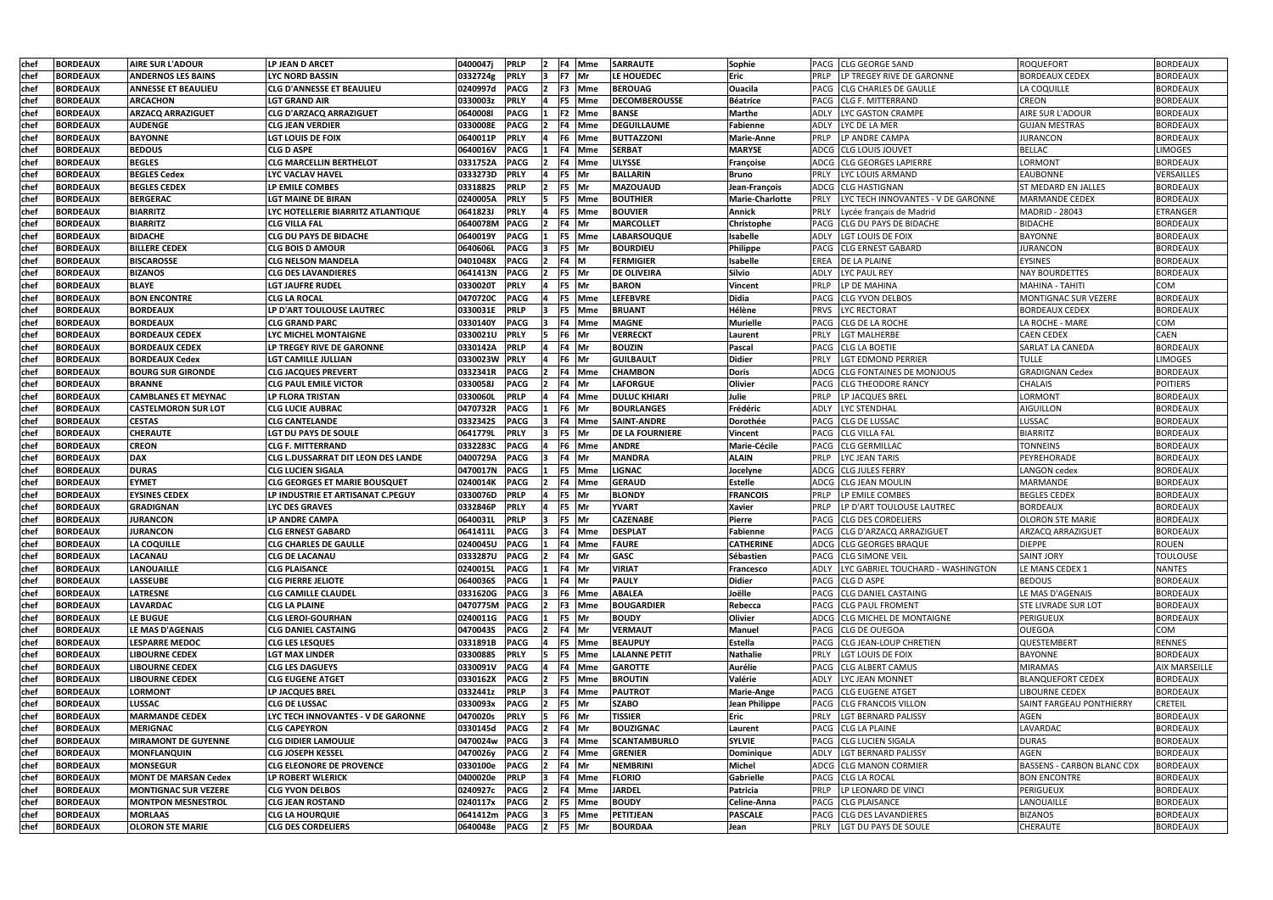| lchef       | <b>BORDEAUX</b> | <b>AIRE SUR L'ADOUR</b>     | LP JEAN D ARCET                           | 0400047i        | <b>PRLP</b> |                | F4 Mme        | <b>SARRAUTE</b>        | Sophie                 | PACG CLG GEORGE SAND                       | ROQUEFORT                         | <b>BORDEAUX</b>      |
|-------------|-----------------|-----------------------------|-------------------------------------------|-----------------|-------------|----------------|---------------|------------------------|------------------------|--------------------------------------------|-----------------------------------|----------------------|
| lchef       | <b>BORDEAUX</b> | <b>ANDERNOS LES BAINS</b>   | LYC NORD BASSIN                           | 0332724g        | <b>PRLY</b> |                | F7 Mr         | <b>LE HOUEDEC</b>      | <b>Eric</b>            | LP TREGEY RIVE DE GARONNE<br>PRLP          | <b>BORDEAUX CEDEX</b>             | <b>BORDEAUX</b>      |
| lchef       | <b>BORDEAUX</b> | <b>ANNESSE ET BEAULIEU</b>  | CLG D'ANNESSE ET BEAULIEU                 | 0240997d        | <b>PACG</b> |                | <b>F3</b> Mme | <b>BEROUAG</b>         | <b>Ouacila</b>         | PACG<br><b>CLG CHARLES DE GAULLE</b>       | LA COQUILLE                       | <b>BORDEAUX</b>      |
| chef        | <b>BORDEAUX</b> | <b>ARCACHON</b>             | LGT GRAND AIR                             | 0330003z        | <b>PRLY</b> |                | F5 Mme        | <b>DECOMBEROUSSE</b>   | <b>Béatrice</b>        | PACG<br><b>CLG F. MITTERRAND</b>           | <b>CREON</b>                      | <b>BORDEAUX</b>      |
| chef        | <b>BORDEAUX</b> | <b>ARZACQ ARRAZIGUET</b>    | <b>CLG D'ARZACQ ARRAZIGUET</b>            | 06400081        | <b>PACG</b> |                | F2 Mme        | <b>BANSE</b>           | <b>Marthe</b>          | <b>LYC GASTON CRAMPE</b><br>ADLY           | <b>AIRE SUR L'ADOUR</b>           | <b>BORDEAUX</b>      |
| chef        | <b>BORDEAUX</b> | <b>AUDENGE</b>              | <b>CLG JEAN VERDIER</b>                   | 0330008E        | <b>PACG</b> |                | F4 Mme        | <b>DEGUILLAUME</b>     | Fabienne               | <b>ADLY</b><br>LYC DE LA MER               | <b>GUJAN MESTRAS</b>              | <b>BORDEAUX</b>      |
| chef        | <b>BORDEAUX</b> | <b>BAYONNE</b>              | LGT LOUIS DE FOIX                         | 0640011P        | <b>PRLY</b> | 14             | F6 Mme        | <b>BUTTAZZONI</b>      | <b>Marie-Anne</b>      | <b>PRLP</b><br>LP ANDRE CAMPA              | <b>JURANCON</b>                   | <b>BORDEAUX</b>      |
| chef        | <b>BORDEAUX</b> | <b>BEDOUS</b>               | <b>CLG D ASPE</b>                         | 0640016V        | <b>PACG</b> |                | F4 Mme        | <b>SERBAT</b>          | <b>MARYSE</b>          | ADCG<br><b>CLG LOUIS JOUVET</b>            | <b>BELLAC</b>                     | <b>LIMOGES</b>       |
| <b>chef</b> | <b>BORDEAUX</b> | <b>BEGLES</b>               | <b>CLG MARCELLIN BERTHELOT</b>            | 0331752A        | <b>PACG</b> |                | F4 Mme        | <b>ULYSSE</b>          | Françoise              | ADCG CLG GEORGES LAPIERRE                  | <b>LORMONT</b>                    | <b>BORDEAUX</b>      |
| <b>chef</b> | <b>BORDEAUX</b> | <b>BEGLES Cedex</b>         | LYC VACLAV HAVEL                          | 0333273D        | <b>PRLY</b> |                | F5 Mr         | <b>BALLARIN</b>        | <b>Bruno</b>           | PRLY<br>LYC LOUIS ARMAND                   | <b>EAUBONNE</b>                   | VERSAILLES           |
| chef        | <b>BORDEAUX</b> | <b>BEGLES CEDEX</b>         | <b>LP EMILE COMBES</b>                    | 0331882S        | <b>PRLP</b> |                | F5 Mr         | <b>MAZOUAUD</b>        | Jean-Francois          | ADCG<br><b>ICLG HASTIGNAN</b>              | <b>ST MEDARD EN JALLES</b>        | <b>BORDEAUX</b>      |
| chef        | <b>BORDEAUX</b> | <b>BERGERAC</b>             | LGT MAINE DE BIRAN                        | 0240005A        | <b>PRLY</b> |                | F5 Mme        | <b>BOUTHIER</b>        | <b>Marie-Charlotte</b> | PRLY<br>LYC TECH INNOVANTES - V DE GARONNE | <b>MARMANDE CEDEX</b>             | <b>BORDEAUX</b>      |
| chef        | <b>BORDEAUX</b> | <b>BIARRITZ</b>             | LYC HOTELLERIE BIARRITZ ATLANTIQUE        | 0641823J        | <b>PRLY</b> |                | F5 Mme        | <b>BOUVIER</b>         | <b>Annick</b>          | Lycée français de Madrid                   | <b>MADRID - 28043</b>             | <b>ETRANGER</b>      |
| chef        | <b>BORDEAUX</b> | <b>BIARRITZ</b>             | CLG VILLA FAL                             | 0640078M        | <b>PACG</b> |                | F4 Mr         | <b>MARCOLLET</b>       | Christophe             | <b>CLG DU PAYS DE BIDACHE</b><br>PACG      | <b>BIDACHE</b>                    | <b>BORDEAUX</b>      |
| lchef       | <b>BORDEAUX</b> | <b>BIDACHE</b>              | <b>CLG DU PAYS DE BIDACHE</b>             | 0640019Y        | <b>PACG</b> |                | F5 Mme        | <b>LABARSOUQUE</b>     | Isabelle               | <b>ADLY</b><br>LGT LOUIS DE FOIX           | <b>BAYONNE</b>                    | <b>BORDEAUX</b>      |
| chef        | <b>BORDEAUX</b> | <b>BILLERE CEDEX</b>        | CLG BOIS D AMOUR                          | 0640606L        | <b>PACG</b> |                | F5 Mr         | <b>BOURDIEU</b>        | Philippe               | <b>CLG ERNEST GABARD</b><br>PACG           | <b>JURANCON</b>                   | <b>BORDEAUX</b>      |
| chef        | <b>BORDEAUX</b> | <b>BISCAROSSE</b>           | CLG NELSON MANDELA                        | 0401048X        | <b>PACG</b> |                | F4 M          | <b>FERMIGIER</b>       | <b>Isabelle</b>        | <b>EREA</b><br><b>DE LA PLAINE</b>         | <b>EYSINES</b>                    | <b>BORDEAUX</b>      |
| lchef       | <b>BORDEAUX</b> | <b>BIZANOS</b>              | <b>CLG DES LAVANDIERES</b>                | 0641413N        | <b>PACG</b> |                | F5 Mr         | <b>DE OLIVEIRA</b>     | <b>Silvio</b>          | <b>ADLY</b><br><b>LYC PAUL REY</b>         | <b>NAY BOURDETTES</b>             | <b>BORDEAUX</b>      |
| lchef       | <b>BORDEAUX</b> | <b>BLAYE</b>                | <b>LGT JAUFRE RUDEL</b>                   | 0330020T        | <b>PRLY</b> |                | F5 Mr         | <b>BARON</b>           | <b>Vincent</b>         | PRLP<br>LP DE MAHINA                       | MAHINA - TAHITI                   | COM                  |
| chef        | <b>BORDEAUX</b> | <b>BON ENCONTRE</b>         | <b>CLG LA ROCAL</b>                       | 0470720C        | <b>PACG</b> |                | F5 Mme        | <b>LEFEBVRE</b>        | <b>Didia</b>           | <b>CLG YVON DELBOS</b><br>PACG             | MONTIGNAC SUR VEZERE              | <b>BORDEAUX</b>      |
| <b>chef</b> | <b>BORDEAUX</b> | <b>BORDEAUX</b>             | LP D'ART TOULOUSE LAUTREC                 | <b>0330031E</b> | <b>PRLP</b> |                | F5 Mme        | <b>BRUANT</b>          | Hélène                 | <b>PRVS</b><br><b>LYC RECTORAT</b>         | <b>BORDEAUX CEDEX</b>             | <b>BORDEAUX</b>      |
| <b>chef</b> | <b>BORDEAUX</b> | <b>BORDEAUX</b>             | <b>CLG GRAND PARC</b>                     | 0330140Y        | <b>PACG</b> |                | F4 Mme        | <b>MAGNE</b>           | Murielle               | <b>CLG DE LA ROCHE</b><br><b>PACG</b>      | LA ROCHE - MARE                   | COM                  |
| <b>chef</b> | <b>BORDEAUX</b> | <b>BORDEAUX CEDEX</b>       | LYC MICHEL MONTAIGNE                      | 0330021U        | <b>PRLY</b> |                | F6 Mr         | <b>VERRECKT</b>        | Laurent                | PRLY<br><b>LGT MALHERBE</b>                | <b>CAEN CEDEX</b>                 | <b>CAEN</b>          |
| <b>chef</b> | <b>BORDEAUX</b> | <b>BORDEAUX CEDEX</b>       | LP TREGEY RIVE DE GARONNE                 | 0330142A        | <b>PRLP</b> |                | F4 Mr         | <b>BOUZIN</b>          | Pascal                 | <b>CLG LA BOETIE</b><br>PACG               | <b>SARLAT LA CANEDA</b>           | <b>BORDEAUX</b>      |
| chef        | <b>BORDEAUX</b> | <b>BORDEAUX Cedex</b>       | LGT CAMILLE JULLIAN                       | 0330023W        | <b>PRLY</b> |                | F6 Mr         | <b>GUILBAULT</b>       | <b>Didier</b>          | <b>LGT EDMOND PERRIER</b><br>PRLY          | <b>TULLE</b>                      | <b>LIMOGES</b>       |
| lchef       | <b>BORDEAUX</b> | <b>BOURG SUR GIRONDE</b>    | <b>CLG JACQUES PREVERT</b>                | 0332341R        | <b>PACG</b> |                | F4 Mme        | <b>CHAMBON</b>         | <b>Doris</b>           | ADCG<br><b>CLG FONTAINES DE MONJOUS</b>    | <b>GRADIGNAN Cedex</b>            | <b>BORDEAUX</b>      |
| chef        | <b>BORDEAUX</b> | <b>BRANNE</b>               | <b>CLG PAUL EMILE VICTOR</b>              | 0330058J        | <b>PACG</b> |                | F4   Mr       | <b>LAFORGUE</b>        | Olivier                | <b>CLG THEODORE RANCY</b><br>PACG          | <b>CHALAIS</b>                    | <b>POITIERS</b>      |
| lchef       | <b>BORDEAUX</b> | <b>CAMBLANES ET MEYNAC</b>  | LP FLORA TRISTAN                          | 0330060L        | <b>PRLP</b> |                | F4 Mme        | <b>DULUC KHIARI</b>    | Julie                  | PRLP<br>LP JACQUES BREI                    | <b>LORMONT</b>                    | <b>BORDEAUX</b>      |
| chef        | <b>BORDEAUX</b> | <b>CASTELMORON SUR LOT</b>  | CLG LUCIE AUBRAC                          | 0470732R        | <b>PACG</b> |                | F6 Mr         | <b>BOURLANGES</b>      | Frédéric               | ADLY<br><b>LYC STENDHAL</b>                | <b>AIGUILLON</b>                  | <b>BORDEAUX</b>      |
| chef        | <b>BORDEAUX</b> | <b>CESTAS</b>               | <b>CLG CANTELANDE</b>                     | 0332342S        | <b>PACG</b> |                | F4 Mme        | SAINT-ANDRE            | <b>Dorothée</b>        | <b>CLG DE LUSSAC</b><br>PACG               | <b>LUSSAC</b>                     | <b>BORDEAUX</b>      |
| lchef       | <b>BORDEAUX</b> | <b>CHERAUTE</b>             | <b>LGT DU PAYS DE SOULE</b>               | 0641779L        | <b>PRLY</b> |                | F5 Mr         | <b>DE LA FOURNIERE</b> | <b>Vincent</b>         | <b>CLG VILLA FAL</b><br>PACG               | <b>BIARRITZ</b>                   | <b>BORDEAUX</b>      |
| chef        | <b>BORDEAUX</b> | <b>CREON</b>                | <b>CLG F. MITTERRAND</b>                  | 0332283C        | <b>PACG</b> |                | F6 Mme        | <b>ANDRE</b>           | Marie-Cécile           | <b>CLG GERMILLAC</b><br><b>PACG</b>        | <b>TONNEINS</b>                   | <b>BORDEAUX</b>      |
| chef        | <b>BORDEAUX</b> | <b>DAX</b>                  | <b>CLG L.DUSSARRAT DIT LEON DES LANDE</b> | 0400729A        | <b>PACG</b> |                | F4 Mr         | <b>MANDRA</b>          | <b>ALAIN</b>           | <b>PRLP</b><br>LYC JEAN TARIS              | PEYREHORADE                       | <b>BORDEAUX</b>      |
| <b>chef</b> | <b>BORDEAUX</b> | <b>DURAS</b>                | <b>CLG LUCIEN SIGALA</b>                  | 0470017N        | <b>PACG</b> |                | <b>F5</b> Mme | <b>LIGNAC</b>          | Jocelyne               | ADCG ICLG JULES FERRY                      | <b>LANGON</b> cedex               | <b>BORDEAUX</b>      |
| <b>chef</b> | <b>BORDEAUX</b> | <b>EYMET</b>                | <b>CLG GEORGES ET MARIE BOUSQUET</b>      | 0240014K        | <b>PACG</b> |                | F4 Mme        | <b>GERAUD</b>          | <b>Estelle</b>         | ADCG CLG JEAN MOULIN                       | MARMANDE                          | <b>BORDEAUX</b>      |
| chef        | <b>BORDEAUX</b> | <b>EYSINES CEDEX</b>        | LP INDUSTRIE ET ARTISANAT C.PEGUY         | 0330076D        | <b>PRLP</b> |                | F5 Mr         | <b>BLONDY</b>          | <b>FRANCOIS</b>        | PRLP<br>LP EMILE COMBES                    | <b>BEGLES CEDEX</b>               | <b>BORDEAUX</b>      |
| chef        | <b>BORDEAUX</b> | <b>GRADIGNAN</b>            | <b>LYC DES GRAVES</b>                     | 0332846P        | <b>PRLY</b> |                | F5 Mr         | <b>YVART</b>           | <b>Xavier</b>          | PRLP<br>LP D'ART TOULOUSE LAUTREC          | BORDEAUX                          | <b>BORDEAUX</b>      |
| <b>chef</b> | <b>BORDEAUX</b> | <b>JURANCON</b>             | LP ANDRE CAMPA                            | 0640031L        | <b>PRLP</b> |                | F5 Mr         | <b>CAZENABE</b>        | Pierre                 | <b>CLG DES CORDELIERS</b><br>PACG          | <b>OLORON STE MARIE</b>           | <b>BORDEAUX</b>      |
| <b>chef</b> | <b>BORDEAUX</b> | <b>JURANCON</b>             | <b>CLG ERNEST GABARD</b>                  | 0641411L        | <b>PACG</b> | $\overline{3}$ | F4 Mme        | <b>DESPLAT</b>         | Fabienne               | PACG CLG D'ARZACQ ARRAZIGUET               | ARZACQ ARRAZIGUET                 | <b>BORDEAUX</b>      |
| chef        | <b>BORDEAUX</b> | <b>LA COQUILLE</b>          | <b>CLG CHARLES DE GAULLE</b>              | 0240045U PACG   |             |                | F4 Mme        | <b>FAURE</b>           | <b>CATHERINE</b>       | ADCG CLG GEORGES BRAQUE                    | <b>DIEPPE</b>                     | <b>ROUEN</b>         |
| <b>chef</b> | <b>BORDEAUX</b> | <b>LACANAU</b>              | <b>CLG DE LACANAU</b>                     | 0333287U        | <b>PACG</b> |                | F4 Mr         | <b>GASC</b>            | Sébastien              | <b>PACG CLG SIMONE VEIL</b>                | <b>SAINT JORY</b>                 | <b>TOULOUSE</b>      |
| chef        | <b>BORDEAUX</b> | <b>LANOUAILLE</b>           | <b>CLG PLAISANCE</b>                      | 0240015L        | <b>PACG</b> |                | F4 Mr         | <b>VIRIAT</b>          | Francesco              | LYC GABRIEL TOUCHARD - WASHINGTON<br>ADLY  | LE MANS CEDEX 1                   | <b>NANTES</b>        |
| chef        | <b>BORDEAUX</b> | <b>LASSEUBE</b>             | <b>CLG PIERRE JELIOTE</b>                 | 0640036S        | <b>PACG</b> |                | F4 Mr         | <b>PAULY</b>           | <b>Didier</b>          | PACG<br><b>CLG D ASPE</b>                  | <b>BEDOUS</b>                     | <b>BORDEAUX</b>      |
| <b>chef</b> | <b>BORDEAUX</b> | <b>LATRESNE</b>             | <b>CLG CAMILLE CLAUDEL</b>                | 0331620G PACG   |             |                | F6 Mme        | <b>ABALEA</b>          | Joëlle                 | PACG CLG DANIEL CASTAING                   | LE MAS D'AGENAIS                  | <b>BORDEAUX</b>      |
| chef        | <b>BORDEAUX</b> | <b>LAVARDAC</b>             | <b>CLG LA PLAINE</b>                      | 0470775M PACG   |             |                | F3 Mme        | <b>BOUGARDIER</b>      | Rebecca                | <b>CLG PAUL FROMENT</b><br>PACG            | <b>STE LIVRADE SUR LOT</b>        | <b>BORDEAUX</b>      |
| chef        | <b>BORDEAUX</b> | LE BUGUE                    | <b>CLG LEROI-GOURHAN</b>                  | 0240011G PACG   |             |                | F5 Mr         | <b>BOUDY</b>           | <b>Olivier</b>         | ADCG CLG MICHEL DE MONTAIGNE               | PERIGUEUX                         | <b>BORDEAUX</b>      |
| chef        | <b>BORDEAUX</b> | <b>LE MAS D'AGENAIS</b>     | <b>CLG DANIEL CASTAING</b>                | 0470043S PACG   |             | $\overline{ }$ | F4 Mr         | <b>VERMAUT</b>         | Manuel                 | PACG ICLG DE OUEGOA                        | <b>OUEGOA</b>                     | COM                  |
| chef        | <b>BORDEAUX</b> | <b>LESPARRE MEDOC</b>       | <b>CLG LES LESQUES</b>                    | 0331891B        | <b>PACG</b> |                | F5 Mme        | <b>BEAUPUY</b>         | Estella                | PACG CLG JEAN-LOUP CHRETIEN                | QUESTEMBERT                       | <b>RENNES</b>        |
| chef        | <b>BORDEAUX</b> | <b>LIBOURNE CEDEX</b>       | <b>LGT MAX LINDER</b>                     | 0330088S        | <b>PRLY</b> |                | F5 Mme        | <b>LALANNE PETIT</b>   | <b>Nathalie</b>        | <b>PRLY</b><br>LGT LOUIS DE FOIX           | <b>BAYONNE</b>                    | <b>BORDEAUX</b>      |
| chef        | <b>BORDEAUX</b> | <b>LIBOURNE CEDEX</b>       | <b>CLG LES DAGUEYS</b>                    | 0330091V        | <b>PACG</b> |                | F4 Mme        | <b>GAROTTE</b>         | <b>Aurélie</b>         | PACG CLG ALBERT CAMUS                      | <b>MIRAMAS</b>                    | <b>AIX MARSEILLE</b> |
| chef        | <b>BORDEAUX</b> | <b>LIBOURNE CEDEX</b>       | <b>CLG EUGENE ATGET</b>                   | 0330162X        | <b>PACG</b> |                | F5 Mme        | <b>BROUTIN</b>         | Valérie                | LYC JEAN MONNET<br>ADLY                    | <b>BLANQUEFORT CEDEX</b>          | <b>BORDEAUX</b>      |
| chef        | <b>BORDEAUX</b> | <b>LORMONT</b>              | LP JACQUES BREL                           | 0332441z        | <b>PRLP</b> |                | F4 Mme        | <b>PAUTROT</b>         | <b>Marie-Ange</b>      | <b>PACG CLG EUGENE ATGET</b>               | <b>LIBOURNE CEDEX</b>             | <b>BORDEAUX</b>      |
| chef        | <b>BORDEAUX</b> | <b>LUSSAC</b>               | <b>CLG DE LUSSAC</b>                      | 0330093x        | <b>PACG</b> |                | F5 Mr         | <b>SZABO</b>           | Jean Philippe          | PACG CLG FRANCOIS VILLON                   | <b>SAINT FARGEAU PONTHIERRY</b>   | <b>CRETEIL</b>       |
| <b>chef</b> | <b>BORDEAUX</b> | <b>MARMANDE CEDEX</b>       | LYC TECH INNOVANTES - V DE GARONNE        | 0470020s        | <b>PRLY</b> |                | F6 Mr         | TISSIER                | Eric                   | PRLY<br><b>LGT BERNARD PALISSY</b>         | AGEN                              | <b>BORDEAUX</b>      |
| chef        | <b>BORDEAUX</b> | <b>MERIGNAC</b>             | <b>CLG CAPEYRON</b>                       | 0330145d        | <b>PACG</b> |                | F4 Mr         | <b>BOUZIGNAC</b>       | Laurent                | PACG<br><b>CLG LA PLAINE</b>               | LAVARDAC                          | <b>BORDEAUX</b>      |
| chef        | <b>BORDEAUX</b> | <b>MIRAMONT DE GUYENNE</b>  | <b>CLG DIDIER LAMOULIE</b>                | 0470024w PACG   |             |                | F4 Mme        | <b>SCANTAMBURLO</b>    | <b>SYLVIE</b>          | PACG<br><b>CLG LUCIEN SIGALA</b>           | <b>DURAS</b>                      | <b>BORDEAUX</b>      |
| chef        | <b>BORDEAUX</b> | <b>MONFLANQUIN</b>          | <b>CLG JOSEPH KESSEL</b>                  | 0470026y        | <b>PACG</b> |                | F4 Mme        | <b>GRENIER</b>         | Dominique              | LGT BERNARD PALISSY<br>ADLY                | <b>AGEN</b>                       | <b>BORDEAUX</b>      |
| chef        | <b>BORDEAUX</b> | <b>MONSEGUR</b>             | <b>CLG ELEONORE DE PROVENCE</b>           | 0330100e        | <b>PACG</b> | 12.            | F4 Mr         | <b>NEMBRINI</b>        | Michel                 | ADCG CLG MANON CORMIER                     | <b>BASSENS - CARBON BLANC CDX</b> | <b>BORDEAUX</b>      |
| <b>chef</b> | <b>BORDEAUX</b> | <b>MONT DE MARSAN Cedex</b> | LP ROBERT WLERICK                         | 0400020e        | <b>PRLP</b> | 13.            | F4 Mme        | <b>FLORIO</b>          | Gabrielle              | PACG CLG LA ROCAL                          | <b>BON ENCONTRE</b>               | <b>BORDEAUX</b>      |
| chef        | <b>BORDEAUX</b> | <b>MONTIGNAC SUR VEZERE</b> | <b>CLG YVON DELBOS</b>                    | 0240927c        | <b>PACG</b> | 12.            | F4 Mme        | <b>JARDEL</b>          | Patricia               | <b>PRLP</b><br>LP LEONARD DE VINCI         | PERIGUEUX                         | <b>BORDEAUX</b>      |
| chef        | <b>BORDEAUX</b> | <b>MONTPON MESNESTROL</b>   | <b>CLG JEAN ROSTAND</b>                   | 0240117x        | <b>PACG</b> |                | F5 Mme        | <b>BOUDY</b>           | Celine-Anna            | PACG CLG PLAISANCE                         | LANOUAILLE                        | <b>BORDEAUX</b>      |
| chef        | <b>BORDEAUX</b> | <b>MORLAAS</b>              | <b>CLG LA HOURQUIE</b>                    | 0641412m        | <b>PACG</b> |                | F5 Mme        | PETITJEAN              | <b>PASCALE</b>         | PACG CLG DES LAVANDIERES                   | <b>BIZANOS</b>                    | <b>BORDEAUX</b>      |
| chef        | <b>BORDEAUX</b> | <b>OLORON STE MARIE</b>     | <b>CLG DES CORDELIERS</b>                 | 0640048e        | <b>PACG</b> | 12             | F5 Mr         | <b>BOURDAA</b>         | Jean                   | <b>PRLY</b><br>LGT DU PAYS DE SOULE        | <b>CHERAUTE</b>                   | <b>BORDEAUX</b>      |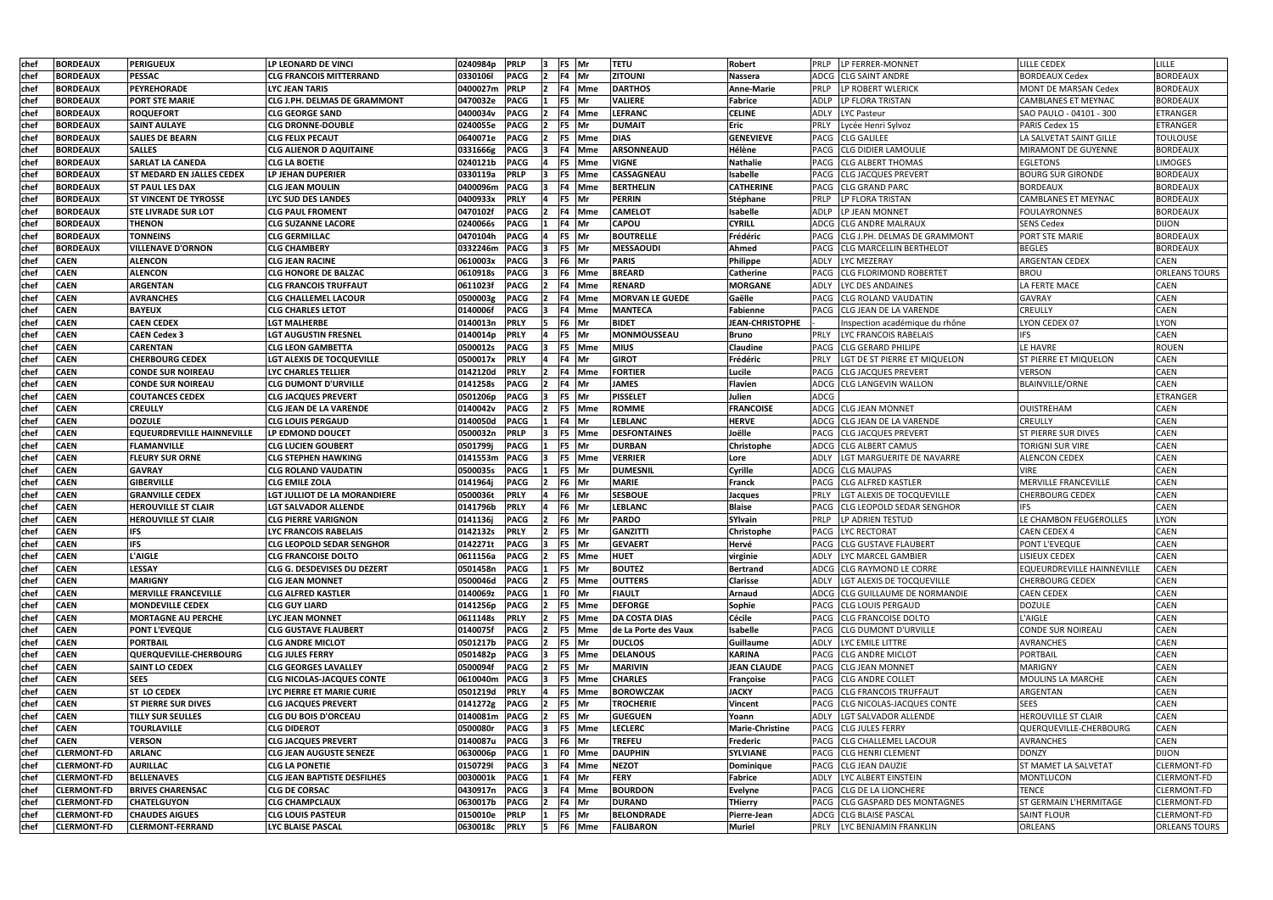| chef | <b>BORDEAUX</b>    | <b>PERIGUEUX</b>                  | LP LEONARD DE VINCI                 | 0240984p      | <b>PRLP</b>                |                | F5 Mr         | <b>TETU</b>            | <b>Robert</b>                      | LP FERRER-MONNET<br>PRLP                    | <b>LILLE CEDEX</b>            | LILLE                      |
|------|--------------------|-----------------------------------|-------------------------------------|---------------|----------------------------|----------------|---------------|------------------------|------------------------------------|---------------------------------------------|-------------------------------|----------------------------|
| chef | <b>BORDEAUX</b>    | <b>PESSAC</b>                     | <b>CLG FRANCOIS MITTERRAND</b>      | 0330106l      | <b>PACG</b>                |                | F4   Mr       | ZITOUNI                | Nassera                            | ADCG<br><b>CLG SAINT ANDRE</b>              | <b>BORDEAUX Cedex</b>         | <b>BORDEAUX</b>            |
| chef | <b>BORDEAUX</b>    | <b>PEYREHORADE</b>                | LYC JEAN TARIS                      | 0400027m      | <b>PRLP</b>                |                | F4 Mme        | <b>DARTHOS</b>         | <b>Anne-Marie</b>                  | <b>PRLP</b><br>LP ROBERT WLERICK            | <b>MONT DE MARSAN Cedex</b>   | <b>BORDEAUX</b>            |
| chef | <b>BORDEAUX</b>    | <b>PORT STE MARIE</b>             | CLG J.PH. DELMAS DE GRAMMONT        | 0470032e      | <b>PACG</b>                |                | F5 Mr         | <b>VALIERE</b>         | <b>Fabrice</b>                     | <b>ADLP</b><br>LP FLORA TRISTAN             | CAMBLANES ET MEYNAC           | <b>BORDEAUX</b>            |
| chef | <b>BORDEAUX</b>    | <b>ROQUEFORT</b>                  | <b>CLG GEORGE SAND</b>              | 0400034v      | <b>PACG</b>                |                | F4 Mme        | <b>LEFRANC</b>         | <b>CELINE</b>                      | <b>ADLY</b><br><b>LYC Pasteur</b>           | SAO PAULO - 04101 - 300       | ETRANGER                   |
| chef | <b>BORDEAUX</b>    | <b>SAINT AULAYE</b>               | <b>CLG DRONNE-DOUBLE</b>            | 0240055e      | <b>PACG</b>                |                | F5 Mr         | <b>DUMAIT</b>          | <b>Eric</b>                        | PRLY<br>Lycée Henri Sylvoz                  | PARIS Cedex 15                | <b>ETRANGER</b>            |
| chef | <b>BORDEAUX</b>    | <b>SALIES DE BEARN</b>            | <b>CLG FELIX PECAUT</b>             | 0640071e      | <b>PACG</b>                |                | F5 Mme        | <b>DIAS</b>            | <b>GENEVIEVE</b>                   | <b>PACG</b><br><b>CLG GALILEE</b>           | LA SALVETAT SAINT GILLE       | <b>TOULOUSE</b>            |
| chef | <b>BORDEAUX</b>    | <b>SALLES</b>                     | <b>CLG ALIENOR D AQUITAINE</b>      | 0331666g      | <b>PACG</b>                |                | F4 Mme        | ARSONNEAUD             | Hélène                             | <b>CLG DIDIER LAMOULIE</b><br>PACG          | MIRAMONT DE GUYENNE           | <b>BORDEAUX</b>            |
| chef | <b>BORDEAUX</b>    | <b>SARLAT LA CANEDA</b>           | <b>CLG LA BOETIE</b>                | 0240121b      | <b>PACG</b>                |                | <b>F5</b> Mme | <b>VIGNE</b>           | <b>Nathalie</b>                    | <b>CLG ALBERT THOMAS</b><br>PACG            | <b>EGLETONS</b>               | <b>LIMOGES</b>             |
| chef | <b>BORDEAUX</b>    | <b>ST MEDARD EN JALLES CEDEX</b>  | LP JEHAN DUPERIER                   | 0330119a      | <b>PRLP</b>                |                | <b>F5</b> Mme | <b>CASSAGNEAU</b>      | Isabelle                           | <b>CLG JACQUES PREVERT</b><br>PACG          | <b>BOURG SUR GIRONDE</b>      | <b>BORDEAUX</b>            |
| chef | <b>BORDEAUX</b>    | <b>ST PAUL LES DAX</b>            | <b>CLG JEAN MOULIN</b>              | 0400096m      | <b>PACG</b>                |                | F4 Mme        | <b>BERTHELIN</b>       | <b>CATHERINE</b>                   | <b>CLG GRAND PARC</b><br>PACG               | <b>BORDEAUX</b>               | <b>BORDEAUX</b>            |
| chef | <b>BORDEAUX</b>    | <b>ST VINCENT DE TYROSSE</b>      | <b>LYC SUD DES LANDES</b>           | 0400933x      | <b>PRLY</b>                |                | F5 Mr         | <b>PERRIN</b>          | <b>Stéphane</b>                    | <b>PRLP</b><br>LP FLORA TRISTAN             | <b>CAMBLANES ET MEYNAC</b>    | <b>BORDEAUX</b>            |
| chef | <b>BORDEAUX</b>    | <b>STE LIVRADE SUR LOT</b>        | <b>CLG PAUL FROMENT</b>             | 0470102f      | <b>PACG</b>                |                | F4 Mme        | <b>CAMELOT</b>         | <b>Isabelle</b>                    | ADLP<br>LP JEAN MONNET                      | <b>FOULAYRONNES</b>           | <b>BORDEAUX</b>            |
| chef | <b>BORDEAUX</b>    | <b>THENON</b>                     | <b>CLG SUZANNE LACORE</b>           | 0240066s      | <b>PACG</b>                |                | F4   Mr       | <b>CAPOU</b>           | <b>CYRILL</b>                      | ADCG<br><b>CLG ANDRE MALRAUX</b>            | <b>SENS Cedex</b>             | <b>DIJON</b>               |
| chef | <b>BORDEAUX</b>    | <b>TONNEINS</b>                   | <b>CLG GERMILLAC</b>                | 0470104h      | <b>PACG</b>                |                | F5 Mr         | <b>BOUTRELLE</b>       | Frédéric                           | CLG J.PH. DELMAS DE GRAMMONT<br><b>PACG</b> | PORT STE MARIE                | <b>BORDEAUX</b>            |
| chef | <b>BORDEAUX</b>    | <b>VILLENAVE D'ORNON</b>          | CLG CHAMBERY                        | 0332246m      | <b>PACG</b>                |                | F5 Mr         | <b>MESSAOUDI</b>       | Ahmed                              | <b>PACG</b><br> CLG MARCELLIN BERTHELOT     | <b>BEGLES</b>                 | <b>BORDEAUX</b>            |
| chef | <b>CAEN</b>        | <b>ALENCON</b>                    | <b>CLG JEAN RACINE</b>              | 0610003x      | <b>PACG</b>                |                | F6 Mr         | PARIS                  | <b>Philippe</b>                    | ADLY<br>LYC MEZERAY                         | ARGENTAN CEDEX                | CAEN                       |
| chef | <b>CAEN</b>        | <b>ALENCON</b>                    | <b>CLG HONORE DE BALZAC</b>         | 0610918s      | <b>PACG</b>                |                | F6 Mme        | <b>BREARD</b>          | <b>Catherine</b>                   | CLG FLORIMOND ROBERTET<br>PACG              | <b>BROU</b>                   | <b>ORLEANS TOURS</b>       |
| chef | <b>CAEN</b>        | <b>ARGENTAN</b>                   | <b>CLG FRANCOIS TRUFFAUT</b>        | 0611023f      | <b>PACG</b>                |                | F4 Mme        | <b>RENARD</b>          | <b>MORGANE</b>                     | ADLY<br>LYC DES ANDAINES                    | LA FERTE MACE                 | <b>CAEN</b>                |
|      |                    |                                   | <b>CLG CHALLEMEL LACOUR</b>         |               |                            |                |               |                        |                                    | <b>ICLG ROLAND VAUDATIN</b>                 |                               | <b>CAEN</b>                |
| chef | <b>CAEN</b>        | <b>AVRANCHES</b>                  |                                     | 0500003g      | <b>PACG</b>                |                | F4 Mme        | <b>MORVAN LE GUEDE</b> | Gaëlle                             | PACG                                        | <b>GAVRAY</b>                 |                            |
| chef | <b>CAEN</b>        | <b>BAYEUX</b>                     | <b>CLG CHARLES LETOT</b>            | 0140006f      | <b>PACG</b><br><b>PRLY</b> | 13.            | F4 Mme        | <b>MANTECA</b>         | <b>Fabienne</b><br>JEAN-CHRISTOPHE | <b>CLG JEAN DE LA VARENDE</b><br>PACG       | <b>CREULLY</b>                | <b>CAEN</b><br><b>LYON</b> |
| chef | <b>CAEN</b>        | <b>CAEN CEDEX</b>                 | <b>LGT MALHERBE</b>                 | 0140013n      |                            |                | F6 Mr         | <b>BIDET</b>           |                                    | Inspection académique du rhône              | LYON CEDEX 07                 |                            |
| chef | <b>CAEN</b>        | <b>CAEN Cedex 3</b>               | <b>LGT AUGUSTIN FRESNEL</b>         | 0140014p      | <b>PRLY</b>                |                | F5 Mr         | <b>MONMOUSSEAU</b>     | <b>Bruno</b>                       | <b>PRLY</b><br>LYC FRANCOIS RABELAIS        | <b>IFS</b>                    | <b>CAEN</b>                |
| chef | <b>CAEN</b>        | <b>CARENTAN</b>                   | <b>CLG LEON GAMBETTA</b>            | 0500012s      | <b>PACG</b>                |                | F5 Mme        | <b>MIUS</b>            | <b>Claudine</b>                    | <b>CLG GERARD PHILIPE</b><br>PACG           | LE HAVRE                      | <b>ROUEN</b>               |
| chef | <b>CAEN</b>        | <b>CHERBOURG CEDEX</b>            | LGT ALEXIS DE TOCQUEVILLE           | 0500017x      | <b>PRLY</b>                |                | F4 Mr         | <b>GIROT</b>           | Frédéric                           | <b>PRLY</b><br>LGT DE ST PIERRE ET MIQUELON | <b>ST PIERRE ET MIQUELON</b>  | <b>CAEN</b>                |
| chef | <b>CAEN</b>        | <b>CONDE SUR NOIREAU</b>          | LYC CHARLES TELLIER                 | 0142120d      | <b>PRLY</b>                | $\overline{2}$ | F4 Mme        | <b>FORTIER</b>         | Lucile                             | <b>CLG JACQUES PREVERT</b><br>PACG          | VERSON                        | <b>CAEN</b>                |
| chef | <b>CAEN</b>        | <b>CONDE SUR NOIREAU</b>          | <b>CLG DUMONT D'URVILLE</b>         | 0141258s      | <b>PACG</b>                |                | F4   Mr       | <b>JAMES</b>           | <b>Flavien</b>                     | ADCG<br><b>CLG LANGEVIN WALLON</b>          | <b>BLAINVILLE/ORNE</b>        | <b>CAEN</b>                |
| chef | <b>CAEN</b>        | <b>COUTANCES CEDEX</b>            | <b>CLG JACQUES PREVERT</b>          | 0501206p      | <b>PACG</b>                |                | F5 Mr         | <b>PISSELET</b>        | Julien                             | ADCG                                        |                               | ETRANGER                   |
| chef | <b>CAEN</b>        | <b>CREULLY</b>                    | <b>CLG JEAN DE LA VARENDE</b>       | 0140042v      | <b>PACG</b>                |                | F5 Mme        | <b>ROMME</b>           | <b>FRANCOISE</b>                   | ADCG CLG JEAN MONNET                        | OUISTREHAM                    | CAEN                       |
| chef | <b>CAEN</b>        | <b>DOZULE</b>                     | <b>CLG LOUIS PERGAUD</b>            | 0140050d      | <b>PACG</b>                |                | F4 Mr         | <b>LEBLANC</b>         | <b>HERVE</b>                       | CLG JEAN DE LA VARENDE<br>ADCG              | CREULLY                       | <b>CAEN</b>                |
| chef | <b>CAEN</b>        | <b>EQUEURDREVILLE HAINNEVILLE</b> | <b>LP EDMOND DOUCET</b>             | 0500032n      | <b>PRLP</b>                |                | F5 Mme        | <b>DESFONTAINES</b>    | Joëlle                             | <b>CLG JACQUES PREVERT</b><br>PACG          | <b>ST PIERRE SUR DIVES</b>    | <b>CAEN</b>                |
| chef | <b>CAEN</b>        | <b>FLAMANVILLE</b>                | <b>CLG LUCIEN GOUBERT</b>           | 0501799j      | <b>PACG</b>                |                | F5 Mr         | <b>DURBAN</b>          | Christophe                         | ADCG<br><b>CLG ALBERT CAMUS</b>             | TORIGNI SUR VIRE              | <b>CAEN</b>                |
| chef | <b>CAEN</b>        | <b>FLEURY SUR ORNE</b>            | <b>CLG STEPHEN HAWKING</b>          | 0141553m PACG |                            |                | <b>F5</b> Mme | <b>VERRIER</b>         | Lore                               | ADLY<br>LGT MARGUERITE DE NAVARRE           | <b>ALENCON CEDEX</b>          | <b>CAEN</b>                |
| chef | <b>CAEN</b>        | <b>GAVRAY</b>                     | <b>CLG ROLAND VAUDATIN</b>          | 0500035s      | <b>PACG</b>                |                | F5 Mr         | <b>DUMESNIL</b>        | Cyrille                            | ADCG ICLG MAUPAS                            | <b>VIRE</b>                   | <b>CAEN</b>                |
| chef | <b>CAEN</b>        | <b>GIBERVILLE</b>                 | <b>CLG EMILE ZOLA</b>               | 0141964j      | <b>PACG</b>                |                | F6 Mr         | <b>MARIE</b>           | <b>Franck</b>                      | <b>ICLG ALFRED KASTLER</b><br>PACG          | MERVILLE FRANCEVILLE          | <b>CAEN</b>                |
| chef | <b>CAEN</b>        | <b>GRANVILLE CEDEX</b>            | <b>LGT JULLIOT DE LA MORANDIERE</b> | 0500036t      | <b>PRLY</b>                |                | F6 Mr         | <b>SESBOUE</b>         | Jacques                            | <b>PRLY</b><br>LGT ALEXIS DE TOCQUEVILLE    | <b>CHERBOURG CEDEX</b>        | <b>CAEN</b>                |
| chef | <b>CAEN</b>        | <b>HEROUVILLE ST CLAIR</b>        | <b>LGT SALVADOR ALLENDE</b>         | 0141796b      | <b>PRLY</b>                |                | F6 Mr         | <b>LEBLANC</b>         | <b>Blaise</b>                      | <b>CLG LEOPOLD SEDAR SENGHOR</b><br>PACG    | IFS.                          | <b>CAEN</b>                |
| chef | <b>CAEN</b>        | <b>HEROUVILLE ST CLAIR</b>        | <b>CLG PIERRE VARIGNON</b>          | 0141136j      | <b>PACG</b>                |                | F6 Mr         | <b>PARDO</b>           | <b>SYlvain</b>                     | LP ADRIEN TESTUD<br><b>PRLP</b>             | LE CHAMBON FEUGEROLLES        | <b>LYON</b>                |
| chef | <b>CAEN</b>        | <b>IFS</b>                        | <b>LYC FRANCOIS RABELAIS</b>        | 0142132s      | <b>PRLY</b>                | $\mathbf{E}$   | F5 Mr         | <b>GANZITTI</b>        | Christophe                         | PACG LYC RECTORAT                           | <b>CAEN CEDEX 4</b>           | <b>CAEN</b>                |
| chef | <b>CAEN</b>        | <b>IFS</b>                        | <b>CLG LEOPOLD SEDAR SENGHOR</b>    | 0142271t      | <b>PACG</b>                |                | F5 Mr         | <b>GEVAERT</b>         | Hervé                              | PACG CLG GUSTAVE FLAUBERT                   | PONT L'EVEQUE                 | <b>CAEN</b>                |
| chef | <b>CAEN</b>        | <b>L'AIGLE</b>                    | <b>CLG FRANCOISE DOLTO</b>          | 0611156a      | <b>PACG</b>                |                | F5 Mme        | <b>HUET</b>            | virginie                           | ADLY<br>LYC MARCEL GAMBIER                  | LISIEUX CEDEX                 | <b>CAEN</b>                |
| chef | <b>CAEN</b>        | <b>LESSAY</b>                     | CLG G. DESDEVISES DU DEZERT         | 0501458n      | <b>PACG</b>                |                | F5 Mr         | <b>BOUTEZ</b>          | <b>Bertrand</b>                    | ADCG CLG RAYMOND LE CORRE                   | EQUEURDREVILLE HAINNEVILLE    | <b>CAEN</b>                |
| chef | <b>CAEN</b>        | <b>MARIGNY</b>                    | <b>CLG JEAN MONNET</b>              | 0500046d      | <b>PACG</b>                |                | F5 Mme        | <b>OUTTERS</b>         | <b>Clarisse</b>                    | LGT ALEXIS DE TOCQUEVILLE<br>ADLY           | <b>CHERBOURG CEDEX</b>        | <b>CAEN</b>                |
| chef | <b>CAEN</b>        | <b>MERVILLE FRANCEVILLE</b>       | <b>CLG ALFRED KASTLER</b>           | 0140069z      | <b>PACG</b>                |                | F0 Mr         | <b>FIAULT</b>          | Arnaud                             | ADCG CLG GUILLAUME DE NORMANDIE             | <b>CAEN CEDEX</b>             | <b>CAEN</b>                |
| chef | <b>CAEN</b>        | <b>MONDEVILLE CEDEX</b>           | <b>CLG GUY LIARD</b>                | 0141256p      | <b>PACG</b>                |                | F5 Mme        | <b>DEFORGE</b>         | Sophie                             | PACG<br><b>CLG LOUIS PERGAUD</b>            | <b>DOZULE</b>                 | CAEN                       |
| chef | <b>CAEN</b>        | <b>MORTAGNE AU PERCHE</b>         | <b>LYC JEAN MONNET</b>              | 0611148s      | <b>PRLY</b>                | $\vert$ 2      | F5 Mme        | <b>DA COSTA DIAS</b>   | Cécile                             | PACG CLG FRANCOISE DOLTO                    | L'AIGLE                       | <b>CAEN</b>                |
| chef | <b>CAEN</b>        | <b>PONT L'EVEQUE</b>              | <b>CLG GUSTAVE FLAUBERT</b>         | 0140075f      | <b>PACG</b>                | 12.            | <b>F5</b> Mme | de La Porte des Vaux   | Isabelle                           | PACG CLG DUMONT D'URVILLE                   | <b>CONDE SUR NOIREAU</b>      | <b>CAEN</b>                |
| chef | <b>CAEN</b>        | <b>PORTBAIL</b>                   | <b>CLG ANDRE MICLOT</b>             | 0501217b      | <b>PACG</b>                | 12.            | F5 Mr         | <b>DUCLOS</b>          | Guillaume                          | LYC EMILE LITTRE<br>ADLY                    | <b>AVRANCHES</b>              | <b>CAEN</b>                |
| chef | <b>CAEN</b>        | QUERQUEVILLE-CHERBOURG            | <b>CLG JULES FERRY</b>              | 0501482p      | <b>PACG</b>                |                | F5 Mme        | <b>DELANOUS</b>        | <b>KARINA</b>                      | PACG CLG ANDRE MICLOT                       | <b>PORTBAIL</b>               | CAEN                       |
| chef | <b>CAEN</b>        | <b>SAINT LO CEDEX</b>             | <b>CLG GEORGES LAVALLEY</b>         | 0500094f      | <b>PACG</b>                |                | F5 Mr         | <b>MARIVIN</b>         | <b>JEAN CLAUDE</b>                 | PACG CLG JEAN MONNET                        | <b>MARIGNY</b>                | <b>CAEN</b>                |
| chef | <b>CAEN</b>        | <b>SEES</b>                       | <b>CLG NICOLAS-JACQUES CONTE</b>    | 0610040m      | <b>PACG</b>                |                | F5 Mme        | <b>CHARLES</b>         | Françoise                          | PACG CLG ANDRE COLLET                       | <b>MOULINS LA MARCHE</b>      | <b>CAEN</b>                |
| chef | <b>CAEN</b>        | <b>ST LO CEDEX</b>                | LYC PIERRE ET MARIE CURIE           | 0501219d      | <b>PRLY</b>                |                | F5 Mme        | <b>BOROWCZAK</b>       | <b>JACKY</b>                       | PACG CLG FRANCOIS TRUFFAUT                  | <b>ARGENTAN</b>               | <b>CAEN</b>                |
| chef | <b>CAEN</b>        | <b>ST PIERRE SUR DIVES</b>        | <b>CLG JACQUES PREVERT</b>          | 0141272g      | <b>PACG</b>                |                | F5 Mr         | <b>TROCHERIE</b>       | Vincent                            | <b>CLG NICOLAS-JACQUES CONTE</b><br>PACG    | <b>SEES</b>                   | <b>CAEN</b>                |
| chef | <b>CAEN</b>        | <b>TILLY SUR SEULLES</b>          | <b>CLG DU BOIS D'ORCEAU</b>         | 0140081m      | <b>PACG</b>                |                | F5 Mr         | <b>GUEGUEN</b>         | Yoann                              | <b>ADLY</b><br>LGT SALVADOR ALLENDE         | <b>HEROUVILLE ST CLAIR</b>    | CAEN                       |
| chef | <b>CAEN</b>        | <b>TOURLAVILLE</b>                | <b>CLG DIDEROT</b>                  | 0500080r      | <b>PACG</b>                |                | F5 Mme        | <b>LECLERC</b>         | <b>Marie-Christine</b>             | PACG CLG JULES FERRY                        | QUERQUEVILLE-CHERBOURG        | CAEN                       |
| chef | <b>CAEN</b>        | <b>VERSON</b>                     | <b>CLG JACQUES PREVERT</b>          | 0140087u      | <b>PACG</b>                |                | F6 Mr         | <b>TREFEU</b>          | Frederic                           | PACG CLG CHALLEMEL LACOUR                   | <b>AVRANCHES</b>              | <b>CAEN</b>                |
| chef | <b>CLERMONT-FD</b> | <b>ARLANC</b>                     | <b>CLG JEAN AUGUSTE SENEZE</b>      | 0630006p      | <b>PACG</b>                |                | F0 Mme        | <b>DAUPHIN</b>         | <b>SYLVIANE</b>                    | <b>CLG HENRI CLEMENT</b><br>PACG            | <b>DONZY</b>                  | <b>DIJON</b>               |
| chef | <b>CLERMONT-FD</b> | <b>AURILLAC</b>                   | <b>CLG LA PONETIE</b>               | 01507291      | <b>PACG</b>                |                | F4 Mme        | <b>NEZOT</b>           | Dominique                          | PACG CLG JEAN DAUZIE                        | <b>ST MAMET LA SALVETAT</b>   | <b>CLERMONT-FD</b>         |
| chef | <b>CLERMONT-FD</b> | <b>BELLENAVES</b>                 | <b>CLG JEAN BAPTISTE DESFILHES</b>  | 0030001k      | <b>PACG</b>                |                | F4 Mr         | <b>FERY</b>            | <b>Fabrice</b>                     | LYC ALBERT EINSTEIN<br>ADLY                 | <b>MONTLUCON</b>              | <b>CLERMONT-FD</b>         |
| chef | <b>CLERMONT-FD</b> | <b>BRIVES CHARENSAC</b>           | <b>CLG DE CORSAC</b>                | 0430917n      | <b>PACG</b>                |                | F4 Mme        | <b>BOURDON</b>         | <b>Evelyne</b>                     | PACG CLG DE LA LIONCHERE                    | <b>TENCE</b>                  | <b>CLERMONT-FD</b>         |
| chef | <b>CLERMONT-FD</b> | <b>CHATELGUYON</b>                | <b>CLG CHAMPCLAUX</b>               | 0630017b      | <b>PACG</b>                |                | F4 Mr         | <b>DURAND</b>          | <b>THierry</b>                     | PACG CLG GASPARD DES MONTAGNES              | <b>ST GERMAIN L'HERMITAGE</b> | <b>CLERMONT-FD</b>         |
| chef | <b>CLERMONT-FD</b> | <b>CHAUDES AIGUES</b>             | <b>CLG LOUIS PASTEUR</b>            | 0150010e      | <b>PRLP</b>                |                | F5 Mr         | <b>BELONDRADE</b>      | Pierre-Jean                        | ADCG CLG BLAISE PASCAL                      | <b>SAINT FLOUR</b>            | <b>CLERMONT-FD</b>         |
| chef | <b>CLERMONT-FD</b> | <b>CLERMONT-FERRAND</b>           | <b>LYC BLAISE PASCAL</b>            | 0630018c PRLY |                            |                | 5   F6   Mme  | <b>FALIBARON</b>       | Muriel                             | PRLY   LYC BENJAMIN FRANKLIN                | ORLEANS                       | <b>ORLEANS TOURS</b>       |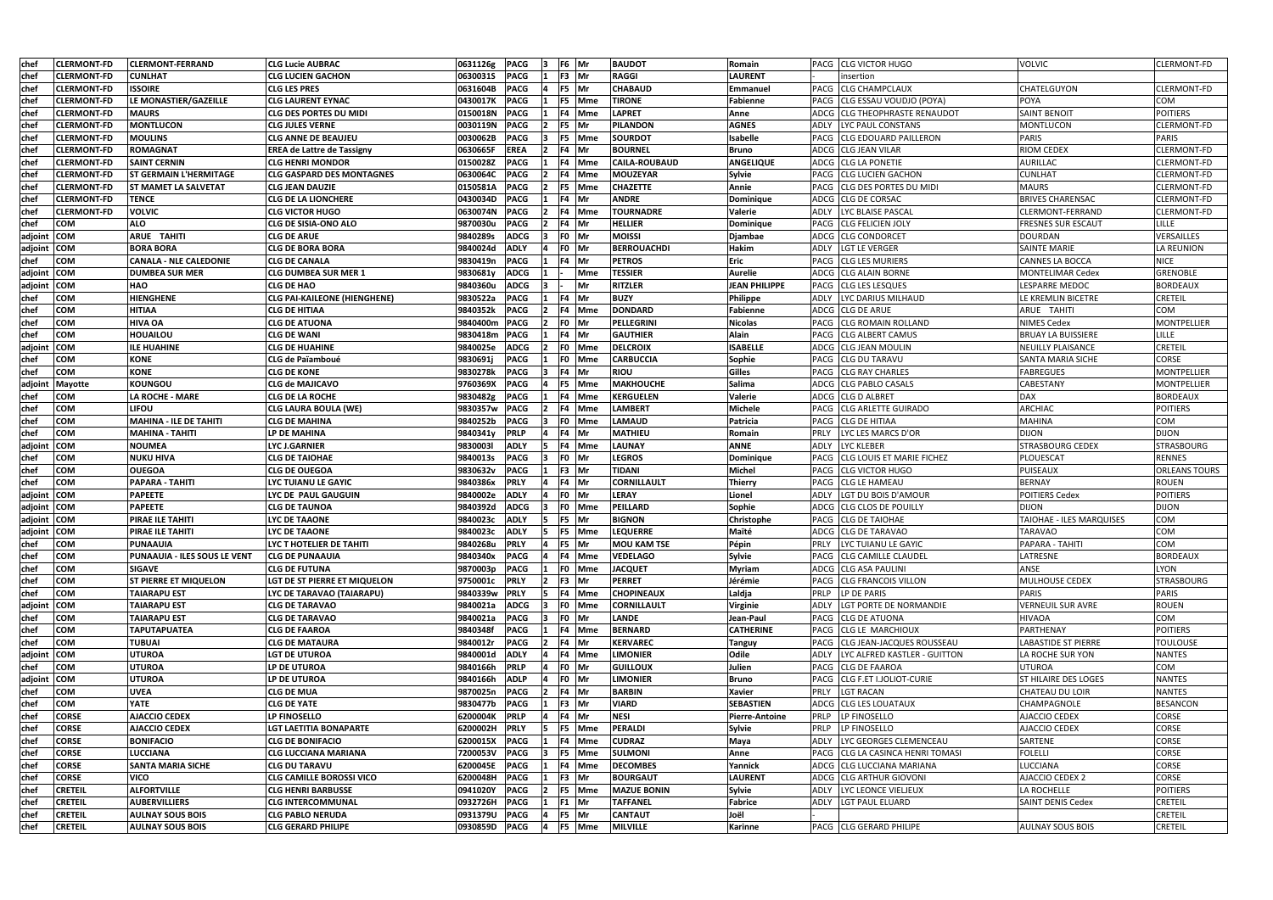| <b>chef</b> | <b>CLERMONT-FD</b> | <b>CLERMONT-FERRAND</b>             | <b>CLG Lucie AUBRAC</b>             | 0631126g      | <b>PACG</b> |              | F6 Mr      | <b>BAUDOT</b>        | Romain                | PACG CLG VICTOR HUGO                        | <b>VOLVIC</b>               | <b>CLERMONT-FD</b>   |
|-------------|--------------------|-------------------------------------|-------------------------------------|---------------|-------------|--------------|------------|----------------------|-----------------------|---------------------------------------------|-----------------------------|----------------------|
| <b>chef</b> | <b>CLERMONT-FD</b> | <b>CUNLHAT</b>                      | <b>CLG LUCIEN GACHON</b>            | 0630031S      | <b>PACG</b> |              | F3 Mr      | <b>RAGGI</b>         | <b>LAURENT</b>        | insertion                                   |                             |                      |
| chef        | <b>CLERMONT-FD</b> | <b>ISSOIRE</b>                      | <b>CLG LES PRES</b>                 | 0631604B      | <b>PACG</b> |              | F5 Mr      | <b>CHABAUD</b>       | Emmanuel              | PACG CLG CHAMPCLAUX                         | <b>CHATELGUYON</b>          | CLERMONT-FD          |
| chef        | <b>CLERMONT-FD</b> | LE MONASTIER/GAZEILLE               | <b>CLG LAURENT EYNAC</b>            | 0430017K      | <b>PACG</b> |              | F5 Mme     | <b>TIRONE</b>        | Fabienne              | CLG ESSAU VOUDJO (POYA)<br>PACG             | <b>POYA</b>                 | COM                  |
| chef        | <b>CLERMONT-FD</b> | <b>MAURS</b>                        | CLG DES PORTES DU MIDI              | 0150018N      | <b>PACG</b> |              | F4 Mme     | <b>LAPRET</b>        | Anne                  | <b>ICLG THEOPHRASTE RENAUDOT</b><br>ADCG    | <b>SAINT BENOIT</b>         | <b>POITIERS</b>      |
| chef        | <b>CLERMONT-FD</b> | <b>MONTLUCON</b>                    | <b>CLG JULES VERNE</b>              | 0030119N      | <b>PACG</b> |              | F5 Mr      | <b>PILANDON</b>      | <b>AGNES</b>          | LYC PAUL CONSTANS<br>ADLY                   | <b>MONTLUCON</b>            | <b>CLERMONT-FD</b>   |
| chef        | <b>CLERMONT-FD</b> | <b>MOULINS</b>                      | <b>CLG ANNE DE BEAUJEU</b>          | 0030062B      | <b>PACG</b> | 13           | F5 Mme     | <b>SOURDOT</b>       | Isabelle              | <b>CLG EDOUARD PAILLERON</b><br>PACG        | <b>PARIS</b>                | <b>PARIS</b>         |
| chef        | <b>CLERMONT-FD</b> | ROMAGNAT                            | <b>EREA de Lattre de Tassigny</b>   | 0630665F      | <b>EREA</b> | $\mathbf{2}$ | F4 Mr      | <b>BOURNEL</b>       | <b>Bruno</b>          | ADCG CLG JEAN VILAR                         | <b>RIOM CEDEX</b>           | <b>CLERMONT-FD</b>   |
| <b>chef</b> | <b>CLERMONT-FD</b> | <b>SAINT CERNIN</b>                 | <b>CLG HENRI MONDOR</b>             | 0150028Z      | <b>PACG</b> |              | F4 Mme     | <b>CAILA-ROUBAUD</b> | <b>ANGELIQUE</b>      | ADCG CLG LA PONETIE                         | AURILLAC                    | <b>CLERMONT-FD</b>   |
| chef        | <b>CLERMONT-FD</b> | <b>ST GERMAIN L'HERMITAGE</b>       | <b>CLG GASPARD DES MONTAGNES</b>    | 0630064C      | <b>PACG</b> | 12           | F4 Mme     | MOUZEYAR             | Sylvie                | PACG CLG LUCIEN GACHON                      | <b>CUNLHAT</b>              | <b>CLERMONT-FD</b>   |
| chef        | <b>CLERMONT-FD</b> | <b>ST MAMET LA SALVETAT</b>         | <b>CLG JEAN DAUZIE</b>              | 0150581A      | <b>PACG</b> |              | F5 Mme     | <b>CHAZETTE</b>      | Annie                 | <b>CLG DES PORTES DU MIDI</b><br>PACG       | <b>MAURS</b>                | <b>CLERMONT-FD</b>   |
| chef        | <b>CLERMONT-FD</b> | <b>TENCE</b>                        | <b>CLG DE LA LIONCHERE</b>          | 0430034D      | <b>PACG</b> |              | F4 Mr      | <b>ANDRE</b>         | Dominique             | ADCG CLG DE CORSAC                          | <b>BRIVES CHARENSAC</b>     | <b>CLERMONT-FD</b>   |
| chef        | <b>CLERMONT-FD</b> | <b>VOLVIC</b>                       | <b>CLG VICTOR HUGO</b>              | 0630074N      | <b>PACG</b> |              | F4 Mme     | <b>TOURNADRE</b>     | <b>Valerie</b>        | <b>LYC BLAISE PASCAL</b><br><b>ADLY</b>     | <b>CLERMONT-FERRAND</b>     | <b>CLERMONT-FD</b>   |
| chef        | <b>COM</b>         | <b>ALO</b>                          | <b>CLG DE SISIA-ONO ALO</b>         | 9870030u      | <b>PACG</b> |              | F4 Mr      | <b>HELLIER</b>       | Dominique             | <b>CLG FELICIEN JOLY</b><br>PACG            | <b>FRESNES SUR ESCAUT</b>   | LILLE                |
| adjoint     | <b>COM</b>         | ARUE TAHITI                         | CLG DE ARUE                         | 9840289s      | <b>ADCG</b> |              | F0 Mr      | <b>MOISSI</b>        | Djambae               | ADCG<br><b>CLG CONDORCET</b>                | DOURDAN                     | VERSAILLES           |
| adjoint COM |                    | <b>BORA BORA</b>                    | <b>CLG DE BORA BORA</b>             | 9840024d      | <b>ADLY</b> |              | F0 Mr      | <b>BERROUACHDI</b>   | Hakim                 | ADLY<br><b>LGT LE VERGER</b>                | <b>SAINTE MARIE</b>         | <b>LA REUNION</b>    |
| chef        | <b>COM</b>         | <b>CANALA - NLE CALEDONIE</b>       | <b>CLG DE CANALA</b>                | 9830419n      | <b>PACG</b> |              | F4 Mr      | <b>PETROS</b>        | <b>Eric</b>           | PACG<br><b>CLG LES MURIERS</b>              | <b>CANNES LA BOCCA</b>      | <b>NICE</b>          |
| adjoint COM |                    | <b>DUMBEA SUR MER</b>               | <b>CLG DUMBEA SUR MER 1</b>         | 9830681y      | <b>ADCG</b> |              | <b>Mme</b> | <b>TESSIER</b>       | <b>Aurelie</b>        | ADCG<br><b>CLG ALAIN BORNE</b>              | <b>MONTELIMAR Cedex</b>     | <b>GRENOBLE</b>      |
| adjoint COM |                    | <b>HAO</b>                          | <b>CLG DE HAO</b>                   | 9840360u      | <b>ADCG</b> |              | Mr         | <b>RITZLER</b>       | <b>JEAN PHILIPPE</b>  | <b>CLG LES LESQUES</b><br><b>PACG</b>       | LESPARRE MEDOC              | <b>BORDEAUX</b>      |
| chef        | <b>COM</b>         | <b>HIENGHENE</b>                    | <b>CLG PAI-KAILEONE (HIENGHENE)</b> | 9830522a      | <b>PACG</b> |              | F4 Mr      | <b>BUZY</b>          | Philippe              | ADLY<br>LYC DARIUS MILHAUD                  | LE KREMLIN BICETRE          | <b>CRETEIL</b>       |
| chef        | <b>COM</b>         | <b>HITIAA</b>                       | <b>CLG DE HITIAA</b>                | 9840352k      | <b>PACG</b> |              | F4 Mme     | <b>DONDARD</b>       | Fabienne              | ADCG CLG DE ARUE                            | ARUE TAHITI                 | COM                  |
| chef        | <b>COM</b>         | <b>HIVA OA</b>                      | <b>CLG DE ATUONA</b>                | 9840400m      | <b>PACG</b> |              | F0 Mr      | PELLEGRINI           | <b>Nicolas</b>        | <b>CLG ROMAIN ROLLAND</b><br>PACG           | NIMES Cedex                 | MONTPELLIER          |
| chef        | <b>COM</b>         | <b>HOUAILOU</b>                     | <b>CLG DE WANI</b>                  | 9830418m      | <b>PACG</b> |              | F4 Mr      | <b>GAUTHIER</b>      | Alain                 | <b>CLG ALBERT CAMUS</b><br>PACG             | <b>BRUAY LA BUISSIERE</b>   | LILLE                |
| adjoint     | <b>COM</b>         | <b>ILE HUAHINE</b>                  | <b>CLG DE HUAHINE</b>               | 9840025e      | <b>ADCG</b> |              | F0 Mme     | <b>DELCROIX</b>      | <b>ISABELLE</b>       | ADCG CLG JEAN MOULIN                        | <b>NEUILLY PLAISANCE</b>    | <b>CRETEIL</b>       |
| chef        | <b>COM</b>         | <b>KONE</b>                         | CLG de Païamboué                    | 9830691       | <b>PACG</b> |              | F0 Mme     | <b>CARBUCCIA</b>     | Sophie                | <b>CLG DU TARAVU</b><br>PACG                | <b>SANTA MARIA SICHE</b>    | <b>CORSE</b>         |
| chef        | <b>COM</b>         | <b>KONE</b>                         | CLG DE KONE                         | 9830278k      | <b>PACG</b> |              | F4 Mr      | <b>RIOU</b>          | Gilles                | <b>CLG RAY CHARLES</b><br>PACG              | <b>FABREGUES</b>            | <b>MONTPELLIER</b>   |
| adjoint     | Mayotte            | <b>KOUNGOU</b>                      | <b>CLG de MAJICAVO</b>              | 9760369X      | <b>PACG</b> |              | F5 Mme     | <b>MAKHOUCHE</b>     | Salima                | ADCG<br><b>CLG PABLO CASALS</b>             | CABESTANY                   | <b>MONTPELLIER</b>   |
| chef        | <b>COM</b>         | LA ROCHE - MARE                     | <b>CLG DE LA ROCHE</b>              | 9830482g      | <b>PACG</b> |              | F4 Mme     | <b>KERGUELEN</b>     | Valerie               | ADCG<br><b>CLG D ALBRET</b>                 | DAX                         | <b>BORDEAUX</b>      |
| chef        | <b>COM</b>         | <b>LIFOU</b>                        | <b>CLG LAURA BOULA (WE)</b>         | 9830357w      | <b>PACG</b> |              | F4 Mme     | <b>LAMBERT</b>       | Michele               | <b>PACG</b><br><b>CLG ARLETTE GUIRADO</b>   | <b>ARCHIAC</b>              | <b>POITIERS</b>      |
| chef        | <b>COM</b>         | <b>MAHINA - ILE DE TAHITI</b>       | <b>CLG DE MAHINA</b>                | 9840252b      | <b>PACG</b> |              | F0 Mme     | <b>LAMAUD</b>        | Patricia              | PACG<br><b>CLG DE HITIAA</b>                | <b>MAHINA</b>               | COM                  |
| chef        | <b>COM</b>         | <b>MAHINA - TAHITI</b>              | LP DE MAHINA                        | 9840341y      | <b>PRLP</b> |              | F4 Mr      | <b>MATHIEU</b>       | Romain                | LYC LES MARCS D'OR<br><b>PRLY</b>           | <b>DIJON</b>                | <b>DIJON</b>         |
| adjoint COM |                    | <b>NOUMEA</b>                       | <b>LYC J.GARNIER</b>                | 98300031      | <b>ADLY</b> | 15           | F4 Mme     | <b>LAUNAY</b>        | <b>ANNE</b>           | <b>ADLY</b><br><b>LYC KLEBER</b>            | <b>STRASBOURG CEDEX</b>     | <b>STRASBOURG</b>    |
| chef        | <b>COM</b>         | <b>NUKU HIVA</b>                    | <b>CLG DE TAIOHAE</b>               | 9840013s      | <b>PACG</b> | 13           | F0 Mr      | <b>LEGROS</b>        | Dominique             | CLG LOUIS ET MARIE FICHEZ<br>PACG           | PLOUESCAT                   | <b>RENNES</b>        |
| chef        | <b>COM</b>         | <b>OUEGOA</b>                       | <b>CLG DE OUEGOA</b>                | 9830632v      | <b>PACG</b> |              | F3 Mr      | <b>TIDANI</b>        | Michel                | PACG CLG VICTOR HUGO                        | PUISEAUX                    | <b>ORLEANS TOURS</b> |
| chef        | <b>COM</b>         | <b>PAPARA - TAHITI</b>              | LYC TUIANU LE GAYIC                 | 9840386x      | <b>PRLY</b> |              | F4 Mr      | <b>CORNILLAULT</b>   | Thierry               | <b>CLG LE HAMEAU</b><br>PACG                | <b>BERNAY</b>               | <b>ROUEN</b>         |
| adjoint COM |                    | <b>PAPEETE</b>                      | LYC DE PAUL GAUGUIN                 | 9840002e      | <b>ADLY</b> |              | F0 Mr      | <b>LERAY</b>         | Lionel                | LGT DU BOIS D'AMOUR<br>ADLY                 | <b>POITIERS Cedex</b>       | <b>POITIERS</b>      |
| adjoint COM |                    | <b>PAPEETE</b>                      | <b>CLG DE TAUNOA</b>                | 9840392d      | <b>ADCG</b> |              | F0 Mme     | PEILLARD             | Sophie                | ADCG CLG CLOS DE POUILLY                    | <b>DIJON</b>                | <b>DIJON</b>         |
| adjoint COM |                    | PIRAE ILE TAHITI                    | <b>LYC DE TAAONE</b>                | 9840023c      | <b>ADLY</b> | 15.          | F5 Mr      | <b>BIGNON</b>        | Christophe            | PACG CLG DE TAIOHAE                         | TAIOHAE - ILES MARQUISES    | COM                  |
| adjoint COM |                    | <b>PIRAE ILE TAHITI</b>             | <b>LYC DE TAAONE</b>                | 9840023c      | <b>ADLY</b> | <u>5</u>     | F5 Mme     | <b>LEQUERRE</b>      | Maïté                 | ADCG CLG DE TARAVAO                         | <b>TARAVAO</b>              | <b>COM</b>           |
| chef        | <b>COM</b>         | <b>PUNAAUIA</b>                     | LYC T HOTELIER DE TAHITI            | 9840268u      | <b>PRLY</b> |              | F5 Mr      | <b>MOU KAM TSE</b>   | Pépin                 | LYC TUIANU LE GAYIC<br><b>PRLY</b>          | PAPARA - TAHITI             | COM                  |
| chef        | <b>COM</b>         | <b>PUNAAUIA - ILES SOUS LE VENT</b> | <b>CLG DE PUNAAUIA</b>              | 9840340x      | <b>PACG</b> |              | F4 Mme     | <b>VEDELAGO</b>      | Sylvie                | PACG<br><b>CLG CAMILLE CLAUDEL</b>          | LATRESNE                    | <b>BORDEAUX</b>      |
| chef        | <b>COM</b>         | <b>SIGAVE</b>                       | <b>CLG DE FUTUNA</b>                | 9870003p      | <b>PACG</b> |              | F0 Mme     | <b>JACQUET</b>       | <b>Myriam</b>         | ADCG CLG ASA PAULINI                        | ANSE                        | <b>LYON</b>          |
| <b>chef</b> | <b>COM</b>         | <b>ST PIERRE ET MIQUELON</b>        | LGT DE ST PIERRE ET MIQUELON        | 9750001c      | <b>PRLY</b> |              | F3 Mr      | <b>PERRET</b>        | Jérémie               | <b>CLG FRANCOIS VILLON</b><br>PACG          | MULHOUSE CEDEX              | <b>STRASBOURG</b>    |
| chef        | <b>COM</b>         | <b>TAIARAPU EST</b>                 | LYC DE TARAVAO (TAIARAPU)           | 9840339w      | <b>PRLY</b> | 15           | F4 Mme     | <b>CHOPINEAUX</b>    | Laldja                | PRLP<br>LP DE PARIS                         | <b>PARIS</b>                | <b>PARIS</b>         |
| adjoint COM |                    | <b>TAIARAPU EST</b>                 | <b>CLG DE TARAVAO</b>               | 9840021a      | <b>ADCG</b> |              | F0 Mme     | <b>CORNILLAULT</b>   | Virginie              | ADLY<br>LGT PORTE DE NORMANDIE              | <b>VERNEUIL SUR AVRE</b>    | <b>ROUEN</b>         |
| chef        | <b>COM</b>         | <b>TAIARAPU EST</b>                 | <b>CLG DE TARAVAO</b>               | 9840021a      | <b>PACG</b> | 13           | F0 Mr      | <b>LANDE</b>         | Jean-Paul             | PACG CLG DE ATUONA                          | <b>HIVAOA</b>               | COM                  |
| chef        | <b>COM</b>         | <b>TAPUTAPUATEA</b>                 | <b>CLG DE FAAROA</b>                | 9840348f      | <b>PACG</b> |              | F4 Mme     | <b>BERNARD</b>       | <b>CATHERINE</b>      | PACG CLG LE MARCHIOUX                       | PARTHENAY                   | <b>POITIERS</b>      |
| chef        | <b>COM</b>         | <b>TUBUAI</b>                       | <b>CLG DE MATAURA</b>               | 9840012r      | <b>PACG</b> |              | F4 Mr      | <b>KERVAREC</b>      | <b>Tanguy</b>         | PACG CLG JEAN-JACQUES ROUSSEAU              | <b>LABASTIDE ST PIERRE</b>  | <b>TOULOUSE</b>      |
| adjoint COM |                    | <b>UTUROA</b>                       | <b>LGT DE UTUROA</b>                | 9840001d      | <b>ADLY</b> |              | F4 Mme     | <b>LIMONIER</b>      | Odile                 | <b>ADLY</b><br>LYC ALFRED KASTLER - GUITTON | LA ROCHE SUR YON            | <b>NANTES</b>        |
| chef        | <b>COM</b>         | <b>UTUROA</b>                       | <b>LP DE UTUROA</b>                 | 9840166h      | <b>PRLP</b> |              | F0 Mr      | <b>GUILLOUX</b>      | Julien                | PACG CLG DE FAAROA                          | <b>UTUROA</b>               | COM                  |
| adjoint     | <b>COM</b>         | <b>UTUROA</b>                       | LP DE UTUROA                        | 9840166h      | <b>ADLP</b> |              | F0 Mr      | <b>LIMONIER</b>      | <b>Bruno</b>          | CLG F.ET I.JOLIOT-CURIE<br>PACG             | <b>ST HILAIRE DES LOGES</b> | <b>NANTES</b>        |
| chef        | <b>COM</b>         | <b>UVEA</b>                         | <b>CLG DE MUA</b>                   | 9870025n      | <b>PACG</b> |              | F4 Mr      | <b>BARBIN</b>        | <b>Xavier</b>         | <b>PRLY</b><br><b>LGT RACAN</b>             | CHATEAU DU LOIR             | <b>NANTES</b>        |
| chef        | <b>COM</b>         | <b>YATE</b>                         | <b>CLG DE YATE</b>                  | 9830477b      | <b>PACG</b> |              | F3 Mr      | <b>VIARD</b>         | <b>SEBASTIEN</b>      | ADCG CLG LES LOUATAUX                       | CHAMPAGNOLE                 | <b>BESANCON</b>      |
| chef        | <b>CORSE</b>       | <b>AJACCIO CEDEX</b>                | <b>LP FINOSELLO</b>                 | 6200004K      | <b>PRLP</b> |              | F4 Mr      | <b>NESI</b>          | <b>Pierre-Antoine</b> | PRLP<br>LP FINOSELLO                        | AJACCIO CEDEX               | <b>CORSE</b>         |
| <b>chef</b> | <b>CORSE</b>       | <b>AJACCIO CEDEX</b>                | LGT LAETITIA BONAPARTE              | 6200002H      | <b>PRLY</b> |              | F5 Mme     | <b>PERALDI</b>       | Sylvie                | PRLP<br>LP FINOSELLO                        | AJACCIO CEDEX               | CORSE                |
| <b>chef</b> | <b>CORSE</b>       | <b>BONIFACIO</b>                    | <b>CLG DE BONIFACIO</b>             | 6200015X      | <b>PACG</b> |              | F4 Mme     | <b>CUDRAZ</b>        | Maya                  | LYC GEORGES CLEMENCEAU<br><b>ADLY</b>       | SARTENE                     | CORSE                |
| chef        | <b>CORSE</b>       | <b>LUCCIANA</b>                     | <b>CLG LUCCIANA MARIANA</b>         | 7200053V      | <b>PACG</b> |              | F5 Mme     | <b>SULMONI</b>       | Anne                  | CLG LA CASINCA HENRI TOMASI<br>PACG         | <b>FOLELLI</b>              | <b>CORSE</b>         |
| chef        | <b>CORSE</b>       | <b>SANTA MARIA SICHE</b>            | <b>CLG DU TARAVU</b>                | 6200045E      | <b>PACG</b> |              | F4 Mme     | <b>DECOMBES</b>      | Yannick               | ADCG CLG LUCCIANA MARIANA                   | LUCCIANA                    | <b>CORSE</b>         |
| chef        | <b>CORSE</b>       | <b>VICO</b>                         | <b>CLG CAMILLE BOROSSI VICO</b>     | 6200048H      | <b>PACG</b> |              | F3 Mr      | <b>BOURGAUT</b>      | <b>LAURENT</b>        | ADCG CLG ARTHUR GIOVONI                     | AJACCIO CEDEX 2             | <b>CORSE</b>         |
| chef        | <b>CRETEIL</b>     | <b>ALFORTVILLE</b>                  | <b>CLG HENRI BARBUSSE</b>           | 0941020Y      | <b>PACG</b> |              | F5 Mme     | <b>MAZUE BONIN</b>   | Sylvie                | <b>ADLY</b><br>LYC LEONCE VIELJEUX          | LA ROCHELLE                 | <b>POITIERS</b>      |
| chef        | <b>CRETEIL</b>     | <b>AUBERVILLIERS</b>                | <b>CLG INTERCOMMUNAL</b>            | 0932726H      | <b>PACG</b> |              | F1 Mr      | <b>TAFFANEL</b>      | Fabrice               | ADLY LGT PAUL ELUARD                        | <b>SAINT DENIS Cedex</b>    | <b>CRETEIL</b>       |
| chef        | <b>CRETEIL</b>     | <b>AULNAY SOUS BOIS</b>             | <b>CLG PABLO NERUDA</b>             | 0931379U      | <b>PACG</b> |              | F5 Mr      | <b>CANTAUT</b>       | Joël                  |                                             |                             | <b>CRETEIL</b>       |
| chef        | <b>CRETEIL</b>     | <b>AULNAY SOUS BOIS</b>             | <b>CLG GERARD PHILIPE</b>           | 0930859D PACG |             | 14           | F5 Mme     | <b>MILVILLE</b>      | Karinne               | PACG CLG GERARD PHILIPE                     | <b>AULNAY SOUS BOIS</b>     | <b>CRETEIL</b>       |
|             |                    |                                     |                                     |               |             |              |            |                      |                       |                                             |                             |                      |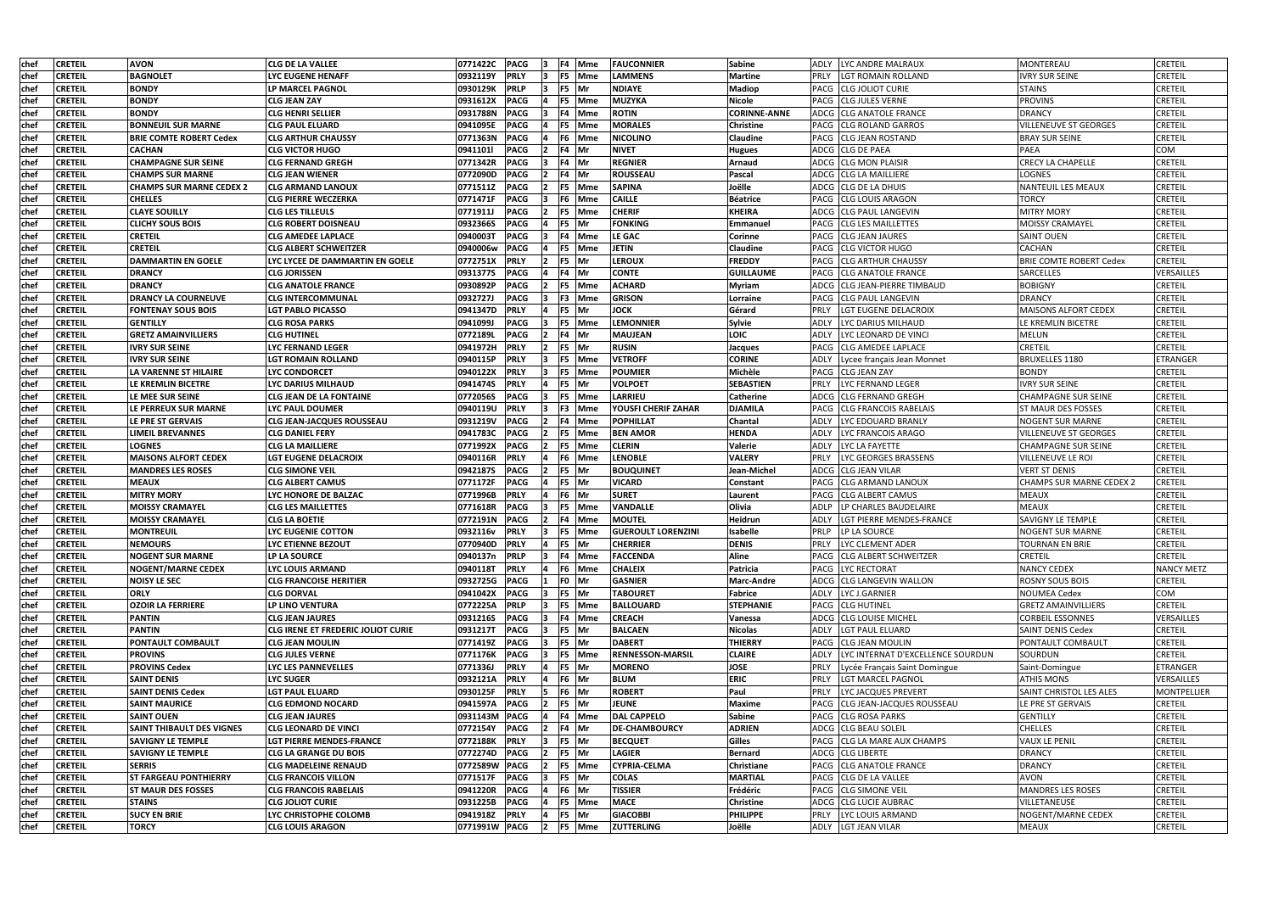| chef        | <b>CRETEIL</b> | <b>AVON</b>                      | <b>CLG DE LA VALLEE</b>            | 0771422C      | <b>PACG</b>  |             |         | F4 Mme        | <b>FAUCONNIER</b>         | Sabine              | LYC ANDRE MALRAUX<br>ADLY                        | MONTEREAU                       | <b>CRETEIL</b>     |
|-------------|----------------|----------------------------------|------------------------------------|---------------|--------------|-------------|---------|---------------|---------------------------|---------------------|--------------------------------------------------|---------------------------------|--------------------|
| chef        | <b>CRETEIL</b> | <b>BAGNOLET</b>                  | LYC EUGENE HENAFF                  | 0932119Y      | <b>PRLY</b>  |             |         | <b>F5</b> Mme | <b>LAMMENS</b>            | <b>Martine</b>      | PRLY<br>LGT ROMAIN ROLLAND                       | <b>IVRY SUR SEINE</b>           | <b>CRETEIL</b>     |
| chef        | <b>CRETEIL</b> | <b>BONDY</b>                     | LP MARCEL PAGNOL                   | 0930129K      | <b>PRLP</b>  |             | F5 Mr   |               | <b>NDIAYE</b>             | <b>Madiop</b>       | PACG<br><b>CLG JOLIOT CURIE</b>                  | <b>STAINS</b>                   | <b>CRETEIL</b>     |
| chef        | <b>CRETEIL</b> | <b>BONDY</b>                     | CLG JEAN ZAY                       | 0931612X      | <b>PACG</b>  |             |         | F5 Mme        | MUZYKA                    | <b>Nicole</b>       | <b>CLG JULES VERNE</b><br>PACG                   | <b>PROVINS</b>                  | CRETEIL            |
| chef        | <b>CRETEIL</b> | <b>BONDY</b>                     | <b>CLG HENRI SELLIER</b>           | 0931788N      | <b>PACG</b>  |             |         | F4 Mme        | <b>ROTIN</b>              | <b>CORINNE-ANNE</b> | ADCG CLG ANATOLE FRANCE                          | <b>DRANCY</b>                   | <b>CRETEIL</b>     |
| chef        | <b>CRETEIL</b> | <b>BONNEUIL SUR MARNE</b>        | <b>CLG PAUL ELUARD</b>             | 0941095E      | <b>PACG</b>  |             |         | <b>F5</b> Mme | <b>MORALES</b>            | <b>Christine</b>    | PACG<br><b>CLG ROLAND GARROS</b>                 | <b>VILLENEUVE ST GEORGES</b>    | <b>CRETEIL</b>     |
| chef        | <b>CRETEIL</b> | <b>BRIE COMTE ROBERT Cedex</b>   | <b>CLG ARTHUR CHAUSSY</b>          | 0771363N      | <b>PACG</b>  |             |         | F6 Mme        | <b>NICOLINO</b>           | <b>Claudine</b>     | <b>CLG JEAN ROSTAND</b><br>PACG                  | <b>BRAY SUR SEINE</b>           | <b>CRETEIL</b>     |
| chef        | <b>CRETEIL</b> | <b>CACHAN</b>                    | <b>CLG VICTOR HUGO</b>             | 0941101       | <b>PACG</b>  |             | F4 Mr   |               | <b>NIVET</b>              | <b>Hugues</b>       | ADCG CLG DE PAEA                                 | <b>PAEA</b>                     | COM                |
| chef        | <b>CRETEIL</b> | <b>CHAMPAGNE SUR SEINE</b>       | <b>CLG FERNAND GREGH</b>           | 0771342R      | <b>PACG</b>  |             | F4 Mr   |               | <b>REGNIER</b>            | Arnaud              | <b>ADCG CLG MON PLAISIR</b>                      | <b>CRECY LA CHAPELLE</b>        | <b>CRETEIL</b>     |
| chef        | <b>CRETEIL</b> | <b>CHAMPS SUR MARNE</b>          | <b>CLG JEAN WIENER</b>             | 0772090D      | <b>PACG</b>  |             | F4 Mr   |               | <b>ROUSSEAU</b>           | Pascal              | ADCG CLG LA MAILLIERE                            | <b>LOGNES</b>                   | <b>CRETEIL</b>     |
| chef        | <b>CRETEIL</b> | <b>CHAMPS SUR MARNE CEDEX 2</b>  | <b>CLG ARMAND LANOUX</b>           | 0771511Z      | <b>PACG</b>  |             |         | F5 Mme        | <b>SAPINA</b>             | Joëlle              | ADCG<br><b>CLG DE LA DHUIS</b>                   | NANTEUIL LES MEAUX              | <b>CRETEIL</b>     |
| chef        | <b>CRETEIL</b> | <b>CHELLES</b>                   | <b>CLG PIERRE WECZERKA</b>         | 0771471F      | <b>PACG</b>  |             |         | F6 Mme        | <b>CAILLE</b>             | <b>Béatrice</b>     | <b>CLG LOUIS ARAGON</b><br>PACG                  | <b>TORCY</b>                    | <b>CRETEIL</b>     |
| chef        | <b>CRETEIL</b> | <b>CLAYE SOUILLY</b>             | <b>CLG LES TILLEULS</b>            | 0771911J      | <b>PACG</b>  |             |         | F5 Mme        | <b>CHERIF</b>             | <b>KHEIRA</b>       | ADCG<br><b>CLG PAUL LANGEVIN</b>                 | <b>MITRY MORY</b>               | <b>CRETEIL</b>     |
| chef        | <b>CRETEIL</b> | <b>CLICHY SOUS BOIS</b>          | CLG ROBERT DOISNEAU                | 0932366S      | <b>PACG</b>  |             | F5 Mr   |               | <b>FONKING</b>            | Emmanuel            | <b>CLG LES MAILLETTES</b><br><b>PACG</b>         | <b>MOISSY CRAMAYEL</b>          | <b>CRETEIL</b>     |
| chef        | <b>CRETEIL</b> | <b>CRETEIL</b>                   | CLG AMEDEE LAPLACE                 | 0940003T      | <b>PACG</b>  |             |         | F4 Mme        | <b>LE GAC</b>             | Corinne             | <b>PACG</b><br><b>CLG JEAN JAURES</b>            | <b>SAINT OUEN</b>               | <b>CRETEIL</b>     |
| chef        | <b>CRETEIL</b> | <b>CRETEIL</b>                   | CLG ALBERT SCHWEITZER              | 0940006w      | <b>PACG</b>  |             |         | F5 Mme        | JETIN                     | <b>Claudine</b>     | <b>CLG VICTOR HUGO</b><br>PACG                   | <b>CACHAN</b>                   | <b>CRETEIL</b>     |
| chef        | <b>CRETEIL</b> | <b>DAMMARTIN EN GOELE</b>        | LYC LYCEE DE DAMMARTIN EN GOELE    | 0772751X      | <b>PRLY</b>  |             | F5      | Mr            | <b>LEROUX</b>             | <b>FREDDY</b>       | <b>CLG ARTHUR CHAUSSY</b><br>PACG                | <b>BRIE COMTE ROBERT Cedex</b>  | <b>CRETEIL</b>     |
| chef        | <b>CRETEIL</b> | <b>DRANCY</b>                    | <b>CLG JORISSEN</b>                | 0931377S      | <b>PACG</b>  |             | F4 Mr   |               | <b>CONTE</b>              | <b>GUILLAUME</b>    | <b>CLG ANATOLE FRANCE</b><br>PACG                | <b>SARCELLES</b>                | VERSAILLES         |
| chef        | <b>CRETEIL</b> | <b>DRANCY</b>                    | <b>CLG ANATOLE FRANCE</b>          | 0930892P      | <b>PACG</b>  |             |         | F5 Mme        | <b>ACHARD</b>             | Myriam              | ADCG<br><b>CLG JEAN-PIERRE TIMBAUD</b>           | <b>BOBIGNY</b>                  | <b>CRETEIL</b>     |
| chef        | <b>CRETEIL</b> | <b>DRANCY LA COURNEUVE</b>       | <b>CLG INTERCOMMUNAL</b>           | 0932727J      | <b>PACG</b>  |             |         | F3 Mme        | <b>GRISON</b>             | Lorraine            | <b>CLG PAUL LANGEVIN</b><br>PACG                 | <b>DRANCY</b>                   | <b>CRETEIL</b>     |
| chef        | <b>CRETEIL</b> | <b>FONTENAY SOUS BOIS</b>        | <b>LGT PABLO PICASSO</b>           | 0941347D      | <b>PRLY</b>  |             | F5 Mr   |               | <b>JOCK</b>               | Gérard              | PRLY<br>LGT EUGENE DELACROIX                     | MAISONS ALFORT CEDEX            | <b>CRETEIL</b>     |
| chef        | <b>CRETEIL</b> | <b>GENTILLY</b>                  | <b>CLG ROSA PARKS</b>              | 0941099J      | <b>PACG</b>  |             |         | F5 Mme        | <b>LEMONNIER</b>          | Sylvie              | LYC DARIUS MILHAUD<br>ADLY                       | LE KREMLIN BICETRE              | <b>CRETEIL</b>     |
| chef        | <b>CRETEIL</b> | <b>GRETZ AMAINVILLIERS</b>       | <b>CLG HUTINEL</b>                 | 07721891      | <b>PACG</b>  |             | F4 Mr   |               | <b>MAUJEAN</b>            | <b>LOIC</b>         | ADLY<br>LYC LEONARD DE VINCI                     | <b>MELUN</b>                    | <b>CRETEIL</b>     |
| chef        | <b>CRETEIL</b> | <b>IVRY SUR SEINE</b>            | <b>LYC FERNAND LEGER</b>           | 0941972H      | <b>PRLY</b>  |             | F5 Mr   |               | <b>RUSIN</b>              | <b>Jacques</b>      | <b>CLG AMEDEE LAPLACE</b><br>PACG                | <b>CRETEIL</b>                  | <b>CRETEIL</b>     |
| chef        | <b>CRETEIL</b> | <b>IVRY SUR SEINE</b>            | <b>LGT ROMAIN ROLLAND</b>          | 0940115P      | <b>PRLY</b>  |             |         | F5 Mme        | <b>VETROFF</b>            | <b>CORINE</b>       | ADLY<br>Lycee français Jean Monnet               | <b>BRUXELLES 1180</b>           | ETRANGER           |
| chef        | <b>CRETEIL</b> | LA VARENNE ST HILAIRE            | <b>LYC CONDORCET</b>               | 0940122X      | <b>PRLY</b>  |             | F5      | Mme           | <b>POUMIER</b>            | Michèle             | PACG<br><b>CLG JEAN ZAY</b>                      | <b>BONDY</b>                    | <b>CRETEIL</b>     |
| chef        | <b>CRETEIL</b> | LE KREMLIN BICETRE               | LYC DARIUS MILHAUD                 | 0941474S      | <b>PRLY</b>  |             | F5 Mr   |               | <b>VOLPOET</b>            | <b>SEBASTIEN</b>    | LYC FERNAND LEGER<br><b>PRLY</b>                 | <b>IVRY SUR SEINE</b>           | <b>CRETEIL</b>     |
| chef        | <b>CRETEIL</b> | LE MEE SUR SEINE                 | <b>CLG JEAN DE LA FONTAINE</b>     | 0772056S      | <b>PACG</b>  |             |         | F5 Mme        | LARRIEU                   | <b>Catherine</b>    | <b>CLG FERNAND GREGH</b><br>ADCG                 | <b>CHAMPAGNE SUR SEINE</b>      | <b>CRETEIL</b>     |
| chef        | <b>CRETEIL</b> | LE PERREUX SUR MARNE             | LYC PAUL DOUMER                    | 0940119U      | <b>PRLY</b>  |             |         | F3 Mme        | YOUSFI CHERIF ZAHAR       | <b>DJAMILA</b>      | <b>CLG FRANCOIS RABELAIS</b><br><b>PACG</b>      | <b>ST MAUR DES FOSSES</b>       | <b>CRETEIL</b>     |
| chef        | <b>CRETEIL</b> | LE PRE ST GERVAIS                | <b>CLG JEAN-JACQUES ROUSSEAU</b>   | 0931219V      | <b>PACG</b>  |             |         | F4 Mme        | <b>POPHILLAT</b>          | Chantal             | <b>ADLY</b><br>LYC EDOUARD BRANLY                | <b>NOGENT SUR MARNE</b>         | <b>CRETEIL</b>     |
| chef        | <b>CRETEIL</b> | <b>LIMEIL BREVANNES</b>          | <b>CLG DANIEL FERY</b>             | 0941783C      | <b>PACG</b>  |             |         | F5 Mme        | <b>BEN AMOR</b>           | <b>HENDA</b>        | ADLY<br>LYC FRANCOIS ARAGO                       | <b>VILLENEUVE ST GEORGES</b>    | <b>CRETEIL</b>     |
| chef        | <b>CRETEIL</b> | <b>LOGNES</b>                    | <b>CLG LA MAILLIERE</b>            | 0771992X      | <b>PACG</b>  |             |         | F5 Mme        | <b>CLERIN</b>             | <b>Valerie</b>      | ADLY<br>LYC LA FAYETTE                           | <b>CHAMPAGNE SUR SEINE</b>      | <b>CRETEIL</b>     |
| chef        | <b>CRETEIL</b> | <b>MAISONS ALFORT CEDEX</b>      | <b>LGT EUGENE DELACROIX</b>        | 0940116R      | <b>PRLY</b>  |             |         | F6 Mme        | <b>LENOBLE</b>            | <b>VALERY</b>       | <b>PRLY</b><br>LYC GEORGES BRASSENS              | <b>VILLENEUVE LE ROI</b>        | <b>CRETEIL</b>     |
| chef        | <b>CRETEIL</b> | <b>MANDRES LES ROSES</b>         | <b>CLG SIMONE VEIL</b>             | 0942187S      | <b>PACG</b>  |             | F5 Mr   |               | <b>BOUQUINET</b>          | Jean-Michel         | ADCG CLG JEAN VILAR                              | <b>VERT ST DENIS</b>            | <b>CRETEIL</b>     |
| chef        | <b>CRETEIL</b> | <b>MEAUX</b>                     | <b>CLG ALBERT CAMUS</b>            | 0771172F      | <b>PACG</b>  |             | F5 Mr   |               | <b>VICARD</b>             | Constant            | <b>CLG ARMAND LANOUX</b><br>PACG                 | <b>CHAMPS SUR MARNE CEDEX 2</b> | <b>CRETEIL</b>     |
| chef        | <b>CRETEIL</b> | <b>MITRY MORY</b>                | LYC HONORE DE BALZAC               | 0771996B      | <b>PRLY</b>  |             | F6 Mr   |               | <b>SURET</b>              | Laurent             | <b>CLG ALBERT CAMUS</b><br>PACG                  | <b>MEAUX</b>                    | <b>CRETEIL</b>     |
| chef        | <b>CRETEIL</b> | MOISSY CRAMAYEL                  | <b>CLG LES MAILLETTES</b>          | 0771618R      | <b>PACG</b>  |             |         | F5 Mme        | <b>VANDALLE</b>           | Olivia              | ADLP<br>LP CHARLES BAUDELAIRE                    | <b>MEAUX</b>                    | <b>CRETEIL</b>     |
| chef        | <b>CRETEIL</b> | MOISSY CRAMAYEL                  | <b>CLG LA BOETIE</b>               | 0772191N      | <b>PACG</b>  |             |         | F4 Mme        | <b>MOUTEL</b>             | Heidrun             | LGT PIERRE MENDES-FRANCE<br>ADLY                 | <b>SAVIGNY LE TEMPLE</b>        | <b>CRETEIL</b>     |
| <b>chef</b> | <b>CRETEIL</b> | <b>MONTREUIL</b>                 | <b>LYC EUGENIE COTTON</b>          | 0932116v      | <b>TPRLY</b> | 13          |         | <b>F5</b> Mme | <b>GUEROULT LORENZINI</b> | <b>Isabelle</b>     | PRLP<br>LP LA SOURCE                             | <b>NOGENT SUR MARNE</b>         | <b>CRETEIL</b>     |
| chef        | <b>CRETEIL</b> | <b>NEMOURS</b>                   | LYC ETIENNE BEZOUT                 | 0770940D      | <b>PRLY</b>  |             | F5 Mr   |               | <b>CHERRIER</b>           | <b>DENIS</b>        | LYC CLEMENT ADER<br><b>PRLY</b>                  | <b>TOURNAN EN BRIE</b>          | <b>CRETEIL</b>     |
| chef        | <b>CRETEIL</b> | <b>NOGENT SUR MARNE</b>          | <b>LP LA SOURCE</b>                | 0940137n      | <b>PRLP</b>  |             |         | F4 Mme        | <b>FACCENDA</b>           | Aline               | PACG<br><b>CLG ALBERT SCHWEITZER</b>             | <b>CRETEIL</b>                  | <b>CRETEIL</b>     |
| chef        | <b>CRETEIL</b> | <b>NOGENT/MARNE CEDEX</b>        | <b>LYC LOUIS ARMAND</b>            | 0940118T      | <b>PRLY</b>  |             |         | F6 Mme        | <b>CHALEIX</b>            | Patricia            | LYC RECTORAT<br>PACG                             | NANCY CEDEX                     | <b>NANCY METZ</b>  |
| chef        | <b>CRETEIL</b> | <b>NOISY LE SEC</b>              | <b>CLG FRANCOISE HERITIER</b>      | 0932725G      | <b>PACG</b>  |             | F0 Mr   |               | <b>GASNIER</b>            | <b>Marc-Andre</b>   | ADCG CLG LANGEVIN WALLON                         | <b>ROSNY SOUS BOIS</b>          | CRETEIL            |
| chef        | <b>CRETEIL</b> | <b>ORLY</b>                      | <b>CLG DORVAL</b>                  | 0941042X      | <b>PACG</b>  |             | $FS$ Mr |               | <b>TABOURET</b>           | Fabrice             | LYC J.GARNIER<br>ADLY                            | <b>NOUMEA Cedex</b>             | COM                |
| chef        | <b>CRETEIL</b> | <b>OZOIR LA FERRIERE</b>         | LP LINO VENTURA                    | 0772225A      | <b>PRLP</b>  |             |         | F5 Mme        | <b>BALLOUARD</b>          | <b>STEPHANIE</b>    | PACG CLG HUTINEL                                 | <b>GRETZ AMAINVILLIERS</b>      | <b>CRETEIL</b>     |
| chef        | <b>CRETEIL</b> | <b>PANTIN</b>                    | <b>CLG JEAN JAURES</b>             | 0931216S      | <b>PACG</b>  |             |         | F4 Mme        | <b>CREACH</b>             | Vanessa             | ADCG  CLG LOUISE MICHEL                          | <b>CORBEIL ESSONNES</b>         | VERSAILLES         |
| chef        | <b>CRETEIL</b> | <b>PANTIN</b>                    | CLG IRENE ET FREDERIC JOLIOT CURIE | 0931217T      | <b>PACG</b>  |             | F5 Mr   |               | <b>BALCAEN</b>            | <b>Nicolas</b>      | LGT PAUL ELUARD<br><b>ADLY</b>                   | <b>SAINT DENIS Cedex</b>        | <b>CRETEIL</b>     |
| chef        | <b>CRETEIL</b> | <b>PONTAULT COMBAULT</b>         | <b>CLG JEAN MOULIN</b>             | 0771419Z      | <b>PACG</b>  |             | F5 Mr   |               | <b>DABERT</b>             | <b>THIERRY</b>      | PACG CLG JEAN MOULIN                             | PONTAULT COMBAULT               | <b>CRETEIL</b>     |
| chef        | <b>CRETEIL</b> | <b>PROVINS</b>                   | <b>CLG JULES VERNE</b>             | 0771176K      | <b>PACG</b>  |             |         | F5 Mme        | <b>RENNESSON-MARSIL</b>   | <b>CLAIRE</b>       | LYC INTERNAT D'EXCELLENCE SOURDUN<br><b>ADLY</b> | SOURDUN                         | <b>CRETEIL</b>     |
| chef        | <b>CRETEIL</b> | <b>PROVINS Cedex</b>             | LYC LES PANNEVELLES                | 0771336J      | <b>PRLY</b>  |             | F5 Mr   |               | <b>MORENO</b>             | <b>JOSE</b>         | <b>PRLY</b><br>Lycée Français Saint Domingue     | Saint-Domingue                  | ETRANGER           |
| chef        | <b>CRETEIL</b> | <b>SAINT DENIS</b>               | <b>LYC SUGER</b>                   | 0932121A      | <b>PRLY</b>  |             | F6 Mr   |               | <b>BLUM</b>               | <b>ERIC</b>         | PRLY<br><b>LGT MARCEL PAGNOL</b>                 | <b>ATHIS MONS</b>               | VERSAILLES         |
| chef        | <b>CRETEIL</b> | <b>SAINT DENIS Cedex</b>         | <b>LGT PAUL ELUARD</b>             | 0930125F      | <b>PRLY</b>  |             | F6 Mr   |               | <b>ROBERT</b>             | Paul                | PRLY<br>LYC JACQUES PREVERT                      | SAINT CHRISTOL LES ALES         | <b>MONTPELLIER</b> |
| chef        | <b>CRETEIL</b> | <b>SAINT MAURICE</b>             | <b>CLG EDMOND NOCARD</b>           | 0941597A      | <b>PACG</b>  |             | F5 Mr   |               | <b>JEUNE</b>              | <b>Maxime</b>       | <b>CLG JEAN-JACQUES ROUSSEAU</b><br>PACG         | LE PRE ST GERVAIS               | <b>CRETEIL</b>     |
| chef        | <b>CRETEIL</b> | <b>SAINT OUEN</b>                | <b>CLG JEAN JAURES</b>             | 0931143M      | <b>PACG</b>  |             |         | F4 Mme        | <b>DAL CAPPELO</b>        | Sabine              | PACG<br><b>CLG ROSA PARKS</b>                    | <b>GENTILLY</b>                 | <b>CRETEIL</b>     |
| chef        | <b>CRETEIL</b> | <b>SAINT THIBAULT DES VIGNES</b> | CLG LEONARD DE VINCI               | 0772154Y      | <b>PACG</b>  |             | F4 Mr   |               | <b>DE-CHAMBOURCY</b>      | <b>ADRIEN</b>       | ADCG CLG BEAU SOLEIL                             | <b>CHELLES</b>                  | <b>CRETEIL</b>     |
| chef        | <b>CRETEIL</b> | <b>SAVIGNY LE TEMPLE</b>         | LGT PIERRE MENDES-FRANCE           | 0772188K      | <b>PRLY</b>  |             | F5 Mr   |               | <b>BECQUET</b>            | Gilles              | CLG LA MARE AUX CHAMPS<br><b>PACG</b>            | <b>VAUX LE PENIL</b>            | <b>CRETEIL</b>     |
| chef        | <b>CRETEIL</b> | <b>SAVIGNY LE TEMPLE</b>         | <b>CLG LA GRANGE DU BOIS</b>       | 0772274D      | <b>PACG</b>  |             | F5 Mr   |               | <b>LAGIER</b>             | <b>Bernard</b>      | ADCG CLG LIBERTE                                 | <b>DRANCY</b>                   | <b>CRETEIL</b>     |
| chef        | <b>CRETEIL</b> | <b>SERRIS</b>                    | <b>CLG MADELEINE RENAUD</b>        | 0772589W PACG |              |             |         | F5 Mme        | <b>CYPRIA-CELMA</b>       | Christiane          | PACG CLG ANATOLE FRANCE                          | <b>DRANCY</b>                   | <b>CRETEIL</b>     |
| chef        | <b>CRETEIL</b> | <b>ST FARGEAU PONTHIERRY</b>     | <b>CLG FRANCOIS VILLON</b>         | 0771517F      | <b>PACG</b>  |             | F5 Mr   |               | <b>COLAS</b>              | <b>MARTIAL</b>      | PACG CLG DE LA VALLEE                            | <b>AVON</b>                     | <b>CRETEIL</b>     |
| chef        | <b>CRETEIL</b> | <b>ST MAUR DES FOSSES</b>        | <b>CLG FRANCOIS RABELAIS</b>       | 0941220R      | <b>PACG</b>  |             | F6 Mr   |               | <b>TISSIER</b>            | Frédéric            | PACG CLG SIMONE VEIL                             | MANDRES LES ROSES               | <b>CRETEIL</b>     |
| chef        | <b>CRETEIL</b> | <b>STAINS</b>                    | <b>CLG JOLIOT CURIE</b>            | 0931225B      | <b>PACG</b>  |             |         | F5 Mme        | <b>MACE</b>               | <b>Christine</b>    | ADCG CLG LUCIE AUBRAC                            | <b>VILLETANEUSE</b>             | <b>CRETEIL</b>     |
| chef        | <b>CRETEIL</b> | <b>SUCY EN BRIE</b>              | LYC CHRISTOPHE COLOMB              | 0941918Z      | <b>PRLY</b>  |             | F5 Mr   |               | <b>GIACOBBI</b>           | <b>PHILIPPE</b>     | PRLY<br>LYC LOUIS ARMAND                         | NOGENT/MARNE CEDEX              | <b>CRETEIL</b>     |
| chef        | <b>CRETEIL</b> | <b>TORCY</b>                     | <b>CLG LOUIS ARAGON</b>            | 0771991W PACG |              | $ 2\rangle$ |         | F5 Mme        | <b>ZUTTERLING</b>         | Joëlle              | ADLY LGT JEAN VILAR                              | <b>MEAUX</b>                    | <b>CRETEIL</b>     |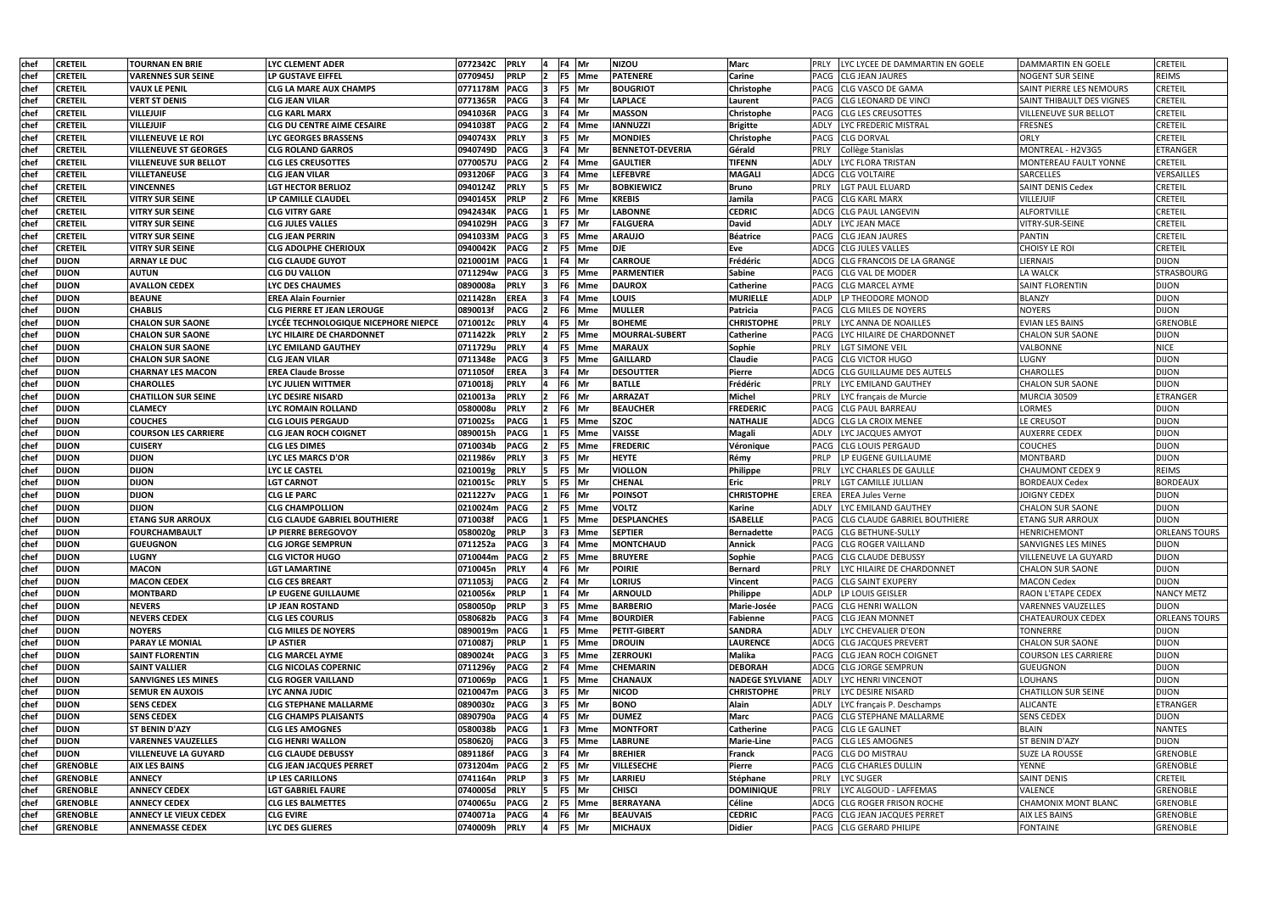| chef         | <b>CRETEIL</b>  | <b>TOURNAN EN BRIE</b>       | LYC CLEMENT ADER                     | 0772342C | <b>PRLY</b> | F4 Mr          |            | <b>NIZOU</b>            | <b>Marc</b>            | <b>ILYC LYCEE DE DAMMARTIN EN GOELE</b><br><b>PRLY</b> | IDAMMARTIN EN GOELE          | <b>CRETEIL</b>       |
|--------------|-----------------|------------------------------|--------------------------------------|----------|-------------|----------------|------------|-------------------------|------------------------|--------------------------------------------------------|------------------------------|----------------------|
| lchef        | <b>CRETEIL</b>  | VARENNES SUR SEINE           | LP GUSTAVE EIFFEL                    | 0770945J | <b>PRLP</b> |                | F5 Mme     | <b>PATENERE</b>         | Carine                 | <b>CLG JEAN JAURES</b><br>PACG                         | NOGENT SUR SEINE             | <b>REIMS</b>         |
| chef         | <b>CRETEIL</b>  | <b>VAUX LE PENIL</b>         | CLG LA MARE AUX CHAMPS               | 0771178M | <b>PACG</b> | F5 Mr          |            | <b>BOUGRIOT</b>         | Christophe             | <b>CLG VASCO DE GAMA</b><br>PACG                       | SAINT PIERRE LES NEMOURS     | <b>CRETEIL</b>       |
| chef         | <b>CRETEIL</b>  | <b>VERT ST DENIS</b>         | CLG JEAN VILAR                       | 0771365R | <b>PACG</b> | F4 Mr          |            | <b>LAPLACE</b>          | Laurent                | <b>CLG LEONARD DE VINCI</b><br>PACG                    | SAINT THIBAULT DES VIGNES    | <b>CRETEIL</b>       |
| chef         | <b>CRETEIL</b>  | <b>VILLEJUIF</b>             | <b>CLG KARL MARX</b>                 | 0941036R | <b>PACG</b> | F4 Mr          |            | <b>MASSON</b>           | Christophe             | <b>ICLG LES CREUSOTTES</b><br>PACG                     | <b>VILLENEUVE SUR BELLOT</b> | <b>CRETEIL</b>       |
| chef         | <b>CRETEIL</b>  | <b>VILLEJUIF</b>             | <b>CLG DU CENTRE AIME CESAIRE</b>    | 0941038T | <b>PACG</b> |                | F4 Mme     | <b>IANNUZZI</b>         | <b>Brigitte</b>        | ADLY<br>LYC FREDERIC MISTRAL                           | <b>FRESNES</b>               | <b>CRETEIL</b>       |
| chef         | <b>CRETEIL</b>  | VILLENEUVE LE ROI            | <b>LYC GEORGES BRASSENS</b>          | 0940743X | <b>PRLY</b> | F <sub>5</sub> | Mr         | <b>MONDIES</b>          | Christophe             | PACG CLG DORVAL                                        | ORLY                         | <b>CRETEIL</b>       |
| chef         | <b>CRETEIL</b>  | VILLENEUVE ST GEORGES        | <b>CLG ROLAND GARROS</b>             | 0940749D | <b>PACG</b> | F4 Mr          |            | <b>BENNETOT-DEVERIA</b> | Gérald                 | <b>PRLY</b><br>Collège Stanislas                       | MONTREAL - H2V3G5            | ETRANGER             |
| chef         | <b>CRETEIL</b>  | VILLENEUVE SUR BELLOT        | <b>CLG LES CREUSOTTES</b>            | 0770057U | <b>PACG</b> |                | F4 Mme     | <b>GAULTIER</b>         | <b>TIFENN</b>          | LYC FLORA TRISTAN<br>ADLY                              | MONTEREAU FAULT YONNE        | <b>CRETEIL</b>       |
| chef         | <b>CRETEIL</b>  | <b>VILLETANEUSE</b>          | <b>CLG JEAN VILAR</b>                | 0931206F | <b>PACG</b> |                | F4 Mme     | <b>LEFEBVRE</b>         | <b>MAGALI</b>          | ADCG CLG VOLTAIRE                                      | <b>SARCELLES</b>             | VERSAILLES           |
| chef         | <b>CRETEIL</b>  | <b>VINCENNES</b>             | <b>LGT HECTOR BERLIOZ</b>            | 0940124Z | <b>PRLY</b> | F5             | Mr         | <b>BOBKIEWICZ</b>       | <b>Bruno</b>           | PRLY<br>LGT PAUL ELUARD                                | <b>SAINT DENIS Cedex</b>     | <b>CRETEIL</b>       |
| chef         | <b>CRETEIL</b>  | <b>VITRY SUR SEINE</b>       | LP CAMILLE CLAUDEL                   | 0940145X | <b>PRLP</b> |                | F6 Mme     | <b>KREBIS</b>           | Jamila                 | <b>CLG KARL MARX</b><br>PACG                           | <b>VILLEJUIF</b>             | <b>CRETEIL</b>       |
| chef         | <b>CRETEIL</b>  | <b>VITRY SUR SEINE</b>       | <b>CLG VITRY GARE</b>                | 0942434K | <b>PACG</b> | F5             | Mr         | <b>LABONNE</b>          | <b>CEDRIC</b>          | <b>CLG PAUL LANGEVIN</b><br>ADCG                       | ALFORTVILLE                  | <b>CRETEIL</b>       |
| chef         | <b>CRETEIL</b>  | VITRY SUR SEINE              | <b>CLG JULES VALLES</b>              | 0941029H | <b>PACG</b> | F7 Mr          |            | <b>FALGUERA</b>         | <b>David</b>           | ADLY<br>YC JEAN MACE                                   | VITRY-SUR-SEINE              | <b>CRETEIL</b>       |
| chef         | <b>CRETEIL</b>  | VITRY SUR SEINE              | <b>CLG JEAN PERRIN</b>               | 0941033M | <b>PACG</b> |                | F5 Mme     | <b>ARAUJO</b>           | <b>Béatrice</b>        | <b>CLG JEAN JAURES</b><br>PACG                         | PANTIN                       | <b>CRETEIL</b>       |
| chef         | <b>CRETEIL</b>  | <b>VITRY SUR SEINE</b>       | CLG ADOLPHE CHERIOUX                 | 0940042K | PACG        | F <sub>5</sub> | <b>Mme</b> | <b>DJE</b>              | Eve                    | ADCG CLG JULES VALLES                                  | CHOISY LE ROI                | <b>CRETEIL</b>       |
|              | <b>DIJON</b>    | <b>ARNAY LE DUC</b>          | CLG CLAUDE GUYOT                     | 0210001M | <b>PACG</b> | F4             | Mr         | <b>CARROUE</b>          | Frédéric               | CLG FRANCOIS DE LA GRANGE<br>ADCG                      | LIERNAIS                     | <b>DIJON</b>         |
| chef<br>chef | <b>DIJON</b>    | <b>AUTUN</b>                 | <b>CLG DU VALLON</b>                 | 0711294w | <b>PACG</b> | F <sub>5</sub> | <b>Mme</b> | <b>PARMENTIER</b>       | <b>Sabine</b>          | PACG<br><b>CLG VAL DE MODER</b>                        | LA WALCK                     | <b>STRASBOURG</b>    |
| chef         | <b>DIJON</b>    | <b>AVALLON CEDEX</b>         | LYC DES CHAUMES                      | 0890008a | <b>PRLY</b> | F <sub>6</sub> | <b>Mme</b> | <b>DAUROX</b>           | <b>Catherine</b>       | <b>CLG MARCEL AYME</b><br>PACG                         | <b>SAINT FLORENTIN</b>       | <b>DIJON</b>         |
|              |                 |                              |                                      |          | <b>EREA</b> |                | <b>Mme</b> | <b>LOUIS</b>            | <b>MURIELLE</b>        |                                                        |                              |                      |
| chef         | <b>DIJON</b>    | <b>BEAUNE</b>                | <b>EREA Alain Fournier</b>           | 0211428n |             | F4             |            |                         |                        | LP THEODORE MONOD<br>ADLP                              | <b>BLANZY</b>                | <b>DIJON</b>         |
| chef         | <b>DIJON</b>    | <b>CHABLIS</b>               | <b>CLG PIERRE ET JEAN LEROUGE</b>    | 0890013f | <b>PACG</b> |                | F6 Mme     | <b>MULLER</b>           | Patricia               | PACG CLG MILES DE NOYERS                               | <b>NOYERS</b>                | <b>DIJON</b>         |
| chef         | <b>DIJON</b>    | <b>CHALON SUR SAONE</b>      | LYCÉE TECHNOLOGIQUE NICEPHORE NIEPCE | 0710012c | <b>PRLY</b> | F5 Mr          |            | <b>BOHEME</b>           | <b>CHRISTOPHE</b>      | PRLY<br>LYC ANNA DE NOAILLES                           | <b>EVIAN LES BAINS</b>       | <b>GRENOBLE</b>      |
| chef         | <b>DIJON</b>    | <b>CHALON SUR SAONE</b>      | LYC HILAIRE DE CHARDONNET            | 0711422k | <b>PRLY</b> | F5             | <b>Mme</b> | <b>MOURRAL-SUBERT</b>   | <b>Catherine</b>       | LYC HILAIRE DE CHARDONNET<br>PACG                      | <b>CHALON SUR SAONE</b>      | <b>DIJON</b>         |
| chef         | <b>DIJON</b>    | <b>CHALON SUR SAONE</b>      | LYC EMILAND GAUTHEY                  | 0711729u | <b>PRLY</b> | F5             | <b>Mme</b> | <b>MARAUX</b>           | Sophie                 | LGT SIMONE VEIL<br>PRLY                                | VALBONNE                     | <b>NICE</b>          |
| chef         | <b>DIJON</b>    | <b>CHALON SUR SAONE</b>      | <b>CLG JEAN VILAR</b>                | 0711348e | <b>PACG</b> | F5             | <b>Mme</b> | <b>GAILLARD</b>         | Claudie                | <b>CLG VICTOR HUGO</b><br>PACG                         | LUGNY                        | <b>DIJON</b>         |
| chef         | <b>DIJON</b>    | <b>CHARNAY LES MACON</b>     | <b>EREA Claude Brosse</b>            | 0711050f | <b>EREA</b> | F4             | Mr         | <b>DESOUTTER</b>        | Pierre                 | <b>CLG GUILLAUME DES AUTELS</b><br>ADCG                | <b>CHAROLLES</b>             | <b>DIJON</b>         |
| chef         | <b>DIJON</b>    | CHAROLLES                    | LYC JULIEN WITTMER                   | 0710018j | <b>PRLY</b> | F6 Mr          |            | <b>BATLLE</b>           | Frédéric               | PRLY<br>LYC EMILAND GAUTHEY                            | <b>CHALON SUR SAONE</b>      | <b>DIJON</b>         |
| chef         | <b>DIJON</b>    | <b>CHATILLON SUR SEINE</b>   | LYC DESIRE NISARD                    | 0210013a | <b>PRLY</b> | F6 Mr          |            | <b>ARRAZAT</b>          | Michel                 | PRLY<br>LYC français de Murcie                         | MURCIA 30509                 | ETRANGER             |
| chef         | <b>DIJON</b>    | <b>CLAMECY</b>               | LYC ROMAIN ROLLAND                   | 0580008u | <b>PRLY</b> | F6 Mr          |            | <b>BEAUCHER</b>         | <b>FREDERIC</b>        | <b>CLG PAUL BARREAU</b><br>PACG                        | LORMES                       | <b>DIJON</b>         |
| chef         | <b>DIJON</b>    | <b>COUCHES</b>               | <b>CLG LOUIS PERGAUD</b>             | 0710025s | <b>PACG</b> |                | F5 Mme     | <b>SZOC</b>             | <b>NATHALIE</b>        | ADCG CLG LA CROIX MENEE                                | LE CREUSOT                   | <b>DIJON</b>         |
| chef         | <b>DIJON</b>    | <b>COURSON LES CARRIERE</b>  | <b>CLG JEAN ROCH COIGNET</b>         | 0890015h | <b>PACG</b> | F5             | <b>Mme</b> | <b>VAISSE</b>           | Magali                 | ADLY<br>LYC JACQUES AMYOT                              | <b>AUXERRE CEDEX</b>         | <b>DIJON</b>         |
| chef         | <b>DIJON</b>    | <b>CUISERY</b>               | <b>CLG LES DIMES</b>                 | 0710034b | <b>PACG</b> |                | F5 Mme     | <b>FREDERIC</b>         | Véronique              | <b>CLG LOUIS PERGAUD</b><br>PACG                       | <b>COUCHES</b>               | <b>DIJON</b>         |
| chef         | <b>DIJON</b>    | <b>DIJON</b>                 | LYC LES MARCS D'OR                   | 0211986v | <b>PRLY</b> | F5 Mr          |            | <b>HEYTE</b>            | Rémy                   | <b>PRLP</b><br>LP EUGENE GUILLAUME                     | <b>MONTBARD</b>              | <b>DIJON</b>         |
| chef         | <b>DIJON</b>    | <b>DIJON</b>                 | LYC LE CASTEL                        | 0210019g | <b>PRLY</b> | F5 Mr          |            | <b>VIOLLON</b>          | <b>Philippe</b>        | LYC CHARLES DE GAULLE<br><b>PRLY</b>                   | <b>CHAUMONT CEDEX 9</b>      | <b>REIMS</b>         |
| chef         | <b>DIJON</b>    | <b>DIJON</b>                 | <b>LGT CARNOT</b>                    | 0210015c | <b>PRLY</b> | F5 Mr          |            | <b>CHENAL</b>           | <b>Eric</b>            | LGT CAMILLE JULLIAN<br>PRLY                            | <b>BORDEAUX Cedex</b>        | <b>BORDEAUX</b>      |
| chef         | <b>DIJON</b>    | <b>DIJON</b>                 | <b>CLG LE PARC</b>                   | 0211227v | <b>PACG</b> | F6 Mr          |            | <b>POINSOT</b>          | <b>CHRISTOPHE</b>      | EREA<br><b>EREA Jules Verne</b>                        | JOIGNY CEDEX                 | <b>DIJON</b>         |
| chef         | <b>DIJON</b>    | <b>DIJON</b>                 | <b>CLG CHAMPOLLION</b>               | 0210024m | <b>PACG</b> |                | F5 Mme     | <b>VOLTZ</b>            | <b>Karine</b>          | LYC EMILAND GAUTHEY<br>ADLY                            | <b>CHALON SUR SAONE</b>      | <b>DIJON</b>         |
| chef         | <b>DIJON</b>    | <b>ETANG SUR ARROUX</b>      | <b>CLG CLAUDE GABRIEL BOUTHIERE</b>  | 0710038f | <b>PACG</b> |                | F5 Mme     | <b>DESPLANCHES</b>      | <b>ISABELLE</b>        | PACG CLG CLAUDE GABRIEL BOUTHIERE                      | <b>ETANG SUR ARROUX</b>      | <b>DIJON</b>         |
| chef         | <b>DIJON</b>    | <b>FOURCHAMBAULT</b>         | LP PIERRE BEREGOVOY                  | 0580020g | <b>PRLP</b> |                | F3 Mme     | <b>SEPTIER</b>          | <b>Bernadette</b>      | PACG CLG BETHUNE-SULLY                                 | <b>HENRICHEMONT</b>          | <b>ORLEANS TOURS</b> |
| chef         | <b>DIJON</b>    | <b>GUEUGNON</b>              | <b>CLG JORGE SEMPRUN</b>             | 0711252a | <b>PACG</b> |                | F4 Mme     | <b>MONTCHAUD</b>        | <b>Annick</b>          | PACG CLG ROGER VAILLAND                                | <b>SANVIGNES LES MINES</b>   | <b>DIJON</b>         |
| chef         | <b>DIJON</b>    | <b>LUGNY</b>                 | <b>CLG VICTOR HUGO</b>               | 0710044m | <b>PACG</b> |                | F5 Mme     | <b>BRUYERE</b>          | Sophie                 | PACG CLAUDE DEBUSSY                                    | VILLENEUVE LA GUYARD         | <b>DIJON</b>         |
| chef         | <b>DIJON</b>    | <b>MACON</b>                 | <b>LGT LAMARTINE</b>                 | 0710045n | <b>PRLY</b> | F6 Mr          |            | <b>POIRIE</b>           | <b>Bernard</b>         | PRLY<br>LYC HILAIRE DE CHARDONNET                      | <b>CHALON SUR SAONE</b>      | <b>DIJON</b>         |
| chef         | <b>DIJON</b>    | <b>MACON CEDEX</b>           | <b>CLG CES BREART</b>                | 0711053j | <b>PACG</b> | F4 Mr          |            | <b>LORIUS</b>           | Vincent                | PACG<br><b>CLG SAINT EXUPERY</b>                       | <b>MACON Cedex</b>           | <b>DIJON</b>         |
| chef         | <b>DIJON</b>    | <b>MONTBARD</b>              | <b>LP EUGENE GUILLAUME</b>           | 0210056x | <b>PRLP</b> | F4 Mr          |            | <b>ARNOULD</b>          | Philippe               | <b>ADLP</b><br>LP LOUIS GEISLER                        | RAON L'ETAPE CEDEX           | <b>NANCY METZ</b>    |
| chef         | <b>DIJON</b>    | <b>NEVERS</b>                | <b>LP JEAN ROSTAND</b>               | 0580050p | <b>PRLP</b> |                | F5 Mme     | <b>BARBERIO</b>         | Marie-Josée            | PACG CLG HENRI WALLON                                  | <b>VARENNES VAUZELLES</b>    | <b>DIJON</b>         |
| chef         | <b>DIJON</b>    | <b>NEVERS CEDEX</b>          | <b>CLG LES COURLIS</b>               | 0580682b | <b>PACG</b> |                | F4 Mme     | <b>BOURDIER</b>         | <b>Fabienne</b>        | PACG CLG JEAN MONNET                                   | <b>CHATEAUROUX CEDEX</b>     | <b>ORLEANS TOURS</b> |
| chef         | <b>DIJON</b>    | <b>NOYERS</b>                | <b>CLG MILES DE NOYERS</b>           | 0890019m | <b>PACG</b> |                | F5 Mme     | <b>PETIT-GIBERT</b>     | <b>SANDRA</b>          | LYC CHEVALIER D'EON<br>ADLY                            | TONNERRE                     | <b>DIJON</b>         |
| chef         | <b>DIJON</b>    | <b>PARAY LE MONIAL</b>       | <b>LP ASTIER</b>                     | 0710087j | <b>PRLP</b> |                | F5 Mme     | <b>DROUIN</b>           | <b>LAURENCE</b>        | ADCG CLG JACQUES PREVERT                               | <b>CHALON SUR SAONE</b>      | <b>DIJON</b>         |
| chef         | <b>DIJON</b>    | <b>SAINT FLORENTIN</b>       | <b>CLG MARCEL AYME</b>               | 0890024t | <b>PACG</b> |                | F5 Mme     | <b>ZERROUKI</b>         | <b>Malika</b>          | PACG CLG JEAN ROCH COIGNET                             | <b>COURSON LES CARRIERE</b>  | <b>DIJON</b>         |
| chef         | <b>DIJON</b>    | <b>SAINT VALLIER</b>         | <b>CLG NICOLAS COPERNIC</b>          | 0711296y | <b>PACG</b> |                | F4 Mme     | <b>CHEMARIN</b>         | <b>DEBORAH</b>         | ADCG CLG JORGE SEMPRUN                                 | <b>GUEUGNON</b>              | <b>DIJON</b>         |
| chef         | <b>DIJON</b>    | <b>SANVIGNES LES MINES</b>   | <b>CLG ROGER VAILLAND</b>            | 0710069p | <b>PACG</b> |                | F5 Mme     | <b>CHANAUX</b>          | <b>NADEGE SYLVIANE</b> | LYC HENRI VINCENOT<br>ADLY                             | <b>LOUHANS</b>               | <b>DIJON</b>         |
| chef         | <b>DIJON</b>    | <b>SEMUR EN AUXOIS</b>       | LYC ANNA JUDIC                       | 0210047m | <b>PACG</b> | F5 Mr          |            | <b>NICOD</b>            | <b>CHRISTOPHE</b>      | <b>PRLY</b><br>LYC DESIRE NISARD                       | <b>CHATILLON SUR SEINE</b>   | <b>DIJON</b>         |
| chef         | <b>DIJON</b>    | <b>SENS CEDEX</b>            | <b>CLG STEPHANE MALLARME</b>         | 0890030z | <b>PACG</b> | F5 Mr          |            | <b>BONO</b>             | Alain                  | ADLY<br>LYC français P. Deschamps                      | <b>ALICANTE</b>              | <b>ETRANGER</b>      |
| chef         | <b>DIJON</b>    | <b>SENS CEDEX</b>            | <b>CLG CHAMPS PLAISANTS</b>          | 0890790a | <b>PACG</b> | F5 Mr          |            | <b>DUMEZ</b>            | Marc                   | <b>CLG STEPHANE MALLARME</b><br><b>PACG</b>            | <b>SENS CEDEX</b>            | <b>DIJON</b>         |
| chef         | <b>DIJON</b>    | <b>ST BENIN D'AZY</b>        | <b>CLG LES AMOGNES</b>               | 0580038b | <b>PACG</b> |                | F3 Mme     | <b>MONTFORT</b>         | <b>Catherine</b>       | PACG<br><b>CLG LE GALINET</b>                          | <b>BLAIN</b>                 | <b>NANTES</b>        |
| chef         | <b>DIJON</b>    | <b>VARENNES VAUZELLES</b>    | <b>CLG HENRI WALLON</b>              | 0580620j | <b>PACG</b> |                | F5 Mme     | <b>LABRUNE</b>          | <b>Marie-Line</b>      | PACG CLG LES AMOGNES                                   | <b>ST BENIN D'AZY</b>        | <b>DIJON</b>         |
| chef         | <b>DIJON</b>    | <b>VILLENEUVE LA GUYARD</b>  | <b>CLG CLAUDE DEBUSSY</b>            | 0891186f | <b>PACG</b> | $FA$ Mr        |            | <b>BREHIER</b>          | <b>Franck</b>          | PACG CLG DO MISTRAU                                    | <b>SUZE LA ROUSSE</b>        | <b>GRENOBLE</b>      |
| chef         | <b>GRENOBLE</b> | <b>AIX LES BAINS</b>         | <b>CLG JEAN JACQUES PERRET</b>       | 0731204m | <b>PACG</b> | F5 Mr          |            | <b>VILLESECHE</b>       | Pierre                 | PACG<br><b>CLG CHARLES DULLIN</b>                      | <b>YENNE</b>                 | <b>GRENOBLE</b>      |
| chef         | <b>GRENOBLE</b> | <b>ANNECY</b>                | LP LES CARILLONS                     | 0741164n | <b>PRLP</b> | F5 Mr          |            | <b>LARRIEU</b>          | Stéphane               | <b>PRLY</b><br>LYC SUGER                               | <b>SAINT DENIS</b>           | <b>CRETEIL</b>       |
| chef         | <b>GRENOBLE</b> | <b>ANNECY CEDEX</b>          | <b>LGT GABRIEL FAURE</b>             | 0740005d | <b>PRLY</b> | F5 Mr          |            | <b>CHISCI</b>           | <b>DOMINIQUE</b>       | LYC ALGOUD - LAFFEMAS<br><b>PRLY</b>                   | VALENCE                      | <b>GRENOBLE</b>      |
| chef         | <b>GRENOBLE</b> | <b>ANNECY CEDEX</b>          | <b>CLG LES BALMETTES</b>             | 0740065u | <b>PACG</b> |                | F5 Mme     | <b>BERRAYANA</b>        | <b>Céline</b>          | ADCG CLG ROGER FRISON ROCHE                            | <b>CHAMONIX MONT BLANC</b>   | <b>GRENOBLE</b>      |
| chef         | <b>GRENOBLE</b> | <b>ANNECY LE VIEUX CEDEX</b> | <b>CLG EVIRE</b>                     | 0740071a | PACG        | F6 Mr          |            | <b>BEAUVAIS</b>         | <b>CEDRIC</b>          | PACG CLG JEAN JACQUES PERRET                           | AIX LES BAINS                | <b>GRENOBLE</b>      |
| chef         | <b>GRENOBLE</b> | <b>ANNEMASSE CEDEX</b>       | <b>LYC DES GLIERES</b>               | 0740009h | <b>PRLY</b> | F5 Mr          |            | <b>MICHAUX</b>          | <b>Didier</b>          | PACG CLG GERARD PHILIPE                                | <b>FONTAINE</b>              | <b>GRENOBLE</b>      |
|              |                 |                              |                                      |          |             |                |            |                         |                        |                                                        |                              |                      |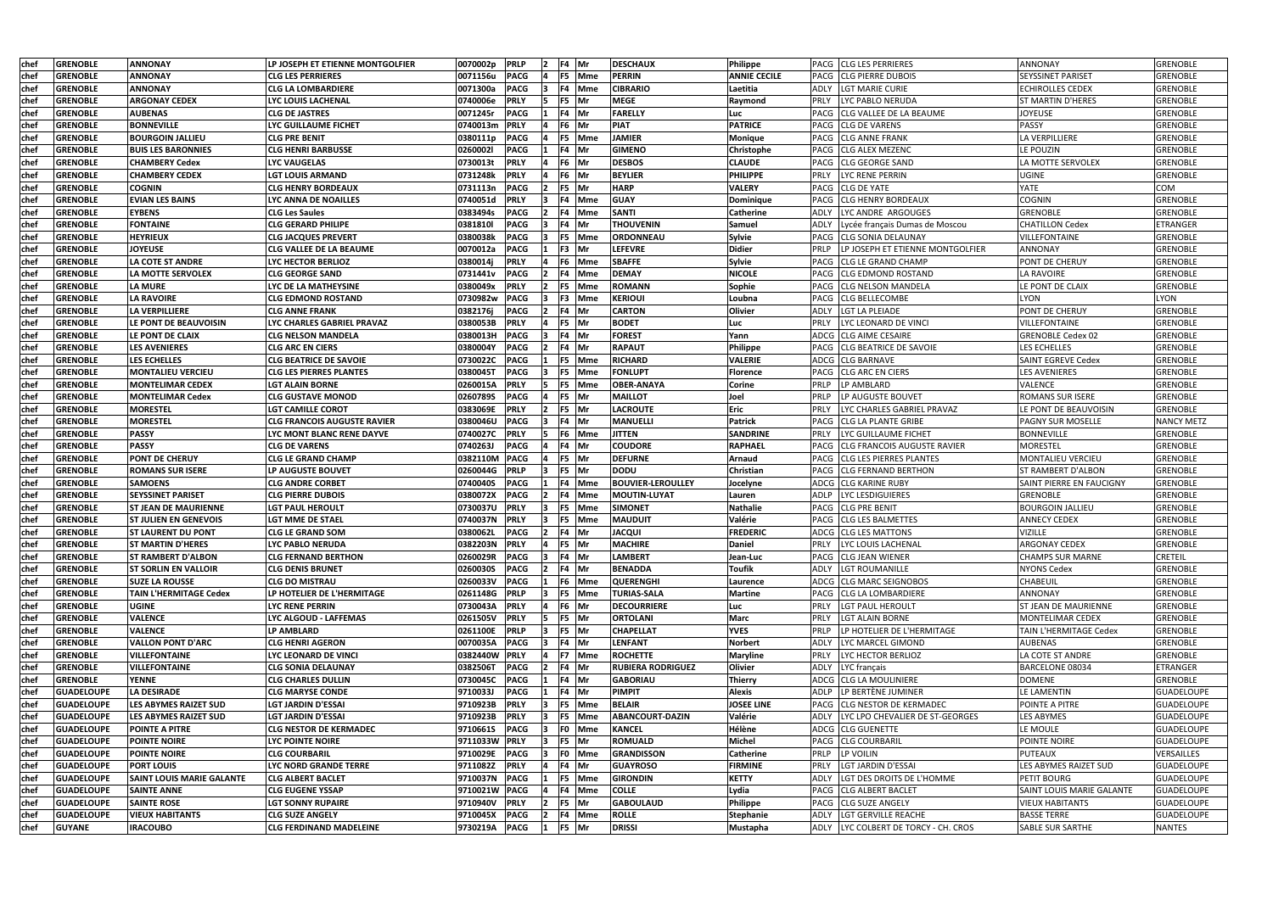| chef          | <b>GRENOBLE</b>   | <b>ANNONAY</b>                   | LP JOSEPH ET ETIENNE MONTGOLFIER   | 0070002p        | <b>PRLP</b> | 12.            | F4 Mr           | <b>DESCHAUX</b>          | Philippe            | <b>PACG CLG LES PERRIERES</b>                     | ANNONAY                          | GRENOBLE          |
|---------------|-------------------|----------------------------------|------------------------------------|-----------------|-------------|----------------|-----------------|--------------------------|---------------------|---------------------------------------------------|----------------------------------|-------------------|
| <b>chef</b>   | <b>GRENOBLE</b>   | ANNONAY                          | <b>CLG LES PERRIERES</b>           | 0071156u        | <b>PACG</b> |                | F5 Mme          | <b>PERRIN</b>            | <b>ANNIE CECILE</b> | PACG CLG PIERRE DUBOIS                            | <b>SEYSSINET PARISET</b>         | <b>GRENOBLE</b>   |
| chef          | <b>GRENOBLE</b>   | ANNONAY                          | <b>CLG LA LOMBARDIERE</b>          | 0071300a        | <b>PACG</b> |                | F4 Mme          | <b>CIBRARIO</b>          | Laetitia            | ADLY<br><b>LGT MARIE CURIE</b>                    | <b>ECHIROLLES CEDEX</b>          | <b>GRENOBLE</b>   |
| chef          | <b>GRENOBLE</b>   | <b>ARGONAY CEDEX</b>             | LYC LOUIS LACHENAL                 | 0740006e        | <b>PRLY</b> |                | F5 Mr           | <b>MEGE</b>              | Raymond             | PRLY<br>LYC PABLO NERUDA                          | <b>ST MARTIN D'HERES</b>         | <b>GRENOBLE</b>   |
| chef          | <b>GRENOBLE</b>   | <b>AUBENAS</b>                   | <b>CLG DE JASTRES</b>              | 0071245r        | <b>PACG</b> |                | F4 Mr           | <b>FARELLY</b>           | Luc                 | <b>CLG VALLEE DE LA BEAUME</b><br>PACG            | <b>JOYEUSE</b>                   | <b>GRENOBLE</b>   |
| chef          | <b>GRENOBLE</b>   | <b>BONNEVILLE</b>                | LYC GUILLAUME FICHET               | 0740013m        | <b>PRLY</b> |                | F6 Mr           | <b>PIAT</b>              | <b>PATRICE</b>      | <b>CLG DE VARENS</b><br><b>PACG</b>               | <b>PASSY</b>                     | <b>GRENOBLE</b>   |
| chef          | <b>GRENOBLE</b>   | <b>BOURGOIN JALLIEU</b>          | <b>CLG PRE BENIT</b>               | 0380111p        | <b>PACG</b> |                | F5 Mme          | <b>JAMIER</b>            | <b>Monique</b>      | <b>CLG ANNE FRANK</b><br>PACG                     | LA VERPILLIERE                   | <b>GRENOBLE</b>   |
| <b>chef</b>   | <b>GRENOBLE</b>   | <b>BUIS LES BARONNIES</b>        | <b>CLG HENRI BARBUSSE</b>          | 02600021        | <b>PACG</b> |                | F4 Mr           | <b>GIMENO</b>            | Christophe          | PACG CLG ALEX MEZENC                              | LE POUZIN                        | <b>GRENOBLE</b>   |
| <b>chef</b>   | <b>GRENOBLE</b>   | <b>CHAMBERY Cedex</b>            | <b>LYC VAUGELAS</b>                | 0730013t        | <b>PRLY</b> |                | F6 Mr           | <b>DESBOS</b>            | <b>CLAUDE</b>       | PACG CLG GEORGE SAND                              | LA MOTTE SERVOLEX                | <b>GRENOBLE</b>   |
| chef          | <b>GRENOBLE</b>   | <b>CHAMBERY CEDEX</b>            | LGT LOUIS ARMAND                   | 0731248k        | <b>PRLY</b> |                | F6 Mr           | <b>BEYLIER</b>           | <b>PHILIPPE</b>     | LYC RENE PERRIN<br><b>PRLY</b>                    | <b>UGINE</b>                     | <b>GRENOBLE</b>   |
|               | <b>GRENOBLE</b>   | <b>COGNIN</b>                    | <b>CLG HENRY BORDEAUX</b>          | 0731113n        | <b>PACG</b> |                | F5 Mr           | <b>HARP</b>              | <b>VALERY</b>       | <b>CLG DE YATE</b><br>PACG                        | YATE                             | COM               |
| chef<br> chef | <b>GRENOBLE</b>   | <b>IEVIAN LES BAINS</b>          | LYC ANNA DE NOAILLES               | 0740051d        | <b>PRLY</b> |                | F4 Mme          | <b>GUAY</b>              | Dominique           | <b>CLG HENRY BORDEAUX</b><br>PACG                 | <b>COGNIN</b>                    | <b>GRENOBLE</b>   |
| lchef         | <b>GRENOBLE</b>   | <b>EYBENS</b>                    | <b>CLG Les Saules</b>              | 0383494s        | <b>PACG</b> |                | F4 Mme          | <b>SANTI</b>             | <b>Catherine</b>    | LYC ANDRE ARGOUGES<br><b>ADLY</b>                 | GRENOBLE                         | <b>GRENOBLE</b>   |
|               |                   |                                  |                                    |                 |             |                |                 |                          |                     |                                                   |                                  |                   |
| chef          | <b>GRENOBLE</b>   | <b>FONTAINE</b>                  | CLG GERARD PHILIPE                 | 0381810l        | <b>PACG</b> |                | F4 Mr           | <b>THOUVENIN</b>         | Samuel              | ADLY<br>Lycée français Dumas de Moscou            | <b>CHATILLON Cedex</b>           | <b>ETRANGER</b>   |
| chef          | <b>GRENOBLE</b>   | <b>HEYRIEUX</b>                  | <b>CLG JACQUES PREVERT</b>         | 0380038k        | <b>PACG</b> |                | F5 Mme<br>F3 Mr | <b>ORDONNEAU</b>         | Sylvie              | <b>CLG SONIA DELAUNAY</b><br>PACG                 | <b>VILLEFONTAINE</b>             | <b>GRENOBLE</b>   |
| chef          | <b>GRENOBLE</b>   | JOYEUSE                          | CLG VALLEE DE LA BEAUME            | 0070012a        | <b>PACG</b> |                |                 | <b>LEFEVRE</b>           | <b>Didier</b>       | PRLP<br>LP JOSEPH ET ETIENNE MONTGOLFIER          | <b>ANNONAY</b>                   | <b>GRENOBLE</b>   |
| chef          | <b>GRENOBLE</b>   | LA COTE ST ANDRE                 | <b>LYC HECTOR BERLIOZ</b>          | 0380014j        | <b>PRLY</b> |                | F6 Mme          | <b>SBAFFE</b>            | Sylvie              | <b>CLG LE GRAND CHAMP</b><br>PACG                 | <b>PONT DE CHERUY</b>            | <b>GRENOBLE</b>   |
| chef          | <b>GRENOBLE</b>   | <b>LA MOTTE SERVOLEX</b>         | CLG GEORGE SAND                    | 0731441v        | <b>PACG</b> |                | F4 Mme          | <b>DEMAY</b>             | <b>NICOLE</b>       | <b>CLG EDMOND ROSTAND</b><br>PACG                 | <b>LA RAVOIRE</b>                | <b>GRENOBLE</b>   |
| chef          | <b>GRENOBLE</b>   | <b>LA MURE</b>                   | LYC DE LA MATHEYSINE               | 0380049x        | <b>PRLY</b> | 12.            | F5 Mme          | <b>ROMANN</b>            | Sophie              | <b>CLG NELSON MANDELA</b><br>PACG                 | LE PONT DE CLAIX                 | <b>GRENOBLE</b>   |
| chef          | <b>GRENOBLE</b>   | <b>LA RAVOIRE</b>                | <b>CLG EDMOND ROSTAND</b>          | 0730982w        | <b>PACG</b> |                | <b>F3</b> Mme   | <b>KERIOUI</b>           | Loubna              | <b>PACG</b><br><b>CLG BELLECOMBE</b>              | <b>LYON</b>                      | LYON              |
| <b>chef</b>   | <b>GRENOBLE</b>   | LA VERPILLIERE                   | <b>CLG ANNE FRANK</b>              | 0382176j        | <b>PACG</b> | 12             | F4 Mr           | <b>CARTON</b>            | Olivier             | ADLY<br>LGT LA PLEIADE                            | PONT DE CHERUY                   | <b>GRENOBLE</b>   |
| <b>chef</b>   | <b>GRENOBLE</b>   | LE PONT DE BEAUVOISIN            | LYC CHARLES GABRIEL PRAVAZ         | 0380053B        | <b>PRLY</b> |                | F5 Mr           | <b>BODET</b>             | Luc                 | PRLY<br>LYC LEONARD DE VINCI                      | <b>VILLEFONTAINE</b>             | <b>GRENOBLE</b>   |
| <b>chef</b>   | <b>GRENOBLE</b>   | LE PONT DE CLAIX                 | <b>CLG NELSON MANDELA</b>          | 0380013H        | <b>PACG</b> |                | F4 Mr           | <b>FOREST</b>            | Yann                | <b>CLG AIME CESAIRE</b><br>ADCG                   | <b>GRENOBLE Cedex 02</b>         | <b>GRENOBLE</b>   |
| chef          | <b>GRENOBLE</b>   | <b>LES AVENIERES</b>             | <b>CLG ARC EN CIERS</b>            | 0380004Y        | <b>PACG</b> |                | F4 Mr           | <b>RAPAUT</b>            | Philippe            | <b>CLG BEATRICE DE SAVOIE</b><br>PACG             | LES ECHELLES                     | <b>GRENOBLE</b>   |
| chef          | <b>GRENOBLE</b>   | <b>LES ECHELLES</b>              | <b>CLG BEATRICE DE SAVOIE</b>      | 0730022C        | <b>PACG</b> |                | F5 Mme          | <b>RICHARD</b>           | <b>VALERIE</b>      | ADCG CLG BARNAVE                                  | SAINT EGREVE Cedex               | <b>GRENOBLE</b>   |
| chef          | <b>GRENOBLE</b>   | <b>MONTALIEU VERCIEU</b>         | <b>CLG LES PIERRES PLANTES</b>     | 0380045T        | <b>PACG</b> |                | F5 Mme          | <b>FONLUPT</b>           | <b>Florence</b>     | <b>CLG ARC EN CIERS</b><br><b>PACG</b>            | <b>LES AVENIERES</b>             | <b>GRENOBLE</b>   |
| chef          | <b>GRENOBLE</b>   | <b>MONTELIMAR CEDEX</b>          | LGT ALAIN BORNE                    | 0260015A        | <b>PRLY</b> |                | F5 Mme          | <b>OBER-ANAYA</b>        | Corine              | PRLP<br>LP AMBLARD                                | <b>VALENCE</b>                   | <b>GRENOBLE</b>   |
| lchef         | <b>GRENOBLE</b>   | <b>MONTELIMAR Cedex</b>          | <b>CLG GUSTAVE MONOD</b>           | 0260789S        | <b>PACG</b> |                | F5 Mr           | <b>MAILLOT</b>           | Joel                | LP AUGUSTE BOUVET<br>PRLP                         | <b>ROMANS SUR ISERE</b>          | <b>GRENOBLE</b>   |
| chef          | <b>GRENOBLE</b>   | <b>MORESTEL</b>                  | LGT CAMILLE COROT                  | 0383069E        | <b>PRLY</b> | 12             | F5 Mr           | <b>LACROUTE</b>          | Eric                | PRLY<br>LYC CHARLES GABRIEL PRAVAZ                | LE PONT DE BEAUVOISIN            | <b>GRENOBLE</b>   |
| chef          | <b>GRENOBLE</b>   | <b>MORESTEL</b>                  | <b>CLG FRANCOIS AUGUSTE RAVIER</b> | 0380046U        | <b>PACG</b> |                | $FA$ Mr         | <b>MANUELLI</b>          | <b>Patrick</b>      | PACG<br><b>CLG LA PLANTE GRIBE</b>                | <b>PAGNY SUR MOSELLE</b>         | <b>NANCY METZ</b> |
| Ichef         | <b>GRENOBLE</b>   | <b>PASSY</b>                     | LYC MONT BLANC RENE DAYVE          | 0740027C        | <b>PRLY</b> |                | F6 Mme          | <b>JITTEN</b>            | <b>SANDRINE</b>     | PRLY<br>LYC GUILLAUME FICHET                      | <b>BONNEVILLE</b>                | <b>GRENOBLE</b>   |
| chef          | <b>GRENOBLE</b>   | <b>PASSY</b>                     | <b>CLG DE VARENS</b>               | 0740263J        | <b>PACG</b> |                | F4 Mr           | <b>COUDORE</b>           | <b>RAPHAEL</b>      | <b>CLG FRANCOIS AUGUSTE RAVIER</b><br><b>PACG</b> | MORESTEL                         | <b>GRENOBLE</b>   |
| chef          | <b>GRENOBLE</b>   | <b>PONT DE CHERUY</b>            | <b>CLG LE GRAND CHAMP</b>          | 0382110M        | <b>PACG</b> |                | F5 Mr           | <b>DEFURNE</b>           | Arnaud              | PACG<br><b>CLG LES PIERRES PLANTES</b>            | MONTALIEU VERCIEU                | <b>GRENOBLE</b>   |
| <b>chef</b>   | <b>GRENOBLE</b>   | <b>ROMANS SUR ISERE</b>          | <b>LP AUGUSTE BOUVET</b>           | 0260044G        | <b>PRLP</b> |                | F5 Mr           | <b>DODU</b>              | Christian           | PACG CLG FERNAND BERTHON                          | <b>ST RAMBERT D'ALBON</b>        | <b>GRENOBLE</b>   |
| <b>chef</b>   | <b>GRENOBLE</b>   | <b>SAMOENS</b>                   | <b>CLG ANDRE CORBET</b>            | 0740040S        | <b>PACG</b> |                | F4 Mme          | <b>BOUVIER-LEROULLEY</b> | Jocelyne            | ADCG CLG KARINE RUBY                              | <b>SAINT PIERRE EN FAUCIGNY</b>  | <b>GRENOBLE</b>   |
| <b>chef</b>   | <b>GRENOBLE</b>   | <b>SEYSSINET PARISET</b>         | <b>CLG PIERRE DUBOIS</b>           | 0380072X        | <b>PACG</b> |                | F4 Mme          | <b>MOUTIN-LUYAT</b>      | Lauren              | <b>LYC LESDIGUIERES</b><br><b>ADLP</b>            | <b>GRENOBLE</b>                  | <b>GRENOBLE</b>   |
| chef          | <b>GRENOBLE</b>   | <b>ST JEAN DE MAURIENNE</b>      | <b>LGT PAUL HEROULT</b>            | 0730037U        | <b>PRLY</b> |                | F5 Mme          | <b>SIMONET</b>           | Nathalie            | <b>CLG PRE BENIT</b><br>PACG                      | <b>BOURGOIN JALLIEU</b>          | <b>GRENOBLE</b>   |
| <b>chef</b>   | <b>GRENOBLE</b>   | <b>ST JULIEN EN GENEVOIS</b>     | <b>LGT MME DE STAEL</b>            | 0740037N        | <b>PRLY</b> | 13.            | F5 Mme          | <b>MAUDUIT</b>           | Valérie             | PACG CLG LES BALMETTES                            | <b>ANNECY CEDEX</b>              | <b>GRENOBLE</b>   |
| <b>chef</b>   | <b>GRENOBLE</b>   | <b>ST LAURENT DU PONT</b>        | <b>CLG LE GRAND SOM</b>            | 0380062L        | <b>PACG</b> | $\overline{2}$ | IF4 Mr          | <b>JACQUI</b>            | <b>FREDERIC</b>     | ADCG CLG LES MATTONS                              | VIZILLE                          | <b>GRENOBLE</b>   |
| chef          | <b>GRENOBLE</b>   | <b>ST MARTIN D'HERES</b>         | LYC PABLO NERUDA                   | 0382203N PRLY   |             |                | F5 Mr           | <b>MACHIRE</b>           | <b>Daniel</b>       | <b>PRLY</b><br>LYC LOUIS LACHENAL                 | <b>ARGONAY CEDEX</b>             | <b>GRENOBLE</b>   |
| <b>chef</b>   | <b>GRENOBLE</b>   | ST RAMBERT D'ALBON               | <b>CLG FERNAND BERTHON</b>         | 0260029R        | <b>PACG</b> |                | F4 Mr           | LAMBERT                  | Jean-Luc            | PACG<br><b>CLG JEAN WIENER</b>                    | <b>CHAMPS SUR MARNE</b>          | <b>CRETEIL</b>    |
| chef          | <b>GRENOBLE</b>   | <b>ST SORLIN EN VALLOIR</b>      | <b>CLG DENIS BRUNET</b>            | 0260030S        | <b>PACG</b> |                | F4 Mr           | <b>BENADDA</b>           | Toufik              | ADLY<br>LGT ROUMANILLE                            | <b>NYONS Cedex</b>               | <b>GRENOBLE</b>   |
| chef          | <b>GRENOBLE</b>   | <b>SUZE LA ROUSSE</b>            | <b>CLG DO MISTRAU</b>              | 0260033V        | <b>PACG</b> |                | F6 Mme          | <b>QUERENGHI</b>         | Laurence            | ADCG<br><b>CLG MARC SEIGNOBOS</b>                 | <b>CHABEUIL</b>                  | <b>GRENOBLE</b>   |
| chef          | <b>GRENOBLE</b>   | <b>TAIN L'HERMITAGE Cedex</b>    | LP HOTELIER DE L'HERMITAGE         | 0261148G        | <b>PRLP</b> |                | F5 Mme          | <b>TURIAS-SALA</b>       | Martine             | <b>PACG</b><br><b>CLG LA LOMBARDIERE</b>          | ANNONAY                          | <b>GRENOBLE</b>   |
| chef          | <b>GRENOBLE</b>   | <b>UGINE</b>                     | <b>LYC RENE PERRIN</b>             | 0730043A        | <b>PRLY</b> |                | F6 Mr           | <b>DECOURRIERE</b>       | Luc                 | PRLY<br>LGT PAUL HEROULT                          | ST JEAN DE MAURIENNE             | <b>GRENOBLE</b>   |
| <b>chef</b>   | <b>GRENOBLE</b>   | <b>VALENCE</b>                   | LYC ALGOUD - LAFFEMAS              | 0261505V        | <b>PRLY</b> | 15.            | F5 Mr           | <b>ORTOLANI</b>          | <b>Marc</b>         | <b>PRLY</b><br><b>LGT ALAIN BORNE</b>             | MONTELIMAR CEDEX                 | <b>GRENOBLE</b>   |
| chef          | <b>GRENOBLE</b>   | <b>VALENCE</b>                   | LP AMBLARD                         | 0261100E        | <b>PRLP</b> | ıз             | F5 Mr           | <b>CHAPELLAT</b>         | <b>YVES</b>         | LP HOTELIER DE L'HERMITAGE<br><b>PRLP</b>         | TAIN L'HERMITAGE Cedex           | <b>GRENOBLE</b>   |
| <b>chef</b>   | <b>GRENOBLE</b>   | <b>VALLON PONT D'ARC</b>         | <b>CLG HENRI AGERON</b>            | 0070035A        | <b>PACG</b> | 13             | F4 Mr           | <b>LENFANT</b>           | <b>Norbert</b>      | <b>ADLY</b><br>LYC MARCEL GIMOND                  | AUBENAS                          | <b>GRENOBLE</b>   |
| chef          | <b>GRENOBLE</b>   | <b>VILLEFONTAINE</b>             | LYC LEONARD DE VINCI               | 0382440W        | <b>PRLY</b> |                | F7 Mme          | <b>ROCHETTE</b>          | Maryline            | <b>PRLY</b><br>LYC HECTOR BERLIOZ                 | LA COTE ST ANDRE                 | <b>GRENOBLE</b>   |
| chef          | <b>GRENOBLE</b>   | <b>VILLEFONTAINE</b>             | <b>CLG SONIA DELAUNAY</b>          | 0382506T        | <b>PACG</b> |                | F4 Mr           | <b>RUBIERA RODRIGUEZ</b> | <b>Olivier</b>      | ADLY<br>LYC français                              | BARCELONE 08034                  | ETRANGER          |
| chef          | <b>GRENOBLE</b>   | <b>YENNE</b>                     | <b>CLG CHARLES DULLIN</b>          | 0730045C        | <b>PACG</b> |                | F4 Mr           | <b>GABORIAU</b>          | Thierry             | ADCG CLG LA MOULINIERE                            | <b>DOMENE</b>                    | <b>GRENOBLE</b>   |
| chef          | <b>GUADELOUPE</b> | LA DESIRADE                      | <b>CLG MARYSE CONDE</b>            | 9710033J        | <b>PACG</b> |                | F4 Mr           | <b>PIMPIT</b>            | <b>Alexis</b>       | LP BERTÈNE JUMINER<br>ADLP                        | LE LAMENTIN                      | <b>GUADELOUPE</b> |
| chef          | <b>GUADELOUPE</b> | <b>LES ABYMES RAIZET SUD</b>     | LGT JARDIN D'ESSAI                 | 9710923B        | <b>PRLY</b> |                | <b>F5</b> Mme   | <b>BELAIR</b>            | <b>JOSEE LINE</b>   | <b>CLG NESTOR DE KERMADEC</b><br>PACG             | POINTE A PITRE                   | <b>GUADELOUPE</b> |
| chef          | <b>GUADELOUPE</b> | <b>LES ABYMES RAIZET SUD</b>     | <b>LGT JARDIN D'ESSAI</b>          | 9710923B        | <b>PRLY</b> |                | F5 Mme          | <b>ABANCOURT-DAZIN</b>   | Valérie             | <b>ADLY</b><br>LYC LPO CHEVALIER DE ST-GEORGES    | <b>LES ABYMES</b>                | <b>GUADELOUPE</b> |
| chef          | <b>GUADELOUPE</b> | <b>POINTE A PITRE</b>            | <b>CLG NESTOR DE KERMADEC</b>      | 9710661S        | <b>PACG</b> |                | F0 Mme          | <b>KANCEL</b>            | Hélène              | ADCG CLG GUENETTE                                 | LE MOULE                         | <b>GUADELOUPE</b> |
| chef          | <b>GUADELOUPE</b> | <b>POINTE NOIRE</b>              | <b>LYC POINTE NOIRE</b>            | 9711033W PRLY   |             |                | F5 Mr           | <b>ROMUALD</b>           | Michel              | <b>CLG COURBARIL</b><br>PACG                      | POINTE NOIRE                     | <b>GUADELOUPE</b> |
| chef          | <b>GUADELOUPE</b> | <b>POINTE NOIRE</b>              | <b>CLG COURBARIL</b>               | 9710029E PACG   |             |                | F0 Mme          | <b>GRANDISSON</b>        | <b>Catherine</b>    | PRLP<br>LP VOILIN                                 | PUTEAUX                          | VERSAILLES        |
| <b>chef</b>   | <b>GUADELOUPE</b> | <b>PORT LOUIS</b>                | LYC NORD GRANDE TERRE              | 9711082Z        | <b>PRLY</b> |                | F4 Mr           | <b>GUAYROSO</b>          | <b>FIRMINE</b>      | <b>PRLY</b><br>LGT JARDIN D'ESSAI                 | LES ABYMES RAIZET SUD            | <b>GUADELOUPE</b> |
| <b>chef</b>   | <b>GUADELOUPE</b> | <b>SAINT LOUIS MARIE GALANTE</b> | <b>CLG ALBERT BACLET</b>           | 9710037N   PACG |             |                | <b>F5</b> Mme   | <b>GIRONDIN</b>          | <b>KETTY</b>        | LGT DES DROITS DE L'HOMME<br>ADLY                 | <b>PETIT BOURG</b>               | GUADELOUPE        |
| chef          | <b>GUADELOUPE</b> | <b>SAINTE ANNE</b>               | <b>CLG EUGENE YSSAP</b>            | 9710021W PACG   |             |                | F4 Mme          | <b>COLLE</b>             | Lydia               | PACG CLG ALBERT BACLET                            | <b>SAINT LOUIS MARIE GALANTE</b> | GUADELOUPE        |
| chef          | <b>GUADELOUPE</b> | <b>SAINTE ROSE</b>               | <b>LGT SONNY RUPAIRE</b>           | 9710940V        | <b>PRLY</b> |                | F5 Mr           | <b>GABOULAUD</b>         | Philippe            | PACG CLG SUZE ANGELY                              | <b>VIEUX HABITANTS</b>           | <b>GUADELOUPE</b> |
| chef          | <b>GUADELOUPE</b> | <b>VIEUX HABITANTS</b>           | <b>CLG SUZE ANGELY</b>             | 9710045X        | <b>PACG</b> |                | F4 Mme          | <b>ROLLE</b>             | <b>Stephanie</b>    | ADLY<br>LGT GERVILLE REACHE                       | <b>BASSE TERRE</b>               | <b>GUADELOUPE</b> |
| chef          | <b>GUYANE</b>     | <b>IRACOUBO</b>                  | <b>CLG FERDINAND MADELEINE</b>     | 9730219A        | <b>PACG</b> |                | F5 Mr           | <b>DRISSI</b>            | Mustapha            | ADLY LYC COLBERT DE TORCY - CH. CROS              | SABLE SUR SARTHE                 | <b>NANTES</b>     |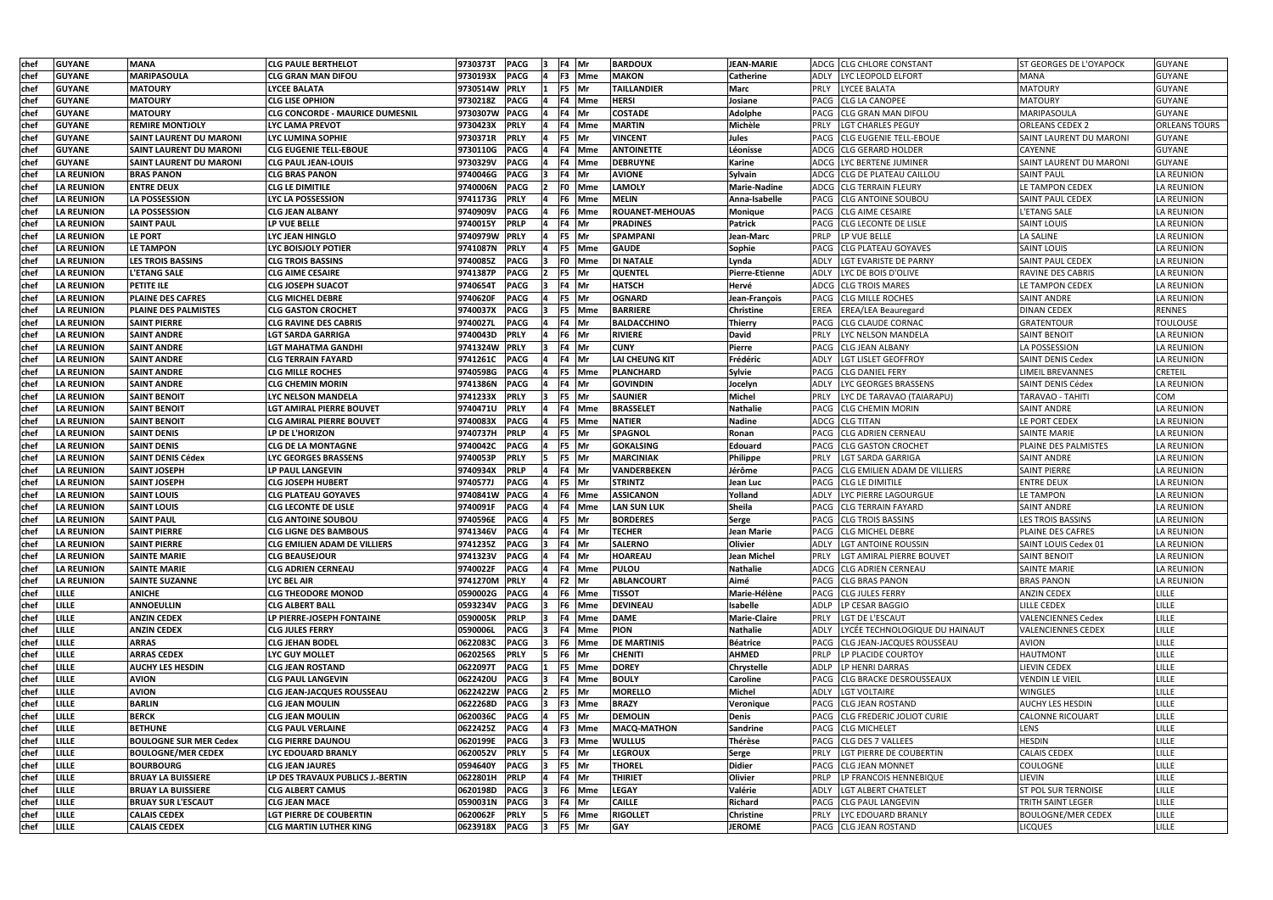| chef        | <b>GUYANE</b>                | <b>MANA</b>                    | <b>CLG PAULE BERTHELOT</b>                                   | 9730373T PACG<br>F4 Mr<br><b>BARDOUX</b>                                                      | <b>JEAN-MARIE</b>         |             | ADCG CLG CHLORE CONSTANT                            | IST GEORGES DE L'OYAPOCK                        | <b>GUYANE</b>         |
|-------------|------------------------------|--------------------------------|--------------------------------------------------------------|-----------------------------------------------------------------------------------------------|---------------------------|-------------|-----------------------------------------------------|-------------------------------------------------|-----------------------|
| chef        | <b>GUYANE</b>                | <b>MARIPASOULA</b>             | <b>CLG GRAN MAN DIFOU</b>                                    | 9730193X PACG<br><b>MAKON</b><br>F3 Mme                                                       | Catherine                 | ADLY        | LYC LEOPOLD ELFORT                                  | <b>MANA</b>                                     | <b>GUYANE</b>         |
| <b>chef</b> | <b>GUYANE</b>                | <b>MATOURY</b>                 | LYCEE BALATA                                                 | 9730514W<br><b>PRLY</b><br>F5 Mr<br><b>TAILLANDIER</b>                                        | Marc                      | <b>PRLY</b> | LYCEE BALATA                                        | <b>MATOURY</b>                                  | <b>GUYANE</b>         |
| chef        | <b>GUYANE</b>                | <b>MATOURY</b>                 | <b>CLG LISE OPHION</b>                                       | <b>HERSI</b><br>9730218Z<br><b>PACG</b><br>F4 lMme                                            | Josiane                   | PACG        | <b>CLG LA CANOPEE</b>                               | <b>MATOURY</b>                                  | <b>GUYANE</b>         |
| <b>chef</b> | <b>GUYANE</b>                | <b>MATOURY</b>                 | <b>CLG CONCORDE - MAURICE DUMESNIL</b>                       | 9730307W PACG<br><b>COSTADE</b><br>F4 Mr                                                      | <b>Adolphe</b>            | PACG        | <b>CLG GRAN MAN DIFOU</b>                           | MARIPASOULA                                     | <b>GUYANE</b>         |
| <b>chef</b> | <b>GUYANE</b>                | <b>REMIRE MONTJOLY</b>         | <b>LYC LAMA PREVOT</b>                                       | <b>PRLY</b><br><b>MARTIN</b><br>9730423X<br>F4 Mme                                            | Michèle                   | <b>PRLY</b> | <b>LGT CHARLES PEGUY</b>                            | <b>ORLEANS CEDEX 2</b>                          | <b>ORLEANS TOURS</b>  |
| chef        | <b>GUYANE</b>                | <b>SAINT LAURENT DU MARONI</b> | LYC LUMINA SOPHIE                                            | 9730371R<br><b>PRLY</b><br>F5  Mr<br><b>VINCENT</b>                                           | Jules                     |             | PACG CLG EUGENIE TELL-EBOUE                         | <b>SAINT LAURENT DU MARONI</b>                  | <b>GUYANE</b>         |
| chef        | <b>GUYANE</b>                | <b>SAINT LAURENT DU MARONI</b> | <b>CLG EUGENIE TELL-EBOUE</b>                                | 9730110G PACG<br>4 Mme<br><b>ANTOINETTE</b>                                                   | Léonisse                  |             | ADCG CLG GERARD HOLDER                              | CAYENNE                                         | <b>GUYANE</b>         |
| chef        | <b>GUYANE</b>                | <b>SAINT LAURENT DU MARONI</b> | <b>CLG PAUL JEAN-LOUIS</b>                                   | 9730329V<br><b>PACG</b><br>F4 Mme<br><b>DEBRUYNE</b>                                          | <b>Karine</b>             |             | ADCG LYC BERTENE JUMINER                            | <b>SAINT LAURENT DU MARONI</b>                  | <b>GUYANE</b>         |
| chet        | <b>LA REUNION</b>            | <b>BRAS PANON</b>              | <b>CLG BRAS PANON</b>                                        | <b>PACG</b><br>9740046G<br>F4 Mr<br><b>AVIONE</b>                                             | Sylvain                   |             | ADCG CLG DE PLATEAU CAILLOU                         | <b>SAINT PAUL</b>                               | LA REUNION            |
| chef        | <b>LA REUNION</b>            | <b>ENTRE DEUX</b>              | <b>CLG LE DIMITILE</b>                                       | <b>PACG</b><br><b>LAMOLY</b><br>9740006N<br>F0 Mme                                            | <b>Marie-Nadine</b>       |             | ADCG CLG TERRAIN FLEURY                             | LE TAMPON CEDEX                                 | LA REUNION            |
| <b>chef</b> | <b>LA REUNION</b>            | LA POSSESSION                  | <b>LYC LA POSSESSION</b>                                     | 9741173G<br><b>PRLY</b><br><b>MELIN</b><br>F6 Mme                                             | Anna-Isabelle             |             | PACG CLG ANTOINE SOUBOU                             | <b>SAINT PAUL CEDEX</b>                         | LA REUNION            |
| <b>chef</b> | <b>LA REUNION</b>            | <b>LA POSSESSION</b>           | <b>CLG JEAN ALBANY</b>                                       | 9740909V<br><b>PACG</b><br><b>ROUANET-MEHOUAS</b><br>F6 Mme                                   | <b>Monique</b>            |             | PACG CLG AIME CESAIRE                               | <b>L'ETANG SALE</b>                             | LA REUNION            |
| che         | <b>LA REUNION</b>            | <b>SAINT PAUL</b>              | <b>LP VUE BELLE</b>                                          | <b>PRLP</b><br>9740015Y<br><b>PRADINES</b><br>4 IMr                                           | <b>Patrick</b>            | PACG        | <b>CLG LECONTE DE LISLE</b>                         | <b>SAINT LOUIS</b>                              | LA REUNION            |
| <b>chef</b> | <b>LA REUNION</b>            | <b>LE PORT</b>                 | LYC JEAN HINGLO                                              | <b>PRLY</b><br>9740979W<br><b>SPAMPANI</b><br>F5  Mr                                          | Jean-Marc                 | <b>PRLP</b> | LP VUE BELLE                                        | <b>LA SALINE</b>                                | <b>LA REUNION</b>     |
| <b>chef</b> | <b>LA REUNION</b>            | <b>LE TAMPON</b>               | LYC BOISJOLY POTIER                                          | <b>GAUDE</b><br>9741087N<br><b>PRLY</b><br>F5 Mme                                             | Sophie                    | <b>PACG</b> | <b>CLG PLATEAU GOYAVES</b>                          | <b>SAINT LOUIS</b>                              | <b>LA REUNION</b>     |
| <b>chef</b> | <b>LA REUNION</b>            | <b>LES TROIS BASSINS</b>       | <b>CLG TROIS BASSINS</b>                                     | <b>DI NATALE</b><br>9740085Z<br><b>PACG</b><br>F0 Mme                                         | Lynda                     | ADLY        | LGT EVARISTE DE PARNY                               | <b>SAINT PAUL CEDEX</b>                         | <b>LA REUNION</b>     |
| chef        | <b>LA REUNION</b>            | L'ETANG SALE                   | <b>CLG AIME CESAIRE</b>                                      | <b>PACG</b><br>9741387P<br>F5  Mr<br><b>QUENTEL</b>                                           | Pierre-Etienne            | <b>ADLY</b> | LYC DE BOIS D'OLIVE                                 | <b>RAVINE DES CABRIS</b>                        | LA REUNION            |
| <b>chef</b> | <b>LA REUNION</b>            | <b>PETITE ILE</b>              | <b>CLG JOSEPH SUACOT</b>                                     | 9740654T<br><b>PACG</b><br><b>HATSCH</b><br>F4 Mr                                             | Hervé                     |             | <b>ADCG CLG TROIS MARES</b>                         | LE TAMPON CEDEX                                 | LA REUNION            |
| chef        | <b>LA REUNION</b>            | <b>PLAINE DES CAFRES</b>       | <b>CLG MICHEL DEBRE</b>                                      | <b>PACG</b><br>F5 Mr<br><b>OGNARD</b><br>9740620F                                             | Jean-François             |             | <b>PACG CLG MILLE ROCHES</b>                        | <b>SAINT ANDRE</b>                              | LA REUNION            |
| <b>chef</b> | <b>LA REUNION</b>            | <b>PLAINE DES PALMISTES</b>    | CLG GASTON CROCHET                                           | <b>PACG</b><br><b>BARRIERE</b><br>9740037X<br>F5 Mme                                          | <b>Christine</b>          | EREA        | <b>EREA/LEA Beauregard</b>                          | <b>DINAN CEDEX</b>                              | <b>RENNES</b>         |
| chef        | <b>LA REUNION</b>            | <b>SAINT PIERRE</b>            | <b>CLG RAVINE DES CABRIS</b>                                 | <b>PACG</b><br>9740027L<br>F4 Mr<br><b>BALDACCHINO</b>                                        | <b>Thierry</b>            |             | PACG CLG CLAUDE CORNAC                              | <b>GRATENTOUR</b>                               | <b>TOULOUSE</b>       |
| chef        | <b>LA REUNION</b>            | <b>SAINT ANDRE</b>             | <b>LGT SARDA GARRIGA</b>                                     | 9740043D<br><b>PRLY</b><br><b>RIVIERE</b><br>F6 Mr                                            | <b>David</b>              | <b>PRLY</b> | LYC NELSON MANDELA                                  | <b>SAINT BENOIT</b>                             | LA REUNION            |
| <b>chef</b> | <b>LA REUNION</b>            | <b>SAINT ANDRE</b>             | LGT MAHATMA GANDHI                                           | 9741324W<br><b>PRLY</b><br><b>CUNY</b><br>F4 Mr                                               | Pierre                    |             | PACG CLG JEAN ALBANY                                | LA POSSESSION                                   | LA REUNION            |
| chef        | LA REUNION                   | <b>SAINT ANDRE</b>             | <b>CLG TERRAIN FAYARD</b>                                    | 9741261C<br><b>PACG</b><br><b>LAI CHEUNG KIT</b><br>F4 lMr                                    | Frédéric                  | <b>ADLY</b> | LGT LISLET GEOFFROY                                 | <b>SAINT DENIS Cedex</b>                        | LA REUNION            |
| chel        | <b>LA REUNION</b>            | <b>SAINT ANDRE</b>             | <b>CLG MILLE ROCHES</b>                                      | <b>PACG</b><br>9740598G<br>F5 Mme<br><b>PLANCHARD</b>                                         | <b>Sylvie</b>             |             | PACG CLG DANIEL FERY                                | <b>LIMEIL BREVANNES</b>                         | <b>CRETEIL</b>        |
| <b>chet</b> | <b>LA REUNION</b>            | <b>SAINT ANDRE</b>             | <b>CLG CHEMIN MORIN</b>                                      | <b>PACG</b><br>9741386N<br>F4 Mr<br>GOVINDIN                                                  | Jocelyn                   | ADLY        | <b>LYC GEORGES BRASSENS</b>                         | SAINT DENIS Cédex                               | LA REUNION            |
| <b>chef</b> | <b>LA REUNION</b>            | <b>SAINT BENOIT</b>            | LYC NELSON MANDELA                                           | <b>PRLY</b><br>9741233X<br>F5 Mr<br><b>SAUNIER</b>                                            | <b>Michel</b>             | <b>PRLY</b> | LYC DE TARAVAO (TAIARAPU)                           | <b>TARAVAO - TAHITI</b>                         | COM                   |
| <b>chef</b> | <b>LA REUNION</b>            | <b>SAINT BENOIT</b>            | LGT AMIRAL PIERRE BOUVET                                     | <b>PRLY</b><br><b>BRASSELET</b><br>9740471U<br>F4 Mme                                         | Nathalie                  | PACG        | <b>CLG CHEMIN MORIN</b>                             | <b>SAINT ANDRE</b>                              | <b>LA REUNION</b>     |
| chef        | <b>LA REUNION</b>            | <b>SAINT BENOIT</b>            | <b>CLG AMIRAL PIERRE BOUVET</b>                              | 9740083X PACG<br><b>NATIER</b><br>F5 Mme                                                      | <b>Nadine</b>             |             | ADCG CLG TITAN                                      | LE PORT CEDEX                                   | LA REUNION            |
| <b>chef</b> | <b>LA REUNION</b>            | <b>SAINT DENIS</b>             | LP DE L'HORIZON                                              | <b>PRLP</b><br>F5 Mr<br><b>SPAGNOL</b><br>9740737H                                            | Ronan                     | PACG        | <b>CLG ADRIEN CERNEAU</b>                           | <b>SAINTE MARIE</b>                             | <b>LA REUNION</b>     |
| <b>chef</b> | <b>LA REUNION</b>            | <b>SAINT DENIS</b>             | <b>CLG DE LA MONTAGNE</b>                                    | 9740042C PACG<br>F5 Mr<br><b>GOKALSING</b>                                                    | Edouard                   |             | PACG CLG GASTON CROCHET                             | PLAINE DES PALMISTES                            | LA REUNION            |
| <b>chef</b> | <b>LA REUNION</b>            | <b>SAINT DENIS Cédex</b>       | <b>LYC GEORGES BRASSENS</b>                                  | <b>PRLY</b><br>F5 Mr<br>9740053P<br><b>MARCINIAK</b>                                          | Philippe                  | <b>PRLY</b> | LGT SARDA GARRIGA                                   | <b>SAINT ANDRE</b>                              | LA REUNION            |
| <b>chef</b> | <b>LA REUNION</b>            | <b>SAINT JOSEPH</b>            | LP PAUL LANGEVIN                                             | 9740934X<br><b>PRLP</b><br>F4 Mr<br>VANDERBEKEN                                               | Jérôme                    |             | PACG CLG EMILIEN ADAM DE VILLIERS                   | <b>SAINT PIERRE</b>                             | LA REUNION            |
| chef        | <b>LA REUNION</b>            | <b>SAINT JOSEPH</b>            | <b>CLG JOSEPH HUBERT</b>                                     | <b>PACG</b><br>9740577J<br>F5  Mr<br><b>STRINTZ</b>                                           | Jean Luc                  |             | PACG CLG LE DIMITILE                                | <b>ENTRE DEUX</b>                               | LA REUNION            |
| chef        | <b>LA REUNION</b>            | <b>SAINT LOUIS</b>             | <b>CLG PLATEAU GOYAVES</b>                                   | 9740841W<br><b>PACG</b><br>F6 Mme<br><b>ASSICANON</b>                                         | Yolland                   | ADLY        | LYC PIERRE LAGOURGUE                                | <b>LE TAMPON</b>                                | LA REUNION            |
| <b>chef</b> | <b>LA REUNION</b>            | <b>SAINT LOUIS</b>             | <b>CLG LECONTE DE LISLE</b>                                  | 9740091F<br><b>PACG</b><br>4 Mme<br><b>LAN SUN LUK</b>                                        | Sheila                    | PACG        | <b>ICLG TERRAIN FAYARD</b>                          | <b>SAINT ANDRE</b>                              | LA REUNION            |
| <b>chef</b> | <b>LA REUNION</b>            | <b>SAINT PAUL</b>              | <b>CLG ANTOINE SOUBOU</b>                                    | 9740596E<br><b>PACG</b><br>F5 Mr<br><b>BORDERES</b>                                           | <b>Serge</b>              |             | PACG CLG TROIS BASSINS                              | LES TROIS BASSINS                               | LA REUNION            |
| chef        | <b>LA REUNION</b>            | <b>SAINT PIERRE</b>            | <b>CLG LIGNE DES BAMBOUS</b>                                 | 9741346V PACG<br>F4 Mr<br><b>TECHER</b>                                                       | Jean Marie                |             | PACG CLG MICHEL DEBRE                               | <b>PLAINE DES CAFRES</b>                        | LA REUNION            |
| chef        | <b>LA REUNION</b>            | <b>SAINT PIERRE</b>            | <b>CLG EMILIEN ADAM DE VILLIERS</b>                          | 9741235Z PACG<br>F4 Mr<br><b>SALERNO</b>                                                      | <b>Olivier</b>            | ADLY        | <b>LGT ANTOINE ROUSSIN</b>                          | SAINT LOUIS Cedex 01                            | LA REUNION            |
| <b>chef</b> | <b>LA REUNION</b>            | <b>SAINTE MARIE</b>            | <b>CLG BEAUSEJOUR</b>                                        | <b>PACG</b><br>9741323V<br>4 Mr<br><b>HOAREAU</b>                                             | Jean Michel               | PRLY        | LGT AMIRAL PIERRE BOUVET                            | <b>SAINT BENOIT</b>                             | <b>LA REUNION</b>     |
| chef        | <b>LA REUNION</b>            | <b>SAINTE MARIE</b>            | <b>CLG ADRIEN CERNEAU</b>                                    | <b>PULOU</b><br>9740022F PACG<br>F4 Mme                                                       | <b>Nathalie</b>           |             | ADCG CLG ADRIEN CERNEAU                             | <b>SAINTE MARIE</b>                             | LA REUNION            |
| chef        | <b>LA REUNION</b>            | <b>SAINTE SUZANNE</b>          | LYC BEL AIR                                                  | 9741270M PRLY<br><b>ABLANCOURT</b><br>F2 Mr                                                   | Aimé                      |             | PACG CLG BRAS PANON                                 | <b>BRAS PANON</b>                               | LA REUNION            |
| chef        | <b>LILLE</b>                 | <b>ANICHE</b>                  | <b>CLG THEODORE MONOD</b>                                    | 0590002G PACG<br><b>TISSOT</b><br>F6 Mme                                                      | Marie-Hélène              |             | PACG CLG JULES FERRY                                | <b>ANZIN CEDEX</b>                              | <b>LILLE</b>          |
| chef        | <b>LILLE</b>                 | <b>ANNOEULLIN</b>              | <b>CLG ALBERT BALL</b>                                       | 0593234V PACG<br>F6 Mme<br><b>DEVINEAU</b>                                                    | Isabelle                  |             | ADLP LP CESAR BAGGIO                                | <b>LILLE CEDEX</b>                              | LILLE                 |
| chef        | <b>LILLE</b>                 | <b>ANZIN CEDEX</b>             | LP PIERRE-JOSEPH FONTAINE                                    | 0590005K<br><b>PRLP</b><br><b>DAME</b><br>F4 Mme                                              | Marie-Claire              | PRLY        | LGT DE L'ESCAUT                                     | <b>VALENCIENNES Cedex</b>                       | LILLE                 |
| chef        | <b>LILLE</b>                 | <b>ANZIN CEDEX</b>             | <b>CLG JULES FERRY</b>                                       | 0590006L<br><b>PACG</b><br><b>PION</b><br>F4 Mme                                              | <b>Nathalie</b>           | ADLY        | LYCÉE TECHNOLOGIQUE DU HAINAUT                      | <b>VALENCIENNES CEDEX</b>                       | LILLE                 |
| chef        | <b>LILLE</b>                 | <b>ARRAS</b>                   | <b>CLG JEHAN BODEL</b>                                       | 0622083C<br><b>PACG</b><br><b>DE MARTINIS</b><br>F6 Mme                                       | <b>Béatrice</b>           |             | PACG CLG JEAN-JACQUES ROUSSEAU                      | <b>AVION</b>                                    | LILLE                 |
| chef        | <b>LILLE</b>                 | <b>ARRAS CEDEX</b>             | <b>LYC GUY MOLLET</b>                                        | 0620256S<br><b>PRLY</b><br>F6 Mr<br><b>CHENITI</b>                                            | <b>AHMED</b>              | PRLP        | <b>LP PLACIDE COURTOY</b>                           | <b>HAUTMONT</b>                                 | LILLE                 |
| chef        | <b>LILLE</b>                 | <b>AUCHY LES HESDIN</b>        | <b>CLG JEAN ROSTAND</b>                                      | 0622097T<br><b>PACG</b><br>F5 Mme<br><b>DOREY</b>                                             | Chrystelle                |             | ADLP LP HENRI DARRAS                                | LIEVIN CEDEX                                    | <b>LILLE</b>          |
|             | <b>LILLE</b>                 |                                |                                                              |                                                                                               |                           |             |                                                     |                                                 |                       |
| chef        | <b>LILLE</b>                 | <b>AVION</b><br><b>AVION</b>   | <b>CLG PAUL LANGEVIN</b><br><b>CLG JEAN-JACQUES ROUSSEAU</b> | 0622420U<br><b>PACG</b><br><b>BOULY</b><br>F4 Mme<br>0622422W PACG<br>F5 Mr<br><b>MORELLO</b> | <b>Caroline</b><br>Michel | ADLY        | PACG CLG BRACKE DESROUSSEAUX<br><b>LGT VOLTAIRE</b> | <b>VENDIN LE VIEIL</b><br><b>WINGLES</b>        | LILLE<br>LILLE        |
| chef        |                              |                                |                                                              |                                                                                               |                           |             |                                                     |                                                 |                       |
| chef        | <b>LILLE</b>                 | <b>BARLIN</b>                  | <b>CLG JEAN MOULIN</b>                                       | <b>BRAZY</b><br>0622268D<br><b>PACG</b><br>F3 Mme<br><b>DEMOLIN</b>                           | Veronique                 |             | PACG CLG JEAN ROSTAND                               | <b>AUCHY LES HESDIN</b>                         | LILLE<br><b>LILLE</b> |
| chef        | <b>LILLE</b>                 | <b>BERCK</b>                   | <b>CLG JEAN MOULIN</b>                                       | 0620036C PACG<br>F5 Mr<br><b>MACQ-MATHON</b>                                                  | Denis                     |             | PACG CLG FREDERIC JOLIOT CURIE                      | <b>CALONNE RICOUART</b>                         | LILLE                 |
| chef        | <b>LILLE</b><br><b>LILLE</b> | <b>BETHUNE</b>                 | <b>CLG PAUL VERLAINE</b>                                     | 0622425Z PACG<br>F3 Mme                                                                       | Sandrine                  |             | PACG CLG MICHELET<br><b>PACG CLG DES 7 VALLEES</b>  | LENS<br><b>HESDIN</b>                           |                       |
| chef        |                              | <b>BOULOGNE SUR MER Cedex</b>  | <b>CLG PIERRE DAUNOU</b>                                     | 0620199E PACG<br>F3 Mme<br><b>WULLUS</b>                                                      | Thérèse                   |             |                                                     |                                                 | LILLE                 |
| chef        | <b>LILLE</b>                 | <b>BOULOGNE/MER CEDEX</b>      | LYC EDOUARD BRANLY                                           | 0620052V<br><b>LEGROUX</b><br><b>PRLY</b><br>F4 Mr                                            | Serge                     | <b>PRLY</b> | LGT PIERRE DE COUBERTIN                             | <b>CALAIS CEDEX</b>                             | LILLE                 |
| chef        | <b>LILLE</b>                 | <b>BOURBOURG</b>               | <b>CLG JEAN JAURES</b>                                       | F5 Mr<br>0594640Y<br><b>PACG</b><br><b>THOREL</b>                                             | <b>Didier</b>             |             | PACG CLG JEAN MONNET                                | <b>COULOGNE</b>                                 | LILLE                 |
| chef        | <b>LILLE</b>                 | <b>BRUAY LA BUISSIERE</b>      | LP DES TRAVAUX PUBLICS J.-BERTIN<br><b>CLG ALBERT CAMUS</b>  | <b>PRLP</b><br>F4 Mr<br><b>THIRIET</b><br>0622801H<br>0620198D<br>F6 Mme<br><b>LEGAY</b>      | Olivier                   | <b>PRLP</b> | LP FRANCOIS HENNEBIQUE                              | LIEVIN                                          | LILLE<br>LILLE        |
| chef        | <b>LILLE</b>                 | <b>BRUAY LA BUISSIERE</b>      |                                                              | <b>PACG</b><br><b>CAILLE</b>                                                                  | Valérie                   | ADLY        | LGT ALBERT CHATELET                                 | <b>ST POL SUR TERNOISE</b><br>TRITH SAINT LEGER | LILLE                 |
| chef        | <b>LILLE</b>                 | <b>BRUAY SUR L'ESCAUT</b>      | <b>CLG JEAN MACE</b>                                         | 0590031N<br><b>PACG</b><br>F4 Mr                                                              | Richard                   |             | PACG CLG PAUL LANGEVIN                              |                                                 |                       |
| chef        | <b>LILLE</b>                 | <b>CALAIS CEDEX</b>            | <b>LGT PIERRE DE COUBERTIN</b>                               | 0620062F<br>F6 Mme<br><b>RIGOLLET</b><br><b>PRLY</b>                                          | <b>Christine</b>          | <b>PRLY</b> | LYC EDOUARD BRANLY                                  | <b>BOULOGNE/MER CEDEX</b>                       | LILLE                 |
| chef        | LILLE                        | <b>CALAIS CEDEX</b>            | <b>CLG MARTIN LUTHER KING</b>                                | 0623918X PACG<br>F5 Mr<br><b>GAY</b>                                                          | <b>JEROME</b>             |             | PACG CLG JEAN ROSTAND                               | <b>LICQUES</b>                                  | LILLE                 |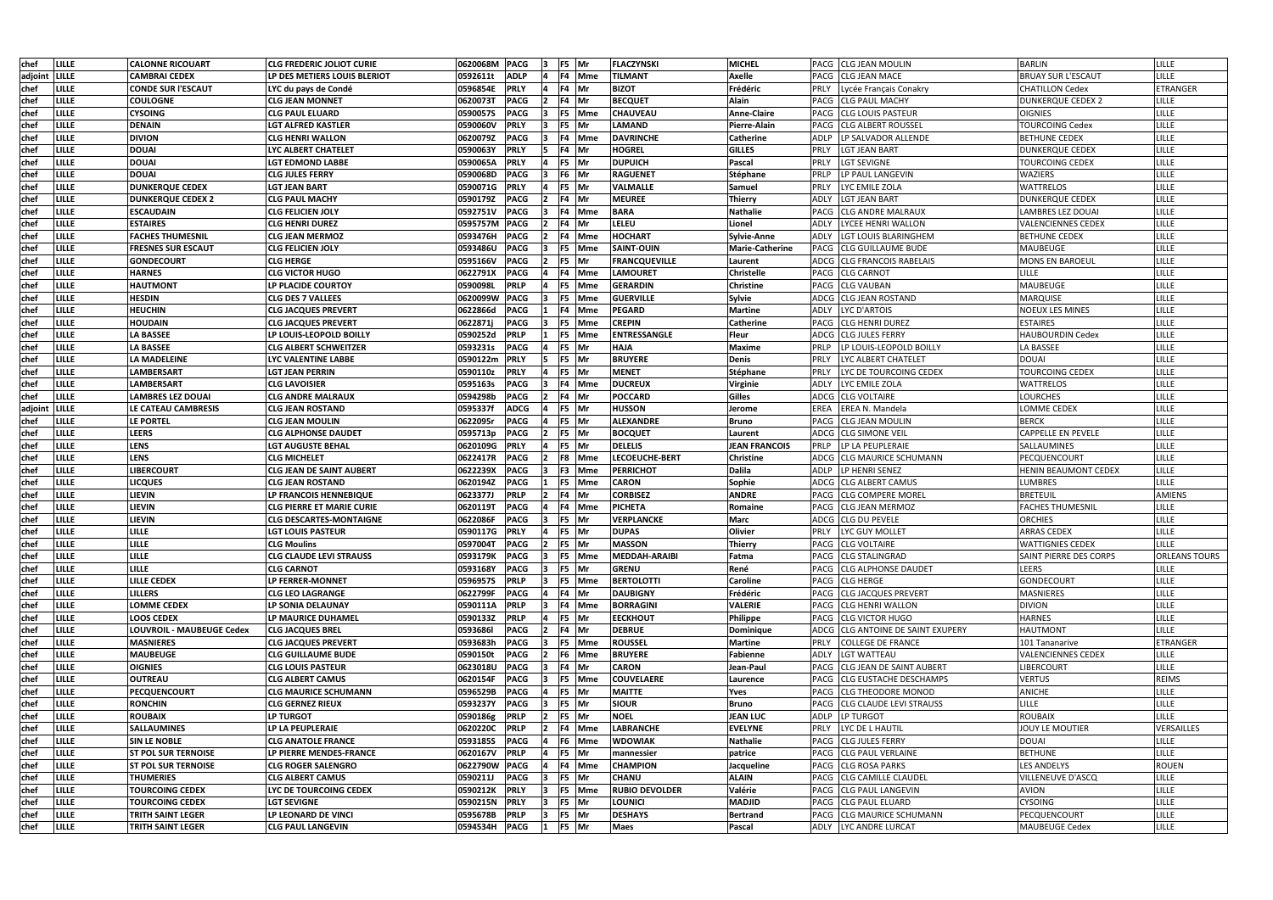| chef        | LILLE         | <b>CALONNE RICOUART</b>    | <b>CLG FREDERIC JOLIOT CURIE</b> | 0620068M PACG |             | 13.            | F5 Mr         | <b>FLACZYNSKI</b>     | <b>MICHEL</b>          | PACG CLG JEAN MOULIN                     | <b>BARLIN</b>                 | <b>LILLE</b>         |
|-------------|---------------|----------------------------|----------------------------------|---------------|-------------|----------------|---------------|-----------------------|------------------------|------------------------------------------|-------------------------------|----------------------|
|             | adjoint LILLE | <b>CAMBRAI CEDEX</b>       | LP DES METIERS LOUIS BLERIOT     | 0592611t      | <b>ADLP</b> |                | F4 Mme        | TILMANT               | Axelle                 | PACG CLG JEAN MACE                       | <b>BRUAY SUR L'ESCAUT</b>     | <b>LILLE</b>         |
| chef        | LILLE         | <b>CONDE SUR l'ESCAUT</b>  | LYC du pays de Condé             | 0596854E      | <b>PRLY</b> |                | F4 Mr         | <b>BIZOT</b>          | Frédéric               | PRLY<br>Lycée Français Conakry           | <b>CHATILLON Cedex</b>        | ETRANGER             |
| chef        | LILLE         | <b>COULOGNE</b>            | <b>CLG JEAN MONNET</b>           | 0620073T      | <b>PACG</b> |                | F4 Mr         | <b>BECQUET</b>        | Alain                  | PACG<br><b>CLG PAUL MACHY</b>            | <b>DUNKERQUE CEDEX 2</b>      | LILLE                |
| chef        | LILLE         | <b>CYSOING</b>             | <b>CLG PAUL ELUARD</b>           | 0590057S      | <b>PACG</b> |                | F5 Mme        | <b>CHAUVEAU</b>       | <b>Anne-Claire</b>     | <b>CLG LOUIS PASTEUR</b><br><b>PACG</b>  | <b>OIGNIES</b>                | LILLE                |
| chef        | LILLE         | <b>DENAIN</b>              | LGT ALFRED KASTLER               | 0590060V      | <b>PRLY</b> | 13             | F5 Mr         | <b>LAMAND</b>         | Pierre-Alain           | <b>CLG ALBERT ROUSSEL</b><br><b>PACG</b> | <b>TOURCOING Cedex</b>        | LILLE                |
| chef        | LILLE         | <b>DIVION</b>              | <b>CLG HENRI WALLON</b>          | 0620079Z      | <b>PACG</b> | 13             | F4 Mme        | <b>DAVRINCHE</b>      | <b>Catherine</b>       | ADLP<br>LP SALVADOR ALLENDE              | <b>BETHUNE CEDEX</b>          | LILLE                |
| chef        | LILLE         | <b>DOUAI</b>               | LYC ALBERT CHATELET              | 0590063Y      | <b>PRLY</b> | 15.            | F4 Mr         | <b>HOGREL</b>         | <b>GILLES</b>          | PRLY<br><b>LGT JEAN BART</b>             | <b>DUNKERQUE CEDEX</b>        | LILLE                |
| chef        | LILLE         | <b>DOUAI</b>               | <b>LGT EDMOND LABBE</b>          | 0590065A      | <b>PRLY</b> |                | F5 Mr         | <b>DUPUICH</b>        | Pascal                 | PRLY<br><b>LGT SEVIGNE</b>               | <b>TOURCOING CEDEX</b>        | LILLE                |
| chef        | LILLE         | <b>DOUAI</b>               | <b>CLG JULES FERRY</b>           | 0590068D      | <b>PACG</b> |                | F6 Mr         | <b>RAGUENET</b>       | Stéphane               | PRLP<br>LP PAUL LANGEVIN                 | WAZIERS                       | LILLE                |
| chef        | LILLE         | <b>DUNKERQUE CEDEX</b>     | <b>LGT JEAN BART</b>             | 0590071G      | <b>PRLY</b> |                | F5 Mr         | <b>VALMALLE</b>       | Samuel                 | PRLY<br>LYC EMILE ZOLA                   | <b>WATTRELOS</b>              | LILLE                |
| <b>chef</b> | LILLE         | <b>DUNKERQUE CEDEX 2</b>   | <b>CLG PAUL MACHY</b>            | 0590179Z      | <b>PACG</b> |                | F4 Mr         | <b>MEUREE</b>         | Thierry                | <b>LGT JEAN BART</b><br><b>ADLY</b>      | <b>DUNKERQUE CEDEX</b>        | LILLE                |
| chef        | LILLE         | <b>ESCAUDAIN</b>           | <b>CLG FELICIEN JOLY</b>         | 0592751V      | <b>PACG</b> |                | F4 Mme        | <b>BARA</b>           | Nathalie               | <b>CLG ANDRE MALRAUX</b><br>PACG         | <b>LAMBRES LEZ DOUAI</b>      | LILLE                |
| chef        | LILLE         | <b>ESTAIRES</b>            | <b>CLG HENRI DUREZ</b>           | 0595757M      | <b>PACG</b> |                | F4 Mr         | <b>LELEU</b>          | Lionel                 | <b>ADLY</b><br>LYCEE HENRI WALLON        | <b>VALENCIENNES CEDEX</b>     | <b>LILLE</b>         |
| chef        | <b>LILLE</b>  | <b>FACHES THUMESNIL</b>    | CLG JEAN MERMOZ                  | 0593476H      | <b>PACG</b> |                | F4 Mme        | <b>HOCHART</b>        | Sylvie-Anne            | <b>ADLY</b><br>LGT LOUIS BLARINGHEM      | <b>BETHUNE CEDEX</b>          | LILLE                |
| chef        | LILLE         | <b>FRESNES SUR ESCAUT</b>  | <b>CLG FELICIEN JOLY</b>         | 0593486U      | <b>PACG</b> |                | F5 Mme        | <b>SAINT-OUIN</b>     | <b>Marie-Catherine</b> | PACG<br><b>CLG GUILLAUME BUDE</b>        | <b>MAUBEUGE</b>               | LILLE                |
| chef        | LILLE         | <b>GONDECOURT</b>          | <b>CLG HERGE</b>                 | 0595166V      | <b>PACG</b> |                | F5 Mr         | <b>FRANCQUEVILLE</b>  | Laurent                | ADCG<br><b>CLG FRANCOIS RABELAIS</b>     | <b>MONS EN BAROEUL</b>        | LILLE                |
| <b>chef</b> | LILLE         | <b>HARNES</b>              | <b>CLG VICTOR HUGO</b>           | 0622791X      | <b>PACG</b> |                | F4 Mme        | <b>LAMOURET</b>       | Christelle             | <b>CLG CARNOT</b><br>PACG                | LILLE                         | LILLE                |
| <b>chef</b> | LILLE         | <b>HAUTMONT</b>            | LP PLACIDE COURTOY               | 0590098L      | <b>PRLP</b> |                | F5 Mme        | <b>GERARDIN</b>       | <b>Christine</b>       | <b>CLG VAUBAN</b><br>PACG                | MAUBEUGE                      | LILLE                |
| chef        | LILLE         | <b>HESDIN</b>              | <b>CLG DES 7 VALLEES</b>         | 0620099W      | <b>PACG</b> | 13             | F5 Mme        | <b>GUERVILLE</b>      | Sylvie                 | ADCG<br><b>CLG JEAN ROSTAND</b>          | MARQUISE                      | LILLE                |
| chef        | LILLE         | <b>HEUCHIN</b>             | <b>CLG JACQUES PREVERT</b>       | 0622866d      | <b>PACG</b> |                | F4 Mme        | <b>PEGARD</b>         | <b>Martine</b>         | <b>ADLY</b><br>LYC D'ARTOIS              | <b>NOEUX LES MINES</b>        | LILLE                |
| chef        | LILLE         | <b>HOUDAIN</b>             | <b>CLG JACQUES PREVERT</b>       | 0622871j      | <b>PACG</b> |                | F5 Mme        | <b>CREPIN</b>         | <b>Catherine</b>       | <b>CLG HENRI DUREZ</b><br>PACG           | <b>ESTAIRES</b>               | LILLE                |
| chef        | <b>LILLE</b>  | <b>LA BASSEE</b>           | LP LOUIS-LEOPOLD BOILLY          | 0590252d      | <b>PRLP</b> |                | F5 Mme        | <b>ENTRESSANGLE</b>   | Fleur                  | <b>CLG JULES FERRY</b><br>ADCG           | <b>HAUBOURDIN Cedex</b>       | LILLE                |
| chef        | lille         | <b>LA BASSEE</b>           | <b>CLG ALBERT SCHWEITZER</b>     | 0593231s      | <b>PACG</b> |                | F5 Mr         | <b>HAJA</b>           | <b>Maxime</b>          | LP LOUIS-LEOPOLD BOILLY<br>PRLP          | <b>LA BASSEE</b>              | LILLE                |
| <b>chef</b> | <b>LILLE</b>  | LA MADELEINE               | LYC VALENTINE LABBE              | 0590122m      | <b>PRLY</b> |                | F5 Mr         | <b>BRUYERE</b>        | Denis                  | LYC ALBERT CHATELET<br><b>PRLY</b>       | <b>DOUAI</b>                  | LILLE                |
| chef        | LILLE         | LAMBERSART                 | LGT JEAN PERRIN                  | 0590110z      | <b>PRLY</b> |                | F5 Mr         | <b>MENET</b>          | Stéphane               | PRLY<br>LYC DE TOURCOING CEDEX           | <b>TOURCOING CEDEX</b>        | LILLE                |
| chef        | LILLE         | LAMBERSART                 | CLG LAVOISIER                    | 0595163s      | <b>PACG</b> |                | F4 Mme        | <b>DUCREUX</b>        | <b>Virginie</b>        | <b>ADLY</b><br>LYC EMILE ZOLA            | <b>WATTRELOS</b>              | LILLE                |
| chef        | LILLE         | LAMBRES LEZ DOUAI          | CLG ANDRE MALRAUX                | 0594298b      | <b>PACG</b> |                | F4 Mr         | <b>POCCARD</b>        | <b>Gilles</b>          | <b>CLG VOLTAIRE</b><br>ADCG              | <b>LOURCHES</b>               | LILLE                |
|             | adjoint LILLE | LE CATEAU CAMBRESIS        | <b>CLG JEAN ROSTAND</b>          | 0595337f      | <b>ADCG</b> |                | F5 Mr         | <b>HUSSON</b>         | Jerome                 | <b>EREA</b><br><b>EREA N. Mandela</b>    | LOMME CEDEX                   | LILLE                |
| chef        | LILLE         | <b>LE PORTEL</b>           | <b>CLG JEAN MOULIN</b>           | 0622095r      | <b>PACG</b> |                | F5 Mr         | <b>ALEXANDRE</b>      | <b>Bruno</b>           | <b>CLG JEAN MOULIN</b><br>PACG           | <b>BERCK</b>                  | LILLE                |
| chef        | LILLE         | <b>LEERS</b>               | <b>CLG ALPHONSE DAUDET</b>       | 0595713p      | <b>PACG</b> |                | F5 Mr         | <b>BOCQUET</b>        | Laurent                | <b>CLG SIMONE VEIL</b><br>ADCG           | CAPPELLE EN PEVELE            | LILLE                |
| chef        | LILLE         | <b>LENS</b>                | <b>LGT AUGUSTE BEHAL</b>         | 0620109G      | <b>PRLY</b> | 14             | F5 Mr         | <b>DELELIS</b>        | JEAN FRANCOIS          | PRLP<br>LP LA PEUPLERAIE                 | SALLAUMINES                   | LILLE                |
| chef        | <b>LILLE</b>  | <b>LENS</b>                | <b>CLG MICHELET</b>              | 0622417R      | <b>PACG</b> | 12.            | <b>F8</b> Mme | <b>LECOEUCHE-BERT</b> | <b>Christine</b>       | ADCG CLG MAURICE SCHUMANN                | PECQUENCOURT                  | LILLE                |
| chef        | LILLE         | <b>LIBERCOURT</b>          | <b>CLG JEAN DE SAINT AUBERT</b>  | 0622239X      | <b>PACG</b> |                | F3 Mme        | <b>PERRICHOT</b>      | <b>Dalila</b>          | LP HENRI SENEZ<br><b>ADLP</b>            | <b>HENIN BEAUMONT CEDEX</b>   | LILLE                |
| chef        | LILLE         | <b>LICQUES</b>             | <b>CLG JEAN ROSTAND</b>          | 0620194Z      | <b>PACG</b> |                | F5 Mme        | <b>CARON</b>          | Sophie                 | <b>CLG ALBERT CAMUS</b><br>ADCG          | <b>LUMBRES</b>                | LILLE                |
| chef        | lille         | <b>LIEVIN</b>              | LP FRANCOIS HENNEBIQUE           | 0623377J      | <b>PRLP</b> |                | $FA$ Mr       | <b>CORBISEZ</b>       | <b>ANDRE</b>           | <b>CLG COMPERE MOREL</b><br>PACG         | <b>BRETEUIL</b>               | <b>AMIENS</b>        |
| <b>chef</b> | LILLE         | <b>LIEVIN</b>              | CLG PIERRE ET MARIE CURIE        | 06201197      | <b>PACG</b> |                | F4 Mme        | <b>PICHETA</b>        | Romaine                | <b>PACG</b><br><b>CLG JEAN MERMOZ</b>    | <b>FACHES THUMESNIL</b>       | <b>LILLE</b>         |
| <b>chef</b> | LILLE         | <b>LIEVIN</b>              | <b>CLG DESCARTES-MONTAIGNE</b>   | 0622086F      | <b>PACG</b> |                | F5 Mr         | VERPLANCKE            | Marc                   | <b>CLG DU PEVELE</b><br>ADCG             | <b>ORCHIES</b>                | <b>LILLE</b>         |
| <b>chef</b> | <b>LILLE</b>  | <b>LILLE</b>               | <b>LGT LOUIS PASTEUR</b>         | 0590117G PRLY |             | $\overline{a}$ | F5 Mr         | <b>DUPAS</b>          | <b>Olivier</b>         | PRLY<br>LYC GUY MOLLET                   | <b>ARRAS CEDEX</b>            | LILLE                |
| chef        | <b>LILLE</b>  | <b>LILLE</b>               | <b>CLG Moulins</b>               | 0597004T      | <b>PACG</b> | 12.            | F5 Mr         | <b>MASSON</b>         | Thierry                | PACG CLG VOLTAIRE                        | <b>WATTIGNIES CEDEX</b>       | <b>LILLE</b>         |
| chef        | <b>LILLE</b>  | <b>LILLE</b>               | <b>CLG CLAUDE LEVI STRAUSS</b>   | 0593179K      | <b>PACG</b> |                | F5 Mme        | <b>MEDDAH-ARAIBI</b>  | Fatma                  | PACG CLG STALINGRAD                      | <b>SAINT PIERRE DES CORPS</b> | <b>ORLEANS TOURS</b> |
| chef        | LILLE         | <b>LILLE</b>               | <b>CLG CARNOT</b>                | 0593168Y      | <b>PACG</b> |                | F5 Mr         | <b>GRENU</b>          | René                   | <b>CLG ALPHONSE DAUDET</b><br>PACG       | <b>LEERS</b>                  | LILLE                |
| chef        | LILLE         | <b>LILLE CEDEX</b>         | LP FERRER-MONNET                 | 0596957S      | <b>PRLP</b> |                | F5 Mme        | <b>BERTOLOTTI</b>     | <b>Caroline</b>        | PACG CLG HERGE                           | GONDECOURT                    | <b>LILLE</b>         |
| chef        | <b>LILLE</b>  | <b>LILLERS</b>             | <b>CLG LEO LAGRANGE</b>          | 0622799F      | <b>PACG</b> |                | F4 Mr         | <b>DAUBIGNY</b>       | Frédéric               | PACG CLG JACQUES PREVERT                 | <b>MASNIERES</b>              | LILLE                |
| chef        | LILLE         | LOMME CEDEX                | LP SONIA DELAUNAY                | 0590111A      | <b>PRLP</b> | 13.            | F4 Mme        | <b>BORRAGINI</b>      | <b>VALERIE</b>         | PACG ICLG HENRI WALLON                   | <b>DIVION</b>                 | LILLE                |
| chef        | LILLE         | <b>LOOS CEDEX</b>          | LP MAURICE DUHAMEL               | 0590133Z      | <b>PRLP</b> |                | F5 Mr         | <b>EECKHOUT</b>       | Philippe               | PACG CLG VICTOR HUGO                     | <b>HARNES</b>                 | LILLE                |
| chef        | LILLE         | LOUVROIL - MAUBEUGE Cedex  | <b>CLG JACQUES BREL</b>          | 05936861      | <b>PACG</b> |                | F4 Mr         | <b>DEBRUE</b>         | Dominique              | ADCG CLG ANTOINE DE SAINT EXUPERY        | HAUTMONT                      | LILLE                |
| chef        | LILLE         | <b>MASNIERES</b>           | <b>CLG JACQUES PREVERT</b>       | 0593683h      | <b>PACG</b> |                | F5 Mme        | <b>ROUSSEL</b>        | <b>Martine</b>         | <b>PRLY</b><br><b>COLLEGE DE FRANCE</b>  | 101 Tananarive                | ETRANGER             |
| chef        | <b>LILLE</b>  | <b>MAUBEUGE</b>            | <b>CLG GUILLAUME BUDE</b>        | 0590150t      | <b>PACG</b> |                | F6 Mme        | <b>BRUYERE</b>        | Fabienne               | LGT WATTEAU<br>ADLY                      | <b>VALENCIENNES CEDEX</b>     | <b>LILLE</b>         |
| chef        | LILLE         | <b>OIGNIES</b>             | <b>CLG LOUIS PASTEUR</b>         | 0623018U      | <b>PACG</b> |                | F4 Mr         | <b>CARON</b>          | Jean-Paul              | PACG CLG JEAN DE SAINT AUBERT            | <b>LIBERCOURT</b>             | <b>LILLE</b>         |
| chef        | LILLE         | <b>OUTREAU</b>             | <b>CLG ALBERT CAMUS</b>          | 0620154F      | <b>PACG</b> |                | F5 Mme        | <b>COUVELAERE</b>     | Laurence               | <b>CLG EUSTACHE DESCHAMPS</b><br>PACG    | <b>VERTUS</b>                 | <b>REIMS</b>         |
| chef        | LILLE         | <b>PECQUENCOURT</b>        | <b>CLG MAURICE SCHUMANN</b>      | 0596529B      | <b>PACG</b> |                | F5 Mr         | <b>MAITTE</b>         | Yves                   | PACG CLG THEODORE MONOD                  | <b>ANICHE</b>                 | LILLE                |
| chef        | LILLE         | <b>RONCHIN</b>             | <b>CLG GERNEZ RIEUX</b>          | 0593237Y      | <b>PACG</b> |                | F5 Mr         | <b>SIOUR</b>          | Bruno                  | PACG<br><b>CLG CLAUDE LEVI STRAUSS</b>   | LILLE                         | LILLE                |
| chef        | LILLE         | <b>ROUBAIX</b>             | <b>LP TURGOT</b>                 | 0590186g      | <b>PRLP</b> |                | F5 Mr         | <b>NOEL</b>           | <b>JEAN LUC</b>        | <b>ADLP</b><br>LP TURGOT                 | <b>ROUBAIX</b>                | LILLE                |
| <b>chef</b> | LILLE         | <b>SALLAUMINES</b>         | LP LA PEUPLERAIE                 | 0620220C PRLP |             |                | F4 Mme        | <b>LABRANCHE</b>      | <b>EVELYNE</b>         | PRLY<br>LYC DE L HAUTIL                  | JOUY LE MOUTIER               | VERSAILLES           |
| chef        | LILLE         | <b>SIN LE NOBLE</b>        | <b>CLG ANATOLE FRANCE</b>        | 0593185S      | <b>PACG</b> |                | F6 Mme        | <b>WDOWIAK</b>        | Nathalie               | <b>CLG JULES FERRY</b><br>PACG           | <b>DOUAI</b>                  | <b>LILLE</b>         |
| chef        | LILLE         | <b>ST POL SUR TERNOISE</b> | LP PIERRE MENDES-FRANCE          | 0620167V PRLP |             |                | F5 Mr         | mannessier            | patrice                | <b>CLG PAUL VERLAINE</b><br>PACG         | <b>BETHUNE</b>                | <b>LILLE</b>         |
| chef        | LILLE         | <b>ST POL SUR TERNOISE</b> | <b>CLG ROGER SALENGRO</b>        | 0622790W PACG |             |                | F4 Mme        | <b>CHAMPION</b>       | Jacqueline             | <b>PACG CLG ROSA PARKS</b>               | <b>LES ANDELYS</b>            | ROUEN                |
| chef        | LILLE         | <b>THUMERIES</b>           | <b>CLG ALBERT CAMUS</b>          | 0590211J      | <b>PACG</b> |                | F5 Mr         | <b>CHANU</b>          | <b>ALAIN</b>           | PACG CLG CAMILLE CLAUDEL                 | <b>VILLENEUVE D'ASCQ</b>      | LILLE                |
| chef        | LILLE         | <b>TOURCOING CEDEX</b>     | LYC DE TOURCOING CEDEX           | 0590212K      | <b>PRLY</b> |                | F5 Mme        | <b>RUBIO DEVOLDER</b> | Valérie                | PACG CLG PAUL LANGEVIN                   | AVION                         | LILLE                |
| chef        | <b>LILLE</b>  | <b>TOURCOING CEDEX</b>     | LGT SEVIGNE                      | 0590215N      | <b>PRLY</b> |                | F5 Mr         | <b>LOUNICI</b>        | <b>MADJID</b>          | PACG CLG PAUL ELUARD                     | <b>CYSOING</b>                | LILLE                |
| chef        | LILLE         | <b>TRITH SAINT LEGER</b>   | LP LEONARD DE VINCI              | 0595678B      | <b>PRLP</b> |                | F5 Mr         | <b>DESHAYS</b>        | <b>Bertrand</b>        | PACG CLG MAURICE SCHUMANN                | PECQUENCOURT                  | LILLE                |
| chef        | <b>LILLE</b>  | <b>TRITH SAINT LEGER</b>   | <b>CLG PAUL LANGEVIN</b>         |               |             | 11             | F5 Mr         | <b>Maes</b>           | Pascal                 | ADLY LYC ANDRE LURCAT                    | <b>MAUBEUGE Cedex</b>         | LILLE                |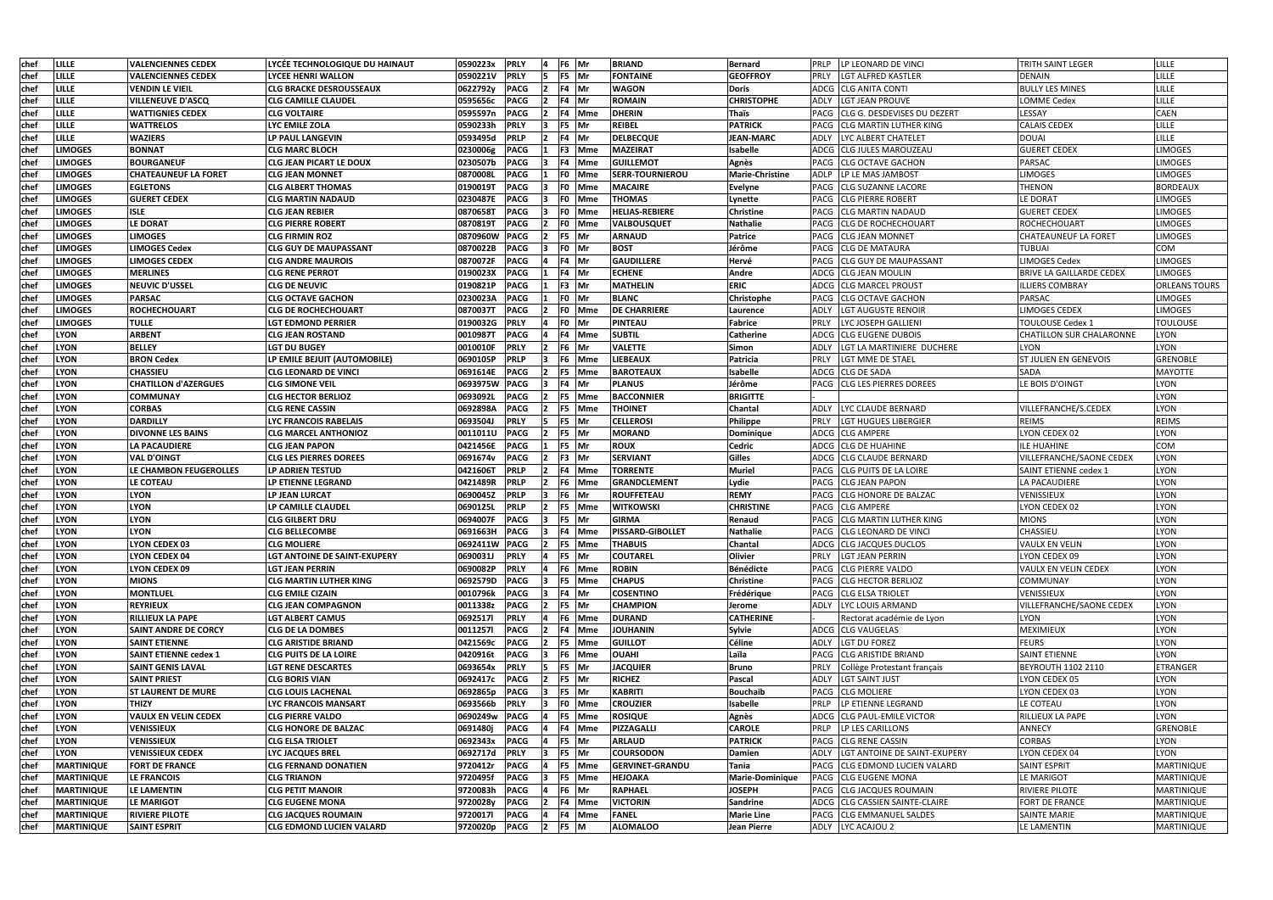| chef        | <b>LILLE</b>      | <b>VALENCIENNES CEDEX</b>    | LYCEE TECHNOLOGIQUE DU HAINAUT  | 0590223x             | <b>PRLY</b> |                | F6 Mr  |        | <b>BRIAND</b>           | <b>Bernard</b>         | PRLP<br>LP LEONARD DE VINCI                | <b>TRITH SAINT LEGER</b>        | LILLE                |
|-------------|-------------------|------------------------------|---------------------------------|----------------------|-------------|----------------|--------|--------|-------------------------|------------------------|--------------------------------------------|---------------------------------|----------------------|
| chef        | LILLE             | <b>VALENCIENNES CEDEX</b>    | LYCEE HENRI WALLON              | 0590221V             | <b>PRLY</b> |                | F5 Mr  |        | <b>FONTAINE</b>         | <b>GEOFFROY</b>        | <b>PRLY</b><br>LGT ALFRED KASTLER          | <b>DENAIN</b>                   | LILLE                |
| chef        | LILLE             | <b>VENDIN LE VIEIL</b>       | <b>CLG BRACKE DESROUSSEAUX</b>  | 0622792y             | <b>PACG</b> |                | F4 Mr  |        | <b>WAGON</b>            | <b>Doris</b>           | ADCG<br><b>CLG ANITA CONTI</b>             | <b>BULLY LES MINES</b>          | LILLE                |
| chef        | <b>LILLE</b>      | <b>VILLENEUVE D'ASCQ</b>     | <b>CLG CAMILLE CLAUDEL</b>      | 0595656c             | <b>PACG</b> |                | F4 Mr  |        | <b>ROMAIN</b>           | <b>CHRISTOPHE</b>      | <b>LGT JEAN PROUVE</b><br>ADLY             | <b>LOMME Cedex</b>              | LILLE                |
| chef        | <b>LILLE</b>      | <b>WATTIGNIES CEDEX</b>      | <b>CLG VOLTAIRE</b>             | 0595597n             | <b>PACG</b> | 12.            | F4 Mme |        | <b>DHERIN</b>           | Thaïs                  | CLG G. DESDEVISES DU DEZERT<br>PACG        | LESSAY                          | <b>CAEN</b>          |
| chef        | LILLE             | <b>WATTRELOS</b>             | LYC EMILE ZOLA                  | 0590233h             | <b>PRLY</b> | 13             | F5 Mr  |        | <b>REIBEL</b>           | <b>PATRICK</b>         | <b>CLG MARTIN LUTHER KING</b><br>PACG      | <b>CALAIS CEDEX</b>             | LILLE                |
| chef        | LILLE             | WAZIERS                      | LP PAUL LANGEVIN                | 0593495d             | <b>PRLP</b> | 12             | F4 Mr  |        | <b>DELBECQUE</b>        | <b>JEAN-MARC</b>       | LYC ALBERT CHATELET<br>ADLY                | <b>DOUAI</b>                    | LILLE                |
| chef        | <b>LIMOGES</b>    | <b>BONNAT</b>                | <b>CLG MARC BLOCH</b>           | 0230006g             | <b>PACG</b> |                | F3 Mme |        | <b>MAZEIRAT</b>         | Isabelle               | ADCG CLG JULES MAROUZEAU                   | <b>GUERET CEDEX</b>             | <b>LIMOGES</b>       |
| chef        | <b>LIMOGES</b>    | <b>BOURGANEUF</b>            | <b>CLG JEAN PICART LE DOUX</b>  | 0230507b             | <b>PACG</b> |                | F4 Mme |        | <b>GUILLEMOT</b>        | Agnès                  | PACG CLG OCTAVE GACHON                     | <b>PARSAC</b>                   | <b>LIMOGES</b>       |
| chef        | <b>LIMOGES</b>    | <b>CHATEAUNEUF LA FORET</b>  | <b>CLG JEAN MONNET</b>          | 0870008L             | <b>PACG</b> |                | F0 Mme |        | <b>SERR-TOURNIEROU</b>  | Marie-Christine        | LP LE MAS JAMBOST<br>ADLP                  | <b>LIMOGES</b>                  | <b>LIMOGES</b>       |
| chef        | <b>LIMOGES</b>    | <b>EGLETONS</b>              | <b>CLG ALBERT THOMAS</b>        | 0190019T             | <b>PACG</b> |                | F0 Mme |        | <b>MACAIRE</b>          | Evelyne                | PACG CLG SUZANNE LACORE                    | <b>THENON</b>                   | <b>BORDEAUX</b>      |
| chef        | <b>LIMOGES</b>    | <b>GUERET CEDEX</b>          | CLG MARTIN NADAUD               | 0230487E             | <b>PACG</b> |                | F0 Mme |        | <b>THOMAS</b>           | Lynette                | <b>CLG PIERRE ROBERT</b><br>PACG           | <b>LE DORAT</b>                 | <b>LIMOGES</b>       |
| chef        | <b>LIMOGES</b>    | <b>ISLE</b>                  | <b>CLG JEAN REBIER</b>          | 0870658T             | <b>PACG</b> |                | F0 Mme |        | <b>HELIAS-REBIERE</b>   | <b>Christine</b>       | <b>CLG MARTIN NADAUD</b><br>PACG           | <b>GUERET CEDEX</b>             | <b>LIMOGES</b>       |
| chef        | <b>LIMOGES</b>    | LE DORAT                     | CLG PIERRE ROBERT               |                      | <b>PACG</b> |                | F0 Mme |        |                         | <b>Nathalie</b>        | PACG<br><b>ICLG DE ROCHECHOUART</b>        | ROCHECHOUART                    | <b>LIMOGES</b>       |
| chef        | <b>LIMOGES</b>    | <b>LIMOGES</b>               | CLG FIRMIN ROZ                  | 0870819T<br>0870960W | <b>PACG</b> |                | F5 Mr  |        | VALBOUSQUET<br>ARNAUD   | Patrice                | PACG<br><b>CLG JEAN MONNET</b>             | <b>CHATEAUNEUF LA FORET</b>     | <b>LIMOGES</b>       |
|             | <b>LIMOGES</b>    | LIMOGES Cedex                | CLG GUY DE MAUPASSANT           | 0870022B             | <b>PACG</b> |                | F0 Mr  |        | <b>BOST</b>             | Jérôme                 | <b>CLG DE MATAURA</b><br>PACG              | <b>TUBUAI</b>                   | COM                  |
| chef        |                   |                              |                                 |                      |             |                |        |        |                         |                        |                                            |                                 |                      |
| chef        | <b>LIMOGES</b>    | <b>LIMOGES CEDEX</b>         | <b>CLG ANDRE MAUROIS</b>        | 0870072F             | <b>PACG</b> |                | F4 Mr  |        | <b>GAUDILLERE</b>       | Hervé                  | <b>CLG GUY DE MAUPASSANT</b><br>PACG       | <b>LIMOGES Cedex</b>            | <b>LIMOGES</b>       |
| chef        | <b>LIMOGES</b>    | <b>MERLINES</b>              | <b>CLG RENE PERROT</b>          | 0190023X             | <b>PACG</b> |                | F4 Mr  |        | <b>ECHENE</b>           | Andre                  | ADCG<br><b>CLG JEAN MOULIN</b>             | <b>BRIVE LA GAILLARDE CEDEX</b> | <b>LIMOGES</b>       |
| <b>chef</b> | <b>LIMOGES</b>    | <b>NEUVIC D'USSEL</b>        | <b>CLG DE NEUVIC</b>            | 0190821P             | <b>PACG</b> |                | F3 Mr  |        | MATHELIN                | <b>ERIC</b>            | ADCG<br><b>CLG MARCEL PROUST</b>           | <b>ILLIERS COMBRAY</b>          | <b>ORLEANS TOURS</b> |
| chef        | <b>LIMOGES</b>    | <b>PARSAC</b>                | <b>CLG OCTAVE GACHON</b>        | 0230023A             | <b>PACG</b> |                | F0 Mr  |        | <b>BLANC</b>            | Christophe             | PACG CLG OCTAVE GACHON                     | <b>PARSAC</b>                   | <b>LIMOGES</b>       |
| <b>chef</b> | <b>LIMOGES</b>    | <b>ROCHECHOUART</b>          | <b>CLG DE ROCHECHOUART</b>      | 0870037T             | <b>PACG</b> | $\overline{2}$ | F0 Mme |        | <b>DE CHARRIERE</b>     | Laurence               | ADLY<br><b>ILGT AUGUSTE RENOIR</b>         | <b>LIMOGES CEDEX</b>            | <b>LIMOGES</b>       |
| chef        | <b>LIMOGES</b>    | <b>TULLE</b>                 | <b>LGT EDMOND PERRIER</b>       | 0190032G             | <b>PRLY</b> |                | F0 Mr  |        | <b>PINTEAU</b>          | Fabrice                | LYC JOSEPH GALLIENI<br><b>PRLY</b>         | <b>TOULOUSE Cedex 1</b>         | <b>TOULOUSE</b>      |
| chef        | LYON              | <b>ARBENT</b>                | <b>CLG JEAN ROSTAND</b>         | 0010987T             | <b>PACG</b> |                | F4 Mme |        | <b>SUBTIL</b>           | <b>Catherine</b>       | ADCG CLG EUGENE DUBOIS                     | <b>CHATILLON SUR CHALARONNE</b> | <b>LYON</b>          |
| chef        | <b>LYON</b>       | <b>BELLEY</b>                | <b>LGT DU BUGEY</b>             | 0010010F             | <b>PRLY</b> |                | F6 Mr  |        | <b>VALETTE</b>          | Simon                  | LGT LA MARTINIERE DUCHERE<br><b>ADLY</b>   | LYON                            | <b>LYON</b>          |
| chef        | <b>LYON</b>       | <b>BRON Cedex</b>            | LP EMILE BEJUIT (AUTOMOBILE)    | 0690105P             | <b>PRLP</b> |                | F6 Mme |        | <b>LIEBEAUX</b>         | Patricia               | PRLY<br>LGT MME DE STAEL                   | <b>ST JULIEN EN GENEVOIS</b>    | <b>GRENOBLE</b>      |
| chef        | <b>LYON</b>       | <b>CHASSIEU</b>              | <b>CLG LEONARD DE VINCI</b>     | 0691614E             | <b>PACG</b> |                | F5 Mme |        | <b>BAROTEAUX</b>        | Isabelle               | ADCG CLG DE SADA                           | <b>SADA</b>                     | MAYOTTE              |
| chef        | <b>LYON</b>       | <b>CHATILLON d'AZERGUES</b>  | <b>CLG SIMONE VEIL</b>          | 0693975W             | <b>PACG</b> |                | F4 Mr  |        | PLANUS                  | Jérôme                 | <b>CLG LES PIERRES DOREES</b><br>PACG      | LE BOIS D'OINGT                 | <b>LYON</b>          |
| chef        | <b>LYON</b>       | COMMUNAY                     | CLG HECTOR BERLIOZ              | 0693092L             | <b>PACG</b> |                | F5 Mme |        | <b>BACCONNIER</b>       | <b>BRIGITTE</b>        |                                            |                                 | <b>LYON</b>          |
| chef        | <b>LYON</b>       | <b>CORBAS</b>                | <b>CLG RENE CASSIN</b>          | 0692898A             | <b>PACG</b> |                | F5 Mme |        | <b>THOINET</b>          | Chantal                | LYC CLAUDE BERNARD<br>ADLY                 | VILLEFRANCHE/S.CEDEX            | <b>LYON</b>          |
| chef        | <b>LYON</b>       | <b>DARDILLY</b>              | <b>LYC FRANCOIS RABELAIS</b>    | 0693504J             | <b>PRLY</b> | 15.            | F5 Mr  |        | <b>CELLEROSI</b>        | Philippe               | PRLY<br><b>LGT HUGUES LIBERGIER</b>        | <b>REIMS</b>                    | <b>REIMS</b>         |
| chef        | <b>LYON</b>       | <b>DIVONNE LES BAINS</b>     | <b>CLG MARCEL ANTHONIOZ</b>     | 0011011U             | <b>PACG</b> |                | F5 Mr  |        | <b>MORAND</b>           | Dominique              | ADCG CLG AMPERE                            | LYON CEDEX 02                   | <b>LYON</b>          |
| chef        | <b>LYON</b>       | <b>LA PACAUDIERE</b>         | <b>CLG JEAN PAPON</b>           | 0421456E             | <b>PACG</b> |                | F5 Mr  |        | <b>ROUX</b>             | <b>Cedric</b>          | ADCG CLG DE HUAHINE                        | <b>ILE HUAHINE</b>              | COM                  |
| chef        | <b>LYON</b>       | <b>VAL D'OINGT</b>           | <b>CLG LES PIERRES DOREES</b>   | 0691674v             | <b>PACG</b> |                | F3 Mr  |        | <b>SERVIANT</b>         | Gilles                 | ADCG CLG CLAUDE BERNARD                    | <b>VILLEFRANCHE/SAONE CEDEX</b> | <b>LYON</b>          |
| chef        | <b>LYON</b>       | LE CHAMBON FEUGEROLLES       | LP ADRIEN TESTUD                | 0421606T             | <b>PRLP</b> |                | F4 Mme |        | <b>TORRENTE</b>         | <b>Muriel</b>          | <b>CLG PUITS DE LA LOIRE</b><br>PACG       | SAINT ETIENNE cedex 1           | <b>LYON</b>          |
| chef        | <b>LYON</b>       | <b>LE COTEAU</b>             | LP ETIENNE LEGRAND              | 0421489R             | <b>PRLP</b> |                | F6 Mme |        | <b>GRANDCLEMENT</b>     | Lydie                  | PACG CLG JEAN PAPON                        | LA PACAUDIERE                   | <b>LYON</b>          |
| chef        | LYON              | <b>LYON</b>                  | LP JEAN LURCAT                  | 0690045Z             | <b>PRLP</b> |                | F6 Mr  |        | <b>ROUFFETEAU</b>       | <b>REMY</b>            | <b>CLG HONORE DE BALZAC</b><br>PACG        | VENISSIEUX                      | <b>LYON</b>          |
| chef        | <b>LYON</b>       | <b>LYON</b>                  | LP CAMILLE CLAUDEL              | 0690125L             | <b>PRLP</b> | 12             | F5 Mme |        | <b>WITKOWSKI</b>        | <b>CHRISTINE</b>       | PACG<br><b>CLG AMPERE</b>                  | LYON CEDEX 02                   | <b>LYON</b>          |
| chef        | <b>LYON</b>       | <b>LYON</b>                  | <b>CLG GILBERT DRU</b>          | 0694007F             | <b>PACG</b> |                | F5 Mr  |        | GIRMA                   | Renaud                 | <b>CLG MARTIN LUTHER KING</b><br>PACG      | <b>MIONS</b>                    | <b>LYON</b>          |
| chef        | <b>LYON</b>       | <b>LYON</b>                  | <b>CLG BELLECOMBE</b>           | 0691663H   PACG      |             | 13             |        | F4 Mme | <b>PISSARD-GIBOLLET</b> | <b>Nathalie</b>        | PACG CLG LEONARD DE VINCI                  | <b>CHASSIEU</b>                 | <b>LYON</b>          |
| chef        | <b>LYON</b>       | LYON CEDEX 03                | <b>CLG MOLIERE</b>              | 0692411W PACG        |             |                | F5 Mme |        | <b>THABUIS</b>          | <b>Chantal</b>         | ADCG CLG JACQUES DUCLOS                    | <b>VAULX EN VELIN</b>           | <b>LYON</b>          |
| chef        | <b>LYON</b>       | LYON CEDEX 04                | LGT ANTOINE DE SAINT-EXUPERY    | 0690031J             | <b>PRLY</b> |                | F5 Mr  |        | <b>COUTAREL</b>         | Olivier                | PRLY<br><b>LGT JEAN PERRIN</b>             | LYON CEDEX 09                   | <b>LYON</b>          |
| chef        | <b>LYON</b>       | <b>LYON CEDEX 09</b>         | <b>LGT JEAN PERRIN</b>          | 0690082P             | <b>PRLY</b> |                | F6 Mme |        | <b>ROBIN</b>            | Bénédicte              | PACG CLG PIERRE VALDO                      | VAULX EN VELIN CEDEX            | <b>LYON</b>          |
| chef        | <b>LYON</b>       | <b>MIONS</b>                 | <b>CLG MARTIN LUTHER KING</b>   | 0692579D             | <b>PACG</b> |                | F5 Mme |        | <b>CHAPUS</b>           | Christine              | PACG CLG HECTOR BERLIOZ                    | COMMUNAY                        | <b>LYON</b>          |
| chef        | <b>LYON</b>       | <b>MONTLUEL</b>              | <b>CLG EMILE CIZAIN</b>         | 0010796k             | <b>PACG</b> | 13             | F4 Mr  |        | <b>COSENTINO</b>        | Frédérique             | <b>PACG CLG ELSA TRIOLET</b>               | VENISSIEUX                      | <b>LYON</b>          |
| chef        | <b>LYON</b>       | <b>REYRIEUX</b>              | <b>CLG JEAN COMPAGNON</b>       | 0011338z             | <b>PACG</b> | $\mathbf{r}$   | F5 Mr  |        | <b>CHAMPION</b>         | Jerome                 | ADLY LYC LOUIS ARMAND                      | <b>VILLEFRANCHE/SAONE CEDEX</b> | <b>LYON</b>          |
| chef        | <b>LYON</b>       | RILLIEUX LA PAPE             | LGT ALBERT CAMUS                | 06925171             | <b>PRLY</b> |                | F6 Mme |        | <b>DURAND</b>           | <b>CATHERINE</b>       | Rectorat académie de Lyon                  | LYON                            | <b>LYON</b>          |
| chef        | <b>LYON</b>       | <b>SAINT ANDRE DE CORCY</b>  | <b>CLG DE LA DOMBES</b>         | 00112571             | <b>PACG</b> |                | F4 Mme |        | <b>JOUHANIN</b>         | Sylvie                 | ADCG CLG VAUGELAS                          | MEXIMIEUX                       | <b>LYON</b>          |
| chef        | <b>LYON</b>       | <b>SAINT ETIENNE</b>         | <b>CLG ARISTIDE BRIAND</b>      | 0421569c             | <b>PACG</b> |                | F5 Mme |        | <b>GUILLOT</b>          | Céline                 | LGT DU FOREZ<br><b>ADLY</b>                | <b>FEURS</b>                    | <b>LYON</b>          |
| chef        | <b>LYON</b>       | <b>SAINT ETIENNE cedex 1</b> | <b>CLG PUITS DE LA LOIRE</b>    | 0420916t             | <b>PACG</b> |                | F6 Mme |        | <b>OUAHI</b>            | Laïla                  | PACG CLG ARISTIDE BRIAND                   | <b>SAINT ETIENNE</b>            | <b>LYON</b>          |
| chef        | <b>LYON</b>       | <b>SAINT GENIS LAVAL</b>     | <b>LGT RENE DESCARTES</b>       | 0693654x             | <b>PRLY</b> | 15             | F5 Mr  |        | <b>JACQUIER</b>         | <b>Bruno</b>           | <b>PRLY</b><br>Collège Protestant français | <b>BEYROUTH 1102 2110</b>       | ETRANGER             |
| chef        | <b>LYON</b>       | <b>SAINT PRIEST</b>          | <b>CLG BORIS VIAN</b>           | 0692417c             | <b>PACG</b> |                | F5 Mr  |        | <b>RICHEZ</b>           | Pascal                 | ADLY<br><b>LGT SAINT JUST</b>              | LYON CEDEX 05                   | <b>LYON</b>          |
| chef        | <b>LYON</b>       | <b>ST LAURENT DE MURE</b>    | <b>CLG LOUIS LACHENAL</b>       | 0692865p             | <b>PACG</b> |                | F5 Mr  |        | <b>KABRITI</b>          | <b>Bouchaib</b>        | PACG<br><b>CLG MOLIERE</b>                 | LYON CEDEX 03                   | <b>LYON</b>          |
| chef        | <b>LYON</b>       | <b>THIZY</b>                 | LYC FRANCOIS MANSART            | 0693566b             | <b>PRLY</b> |                | F0 Mme |        | <b>CROUZIER</b>         | <b>Isabelle</b>        | PRLP<br>LP ETIENNE LEGRAND                 | LE COTEAU                       | <b>LYON</b>          |
| chef        | <b>LYON</b>       | <b>VAULX EN VELIN CEDEX</b>  | <b>CLG PIERRE VALDO</b>         | 0690249w             | <b>PACG</b> |                | F5 Mme |        | <b>ROSIQUE</b>          | Agnès                  | ADCG<br><b>CLG PAUL-EMILE VICTOR</b>       | <b>RILLIEUX LA PAPE</b>         | <b>LYON</b>          |
| chef        | <b>LYON</b>       | <b>VENISSIEUX</b>            | <b>CLG HONORE DE BALZAC</b>     | 0691480j             | <b>PACG</b> |                | F4 Mme |        | PIZZAGALLI              | <b>CAROLE</b>          | PRLP<br>LP LES CARILLONS                   | <b>ANNECY</b>                   | <b>GRENOBLE</b>      |
| chef        | <b>LYON</b>       | <b>VENISSIEUX</b>            | <b>CLG ELSA TRIOLET</b>         | 0692343x             | <b>PACG</b> |                | F5 Mr  |        | <b>ARLAUD</b>           | <b>PATRICK</b>         | PACG<br><b>CLG RENE CASSIN</b>             | <b>CORBAS</b>                   | <b>LYON</b>          |
| chef        | <b>LYON</b>       | <b>VENISSIEUX CEDEX</b>      | LYC JACQUES BREL                | 0692717d             | <b>PRLY</b> | 13.            | F5 Mr  |        | <b>COURSODON</b>        | <b>Damien</b>          | ADLY<br>LGT ANTOINE DE SAINT-EXUPERY       | LYON CEDEX 04                   | <b>LYON</b>          |
| <b>chef</b> | <b>MARTINIQUE</b> | <b>FORT DE FRANCE</b>        | <b>CLG FERNAND DONATIEN</b>     | 9720412r             | <b>PACG</b> |                | F5 Mme |        | <b>GERVINET-GRANDU</b>  | Tania                  | PACG CLG EDMOND LUCIEN VALARD              | <b>SAINT ESPRIT</b>             | MARTINIQUE           |
| chef        | <b>MARTINIQUE</b> | <b>LE FRANCOIS</b>           | <b>CLG TRIANON</b>              | 9720495f             | <b>PACG</b> |                | F5 Mme |        | <b>HEJOAKA</b>          | <b>Marie-Dominique</b> | PACG CLG EUGENE MONA                       | LE MARIGOT                      | MARTINIQUE           |
| chef        | <b>MARTINIQUE</b> | <b>LE LAMENTIN</b>           | <b>CLG PETIT MANOIR</b>         | 9720083h             | <b>PACG</b> |                | F6 Mr  |        | <b>RAPHAEL</b>          | <b>JOSEPH</b>          | PACG CLG JACQUES ROUMAIN                   | <b>RIVIERE PILOTE</b>           | MARTINIQUE           |
| chef        | <b>MARTINIQUE</b> | <b>LE MARIGOT</b>            | <b>CLG EUGENE MONA</b>          | 9720028y             | <b>PACG</b> |                | F4 Mme |        | <b>VICTORIN</b>         | Sandrine               | ADCG CLG CASSIEN SAINTE-CLAIRE             | FORT DE FRANCE                  | MARTINIQUE           |
| chef        | <b>MARTINIQUE</b> | <b>RIVIERE PILOTE</b>        | <b>CLG JACQUES ROUMAIN</b>      | 97200171             | <b>PACG</b> |                | F4 Mme |        | <b>FANEL</b>            | <b>Marie Line</b>      | PACG CLG EMMANUEL SALDES                   | <b>SAINTE MARIE</b>             | MARTINIQUE           |
| chef        | <b>MARTINIQUE</b> | <b>SAINT ESPRIT</b>          | <b>CLG EDMOND LUCIEN VALARD</b> | 9720020p             | <b>PACG</b> | <u> 2</u>      | F5 M   |        | <b>ALOMALOO</b>         | <b>Jean Pierre</b>     | ADLY LYC ACAJOU 2                          | LE LAMENTIN                     | MARTINIQUE           |
|             |                   |                              |                                 |                      |             |                |        |        |                         |                        |                                            |                                 |                      |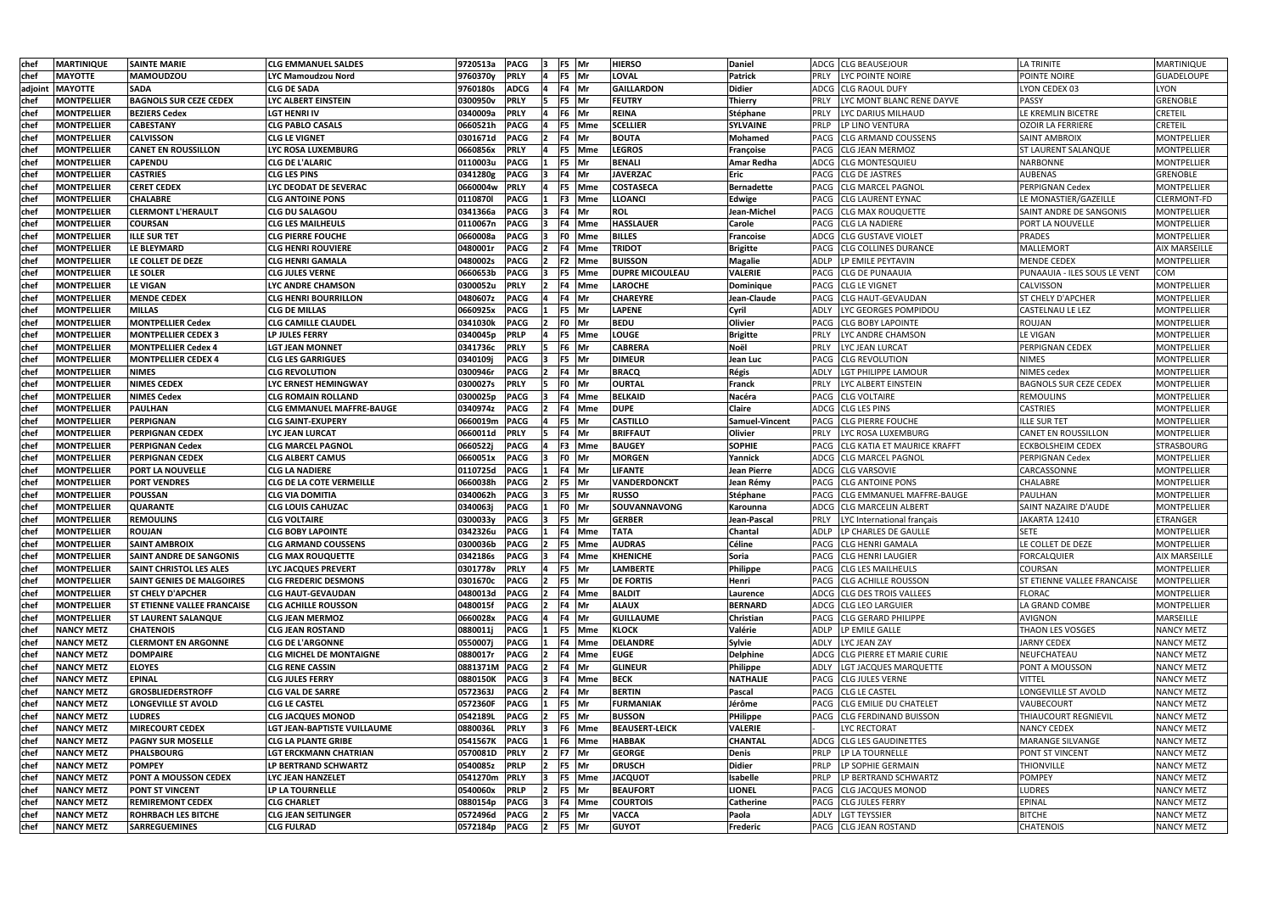| lchef       | <b>MARTINIQUE</b>  | <b>SAINTE MARIE</b>                | <b>CLG EMMANUEL SALDES</b>       | 9720513a<br><b>PACG</b> |               | F5 Mr       |               | <b>HIERSO</b>          | <b>Daniel</b>      | ADCG CLG BEAUSEJOUR                 | <b>LA TRINITE</b>                  | <b>MARTINIQUE</b>    |
|-------------|--------------------|------------------------------------|----------------------------------|-------------------------|---------------|-------------|---------------|------------------------|--------------------|-------------------------------------|------------------------------------|----------------------|
| chef        | <b>MAYOTTE</b>     | <b>MAMOUDZOU</b>                   | LYC Mamoudzou Nord               | 9760370y<br><b>PRLY</b> |               | F5 Mr       |               | <b>LOVAL</b>           | <b>Patrick</b>     | PRLY<br>LYC POINTE NOIRE            | POINTE NOIRE                       | GUADELOUPE           |
| adjoint     | <b>MAYOTTE</b>     | <b>SADA</b>                        | <b>CLG DE SADA</b>               | 9760180s<br><b>ADCG</b> |               | F4 Mr       |               | <b>GAILLARDON</b>      | <b>Didier</b>      | ADCG ICLG RAOUL DUFY                | LYON CEDEX 03                      | <b>LYON</b>          |
| chef        | MONTPELLIER        | <b>BAGNOLS SUR CEZE CEDEX</b>      | LYC ALBERT EINSTEIN              | 0300950v<br><b>PRLY</b> | 15.           | F5 Mr       |               | <b>FEUTRY</b>          | <b>Thierry</b>     | LYC MONT BLANC RENE DAYVE<br>PRLY   | PASSY                              | <b>GRENOBLE</b>      |
| chef        | <b>MONTPELLIER</b> | <b>BEZIERS Cedex</b>               | LGT HENRI IV                     | 0340009a<br><b>PRLY</b> | 14            | F6 Mr       |               | <b>REINA</b>           | Stéphane           | LYC DARIUS MILHAUD<br>PRLY          | LE KREMLIN BICETRE                 | <b>CRETEIL</b>       |
| chef        | <b>MONTPELLIER</b> | <b>CABESTANY</b>                   | <b>CLG PABLO CASALS</b>          | 0660521h<br><b>PACG</b> |               |             | F5 Mme        | <b>SCELLIER</b>        | <b>SYLVAINE</b>    | PRLP<br>LP LINO VENTURA             | OZOIR LA FERRIERE                  | <b>CRETEIL</b>       |
| chef        | <b>MONTPELLIER</b> | <b>CALVISSON</b>                   | <b>CLG LE VIGNET</b>             | <b>PACG</b><br>0301671d |               | F4 Mr       |               | <b>BOUTA</b>           | Mohamed            | PACG CLG ARMAND COUSSENS            | <b>SAINT AMBROIX</b>               | <b>MONTPELLIER</b>   |
| chef        | <b>MONTPELLIER</b> | <b>CANET EN ROUSSILLON</b>         | LYC ROSA LUXEMBURG               | 0660856x<br><b>PRLY</b> |               |             | F5 Mme        | <b>LEGROS</b>          | Françoise          | PACG CLG JEAN MERMOZ                | <b>ST LAURENT SALANQUE</b>         | <b>MONTPELLIER</b>   |
| chef        | <b>MONTPELLIER</b> | <b>CAPENDU</b>                     | <b>CLG DE L'ALARIC</b>           | <b>PACG</b><br>0110003u |               | F5 Mr       |               | <b>BENALI</b>          | Amar Redha         | ADCG CLG MONTESQUIEU                | NARBONNE                           | <b>MONTPELLIER</b>   |
| chef        | MONTPELLIER        | <b>CASTRIES</b>                    | <b>CLG LES PINS</b>              | 0341280g<br><b>PACG</b> |               | F4 Mr       |               | <b>JAVERZAC</b>        | Eric               | PACG CLG DE JASTRES                 | <b>AUBENAS</b>                     | <b>GRENOBLE</b>      |
| <b>chef</b> | <b>MONTPELLIER</b> | <b>CERET CEDEX</b>                 | LYC DEODAT DE SEVERAC            | 0660004w<br><b>PRLY</b> |               |             | F5 Mme        | <b>COSTASECA</b>       | <b>Bernadette</b>  | PACG CLG MARCEL PAGNOL              | <b>PERPIGNAN Cedex</b>             | <b>MONTPELLIER</b>   |
| chef        | <b>MONTPELLIER</b> | <b>CHALABRE</b>                    | <b>CLG ANTOINE PONS</b>          | 0110870l<br><b>PACG</b> |               |             | F3 Mme        | <b>LLOANCI</b>         | Edwige             | PACG ICLG LAURENT EYNAC             | LE MONASTIER/GAZEILLE              | <b>CLERMONT-FD</b>   |
| chef        | <b>MONTPELLIER</b> | <b>CLERMONT L'HERAULT</b>          | <b>CLG DU SALAGOU</b>            | <b>PACG</b><br>0341366a |               | F4   Mr     |               | <b>ROL</b>             | Jean-Michel        | PACG CLG MAX ROUQUETTE              | SAINT ANDRE DE SANGONIS            | <b>MONTPELLIER</b>   |
| chef        | MONTPELLIER        | <b>COURSAN</b>                     | <b>CLG LES MAILHEULS</b>         | <b>PACG</b><br>0110067n |               |             | F4 Mme        | <b>HASSLAUER</b>       | Carole             | PACG ICLG LA NADIERE                | PORT LA NOUVELLE                   | <b>MONTPELLIER</b>   |
| chef        | <b>MONTPELLIER</b> | <b>ILLE SUR TET</b>                | CLG PIERRE FOUCHE                | 0660008a<br><b>PACG</b> |               | FO          | <b>Mme</b>    | <b>BILLES</b>          | Francoise          | <b>ADCG CLG GUSTAVE VIOLET</b>      | <b>PRADES</b>                      | <b>MONTPELLIER</b>   |
| chef        | MONTPELLIER        | LE BLEYMARD                        | <b>CLG HENRI ROUVIERE</b>        | 0480001r<br><b>PACG</b> |               |             | F4 Mme        | <b>TRIDOT</b>          | <b>Brigitte</b>    | <b>CLG COLLINES DURANCE</b><br>PACG | <b>MALLEMORT</b>                   | <b>AIX MARSEILLE</b> |
| <b>chef</b> | <b>MONTPELLIER</b> | LE COLLET DE DEZE                  | <b>CLG HENRI GAMALA</b>          | <b>PACG</b><br>0480002s |               |             | F2 Mme        | <b>BUISSON</b>         | Magalie            | LP EMILE PEYTAVIN<br>ADLP           | <b>MENDE CEDEX</b>                 | <b>MONTPELLIER</b>   |
| chef        | <b>MONTPELLIER</b> | LE SOLER                           | <b>CLG JULES VERNE</b>           | 0660653b<br><b>PACG</b> |               |             | F5 Mme        | <b>DUPRE MICOULEAU</b> | <b>VALERIE</b>     | <b>CLG DE PUNAAUIA</b><br>PACG      | PUNAAUIA - ILES SOUS LE VENT       | COM                  |
| chef        | <b>MONTPELLIER</b> | <b>LE VIGAN</b>                    | <b>LYC ANDRE CHAMSON</b>         | <b>PRLY</b><br>0300052u |               |             | F4 Mme        | <b>LAROCHE</b>         | <b>Dominique</b>   | <b>PACG CLG LE VIGNET</b>           | CALVISSON                          | <b>MONTPELLIER</b>   |
| chef        | <b>MONTPELLIER</b> | <b>MENDE CEDEX</b>                 | <b>CLG HENRI BOURRILLON</b>      | <b>PACG</b><br>0480607z |               | F4 Mr       |               | <b>CHAREYRE</b>        | Jean-Claude        | PACG CLG HAUT-GEVAUDAN              | <b>ST CHELY D'APCHER</b>           | <b>MONTPELLIER</b>   |
| chef        | <b>MONTPELLIER</b> | <b>MILLAS</b>                      | <b>CLG DE MILLAS</b>             | 0660925x<br><b>PACG</b> |               | F5 Mr       |               | <b>LAPENE</b>          | Cyril              | LYC GEORGES POMPIDOU<br>ADLY        | <b>CASTELNAU LE LEZ</b>            | <b>MONTPELLIER</b>   |
| chef        | MONTPELLIER        | <b>MONTPELLIER Cedex</b>           | <b>CLG CAMILLE CLAUDEL</b>       | 0341030k<br><b>PACG</b> |               | F0 Mr       |               | <b>BEDU</b>            | Olivier            | PACG CLG BOBY LAPOINTE              | <b>ROUJAN</b>                      | <b>MONTPELLIER</b>   |
| <b>chef</b> | MONTPELLIER        | <b>MONTPELLIER CEDEX 3</b>         | LP JULES FERRY                   | 0340045p<br><b>PRLP</b> |               |             | F5 Mme        | <b>LOUGE</b>           | <b>Brigitte</b>    | LYC ANDRE CHAMSON<br>PRLY           | <b>LE VIGAN</b>                    | <b>MONTPELLIER</b>   |
| chef        | <b>MONTPELLIER</b> | MONTPELLIER Cedex 4                | <b>LGT JEAN MONNET</b>           | <b>PRLY</b><br>0341736c |               | F6 Mr       |               | <b>CABRERA</b>         | Noël               | <b>PRLY</b><br>LYC JEAN LURCAT      | PERPIGNAN CEDEX                    | <b>MONTPELLIER</b>   |
| chef        | MONTPELLIER        | <b>MONTPELLIER CEDEX 4</b>         | <b>CLG LES GARRIGUES</b>         | <b>PACG</b><br>0340109j |               | F5 Mr       |               | <b>DIMEUR</b>          | Jean Luc           | PACG CLG REVOLUTION                 | <b>NIMES</b>                       | <b>MONTPELLIER</b>   |
| chef        | MONTPELLIER        | <b>NIMES</b>                       | <b>CLG REVOLUTION</b>            | 0300946r<br><b>PACG</b> |               | F4 Mr       |               | <b>BRACQ</b>           | Régis              | LGT PHILIPPE LAMOUR<br>ADLY         | NIMES cedex                        | <b>MONTPELLIER</b>   |
| chef        | <b>MONTPELLIER</b> | <b>NIMES CEDEX</b>                 | LYC ERNEST HEMINGWAY             | <b>PRLY</b><br>0300027s |               | F0 Mr       |               | <b>OURTAL</b>          | Franck             | PRLY<br>LYC ALBERT EINSTEIN         | <b>BAGNOLS SUR CEZE CEDEX</b>      | <b>MONTPELLIER</b>   |
| chef        | <b>MONTPELLIER</b> | <b>NIMES Cedex</b>                 | <b>CLG ROMAIN ROLLAND</b>        | 0300025p<br><b>PACG</b> |               |             | F4 Mme        | <b>BELKAID</b>         | Nacéra             | PACG CLG VOLTAIRE                   | <b>REMOULINS</b>                   | <b>MONTPELLIER</b>   |
| <b>chef</b> | MONTPELLIER        | <b>PAULHAN</b>                     | <b>CLG EMMANUEL MAFFRE-BAUGE</b> | <b>PACG</b><br>0340974z |               |             | F4 Mme        | <b>DUPE</b>            | Claire             | ADCG CLG LES PINS                   | <b>CASTRIES</b>                    | <b>MONTPELLIER</b>   |
| chef        | <b>MONTPELLIER</b> | <b>PERPIGNAN</b>                   | <b>CLG SAINT-EXUPERY</b>         | 0660019m<br><b>PACG</b> |               | F5 Mr       |               | <b>CASTILLO</b>        | Samuel-Vincent     | <b>PACG CLG PIERRE FOUCHE</b>       | <b>ILLE SUR TET</b>                | <b>MONTPELLIER</b>   |
| chef        | <b>MONTPELLIER</b> | <b>PERPIGNAN CEDEX</b>             | LYC JEAN LURCAT                  | 0660011d<br><b>PRLY</b> | 15            | F4 Mr       |               | <b>BRIFFAUT</b>        | Olivier            | LYC ROSA LUXEMBURG<br><b>PRLY</b>   | <b>CANET EN ROUSSILLON</b>         | MONTPELLIER          |
| chef        | <b>MONTPELLIER</b> | <b>PERPIGNAN Cedex</b>             | <b>CLG MARCEL PAGNOL</b>         | 0660522j<br><b>PACG</b> |               |             | F3 Mme        | <b>BAUGEY</b>          | <b>SOPHIE</b>      | PACG CLG KATIA ET MAURICE KRAFFT    | <b>ECKBOLSHEIM CEDEX</b>           | <b>STRASBOURG</b>    |
| chef        | <b>MONTPELLIER</b> | <b>PERPIGNAN CEDEX</b>             | <b>CLG ALBERT CAMUS</b>          | 0660051x<br><b>PACG</b> |               | F0 Mr       |               | <b>MORGEN</b>          | Yannick            | ADCG CLG MARCEL PAGNOL              | <b>PERPIGNAN Cedex</b>             | <b>MONTPELLIER</b>   |
| chef        | <b>MONTPELLIER</b> | <b>PORT LA NOUVELLE</b>            | <b>CLG LA NADIERE</b>            | 0110725d<br><b>PACG</b> |               | F4 Mr       |               | <b>LIFANTE</b>         | <b>Jean Pierre</b> | ADCG CLG VARSOVIE                   | CARCASSONNE                        | <b>MONTPELLIER</b>   |
| chef        | MONTPELLIER        | <b>PORT VENDRES</b>                | <b>CLG DE LA COTE VERMEILLE</b>  | 0660038h<br><b>PACG</b> |               | F5 Mr       |               | <b>VANDERDONCKT</b>    | Jean Rémy          | PACG CLG ANTOINE PONS               | CHALABRE                           | <b>MONTPELLIER</b>   |
| chef        | <b>MONTPELLIER</b> | <b>POUSSAN</b>                     | <b>CLG VIA DOMITIA</b>           | 0340062h<br><b>PACG</b> |               | F5 Mr       |               | <b>RUSSO</b>           | Stéphane           | PACG CLG EMMANUEL MAFFRE-BAUGE      | PAULHAN                            | <b>MONTPELLIER</b>   |
| chef        | MONTPELLIER        | <b>QUARANTE</b>                    | <b>CLG LOUIS CAHUZAC</b>         | 0340063j<br><b>PACG</b> |               | F0   Mr     |               | SOUVANNAVONG           | Karounna           | ADCG CLG MARCELIN ALBERT            | SAINT NAZAIRE D'AUDE               | <b>MONTPELLIER</b>   |
| chef        | MONTPELLIER        | <b>REMOULINS</b>                   | <b>CLG VOLTAIRE</b>              | 0300033y<br><b>PACG</b> |               | F5 Mr       |               | <b>GERBER</b>          | Jean-Pascal        | PRLY<br>LYC International français  | JAKARTA 12410                      | <b>ETRANGER</b>      |
| chef        | <b>MONTPELLIER</b> | <b>ROUJAN</b>                      | <b>CLG BOBY LAPOINTE</b>         | 0342326u<br><b>PACG</b> | $\mathbf{11}$ |             | <b>F4 Mme</b> | <b>TATA</b>            | Chantal            | ADLP LP CHARLES DE GAULLE           | <b>SETE</b>                        | <b>MONTPELLIER</b>   |
| chef        | <b>MONTPELLIER</b> | <b>SAINT AMBROIX</b>               | <b>CLG ARMAND COUSSENS</b>       | 0300036b<br><b>PACG</b> |               |             | F5 Mme        | <b>AUDRAS</b>          | Céline             | PACG CLG HENRI GAMALA               | LE COLLET DE DEZE                  | <b>MONTPELLIER</b>   |
| chef        | <b>MONTPELLIER</b> | <b>SAINT ANDRE DE SANGONIS</b>     | <b>CLG MAX ROUQUETTE</b>         | <b>PACG</b><br>0342186s |               |             | F4 Mme        | <b>KHENICHE</b>        | Soria              | PACG CLG HENRI LAUGIER              | <b>FORCALQUIER</b>                 | <b>AIX MARSEILLE</b> |
| chef        | <b>MONTPELLIER</b> | <b>SAINT CHRISTOL LES ALES</b>     | <b>LYC JACQUES PREVERT</b>       | <b>PRLY</b><br>0301778v |               | F5 Mr       |               | <b>LAMBERTE</b>        | Philippe           | PACG CLG LES MAILHEULS              | COURSAN                            | <b>MONTPELLIER</b>   |
| chef        | <b>MONTPELLIER</b> | <b>SAINT GENIES DE MALGOIRES</b>   | <b>CLG FREDERIC DESMONS</b>      | <b>PACG</b><br>0301670c |               | F5 Mr       |               | <b>DE FORTIS</b>       | Henri              | PACG CLG ACHILLE ROUSSON            | <b>ST ETIENNE VALLEE FRANCAISE</b> | <b>MONTPELLIER</b>   |
| chef        | <b>MONTPELLIER</b> | <b>ST CHELY D'APCHER</b>           | <b>CLG HAUT-GEVAUDAN</b>         | 0480013d<br><b>PACG</b> |               |             | F4 Mme        | <b>BALDIT</b>          | Laurence           | ADCG CLG DES TROIS VALLEES          | <b>FLORAC</b>                      | <b>MONTPELLIER</b>   |
| chef        | <b>MONTPELLIER</b> | <b>ST ETIENNE VALLEE FRANCAISE</b> | <b>CLG ACHILLE ROUSSON</b>       | <b>PACG</b><br>0480015f |               | F4 Mr       |               | <b>ALAUX</b>           | <b>BERNARD</b>     | ADCG CLG LEO LARGUIER               | LA GRAND COMBE                     | <b>MONTPELLIER</b>   |
| chef        | <b>MONTPELLIER</b> | <b>ST LAURENT SALANQUE</b>         | <b>CLG JEAN MERMOZ</b>           | 0660028x<br><b>PACG</b> |               | F4 Mr       |               | <b>GUILLAUME</b>       | Christian          | PACG CLG GERARD PHILIPPE            | <b>AVIGNON</b>                     | MARSEILLE            |
| chef        | <b>NANCY METZ</b>  | <b>CHATENOIS</b>                   | <b>CLG JEAN ROSTAND</b>          | 0880011j<br><b>PACG</b> |               |             | F5 Mme        | <b>KLOCK</b>           | Valérie            | ADLP LP EMILE GALLE                 | THAON LES VOSGES                   | <b>NANCY METZ</b>    |
| chef        | <b>NANCY METZ</b>  | <b>ICLERMONT EN ARGONNE</b>        | <b>CLG DE L'ARGONNE</b>          | 0550007j<br><b>PACG</b> |               |             | F4 Mme        | <b>DELANDRE</b>        | <b>Sylvie</b>      | ADLY LYC JEAN ZAY                   | <b>JARNY CEDEX</b>                 | <b>NANCY METZ</b>    |
| chef        | <b>NANCY METZ</b>  | <b>DOMPAIRE</b>                    | <b>CLG MICHEL DE MONTAIGNE</b>   | 0880017r<br><b>PACG</b> |               |             | F4 Mme        | <b>EUGE</b>            | <b>Delphine</b>    | ADCG CLG PIERRE ET MARIE CURIE      | NEUFCHATEAU                        | <b>NANCY METZ</b>    |
| chef        | <b>NANCY METZ</b>  | <b>ELOYES</b>                      | <b>CLG RENE CASSIN</b>           | <b>PACG</b><br>0881371M |               | F4 Mr       |               | <b>GLINEUR</b>         | Philippe           | ADLY LGT JACQUES MARQUETTE          | PONT A MOUSSON                     | <b>NANCY METZ</b>    |
| chef        | <b>NANCY METZ</b>  | <b>EPINAL</b>                      | <b>CLG JULES FERRY</b>           | 0880150K<br><b>PACG</b> |               |             | F4 Mme        | <b>BECK</b>            | <b>NATHALIE</b>    | PACG CLG JULES VERNE                | <b>VITTEL</b>                      | <b>NANCY METZ</b>    |
| chef        | <b>NANCY METZ</b>  | <b>GROSBLIEDERSTROFF</b>           | <b>CLG VAL DE SARRE</b>          | <b>PACG</b><br>0572363J |               | F4 Mr       |               | <b>BERTIN</b>          | Pascal             | PACG CLG LE CASTEL                  | LONGEVILLE ST AVOLD                | <b>NANCY METZ</b>    |
| chef        | <b>NANCY METZ</b>  | <b>LONGEVILLE ST AVOLD</b>         | <b>CLG LE CASTEL</b>             | <b>PACG</b><br>0572360F |               | F5 Mr       |               | <b>FURMANIAK</b>       | Jérôme             | PACG CLG EMILIE DU CHATELET         | VAUBECOURT                         | <b>NANCY METZ</b>    |
| chef        | <b>NANCY METZ</b>  | <b>LUDRES</b>                      | <b>CLG JACQUES MONOD</b>         | <b>PACG</b><br>0542189L |               | F5 Mr       |               | <b>BUSSON</b>          | PHilippe           | PACG CLG FERDINAND BUISSON          | THIAUCOURT REGNIEVIL               | <b>NANCY METZ</b>    |
| chef        | <b>NANCY METZ</b>  | <b>MIRECOURT CEDEX</b>             | LGT JEAN-BAPTISTE VUILLAUME      | 0880036L<br><b>PRLY</b> | 13.           |             | F6 Mme        | <b>BEAUSERT-LEICK</b>  | <b>VALERIE</b>     | LYC RECTORAT                        | <b>NANCY CEDEX</b>                 | <b>NANCY METZ</b>    |
| chef        | <b>NANCY METZ</b>  | <b>PAGNY SUR MOSELLE</b>           | <b>CLG LA PLANTE GRIBE</b>       | 0541567K<br><b>PACG</b> |               |             | F6 Mme        | <b>HABBAK</b>          | <b>CHANTAL</b>     | ADCG CLG LES GAUDINETTES            | MARANGE SILVANGE                   | <b>NANCY METZ</b>    |
| chef        | <b>NANCY METZ</b>  | <b>PHALSBOURG</b>                  | <b>LGT ERCKMANN CHATRIAN</b>     | <b>PRLY</b><br>0570081D | $ 2\rangle$   | F7 Mr       |               | <b>GEORGE</b>          | <b>Denis</b>       | PRLP<br>LP LA TOURNELLE             | PONT ST VINCENT                    | <b>NANCY METZ</b>    |
| chef        | <b>NANCY METZ</b>  | <b>POMPEY</b>                      | LP BERTRAND SCHWARTZ             | <b>PRLP</b><br>0540085z |               | $2$ F5 Mr   |               | <b>DRUSCH</b>          | <b>Didier</b>      | PRLP<br>LP SOPHIE GERMAIN           | <b>THIONVILLE</b>                  | <b>NANCY METZ</b>    |
| chef        | <b>NANCY METZ</b>  | <b>PONT A MOUSSON CEDEX</b>        | LYC JEAN HANZELET                | 0541270m<br><b>PRLY</b> | 13            |             | F5 Mme        | <b>JACQUOT</b>         | Isabelle           | LP BERTRAND SCHWARTZ<br><b>PRLP</b> | <b>POMPEY</b>                      | <b>NANCY METZ</b>    |
| chef        | <b>NANCY METZ</b>  | <b>PONT ST VINCENT</b>             | LP LA TOURNELLE                  | 0540060x<br><b>PRLP</b> |               | F5 Mr       |               | <b>BEAUFORT</b>        | <b>LIONEL</b>      | PACG CLG JACQUES MONOD              | <b>LUDRES</b>                      | <b>NANCY METZ</b>    |
| chef        | <b>NANCY METZ</b>  | <b>REMIREMONT CEDEX</b>            | <b>CLG CHARLET</b>               | <b>PACG</b><br>0880154p |               |             | F4 Mme        | <b>COURTOIS</b>        | Catherine          | <b>PACG CLG JULES FERRY</b>         | <b>EPINAL</b>                      | <b>NANCY METZ</b>    |
| chef        | <b>NANCY METZ</b>  | <b>ROHRBACH LES BITCHE</b>         | <b>CLG JEAN SEITLINGER</b>       | 0572496d<br><b>PACG</b> |               | F5 Mr       |               | <b>VACCA</b>           | Paola              | ADLY LGT TEYSSIER                   | <b>BITCHE</b>                      | <b>NANCY METZ</b>    |
| chef        | <b>NANCY METZ</b>  | <b>SARREGUEMINES</b>               | <b>CLG FULRAD</b>                | 0572184p<br><b>PACG</b> |               | $ 2 $ F5 Mr |               | <b>GUYOT</b>           | Frederic           | PACG CLG JEAN ROSTAND               | <b>CHATENOIS</b>                   | <b>NANCY METZ</b>    |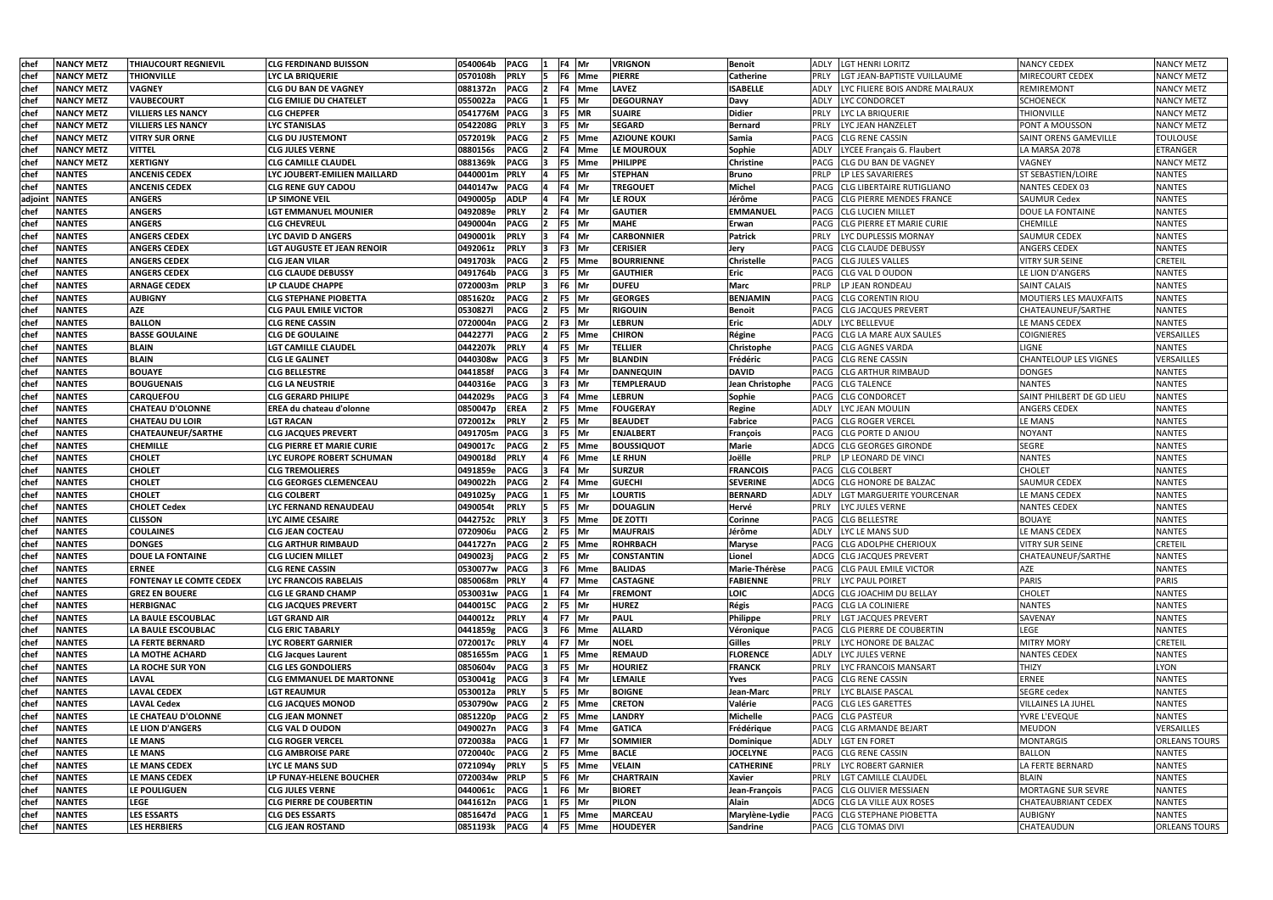| chef        | <b>NANCY METZ</b> | <b>THIAUCOURT REGNIEVIL</b> | <b>CLG FERDINAND BUISSON</b>     | 0540064b      | <b>PACG</b> |           | F4 Mr  | <b>VRIGNON</b>       | <b>Benoit</b>     | ADLY LGT HENRI LORITZ                   | <b>NANCY CEDEX</b>            | <b>NANCY METZ</b>    |
|-------------|-------------------|-----------------------------|----------------------------------|---------------|-------------|-----------|--------|----------------------|-------------------|-----------------------------------------|-------------------------------|----------------------|
| chef        | <b>NANCY METZ</b> | <b>THIONVILLE</b>           | LYC LA BRIQUERIE                 | 0570108h      | <b>PRLY</b> |           | F6 Mme | <b>PIERRE</b>        | Catherine         | LGT JEAN-BAPTISTE VUILLAUME<br>PRLY     | MIRECOURT CEDEX               | <b>NANCY METZ</b>    |
| chef        | <b>NANCY METZ</b> | <b>VAGNEY</b>               | <b>CLG DU BAN DE VAGNEY</b>      | 0881372n      | <b>PACG</b> | 12        | F4 Mme | <b>LAVEZ</b>         | <b>ISABELLE</b>   | ADLY<br>LYC FILIERE BOIS ANDRE MALRAUX  | REMIREMONT                    | <b>NANCY METZ</b>    |
| <b>chef</b> | <b>NANCY METZ</b> | <b>VAUBECOURT</b>           | <b>CLG EMILIE DU CHATELET</b>    | 0550022a      | <b>PACG</b> |           | F5 Mr  | <b>DEGOURNAY</b>     | Davy              | <b>LYC CONDORCET</b><br>ADLY            | <b>SCHOENECK</b>              | <b>NANCY METZ</b>    |
| chef        | <b>NANCY METZ</b> | <b>VILLIERS LES NANCY</b>   | <b>CLG CHEPFER</b>               | 0541776M      | <b>PACG</b> | 3         | F5 MR  | <b>SUAIRE</b>        | <b>Didier</b>     | LYC LA BRIQUERIE<br><b>PRLY</b>         | <b>THIONVILLE</b>             | <b>NANCY METZ</b>    |
| chef        | <b>NANCY METZ</b> | <b>VILLIERS LES NANCY</b>   | <b>LYC STANISLAS</b>             | 0542208G      | <b>PRLY</b> | 13        | F5 Mr  | <b>SEGARD</b>        | <b>Bernard</b>    | PRLY<br>LYC JEAN HANZELET               | PONT A MOUSSON                | <b>NANCY METZ</b>    |
| chef        | <b>NANCY METZ</b> | <b>VITRY SUR ORNE</b>       | <b>CLG DU JUSTEMONT</b>          | 0572019k      | <b>PACG</b> |           | F5 Mme | <b>AZIOUNE KOUKI</b> | Samia             | PACG CLG RENE CASSIN                    | SAINT ORENS GAMEVILLE         | <b>TOULOUSE</b>      |
| chef        | <b>NANCY METZ</b> | <b>VITTEL</b>               | <b>CLG JULES VERNE</b>           | 0880156s      | <b>PACG</b> |           | F4 Mme | LE MOUROUX           | Sophie            | LYCEE Français G. Flaubert<br>ADLY      | LA MARSA 2078                 | <b>ETRANGER</b>      |
| chef        | <b>NANCY METZ</b> | <b>XERTIGNY</b>             | <b>CLG CAMILLE CLAUDEL</b>       | 0881369k      | <b>PACG</b> |           | F5 Mme | <b>PHILIPPE</b>      | <b>Christine</b>  | PACG ICLG DU BAN DE VAGNEY              | VAGNEY                        | <b>NANCY METZ</b>    |
| chef        | <b>NANTES</b>     | <b>ANCENIS CEDEX</b>        | LYC JOUBERT-EMILIEN MAILLARD     | 0440001m      | <b>PRLY</b> |           | F5 Mr  | <b>STEPHAN</b>       | <b>Bruno</b>      | PRLP<br>LP LES SAVARIERES               | <b>ST SEBASTIEN/LOIRE</b>     | <b>NANTES</b>        |
| chef        | <b>NANTES</b>     | <b>ANCENIS CEDEX</b>        | <b>CLG RENE GUY CADOU</b>        | 0440147w      | <b>PACG</b> |           | F4 Mr  | <b>TREGOUET</b>      | Michel            | PACG CLG LIBERTAIRE RUTIGLIANO          | NANTES CEDEX 03               | <b>NANTES</b>        |
| adjoin      | <b>NANTES</b>     | <b>ANGERS</b>               | <b>LP SIMONE VEIL</b>            | 0490005p      | <b>ADLP</b> |           | F4 Mr  | LE ROUX              | Jérôme            | <b>CLG PIERRE MENDES FRANCE</b><br>PACG | <b>SAUMUR Cedex</b>           | <b>NANTES</b>        |
| chef        | <b>NANTES</b>     | <b>ANGERS</b>               | <b>LGT EMMANUEL MOUNIER</b>      | 0492089e      | <b>PRLY</b> |           | F4 Mr  | <b>GAUTIER</b>       | <b>EMMANUEL</b>   | PACG CLG LUCIEN MILLET                  | <b>DOUE LA FONTAINE</b>       | <b>NANTES</b>        |
| chef        | <b>NANTES</b>     | <b>ANGERS</b>               | CLG CHEVREUL                     | 0490004n      | <b>PACG</b> |           | F5 Mr  | <b>MAHE</b>          | Erwan             | PACG CLG PIERRE ET MARIE CURIE          | CHEMILLE                      | <b>NANTES</b>        |
| chef        | <b>NANTES</b>     | <b>ANGERS CEDEX</b>         | LYC DAVID D ANGERS               | 0490001k      | <b>PRLY</b> |           | F4 Mr  | <b>CARBONNIER</b>    | <b>Patrick</b>    | LYC DUPLESSIS MORNAY<br>PRLY            | SAUMUR CEDEX                  | <b>NANTES</b>        |
| chef        | <b>NANTES</b>     | <b>ANGERS CEDEX</b>         | LGT AUGUSTE ET JEAN RENOIR       | 0492061z      | <b>PRLY</b> | 13.       | F3 Mr  | <b>CERISIER</b>      | Jery              | <b>CLG CLAUDE DEBUSSY</b><br>PACG       | ANGERS CEDEX                  | <b>NANTES</b>        |
| chef        | <b>NANTES</b>     | <b>ANGERS CEDEX</b>         | <b>CLG JEAN VILAR</b>            | 0491703k      | <b>PACG</b> |           | F5 Mme | <b>BOURRIENNE</b>    | <b>Christelle</b> | PACG CLG JULES VALLES                   | VITRY SUR SEINE               | <b>CRETEIL</b>       |
| chef        | <b>NANTES</b>     | <b>ANGERS CEDEX</b>         | <b>CLG CLAUDE DEBUSSY</b>        | 0491764b      | <b>PACG</b> | 13.       | F5 Mr  | <b>GAUTHIER</b>      | <b>Eric</b>       | CLG VAL D OUDON<br>PACG                 | LE LION D'ANGERS              | <b>NANTES</b>        |
| chef        | <b>NANTES</b>     | <b>ARNAGE CEDEX</b>         | LP CLAUDE CHAPPE                 | 0720003m      | <b>PRLP</b> | 13        | F6 Mr  | <b>DUFEU</b>         | <b>Marc</b>       | PRLP<br><b>LP JEAN RONDEAU</b>          | <b>SAINT CALAIS</b>           | <b>NANTES</b>        |
| chef        | <b>NANTES</b>     | <b>AUBIGNY</b>              | <b>CLG STEPHANE PIOBETTA</b>     | 0851620z      | <b>PACG</b> |           | F5 Mr  | <b>GEORGES</b>       | <b>BENJAMIN</b>   | PACG CLG CORENTIN RIOU                  | <b>MOUTIERS LES MAUXFAITS</b> | <b>NANTES</b>        |
| chef        | <b>NANTES</b>     | <b>AZE</b>                  | <b>CLG PAUL EMILE VICTOR</b>     | 05308271      | <b>PACG</b> | 12.       | F5 Mr  | <b>RIGOUIN</b>       | <b>Benoit</b>     | PACG CLG JACQUES PREVERT                | CHATEAUNEUF/SARTHE            | <b>NANTES</b>        |
| chef        | NANTES            | <b>BALLON</b>               | <b>CLG RENE CASSIN</b>           | 0720004n      | <b>PACG</b> |           | F3 Mr  | <b>LEBRUN</b>        | Eric              | LYC BELLEVUE<br>ADLY                    | LE MANS CEDEX                 | <b>NANTES</b>        |
| <b>chef</b> | <b>NANTES</b>     | <b>BASSE GOULAINE</b>       | <b>CLG DE GOULAINE</b>           | 04422771      | <b>PACG</b> |           | F5 Mme | <b>CHIRON</b>        | Régine            | PACG CLG LA MARE AUX SAULES             | COIGNIERES                    | VERSAILLES           |
| chef        | <b>NANTES</b>     | <b>BLAIN</b>                | <b>LGT CAMILLE CLAUDEL</b>       | 0442207k      | <b>PRLY</b> |           | F5 Mr  | <b>TELLIER</b>       | Christophe        | PACG CLG AGNES VARDA                    | LIGNE                         | <b>NANTES</b>        |
| chef        | <b>NANTES</b>     | <b>BLAIN</b>                | <b>CLG LE GALINET</b>            | 0440308w      | <b>PACG</b> |           | F5 Mr  | <b>BLANDIN</b>       | Frédéric          | PACG CLG RENE CASSIN                    | <b>CHANTELOUP LES VIGNES</b>  | VERSAILLES           |
| chef        | <b>NANTES</b>     | <b>BOUAYE</b>               | <b>CLG BELLESTRE</b>             | 0441858f      | <b>PACG</b> |           | F4 Mr  | <b>DANNEQUIN</b>     | <b>DAVID</b>      | PACG CLG ARTHUR RIMBAUD                 | <b>DONGES</b>                 | <b>NANTES</b>        |
| chef        | <b>NANTES</b>     | <b>BOUGUENAIS</b>           | <b>CLG LA NEUSTRIE</b>           | 0440316e      | <b>PACG</b> |           | F3 Mr  | TEMPLERAUD           | Jean Christophe   | PACG CLG TALENCE                        | <b>NANTES</b>                 | <b>NANTES</b>        |
| chef        | <b>NANTES</b>     | <b>CARQUEFOU</b>            | <b>CLG GERARD PHILIPE</b>        | 0442029s      | <b>PACG</b> |           | F4 Mme | <b>LEBRUN</b>        | Sophie            | <b>PACG CLG CONDORCET</b>               | SAINT PHILBERT DE GD LIEU     | <b>NANTES</b>        |
| chef        | <b>NANTES</b>     | <b>CHATEAU D'OLONNE</b>     | <b>EREA du chateau d'olonne</b>  | 0850047p      | <b>EREA</b> |           | F5 Mme | <b>FOUGERAY</b>      | Regine            | LYC JEAN MOULIN<br>ADLY                 | ANGERS CEDEX                  | <b>NANTES</b>        |
| chef        | <b>NANTES</b>     | <b>CHATEAU DU LOIR</b>      | <b>LGT RACAN</b>                 | 0720012x      | <b>PRLY</b> | <u> 2</u> | F5 Mr  | <b>BEAUDET</b>       | Fabrice           | PACG CLG ROGER VERCEL                   | LE MANS                       | <b>NANTES</b>        |
| chef        | <b>NANTES</b>     | <b>CHATEAUNEUF/SARTHE</b>   | <b>CLG JACQUES PREVERT</b>       | 0491705m      | <b>PACG</b> | 13.       | F5 Mr  | <b>ENJALBERT</b>     | <b>François</b>   | PACG CLG PORTE D ANJOU                  | <b>NOYANT</b>                 | <b>NANTES</b>        |
| chef        | <b>NANTES</b>     | <b>CHEMILLE</b>             | <b>CLG PIERRE ET MARIE CURIE</b> | 0490017c      | <b>PACG</b> |           | F5 Mme | <b>BOUSSIQUOT</b>    | <b>Marie</b>      | ADCG CLG GEORGES GIRONDE                | <b>SEGRE</b>                  | <b>NANTES</b>        |
| chef        | <b>NANTES</b>     | <b>CHOLET</b>               | LYC EUROPE ROBERT SCHUMAN        | 0490018d      | <b>PRLY</b> |           | F6 Mme | <b>LE RHUN</b>       | Joëlle            | PRLP<br>LP LEONARD DE VINCI             | <b>NANTES</b>                 | <b>NANTES</b>        |
| chef        | <b>NANTES</b>     | <b>CHOLET</b>               | <b>CLG TREMOLIERES</b>           | 0491859e      | <b>PACG</b> |           | F4 Mr  | <b>SURZUR</b>        | <b>FRANCOIS</b>   | PACG ICLG COLBERT                       | <b>CHOLET</b>                 | <b>NANTES</b>        |
| chef        | <b>NANTES</b>     | <b>CHOLET</b>               | <b>CLG GEORGES CLEMENCEAU</b>    | 0490022h      | <b>PACG</b> |           | F4 Mme | <b>GUECHI</b>        | <b>SEVERINE</b>   | ADCG CLG HONORE DE BALZAC               | <b>SAUMUR CEDEX</b>           | <b>NANTES</b>        |
| chef        | <b>NANTES</b>     | <b>CHOLET</b>               | <b>CLG COLBERT</b>               | 0491025y      | <b>PACG</b> |           | F5 Mr  | <b>LOURTIS</b>       | <b>BERNARD</b>    | LGT MARGUERITE YOURCENAR<br>ADLY        | LE MANS CEDEX                 | <b>NANTES</b>        |
| chef        | <b>NANTES</b>     | <b>CHOLET Cedex</b>         | LYC FERNAND RENAUDEAU            | 0490054t      | <b>PRLY</b> |           | F5 Mr  | <b>DOUAGLIN</b>      | Hervé             | LYC JULES VERNE<br><b>PRLY</b>          | <b>NANTES CEDEX</b>           | <b>NANTES</b>        |
| chef        | <b>NANTES</b>     | <b>CLISSON</b>              | LYC AIME CESAIRE                 | 0442752c      | <b>PRLY</b> | 13        | F5 Mme | <b>DE ZOTTI</b>      | Corinne           | PACG CLG BELLESTRE                      | <b>BOUAYE</b>                 | <b>NANTES</b>        |
| chef        | <b>NANTES</b>     | <b>COULAINES</b>            | <b>CLG JEAN COCTEAU</b>          | 0720906u      | <b>PACG</b> | $2$ F5 Mr |        | <b>MAUFRAIS</b>      | Jérôme            | ADLY LYCLE MANS SUD                     | LE MANS CEDEX                 | <b>NANTES</b>        |
| chef        | <b>NANTES</b>     | <b>DONGES</b>               | <b>CLG ARTHUR RIMBAUD</b>        | 0441727n      | <b>PACG</b> |           | F5 Mme | <b>ROHRBACH</b>      | <b>Maryse</b>     | PACG CLG ADOLPHE CHERIOUX               | VITRY SUR SEINE               | <b>CRETEIL</b>       |
| chef        | <b>NANTES</b>     | <b>DOUE LA FONTAINE</b>     | <b>CLG LUCIEN MILLET</b>         | 0490023j      | <b>PACG</b> |           | F5 Mr  | <b>CONSTANTIN</b>    | Lionel            | <b>ADCG CLG JACQUES PREVERT</b>         | CHATEAUNEUF/SARTHE            | <b>NANTES</b>        |
| chef        | <b>NANTES</b>     | <b>ERNEE</b>                | <b>CLG RENE CASSIN</b>           | 0530077w PACG |             |           | F6 Mme | <b>BALIDAS</b>       | Marie-Thérèse     | PACG CLG PAUL EMILE VICTOR              | <b>AZE</b>                    | <b>NANTES</b>        |
| chef        | <b>NANTES</b>     | FONTENAY LE COMTE CEDEX     | LYC FRANCOIS RABELAIS            | 0850068m      | <b>PRLY</b> |           | F7 Mme | <b>CASTAGNE</b>      | <b>FABIENNE</b>   | PRLY<br>LYC PAUL POIRET                 | <b>PARIS</b>                  | <b>PARIS</b>         |
| chef        | <b>NANTES</b>     | <b>GREZ EN BOUERE</b>       | <b>CLG LE GRAND CHAMP</b>        | 0530031w      | <b>PACG</b> |           | F4 Mr  | <b>FREMONT</b>       | LOIC              | ADCG CLG JOACHIM DU BELLAY              | <b>CHOLET</b>                 | <b>NANTES</b>        |
| chef        | <b>NANTES</b>     | <b>HERBIGNAC</b>            | <b>CLG JACQUES PREVERT</b>       | 0440015C      | <b>PACG</b> |           | F5 Mr  | <b>HUREZ</b>         | Régis             | PACG CLG LA COLINIERE                   | <b>NANTES</b>                 | <b>NANTES</b>        |
| chef        | <b>NANTES</b>     | LA BAULE ESCOUBLAC          | <b>LGT GRAND AIR</b>             | 0440012z      | <b>PRLY</b> |           | F7 Mr  | <b>PAUL</b>          | Philippe          | LGT JACQUES PREVERT<br><b>PRLY</b>      | SAVENAY                       | <b>NANTES</b>        |
| chef        | <b>NANTES</b>     | LA BAULE ESCOUBLAC          | <b>CLG ERIC TABARLY</b>          | 0441859g      | <b>PACG</b> |           | F6 Mme | <b>ALLARD</b>        | Véronique         | PACG CLG PIERRE DE COUBERTIN            | LEGE                          | <b>NANTES</b>        |
| chef        | <b>NANTES</b>     | LA FERTE BERNARD            | <b>LYC ROBERT GARNIER</b>        | 0720017c      | <b>PRLY</b> | ΙΔ        | F7 Mr  | <b>NOEL</b>          | <b>Gilles</b>     | LYC HONORE DE BALZAC<br><b>PRLY</b>     | <b>MITRY MORY</b>             | <b>CRETEIL</b>       |
| chef        | <b>NANTES</b>     | LA MOTHE ACHARD             | <b>CLG Jacques Laurent</b>       | 0851655m      | <b>PACG</b> |           | F5 Mme | <b>REMAUD</b>        | <b>FLORENCE</b>   | LYC JULES VERNE<br>ADLY                 | <b>NANTES CEDEX</b>           | <b>NANTES</b>        |
| chef        | <b>NANTES</b>     | LA ROCHE SUR YON            | <b>CLG LES GONDOLIERS</b>        | 0850604v      | <b>PACG</b> |           | F5 Mr  | <b>HOURIEZ</b>       | <b>FRANCK</b>     | LYC FRANCOIS MANSART<br><b>PRLY</b>     | <b>THIZY</b>                  | LYON                 |
| chef        | <b>NANTES</b>     | <b>LAVAL</b>                | <b>CLG EMMANUEL DE MARTONNE</b>  | 0530041g      | <b>PACG</b> |           | F4 Mr  | <b>LEMAILE</b>       | Yves              | PACG CLG RENE CASSIN                    | <b>ERNEE</b>                  | <b>NANTES</b>        |
| chef        | <b>NANTES</b>     | <b>LAVAL CEDEX</b>          | LGT REAUMUR                      | 0530012a      | <b>PRLY</b> | 15        | F5 Mr  | <b>BOIGNE</b>        | Jean-Marc         | <b>PRLY</b><br>LYC BLAISE PASCAL        | <b>SEGRE</b> cedex            | <b>NANTES</b>        |
| chef        | <b>NANTES</b>     | <b>LAVAL Cedex</b>          | <b>CLG JACQUES MONOD</b>         | 0530790w      | <b>PACG</b> |           | F5 Mme | <b>CRETON</b>        | Valérie           | PACG CLG LES GARETTES                   | VILLAINES LA JUHEL            | <b>NANTES</b>        |
| chef        | <b>NANTES</b>     | LE CHATEAU D'OLONNE         | <b>CLG JEAN MONNET</b>           | 0851220p      | <b>PACG</b> |           | F5 Mme | <b>LANDRY</b>        | Michelle          | PACG CLG PASTEUR                        | YVRE L'EVEQUE                 | <b>NANTES</b>        |
| chef        | <b>NANTES</b>     | LE LION D'ANGERS            | <b>CLG VAL D OUDON</b>           | 0490027n      | <b>PACG</b> |           | F4 Mme | <b>GATICA</b>        | Frédérique        | PACG CLG ARMANDE BEJART                 | <b>MEUDON</b>                 | VERSAILLES           |
| chef        | <b>NANTES</b>     | LE MANS                     | <b>CLG ROGER VERCEL</b>          | 0720038a      | <b>PACG</b> |           | F7 Mr  | <b>SOMMIER</b>       | Dominique         | <b>LGT EN FORET</b><br>ADLY             | <b>MONTARGIS</b>              | <b>ORLEANS TOURS</b> |
| chef        | <b>NANTES</b>     | LE MANS                     | <b>CLG AMBROISE PARE</b>         | 0720040c      | <b>PACG</b> |           | F5 Mme | <b>BACLE</b>         | <b>JOCELYNE</b>   | PACG CLG RENE CASSIN                    | <b>BALLON</b>                 | <b>NANTES</b>        |
| chef        | <b>NANTES</b>     | LE MANS CEDEX               | LYC LE MANS SUD                  | 0721094y      | <b>PRLY</b> | 5 F5 Mme  |        | <b>VELAIN</b>        | <b>CATHERINE</b>  | LYC ROBERT GARNIER<br><b>PRLY</b>       | LA FERTE BERNARD              | <b>NANTES</b>        |
| chef        | <b>NANTES</b>     | LE MANS CEDEX               | LP FUNAY-HELENE BOUCHER          | 0720034w      | <b>PRLP</b> | 15        | F6 Mr  | <b>CHARTRAIN</b>     | <b>Xavier</b>     | <b>PRLY</b><br>LGT CAMILLE CLAUDEL      | <b>BLAIN</b>                  | <b>NANTES</b>        |
| chef        | <b>NANTES</b>     | LE POULIGUEN                | <b>CLG JULES VERNE</b>           | 0440061c      | <b>PACG</b> |           | F6 Mr  | <b>BIORET</b>        | Jean-François     | PACG CLG OLIVIER MESSIAEN               | MORTAGNE SUR SEVRE            | <b>NANTES</b>        |
| chef        | <b>NANTES</b>     | <b>LEGE</b>                 | <b>CLG PIERRE DE COUBERTIN</b>   | 0441612n      | <b>PACG</b> |           | F5 Mr  | <b>PILON</b>         | Alain             | ADCG CLG LA VILLE AUX ROSES             | <b>CHATEAUBRIANT CEDEX</b>    | <b>NANTES</b>        |
| chef        | <b>NANTES</b>     | <b>LES ESSARTS</b>          | <b>CLG DES ESSARTS</b>           | 0851647d      | <b>PACG</b> |           | F5 Mme | <b>MARCEAU</b>       | Marylène-Lydie    | PACG CLG STEPHANE PIOBETTA              | <b>AUBIGNY</b>                | <b>NANTES</b>        |
| chef        | <b>NANTES</b>     | <b>LES HERBIERS</b>         | <b>CLG JEAN ROSTAND</b>          | 0851193k      | <b>PACG</b> | 14        | F5 Mme | <b>HOUDEYER</b>      | <b>Sandrine</b>   | PACG CLG TOMAS DIVI                     | CHATEAUDUN                    | <b>ORLEANS TOURS</b> |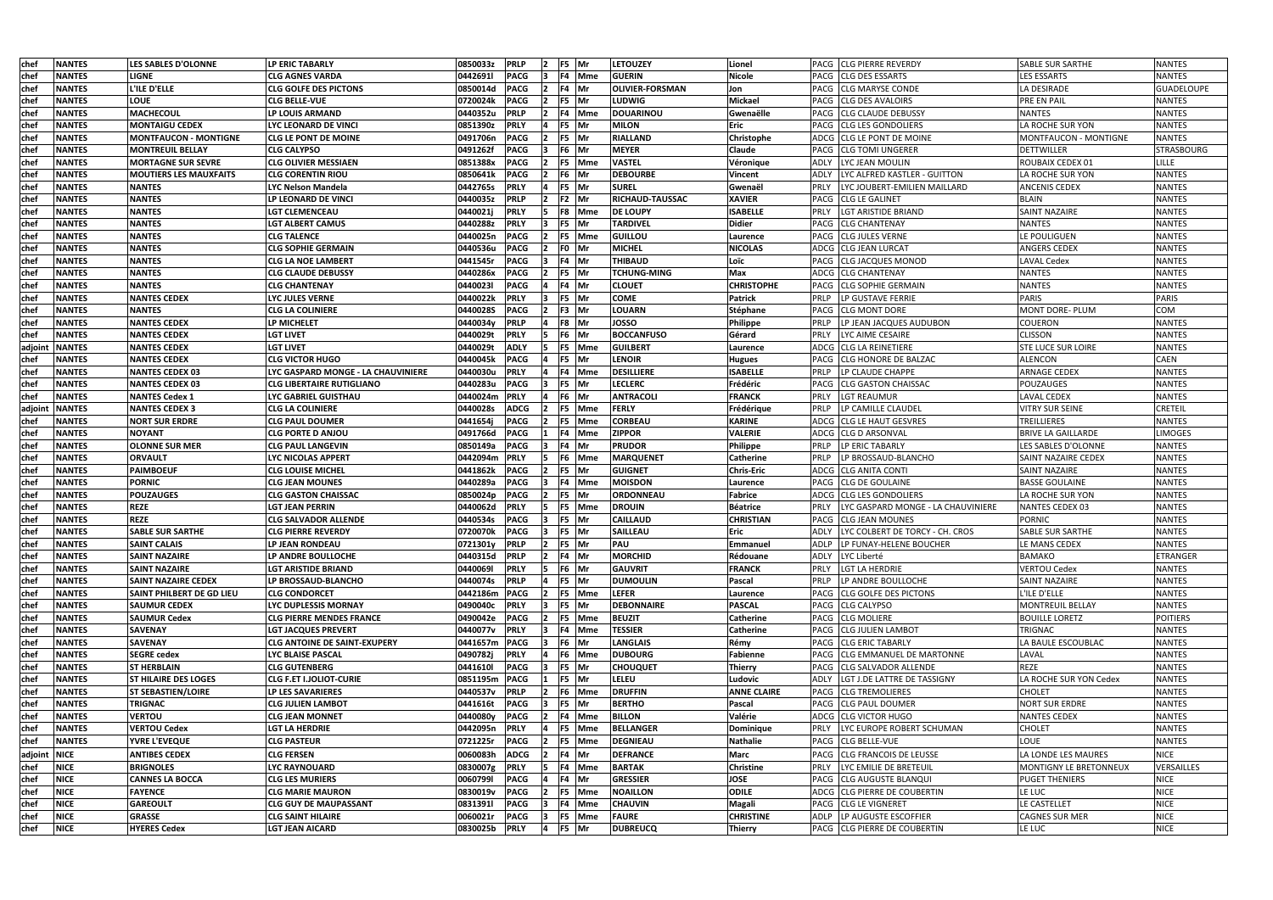| chef        | <b>NANTES</b> | <b>LES SABLES D'OLONNE</b>       | LP ERIC TABARLY                     | 0850033z      | <b>PRLP</b> |     | F5 Mr        | <b>LETOUZEY</b>        | Lionel             | <b>PACG CLG PIERRE REVERDY</b>             | <b>SABLE SUR SARTHE</b>       | <b>NANTES</b>     |
|-------------|---------------|----------------------------------|-------------------------------------|---------------|-------------|-----|--------------|------------------------|--------------------|--------------------------------------------|-------------------------------|-------------------|
| chef        | <b>NANTES</b> | <b>LIGNE</b>                     | <b>CLG AGNES VARDA</b>              | 0442691l      | <b>PACG</b> |     | F4 Mme       | <b>GUERIN</b>          | <b>Nicole</b>      | PACG<br><b>CLG DES ESSARTS</b>             | <b>LES ESSARTS</b>            | <b>NANTES</b>     |
| chef        | <b>NANTES</b> | L'ILE D'ELLE                     | CLG GOLFE DES PICTONS               | 0850014d      | <b>PACG</b> |     | F4  Mr       | <b>OLIVIER-FORSMAN</b> | Jon                | <b>CLG MARYSE CONDE</b><br>PACG            | LA DESIRADE                   | <b>GUADELOUPE</b> |
| chef        | <b>NANTES</b> | <b>LOUE</b>                      | CLG BELLE-VUE                       | 0720024k      | <b>PACG</b> |     | F5 Mr        | LUDWIG                 | <b>Mickael</b>     | <b>CLG DES AVALOIRS</b><br>PACG            | <b>PRE EN PAIL</b>            | <b>NANTES</b>     |
| <b>chef</b> | <b>NANTES</b> | <b>MACHECOUL</b>                 | LP LOUIS ARMAND                     | 0440352u      | <b>PRLP</b> |     | F4 Mme       | <b>DOUARINOU</b>       | Gwenaëlle          | <b>CLG CLAUDE DEBUSSY</b><br>PACG          | <b>NANTES</b>                 | <b>NANTES</b>     |
| <b>chef</b> | <b>NANTES</b> | <b>MONTAIGU CEDEX</b>            | <b>LYC LEONARD DE VINCI</b>         | 0851390z      | <b>PRLY</b> |     | F5 Mr        | <b>MILON</b>           | Eric               | <b>CLG LES GONDOLIERS</b><br>PACG          | LA ROCHE SUR YON              | <b>NANTES</b>     |
| chef        | <b>NANTES</b> | <b>MONTFAUCON - MONTIGNE</b>     | <b>CLG LE PONT DE MOINE</b>         | 0491706n      | <b>PACG</b> |     | F5 Mr        | <b>RIALLAND</b>        | Christophe         | ADCG CLG LE PONT DE MOINE                  | MONTFAUCON - MONTIGNE         | <b>NANTES</b>     |
| chef        | <b>NANTES</b> | <b>MONTREUIL BELLAY</b>          | <b>CLG CALYPSO</b>                  | 0491262f      | <b>PACG</b> |     | F6 Mr        | <b>MEYER</b>           | Claude             | <b>CLG TOMI UNGERER</b><br>PACG            | <b>DETTWILLER</b>             | <b>STRASBOURG</b> |
| chef        | <b>NANTES</b> | <b>MORTAGNE SUR SEVRE</b>        | <b>CLG OLIVIER MESSIAEN</b>         | 0851388x      | <b>PACG</b> |     | F5 Mme       | <b>VASTEL</b>          | Véronique          | LYC JEAN MOULIN<br>ADLY                    | ROUBAIX CEDEX 01              | <b>LILLE</b>      |
| chef        | <b>NANTES</b> | <b>MOUTIERS LES MAUXFAITS</b>    | <b>CLG CORENTIN RIOU</b>            | 0850641k      | <b>PACG</b> |     | F6 Mr        | <b>DEBOURBE</b>        | <b>Vincent</b>     | LYC ALFRED KASTLER - GUITTON<br>ADLY       | LA ROCHE SUR YON              | <b>NANTES</b>     |
| chef        | <b>NANTES</b> | <b>NANTES</b>                    | <b>LYC Nelson Mandela</b>           | 0442765s      | <b>PRLY</b> |     | F5 Mr        | <b>SUREL</b>           | Gwenaël            | LYC JOUBERT-EMILIEN MAILLARD<br>PRLY       | <b>ANCENIS CEDEX</b>          | <b>NANTES</b>     |
| <b>chef</b> | <b>NANTES</b> | <b>NANTES</b>                    | LP LEONARD DE VINCI                 | 0440035z      | <b>PRLP</b> |     | F2 Mr        | <b>RICHAUD-TAUSSAC</b> | <b>XAVIER</b>      | <b>CLG LE GALINET</b><br>PACG              | <b>BLAIN</b>                  | <b>NANTES</b>     |
| chef        | <b>NANTES</b> | <b>NANTES</b>                    | <b>LGT CLEMENCEAU</b>               | 0440021j      | <b>PRLY</b> |     | F8 Mme       | <b>DE LOUPY</b>        | <b>ISABELLE</b>    | PRLY<br><b>LGT ARISTIDE BRIAND</b>         | <b>SAINT NAZAIRE</b>          | <b>NANTES</b>     |
| chef        | <b>NANTES</b> | <b>NANTES</b>                    | LGT ALBERT CAMUS                    | 0440288z      | <b>PRLY</b> |     | F5  Mr       | TARDIVEL               | <b>Didier</b>      | <b>CLG CHANTENAY</b><br>PACG               | <b>NANTES</b>                 | <b>NANTES</b>     |
| chef        | <b>NANTES</b> | <b>NANTES</b>                    | CLG TALENCE                         | 0440025n      | <b>PACG</b> |     | F5  Mme      | <b>GUILLOU</b>         | Laurence           | <b>CLG JULES VERNE</b><br>PACG             | LE POULIGUEN                  | <b>NANTES</b>     |
| chef        | <b>NANTES</b> | <b>NANTES</b>                    | <b>CLG SOPHIE GERMAIN</b>           | 0440536u      | <b>PACG</b> |     | F0   Mr      | <b>MICHEL</b>          | <b>NICOLAS</b>     | ADCG<br><b>CLG JEAN LURCAT</b>             | <b>ANGERS CEDEX</b>           | <b>NANTES</b>     |
| chef        | <b>NANTES</b> | <b>NANTES</b>                    | <b>CLG LA NOE LAMBERT</b>           | 0441545r      | <b>PACG</b> |     | IF4 Mr       | <b>THIBAUD</b>         | Loïc               | <b>CLG JACQUES MONOD</b><br>PACG           | <b>LAVAL Cedex</b>            | <b>NANTES</b>     |
| <b>chef</b> | <b>NANTES</b> | <b>NANTES</b>                    | <b>CLG CLAUDE DEBUSSY</b>           | 0440286x      | <b>PACG</b> |     | F5 Mr        | <b>TCHUNG-MING</b>     | Max                | ADCG<br><b>CLG CHANTENAY</b>               | <b>NANTES</b>                 | <b>NANTES</b>     |
| chef        | <b>NANTES</b> | <b>NANTES</b>                    | <b>CLG CHANTENAY</b>                | 04400231      | <b>PACG</b> |     | F4 Mr        | CLOUET                 | <b>CHRISTOPHE</b>  | <b>CLG SOPHIE GERMAIN</b><br>PACG          | <b>NANTES</b>                 | <b>NANTES</b>     |
| chef        | <b>NANTES</b> | <b>NANTES CEDEX</b>              | <b>LYC JULES VERNE</b>              | 0440022k      | <b>PRLY</b> |     | F5 Mr        | <b>COME</b>            | Patrick            | PRLP<br>LP GUSTAVE FERRIE                  | <b>PARIS</b>                  | <b>PARIS</b>      |
| <b>chef</b> | <b>NANTES</b> | <b>NANTES</b>                    | <b>CLG LA COLINIERE</b>             | 04400285      | <b>PACG</b> |     | F3 Mr        | LOUARN                 | Stéphane           | <b>CLG MONT DORE</b><br>PACG               | MONT DORE- PLUM               | COM               |
| chef        | <b>NANTES</b> | <b>NANTES CEDEX</b>              | LP MICHELET                         | 0440034y      | <b>PRLP</b> |     | F8 Mr        | <b>JOSSO</b>           | Philippe           | PRLP<br>LP JEAN JACQUES AUDUBON            | <b>COUERON</b>                | <b>NANTES</b>     |
| chef        | <b>NANTES</b> | <b>NANTES CEDEX</b>              | <b>LGT LIVET</b>                    | 0440029t      | <b>PRLY</b> |     | F6   Mr      | <b>BOCCANFUSO</b>      | Gérard             | <b>PRLY</b><br>LYC AIME CESAIRE            | <b>CLISSON</b>                | <b>NANTES</b>     |
| adjoint     | <b>NANTES</b> | <b>NANTES CEDEX</b>              | <b>LGT LIVET</b>                    | 0440029t      | <b>ADLY</b> |     | F5 Mme       | <b>GUILBERT</b>        | Laurence           | <b>CLG LA REINETIERE</b><br>ADCG           | <b>STE LUCE SUR LOIRE</b>     | <b>NANTES</b>     |
| chef        | <b>NANTES</b> | <b>NANTES CEDEX</b>              | <b>CLG VICTOR HUGO</b>              | 0440045k      | <b>PACG</b> |     | F5 Mr        | <b>LENOIR</b>          | <b>Hugues</b>      | <b>CLG HONORE DE BALZAC</b><br>PACG        | <b>ALENCON</b>                | CAEN              |
| chef        | <b>NANTES</b> | <b>NANTES CEDEX 03</b>           | LYC GASPARD MONGE - LA CHAUVINIERE  | 0440030u      | <b>PRLY</b> |     | F4 Mme       | <b>DESILLIERE</b>      | <b>ISABELLE</b>    | PRLP<br>LP CLAUDE CHAPPE                   | <b>ARNAGE CEDEX</b>           | <b>NANTES</b>     |
| <b>chef</b> | <b>NANTES</b> | <b>NANTES CEDEX 03</b>           | <b>CLG LIBERTAIRE RUTIGLIANO</b>    | 0440283u      | <b>PACG</b> |     | F5   Mr      | <b>LECLERC</b>         | Frédéric           | <b>CLG GASTON CHAISSAC</b><br><b>PACG</b>  | POUZAUGES                     | <b>NANTES</b>     |
| <b>chef</b> | <b>NANTES</b> | <b>NANTES Cedex 1</b>            | LYC GABRIEL GUISTHAU                | 0440024m      | <b>PRLY</b> |     | F6 Mr        | <b>ANTRACOLI</b>       | <b>FRANCK</b>      | <b>PRLY</b><br><b>LGT REAUMUR</b>          | <b>LAVAL CEDEX</b>            | <b>NANTES</b>     |
| adjoint     | <b>NANTES</b> | <b>NANTES CEDEX 3</b>            | <b>CLG LA COLINIERE</b>             | 0440028s      | <b>ADCG</b> |     | F5 Mme       | <b>FERLY</b>           | Frédérique         | PRLP<br>LP CAMILLE CLAUDEL                 | <b>VITRY SUR SEINE</b>        | <b>CRETEIL</b>    |
| chef        | <b>NANTES</b> | <b>NORT SUR ERDRE</b>            | <b>CLG PAUL DOUMER</b>              | 0441654j      | <b>PACG</b> |     | F5 Mme       | <b>CORBEAU</b>         | <b>KARINE</b>      | <b>CLG LE HAUT GESVRES</b><br>ADCG         | TREILLIERES                   | <b>NANTES</b>     |
| <b>chef</b> | <b>NANTES</b> | <b>NOYANT</b>                    | <b>CLG PORTE D ANJOU</b>            | 0491766d      | <b>PACG</b> |     | F4 Mme       | <b>ZIPPOR</b>          | <b>VALERIE</b>     | ADCG<br><b>CLG D ARSONVAL</b>              | <b>BRIVE LA GAILLARDE</b>     | <b>LIMOGES</b>    |
| chef        | <b>NANTES</b> | <b>OLONNE SUR MER</b>            | <b>CLG PAUL LANGEVIN</b>            | 0850149a      | <b>PACG</b> |     | F4 Mr        | <b>PRUDOR</b>          | Philippe           | PRLP<br>LP ERIC TABARLY                    | LES SABLES D'OLONNE           | <b>NANTES</b>     |
| chef        | <b>NANTES</b> | <b>ORVAULT</b>                   | LYC NICOLAS APPERT                  | 0442094m      | <b>PRLY</b> |     | F6 Mme       | <b>MARQUENET</b>       | <b>Catherine</b>   | LP BROSSAUD-BLANCHO<br><b>PRLP</b>         | <b>SAINT NAZAIRE CEDEX</b>    | <b>NANTES</b>     |
| chef        | <b>NANTES</b> | <b>PAIMBOEUF</b>                 | <b>CLG LOUISE MICHEL</b>            | 0441862k      | <b>PACG</b> |     | F5 Mr        | <b>GUIGNET</b>         | <b>Chris-Eric</b>  | ADCG CLG ANITA CONTI                       | SAINT NAZAIRE                 | <b>NANTES</b>     |
| chef        | <b>NANTES</b> | <b>PORNIC</b>                    | <b>CLG JEAN MOUNES</b>              | 0440289a      | <b>PACG</b> |     | F4 Mme       | <b>MOISDON</b>         | Laurence           | <b>CLG DE GOULAINE</b><br>PACG             | <b>BASSE GOULAINE</b>         | <b>NANTES</b>     |
| chef        | <b>NANTES</b> | <b>POUZAUGES</b>                 | <b>CLG GASTON CHAISSAC</b>          | 0850024p      | <b>PACG</b> |     | F5   Mr      | <b>ORDONNEAU</b>       | Fabrice            | <b>CLG LES GONDOLIERS</b><br>ADCG          | LA ROCHE SUR YON              | <b>NANTES</b>     |
| chef        | <b>NANTES</b> | <b>REZE</b>                      | LGT JEAN PERRIN                     | 0440062d      | <b>PRLY</b> |     | F5 Mme       | <b>DROUIN</b>          | Béatrice           | PRLY<br>LYC GASPARD MONGE - LA CHAUVINIERE | NANTES CEDEX 03               | <b>NANTES</b>     |
| chef        | <b>NANTES</b> | <b>REZE</b>                      | <b>CLG SALVADOR ALLENDE</b>         | 0440534s      | <b>PACG</b> |     | F5 Mr        | CAILLAUD               | <b>CHRISTIAN</b>   | PACG<br><b>CLG JEAN MOUNES</b>             | <b>PORNIC</b>                 | <b>NANTES</b>     |
| <b>chef</b> | <b>NANTES</b> | <b>SABLE SUR SARTHE</b>          | <b>CLG PIERRE REVERDY</b>           | 0720070k      | <b>PACG</b> | 13. | <b>F5</b> Mr | <b>SAILLEAU</b>        | Eric               | ADLY<br>LYC COLBERT DE TORCY - CH. CROS    | <b>SABLE SUR SARTHE</b>       | <b>NANTES</b>     |
| chef        | <b>NANTES</b> | <b>SAINT CALAIS</b>              | <b>LP JEAN RONDEAU</b>              | 0721301y PRLP |             |     | F5 Mr        | <b>PAU</b>             | Emmanuel           | <b>ADLP</b><br>LP FUNAY-HELENE BOUCHER     | LE MANS CEDEX                 | <b>NANTES</b>     |
| chef        | <b>NANTES</b> | <b>SAINT NAZAIRE</b>             | LP ANDRE BOULLOCHE                  | 0440315d      | <b>PRLP</b> |     | F4 Mr        | <b>MORCHID</b>         | Rédouane           | <b>ADLY</b><br>LYC Liberté                 | <b>BAMAKO</b>                 | <b>ETRANGER</b>   |
| chef        | <b>NANTES</b> | <b>SAINT NAZAIRE</b>             | <b>LGT ARISTIDE BRIAND</b>          | 04400691      | <b>PRLY</b> |     | F6 Mr        | <b>GAUVRIT</b>         | <b>FRANCK</b>      | <b>PRLY</b><br>LGT LA HERDRIE              | <b>VERTOU Cedex</b>           | <b>NANTES</b>     |
| <b>chef</b> | <b>NANTES</b> | <b>SAINT NAZAIRE CEDEX</b>       | <b>LP BROSSAUD-BLANCHO</b>          | 0440074s PRLP |             |     | F5 Mr        | <b>DUMOULIN</b>        | Pascal             | LP ANDRE BOULLOCHE<br>PRLP                 | <b>SAINT NAZAIRE</b>          | <b>NANTES</b>     |
| chef        | <b>NANTES</b> | <b>SAINT PHILBERT DE GD LIEU</b> | <b>CLG CONDORCET</b>                | 0442186m PACG |             |     | F5 Mme       | <b>LEFER</b>           | Laurence           | <b>ICLG GOLFE DES PICTONS</b><br>PACG      | L'ILE D'ELLE                  | <b>NANTES</b>     |
| chef        | <b>NANTES</b> | <b>SAUMUR CEDEX</b>              | LYC DUPLESSIS MORNAY                | 0490040c      | <b>PRLY</b> | 13. | F5 Mr        | <b>DEBONNAIRE</b>      | <b>PASCAL</b>      | PACG CLG CALYPSO                           | MONTREUIL BELLAY              | <b>NANTES</b>     |
| chef        | <b>NANTES</b> | <b>SAUMUR Cedex</b>              | <b>CLG PIERRE MENDES FRANCE</b>     | 0490042e      | <b>PACG</b> |     | F5 Mme       | <b>BEUZIT</b>          | <b>Catherine</b>   | PACG CLG MOLIERE                           | <b>BOUILLE LORETZ</b>         | <b>POITIERS</b>   |
| chef        | <b>NANTES</b> | <b>SAVENAY</b>                   | <b>LGT JACQUES PREVERT</b>          | 0440077v      | <b>PRLY</b> |     | F4 Mme       | <b>TESSIER</b>         | <b>Catherine</b>   | PACG CLG JULIEN LAMBOT                     | TRIGNAC                       | <b>NANTES</b>     |
| chef        | <b>NANTES</b> | <b>SAVENAY</b>                   | <b>CLG ANTOINE DE SAINT-EXUPERY</b> | 0441657m PACG |             |     | F6 Mr        | <b>LANGLAIS</b>        | Rémy               | PACG CLG ERIC TABARLY                      | LA BAULE ESCOUBLAC            | <b>NANTES</b>     |
| chef        | <b>NANTES</b> | <b>SEGRE cedex</b>               | <b>LYC BLAISE PASCAL</b>            | 0490782j      | <b>PRLY</b> |     | F6 Mme       | <b>DUBOURG</b>         | Fabienne           | PACG CLG EMMANUEL DE MARTONNE              | LAVAL                         | <b>NANTES</b>     |
| chef        | <b>NANTES</b> | <b>ST HERBLAIN</b>               | <b>CLG GUTENBERG</b>                | 0441610l      | <b>PACG</b> |     | F5 Mr        | <b>CHOUQUET</b>        | Thierry            | PACG CLG SALVADOR ALLENDE                  | <b>REZE</b>                   | <b>NANTES</b>     |
| chef        | <b>NANTES</b> | <b>ST HILAIRE DES LOGES</b>      | <b>CLG F.ET I.JOLIOT-CURIE</b>      | 0851195m PACG |             |     | F5 Mr        | <b>LELEU</b>           | Ludovic            | LGT J.DE LATTRE DE TASSIGNY<br>ADLY        | LA ROCHE SUR YON Cedex        | <b>NANTES</b>     |
| chef        | <b>NANTES</b> | <b>ST SEBASTIEN/LOIRE</b>        | LP LES SAVARIERES                   | 0440537v      | <b>PRLP</b> |     | F6 Mme       | <b>DRUFFIN</b>         | <b>ANNE CLAIRE</b> | PACG CLG TREMOLIERES                       | <b>CHOLET</b>                 | <b>NANTES</b>     |
| chef        | <b>NANTES</b> | <b>TRIGNAC</b>                   | <b>CLG JULIEN LAMBOT</b>            | 0441616t      | <b>PACG</b> |     | F5 Mr        | <b>BERTHO</b>          | Pascal             | PACG CLG PAUL DOUMER                       | <b>NORT SUR ERDRE</b>         | <b>NANTES</b>     |
| chef        | <b>NANTES</b> | <b>VERTOU</b>                    | <b>CLG JEAN MONNET</b>              | 0440080y      | <b>PACG</b> |     | F4 Mme       | <b>BILLON</b>          | Valérie            | ADCG CLG VICTOR HUGO                       | <b>NANTES CEDEX</b>           | <b>NANTES</b>     |
| chef        | <b>NANTES</b> | <b>VERTOU Cedex</b>              | <b>LGT LA HERDRIE</b>               | 0442095n      | <b>PRLY</b> |     | F5 Mme       | <b>BELLANGER</b>       | Dominique          | PRLY<br>LYC EUROPE ROBERT SCHUMAN          | <b>CHOLET</b>                 | <b>NANTES</b>     |
| chef        | <b>NANTES</b> | <b>YVRE L'EVEQUE</b>             | <b>CLG PASTEUR</b>                  | 0721225r      | <b>PACG</b> |     | F5 Mme       | <b>DEGNIEAU</b>        | Nathalie           | PACG CLG BELLE-VUE                         | LOUE                          | <b>NANTES</b>     |
| adjoint     | <b>NICE</b>   | <b>ANTIBES CEDEX</b>             | <b>CLG FERSEN</b>                   | 0060083h      | <b>ADCG</b> |     | F4 lMr       | <b>DEFRANCE</b>        | <b>Marc</b>        | PACG<br><b>CLG FRANCOIS DE LEUSSE</b>      | LA LONDE LES MAURES           | <b>NICE</b>       |
| chef        | <b>NICE</b>   | <b>BRIGNOLES</b>                 | LYC RAYNOUARD                       | 0830007g      | <b>PRLY</b> |     | F4 Mme       | <b>BARTAK</b>          | Christine          | PRLY<br>LYC EMILIE DE BRETEUIL             | <b>MONTIGNY LE BRETONNEUX</b> | VERSAILLES        |
| chef        | <b>NICE</b>   | <b>CANNES LA BOCCA</b>           | <b>CLG LES MURIERS</b>              | 00607991      | <b>PACG</b> |     | F4 Mr        | <b>GRESSIER</b>        | <b>JOSE</b>        | PACG CLG AUGUSTE BLANQUI                   | <b>PUGET THENIERS</b>         | <b>NICE</b>       |
| chef        | <b>NICE</b>   | <b>FAYENCE</b>                   | <b>CLG MARIE MAURON</b>             | 0830019v      | <b>PACG</b> |     | F5 Mme       | <b>NOAILLON</b>        | <b>ODILE</b>       | ADCG CLG PIERRE DE COUBERTIN               | LE LUC                        | <b>NICE</b>       |
| chef        | <b>NICE</b>   | <b>GAREOULT</b>                  | <b>CLG GUY DE MAUPASSANT</b>        | 08313911      | <b>PACG</b> |     | F4 Mme       | <b>CHAUVIN</b>         | Magali             | <b>PACG CLG LE VIGNERET</b>                | LE CASTELLET                  | <b>NICE</b>       |
| chef        | <b>NICE</b>   | <b>GRASSE</b>                    | <b>CLG SAINT HILAIRE</b>            | 0060021r      | <b>PACG</b> |     | F5 Mme       | <b>FAURE</b>           | <b>CHRISTINE</b>   | LP AUGUSTE ESCOFFIER<br>ADLP               | <b>CAGNES SUR MER</b>         | <b>NICE</b>       |
| chef        | <b>NICE</b>   | <b>HYERES Cedex</b>              | <b>LGT JEAN AICARD</b>              | 0830025b      | <b>PRLY</b> |     | F5 Mr        | <b>DUBREUCQ</b>        | Thierry            | PACG CLG PIERRE DE COUBERTIN               | LE LUC                        | <b>NICE</b>       |
|             |               |                                  |                                     |               |             |     |              |                        |                    |                                            |                               |                   |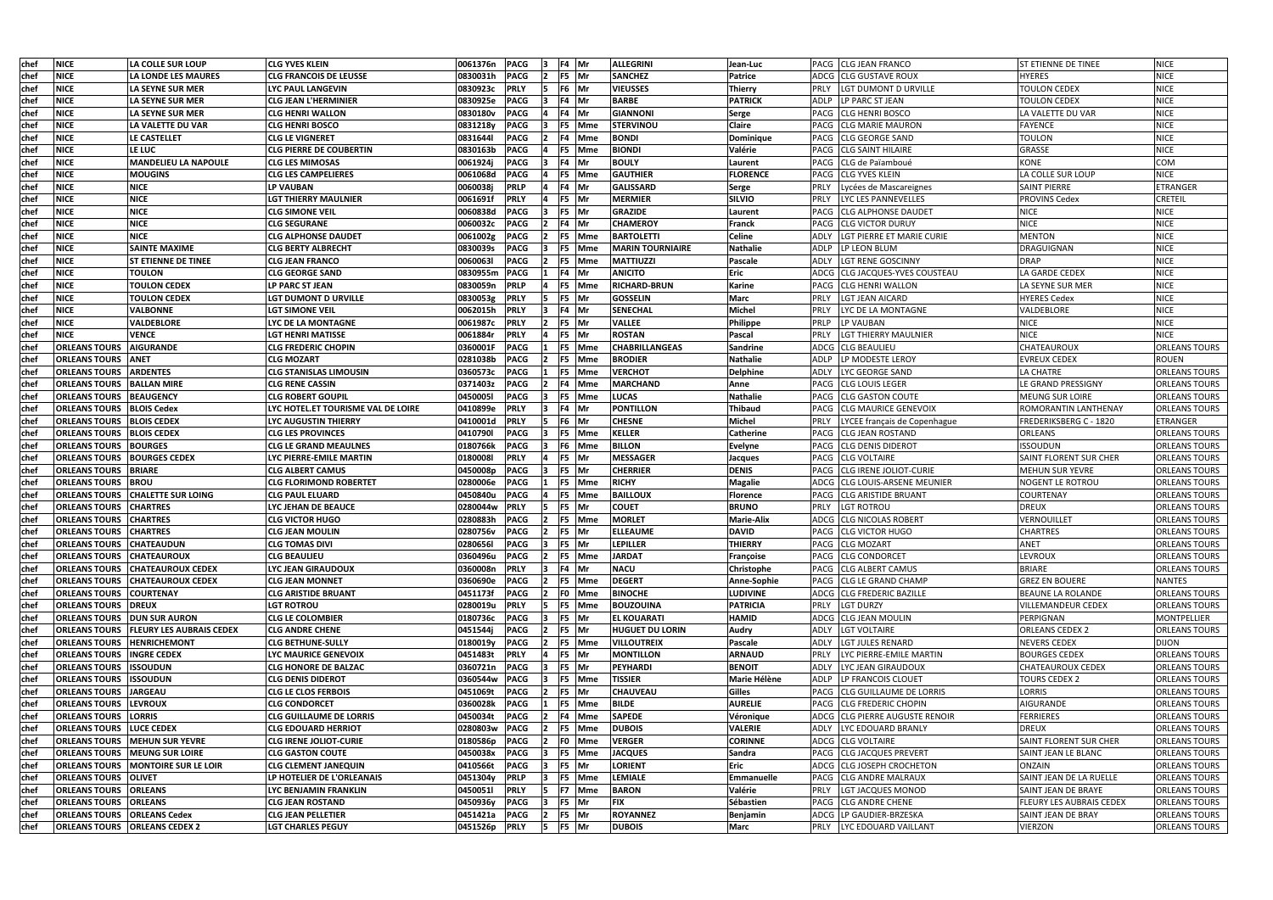| chef        | <b>NICE</b>                          | LA COLLE SUR LOUP                             | <b>CLG YVES KLEIN</b>              | 0061376n<br><b>PACG</b><br>F4 Mr       | <b>ALLEGRINI</b>        | Jean-Luc            |             | PACG CLG JEAN FRANCO                  | <b>ST ETIENNE DE TINEE</b>      | <b>NICE</b>          |
|-------------|--------------------------------------|-----------------------------------------------|------------------------------------|----------------------------------------|-------------------------|---------------------|-------------|---------------------------------------|---------------------------------|----------------------|
| chef        | <b>NICE</b>                          | LA LONDE LES MAURES                           | <b>CLG FRANCOIS DE LEUSSE</b>      | <b>PACG</b><br>0830031h<br>F5 Mr       | <b>SANCHEZ</b>          | <b>Patrice</b>      |             | ADCG CLG GUSTAVE ROUX                 | <b>HYERES</b>                   | <b>NICE</b>          |
| chef        | <b>NICE</b>                          | LA SEYNE SUR MER                              | <b>LYC PAUL LANGEVIN</b>           | 0830923c<br><b>PRLY</b><br>F6 Mr       | <b>VIEUSSES</b>         | Thierry             | PRLY        | LGT DUMONT D URVILLE                  | <b>TOULON CEDEX</b>             | <b>NICE</b>          |
| chef        | <b>NICE</b>                          | LA SEYNE SUR MER                              | <b>CLG JEAN L'HERMINIER</b>        | <b>PACG</b><br>0830925e<br>F4 Mr       | <b>BARBE</b>            | <b>PATRICK</b>      | <b>ADLP</b> | LP PARC ST JEAN                       | <b>TOULON CEDEX</b>             | <b>NICE</b>          |
| chef        | <b>NICE</b>                          | LA SEYNE SUR MER                              | <b>CLG HENRI WALLON</b>            | <b>PACG</b><br>0830180v<br>F4 lMr      | <b>GIANNONI</b>         | Serge               |             | PACG CLG HENRI BOSCO                  | LA VALETTE DU VAR               | <b>NICE</b>          |
| chef        | <b>NICE</b>                          | LA VALETTE DU VAR                             | <b>CLG HENRI BOSCO</b>             | <b>PACG</b><br>0831218y<br>F5 Mme      | <b>STERVINOU</b>        | <b>Claire</b>       | <b>PACG</b> | <b>CLG MARIE MAURON</b>               | FAYENCE                         | <b>NICE</b>          |
| chef        | <b>NICE</b>                          | LE CASTELLET                                  | <b>CLG LE VIGNERET</b>             | 08316441<br><b>PACG</b><br>4 Mme       | <b>BONDI</b>            | Dominique           | PACG        | <b>CLG GEORGE SAND</b>                | <b>TOULON</b>                   | <b>NICE</b>          |
| chef        | <b>NICE</b>                          | LE LUC                                        | <b>CLG PIERRE DE COUBERTIN</b>     | 0830163b<br><b>PACG</b><br>F5 Mme      | <b>BIONDI</b>           | Valérie             |             | PACG CLG SAINT HILAIRE                | GRASSE                          | <b>NICE</b>          |
| chef        | <b>NICE</b>                          | <b>MANDELIEU LA NAPOULE</b>                   | <b>CLG LES MIMOSAS</b>             | <b>PACG</b><br>0061924j<br>F4 Mr       | <b>BOULY</b>            | Laurent             |             | PACG CLG de Païamboué                 | <b>KONE</b>                     | COM                  |
| chef        | <b>NICE</b>                          | <b>MOUGINS</b>                                | <b>CLG LES CAMPELIERES</b>         | <b>PACG</b><br>0061068d<br>F5 Mme      | <b>GAUTHIER</b>         | <b>FLORENCE</b>     |             | PACG CLG YVES KLEIN                   | LA COLLE SUR LOUP               | <b>NICE</b>          |
| chef        | <b>NICE</b>                          | <b>NICE</b>                                   | <b>LP VAUBAN</b>                   | <b>PRLP</b><br>0060038j<br>F4 Mr       | <b>GALISSARD</b>        | Serge               |             | Lycées de Mascareignes                | <b>SAINT PIERRE</b>             | ETRANGER             |
| chef        | <b>NICE</b>                          | <b>NICE</b>                                   | <b>LGT THIERRY MAULNIER</b>        | <b>PRLY</b><br>0061691f<br>F5  Mr      | <b>MERMIER</b>          | <b>SILVIO</b>       | <b>PRLY</b> | LYC LES PANNEVELLES                   | <b>PROVINS Cedex</b>            | <b>CRETEIL</b>       |
| chef        | <b>NICE</b>                          | <b>NICE</b>                                   | <b>CLG SIMONE VEIL</b>             | 0060838d<br><b>PACG</b><br>F5  Mr      | <b>GRAZIDE</b>          | Laurent             | PACG        | <b>CLG ALPHONSE DAUDET</b>            | <b>NICE</b>                     | <b>NICE</b>          |
| chef        | <b>NICE</b>                          | <b>NICE</b>                                   | <b>CLG SEGURANE</b>                | 0060032c<br><b>PACG</b><br>F4 Mr       | <b>CHAMEROY</b>         | Franck              |             | PACG CLG VICTOR DURUY                 | <b>NICE</b>                     | <b>NICE</b>          |
| chef        | <b>NICE</b>                          | <b>NICE</b>                                   | <b>CLG ALPHONSE DAUDET</b>         | 0061002g<br><b>PACG</b><br>F5 Mme      | <b>BARTOLETTI</b>       | <b>Celine</b>       | ADLY        | LGT PIERRE ET MARIE CURIE             | <b>MENTON</b>                   | <b>NICE</b>          |
| chef        | <b>NICE</b>                          | <b>SAINTE MAXIME</b>                          | CLG BERTY ALBRECHT                 | <b>PACG</b><br>0830039s<br>F5 Mme      | <b>MARIN TOURNIAIRE</b> | Nathalie            |             | ADLP LP LEON BLUM                     | DRAGUIGNAN                      | <b>NICE</b>          |
| chef        | <b>NICE</b>                          | <b>ST ETIENNE DE TINEE</b>                    | CLG JEAN FRANCO                    | <b>PACG</b><br>00600631<br>F5 Mme      | <b>MATTIUZZI</b>        | Pascale             | <b>ADLY</b> | <b>LGT RENE GOSCINNY</b>              | <b>DRAP</b>                     | <b>NICE</b>          |
| chef        | <b>NICE</b>                          | <b>TOULON</b>                                 | <b>CLG GEORGE SAND</b>             | <b>PACG</b><br>0830955m<br>F4 IMr      | <b>ANICITO</b>          | <b>Eric</b>         | ADCG        | ICLG JACQUES-YVES COUSTEAU            | LA GARDE CEDEX                  | <b>NICE</b>          |
| chef        | <b>NICE</b>                          | <b>TOULON CEDEX</b>                           | LP PARC ST JEAN                    | 0830059n<br><b>PRLP</b><br>F5 Mme      | <b>RICHARD-BRUN</b>     | <b>Karine</b>       | PACG        | <b>CLG HENRI WALLON</b>               | LA SEYNE SUR MER                | <b>NICE</b>          |
| chef        | <b>NICE</b>                          | <b>TOULON CEDEX</b>                           | <b>LGT DUMONT D URVILLE</b>        | 0830053g<br><b>PRLY</b><br>F5 Mr       | <b>GOSSELIN</b>         | <b>Marc</b>         | <b>PRLY</b> | <b>LGT JEAN AICARD</b>                | <b>HYERES Cedex</b>             | <b>NICE</b>          |
| chef        | <b>NICE</b>                          | <b>VALBONNE</b>                               | <b>LGT SIMONE VEIL</b>             | <b>PRLY</b><br>F4 Mr<br>0062015h       | <b>SENECHAL</b>         | <b>Michel</b>       | <b>PRLY</b> | LYC DE LA MONTAGNE                    | VALDEBLORE                      | <b>NICE</b>          |
| chef        | <b>NICE</b>                          | <b>VALDEBLORE</b>                             | LYC DE LA MONTAGNE                 | <b>PRLY</b><br>0061987c<br>F5  Mr      | <b>VALLEE</b>           | Philippe            | <b>PRLP</b> | <b>LP VAUBAN</b>                      | <b>NICE</b>                     | <b>NICE</b>          |
| chef        | <b>NICE</b>                          | <b>VENCE</b>                                  | <b>LGT HENRI MATISSE</b>           | <b>PRLY</b><br>0061884r<br>F5  Mr      | <b>ROSTAN</b>           | Pascal              | PRLY        | <b>LGT THIERRY MAULNIER</b>           | <b>NICE</b>                     | <b>NICE</b>          |
| chef        | <b>ORLEANS TOURS</b>                 | <b>AIGURANDE</b>                              | <b>CLG FREDERIC CHOPIN</b>         | 0360001F<br><b>PACG</b><br>F5 Mme      | <b>CHABRILLANGEAS</b>   | Sandrine            | ADCG        | <b>CLG BEAULIEU</b>                   | <b>CHATEAUROUX</b>              | <b>ORLEANS TOURS</b> |
| <b>chef</b> | <b>ORLEANS TOURS ANET</b>            |                                               | <b>CLG MOZART</b>                  | 0281038b<br><b>PACG</b><br>F5 Mme      | <b>BRODIER</b>          | <b>Nathalie</b>     | ADLP        | LP MODESTE LEROY                      | <b>EVREUX CEDEX</b>             | <b>ROUEN</b>         |
| chef        | <b>ORLEANS TOURS</b>                 | <b>ARDENTES</b>                               | <b>CLG STANISLAS LIMOUSIN</b>      | 0360573c<br><b>PACG</b><br>F5 Mme      | <b>VERCHOT</b>          | <b>Delphine</b>     | <b>ADLY</b> | LYC GEORGE SAND                       | <b>LA CHATRE</b>                | <b>ORLEANS TOURS</b> |
| chef        | <b>ORLEANS TOURS</b>                 | <b>BALLAN MIRE</b>                            | <b>CLG RENE CASSIN</b>             | 0371403z<br><b>PACG</b><br>'4 Mme      | <b>MARCHAND</b>         | Anne                |             | PACG CLG LOUIS LEGER                  | LE GRAND PRESSIGNY              | <b>ORLEANS TOURS</b> |
| <b>chet</b> | <b>ORLEANS TOURS</b>                 | <b>BEAUGENCY</b>                              | <b>CLG ROBERT GOUPIL</b>           | <b>PACG</b><br>04500051<br>F5 Mme      | <b>LUCAS</b>            | Nathalie            |             | PACG CLG GASTON COUTE                 | <b>MEUNG SUR LOIRE</b>          | <b>ORLEANS TOURS</b> |
| chef        | <b>ORLEANS TOURS</b>                 | <b>BLOIS Cedex</b>                            | LYC HOTEL.ET TOURISME VAL DE LOIRE | <b>PRLY</b><br>0410899e<br>∶4 lMr      | <b>PONTILLON</b>        | <b>Thibaud</b>      | PACG        | <b>CLG MAURICE GENEVOIX</b>           | ROMORANTIN LANTHENAY            | ORLEANS TOURS        |
| chef        | <b>ORLEANS TOURS</b>                 | <b>BLOIS CEDEX</b>                            | LYC AUGUSTIN THIERRY               | <b>PRLY</b><br>0410001d<br>F6 Mr       | <b>CHESNE</b>           | <b>Michel</b>       | PRLY        | LYCEE français de Copenhague          | <b>FREDERIKSBERG C - 1820</b>   | <b>ETRANGER</b>      |
| <b>chef</b> | <b>ORLEANS TOURS</b>                 | <b>BLOIS CEDEX</b>                            | <b>CLG LES PROVINCES</b>           | <b>PACG</b><br>04107901<br>F5 Mme      | <b>KELLER</b>           | <b>Catherine</b>    |             | PACG CLG JEAN ROSTAND                 | ORLEANS                         | ORLEANS TOURS        |
| chef        | <b>ORLEANS TOURS</b>                 | <b>BOURGES</b>                                | <b>CLG LE GRAND MEAULNES</b>       | 0180766k<br><b>PACG</b><br>F6 Mme      | <b>BILLON</b>           | <b>Evelyne</b>      |             | PACG CLG DENIS DIDEROT                | <b>ISSOUDUN</b>                 | <b>ORLEANS TOURS</b> |
| chef        | <b>ORLEANS TOURS</b>                 | <b>BOURGES CEDEX</b>                          | LYC PIERRE-EMILE MARTIN            | 01800081<br><b>PRLY</b><br>F5 Mr       | <b>MESSAGER</b>         | Jacques             |             | PACG CLG VOLTAIRE                     | SAINT FLORENT SUR CHER          | <b>ORLEANS TOURS</b> |
| chef        | <b>ORLEANS TOURS</b>                 | <b>BRIARE</b>                                 | <b>CLG ALBERT CAMUS</b>            | <b>PACG</b><br>F5 Mr<br>0450008p       | <b>CHERRIER</b>         | <b>DENIS</b>        |             | PACG CLG IRENE JOLIOT-CURIE           | MEHUN SUR YEVRE                 | <b>ORLEANS TOURS</b> |
| chef        | <b>ORLEANS TOURS</b>                 | <b>BROU</b>                                   | <b>CLG FLORIMOND ROBERTET</b>      | <b>PACG</b><br>0280006e<br>F5 Mme      | <b>RICHY</b>            | <b>Magalie</b>      |             | ADCG CLG LOUIS-ARSENE MEUNIER         | <b>NOGENT LE ROTROU</b>         | <b>ORLEANS TOURS</b> |
| chef        | <b>ORLEANS TOURS</b>                 | <b>CHALETTE SUR LOING</b>                     | <b>CLG PAUL ELUARD</b>             | 0450840u<br><b>PACG</b><br>F5 Mme      | <b>BAILLOUX</b>         | Florence            |             | PACG CLG ARISTIDE BRUANT              | <b>COURTENAY</b>                | <b>ORLEANS TOURS</b> |
| chef        | <b>ORLEANS TOURS</b>                 | <b>CHARTRES</b>                               | LYC JEHAN DE BEAUCE                | 0280044w<br><b>PRLY</b><br>F5  Mr      | <b>COUET</b>            | <b>BRUNO</b>        | <b>PRLY</b> | <b>LGT ROTROU</b>                     | <b>DREUX</b>                    | <b>ORLEANS TOURS</b> |
| chef        | <b>ORLEANS TOURS CHARTRES</b>        |                                               | <b>CLG VICTOR HUGO</b>             | 0280883h<br><b>PACG</b><br>F5 Mme      | <b>MORLET</b>           | <b>Marie-Alix</b>   |             | ADCG CLG NICOLAS ROBERT               | VERNOUILLET                     | <b>ORLEANS TOURS</b> |
| chef        | <b>ORLEANS TOURS CHARTRES</b>        |                                               | <b>CLG JEAN MOULIN</b>             | 0280756v<br><b>PACG</b><br>F5 Mr<br>12 | <b>ELLEAUME</b>         | <b>DAVID</b>        |             | PACG CLG VICTOR HUGO                  | <b>CHARTRES</b>                 | <b>ORLEANS TOURS</b> |
| chef        | <b>ORLEANS TOURS CHATEAUDUN</b>      |                                               | <b>CLG TOMAS DIVI</b>              | 02806561<br><b>PACG</b><br>F5 Mr       | <b>LEPILLER</b>         | <b>THIERRY</b>      |             | PACG CLG MOZART                       | <b>ANET</b>                     | <b>ORLEANS TOURS</b> |
| <b>chef</b> | <b>ORLEANS TOURS</b>                 | <b>CHATEAUROUX</b>                            | <b>CLG BEAULIEU</b>                | 0360496u<br><b>PACG</b><br>F5 Mme      | <b>JARDAT</b>           | Françoise           |             | <b>PACG CLG CONDORCET</b>             | <b>LEVROUX</b>                  | <b>ORLEANS TOURS</b> |
| chef        |                                      | <b>ORLEANS TOURS CHATEAUROUX CEDEX</b>        | LYC JEAN GIRAUDOUX                 | <b>PRLY</b><br>0360008n<br>F4 Mr       | <b>NACU</b>             | Christophe          |             | PACG CLG ALBERT CAMUS                 | <b>BRIARE</b>                   | <b>ORLEANS TOURS</b> |
| chef        |                                      | <b>ORLEANS TOURS CHATEAUROUX CEDEX</b>        | <b>CLG JEAN MONNET</b>             | <b>PACG</b><br>0360690e<br>F5 Mme      | <b>DEGERT</b>           | Anne-Sophie         |             | PACG ICLG LE GRAND CHAMP              | <b>GREZ EN BOUERE</b>           | <b>NANTES</b>        |
| chef        | <b>ORLEANS TOURS COURTENAY</b>       |                                               | <b>CLG ARISTIDE BRUANT</b>         | 0451173f<br><b>PACG</b><br>F0 Mme      | <b>BINOCHE</b>          | <b>LUDIVINE</b>     |             | ADCG CLG FREDERIC BAZILLE             | <b>BEAUNE LA ROLANDE</b>        | <b>ORLEANS TOURS</b> |
| chef        | <b>ORLEANS TOURS DREUX</b>           |                                               | <b>LGT ROTROU</b>                  | 0280019u<br><b>PRLY</b><br>F5 Mme      | <b>BOUZOUINA</b>        | <b>PATRICIA</b>     | <b>PRLY</b> | <b>LGT DURZY</b>                      | <b>VILLEMANDEUR CEDEX</b>       | <b>ORLEANS TOURS</b> |
| chef        | <b>ORLEANS TOURS</b>                 | <b>DUN SUR AURON</b>                          | <b>CLG LE COLOMBIER</b>            | F5 Mr<br>0180736c<br><b>PACG</b>       | <b>EL KOUARATI</b>      | <b>HAMID</b>        |             | ADCG CLG JEAN MOULIN                  | PERPIGNAN                       | MONTPELLIER          |
| chef        |                                      | <b>ORLEANS TOURS FLEURY LES AUBRAIS CEDEX</b> | <b>CLG ANDRE CHENE</b>             | PACG<br>F5 Mr<br>0451544j              | <b>HUGUET DU LORIN</b>  | <b>Audry</b>        |             | ADLY LGT VOLTAIRE                     | <b>ORLEANS CEDEX 2</b>          | <b>ORLEANS TOURS</b> |
| chef        | <b>ORLEANS TOURS HENRICHEMONT</b>    |                                               | <b>CLG BETHUNE-SULLY</b>           | <b>PACG</b><br>F5 Mme<br>0180019y      | <b>VILLOUTREIX</b>      | <b>Pascale</b>      | ADLY        | <b>LGT JULES RENARD</b>               | <b>NEVERS CEDEX</b>             | <b>DIJON</b>         |
| chef        | <b>ORLEANS TOURS</b>                 | <b>INGRE CEDEX</b>                            | <b>LYC MAURICE GENEVOIX</b>        | <b>PRLY</b><br>0451483t<br>F5 Mr       | <b>MONTILLON</b>        | <b>ARNAUD</b>       | <b>PRLY</b> | LYC PIERRE-EMILE MARTIN               | <b>BOURGES CEDEX</b>            | <b>ORLEANS TOURS</b> |
| chef        | <b>ORLEANS TOURS ISSOUDUN</b>        |                                               | <b>CLG HONORE DE BALZAC</b>        | 0360721n<br><b>PACG</b><br>F5 Mr       | <b>PEYHARDI</b>         | <b>BENOIT</b>       | ADLY        | LYC JEAN GIRAUDOUX                    | <b>CHATEAUROUX CEDEX</b>        | <b>ORLEANS TOURS</b> |
| chef        | <b>ORLEANS TOURS</b>                 | <b>ISSOUDUN</b>                               | <b>CLG DENIS DIDEROT</b>           | 0360544w<br><b>PACG</b><br>F5 Mme      | <b>TISSIER</b>          | <b>Marie Hélène</b> |             | ADLP LP FRANCOIS CLOUET               | <b>TOURS CEDEX 2</b>            | <b>ORLEANS TOURS</b> |
| chef        | <b>ORLEANS TOURS</b>                 | <b>JARGEAU</b>                                | <b>CLG LE CLOS FERBOIS</b>         | <b>PACG</b><br>0451069t<br>F5 Mr       | <b>CHAUVEAU</b>         | Gilles              |             | PACG CLG GUILLAUME DE LORRIS          | <b>LORRIS</b>                   | <b>ORLEANS TOURS</b> |
| chef        | <b>ORLEANS TOURS</b>                 | <b>LEVROUX</b>                                | <b>CLG CONDORCET</b>               | <b>PACG</b><br>0360028k<br>F5 Mme      | <b>BILDE</b>            | <b>AURELIE</b>      |             | PACG CLG FREDERIC CHOPIN              | <b>AIGURANDE</b>                | <b>ORLEANS TOURS</b> |
| chef        | <b>ORLEANS TOURS LORRIS</b>          |                                               | <b>CLG GUILLAUME DE LORRIS</b>     | <b>PACG</b><br>0450034t<br>4 Mme       | <b>SAPEDE</b>           | Véronique           |             | <b>ADCG CLG PIERRE AUGUSTE RENOIR</b> | <b>FERRIERES</b>                | <b>ORLEANS TOURS</b> |
| chef        | <b>ORLEANS TOURS</b>                 | <b>LUCE CEDEX</b>                             | <b>CLG EDOUARD HERRIOT</b>         | 0280803w<br><b>PACG</b><br>F5 Mme      | <b>DUBOIS</b>           | <b>VALERIE</b>      | ADLY        | LYC EDOUARD BRANLY                    | <b>DREUX</b>                    | <b>ORLEANS TOURS</b> |
| chef        | <b>ORLEANS TOURS</b>                 | <b>MEHUN SUR YEVRE</b>                        | <b>CLG IRENE JOLIOT-CURIE</b>      | 0180586p<br><b>PACG</b><br>F0 Mme      | <b>VERGER</b>           | <b>CORINNE</b>      |             | ADCG CLG VOLTAIRE                     | <b>SAINT FLORENT SUR CHER</b>   | <b>ORLEANS TOURS</b> |
| chef        | <b>ORLEANS TOURS</b>                 | <b>MEUNG SUR LOIRE</b>                        | <b>CLG GASTON COUTE</b>            | 0450038x<br><b>PACG</b><br>F5 Mme      | <b>JACQUES</b>          | Sandra              |             | PACG CLG JACQUES PREVERT              | SAINT JEAN LE BLANC             | <b>ORLEANS TOURS</b> |
| chef        |                                      | <b>ORLEANS TOURS MONTOIRE SUR LE LOIR</b>     | <b>CLG CLEMENT JANEQUIN</b>        | 0410566t<br><b>PACG</b><br>F5 Mr       | <b>LORIENT</b>          | Eric                |             | ADCG CLG JOSEPH CROCHETON             | ONZAIN                          | <b>ORLEANS TOURS</b> |
| chef        | <b>ORLEANS TOURS OLIVET</b>          |                                               | LP HOTELIER DE L'ORLEANAIS         | <b>PRLP</b><br>F5 Mme<br>0451304y      | <b>LEMIALE</b>          | Emmanuelle          |             | PACG CLG ANDRE MALRAUX                | SAINT JEAN DE LA RUELLE         | <b>ORLEANS TOURS</b> |
| chef        | <b>ORLEANS TOURS ORLEANS</b>         |                                               | LYC BENJAMIN FRANKLIN              | <b>PRLY</b><br>0450051l<br>F7 Mme      | <b>BARON</b>            | Valérie             | PRLY        | LGT JACQUES MONOD                     | SAINT JEAN DE BRAYE             | <b>ORLEANS TOURS</b> |
| chef        | <b>ORLEANS TOURS</b>                 | <b>ORLEANS</b>                                | <b>CLG JEAN ROSTAND</b>            | <b>PACG</b><br>F5 Mr<br>0450936y       | <b>FIX</b>              | Sébastien           |             | <b>PACG CLG ANDRE CHENE</b>           | <b>FLEURY LES AUBRAIS CEDEX</b> | <b>ORLEANS TOURS</b> |
| chef        | <b>ORLEANS TOURS   ORLEANS Cedex</b> |                                               | <b>CLG JEAN PELLETIER</b>          | 0451421a<br><b>PACG</b><br>F5 Mr       | <b>ROYANNEZ</b>         | Benjamin            |             | ADCG LP GAUDIER-BRZESKA               | <b>SAINT JEAN DE BRAY</b>       | <b>ORLEANS TOURS</b> |
| chef        |                                      | <b>ORLEANS TOURS ORLEANS CEDEX 2</b>          | <b>LGT CHARLES PEGUY</b>           | 0451526p PRLY<br>F5 Mr<br>15           | <b>DUBOIS</b>           | Marc                |             | PRLY   LYC EDOUARD VAILLANT           | <b>VIERZON</b>                  | <b>ORLEANS TOURS</b> |
|             |                                      |                                               |                                    |                                        |                         |                     |             |                                       |                                 |                      |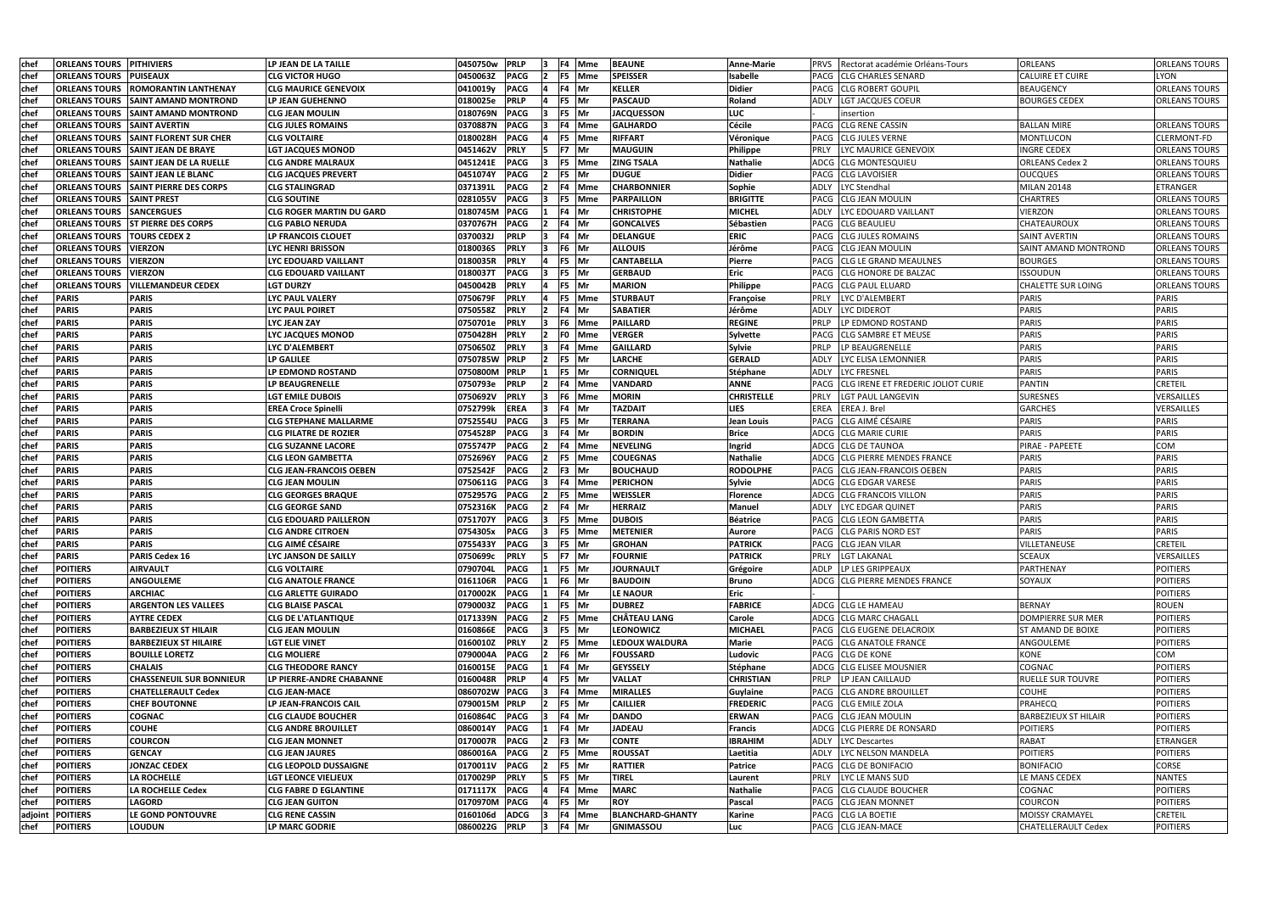| chef         | <b>ORLEANS TOURS PITHIVIERS</b>     |                                 | LP JEAN DE LA TAILLE                     | 0450750w             | <b>PRLP</b>                |                                  | <b>IF4 Mme</b>   | <b>BEAUNE</b>                         | <b>Anne-Marie</b>       | PRVS Rectorat académie Orléans-Tours                      | <b>ORLEANS</b>                           | <b>ORLEANS TOURS</b>              |
|--------------|-------------------------------------|---------------------------------|------------------------------------------|----------------------|----------------------------|----------------------------------|------------------|---------------------------------------|-------------------------|-----------------------------------------------------------|------------------------------------------|-----------------------------------|
| chef         | <b>ORLEANS TOURS</b>                | <b>PUISEAUX</b>                 | <b>CLG VICTOR HUGO</b>                   | 0450063Z             | <b>PACG</b>                |                                  | F5 Mme           | <b>SPEISSER</b>                       | Isabelle                | PACG CLG CHARLES SENARD                                   | <b>CALUIRE ET CUIRE</b>                  | LYON                              |
| <b>chef</b>  | <b>ORLEANS TOURS</b>                | <b>ROMORANTIN LANTHENAY</b>     | <b>CLG MAURICE GENEVOIX</b>              | 0410019y             | <b>PACG</b>                |                                  | F4 Mr            | <b>KELLER</b>                         | <b>Didier</b>           | PACG CLG ROBERT GOUPIL                                    | <b>BEAUGENCY</b>                         | ORLEANS TOURS                     |
| chef         | <b>ORLEANS TOURS</b>                | <b>SAINT AMAND MONTROND</b>     | LP JEAN GUEHENNO                         | 0180025e             | <b>PRLP</b>                | F5                               | <b>Mr</b>        | <b>PASCAUD</b>                        | Roland                  | LGT JACQUES COEUR<br>ADLY                                 | BOURGES CEDEX                            | <b>ORLEANS TOURS</b>              |
| chef         | <b>ORLEANS TOURS</b>                | <b>SAINT AMAND MONTROND</b>     | <b>CLG JEAN MOULIN</b>                   | 0180769N             | <b>PACG</b>                |                                  | F5 Mr            | <b>JACQUESSON</b>                     | LUC                     | insertion                                                 |                                          |                                   |
| <b>chef</b>  | <b>ORLEANS TOURS</b>                | <b>SAINT AVERTIN</b>            | <b>CLG JULES ROMAINS</b>                 | 0370887N             | <b>PACG</b>                |                                  | F4 Mme           | <b>GALHARDO</b>                       | <b>Cécile</b>           | PACG CLG RENE CASSIN                                      | <b>BALLAN MIRE</b>                       | <b>ORLEANS TOURS</b>              |
| chef         | <b>ORLEANS TOURS</b>                | <b>SAINT FLORENT SUR CHER</b>   | <b>CLG VOLTAIRE</b>                      | 0180028H             | <b>PACG</b>                |                                  | F5 Mme           | <b>RIFFART</b>                        | Véronique               | <b>PACG CLG JULES VERNE</b>                               | MONTLUCON                                | <b>CLERMONT-FD</b>                |
| chef         | <b>ORLEANS TOURS</b>                | <b>SAINT JEAN DE BRAYE</b>      | <b>LGT JACQUES MONOD</b>                 | 0451462V             | <b>PRLY</b>                |                                  | F7 Mr            | <b>MAUGUIN</b>                        | Philippe                | <b>PRLY</b><br>LYC MAURICE GENEVOIX                       | <b>INGRE CEDEX</b>                       | <b>ORLEANS TOURS</b>              |
| chef         | <b>ORLEANS TOURS</b>                | <b>SAINT JEAN DE LA RUELLE</b>  | <b>CLG ANDRE MALRAUX</b>                 | 0451241E             | <b>PACG</b>                |                                  | F5 Mme           | <b>ZING TSALA</b>                     | <b>Nathalie</b>         | ADCG CLG MONTESQUIEU                                      | <b>ORLEANS Cedex 2</b>                   | <b>ORLEANS TOURS</b>              |
| chef         | <b>ORLEANS TOURS</b>                | <b>SAINT JEAN LE BLANC</b>      | <b>CLG JACQUES PREVERT</b>               | 0451074Y             | PACG                       | F5                               | Mr               | <b>DUGUE</b>                          | <b>Didier</b>           | PACG CLG LAVOISIER                                        | <b>OUCQUES</b>                           | <b>ORLEANS TOURS</b>              |
| chef         | <b>ORLEANS TOURS</b>                | <b>SAINT PIERRE DES CORPS</b>   | <b>CLG STALINGRAD</b>                    | 0371391L             | <b>PACG</b>                |                                  | F4 Mme           | <b>CHARBONNIER</b>                    | Sophie                  | ADLY<br>LYC Stendhal                                      | <b>MILAN 20148</b>                       | <b>ETRANGER</b>                   |
| chef         | <b>ORLEANS TOURS</b>                | <b>SAINT PREST</b>              | <b>CLG SOUTINE</b>                       | 0281055V             | <b>PACG</b>                | F <sub>5</sub>                   | <b>Mme</b>       | <b>PARPAILLON</b>                     | <b>BRIGITTE</b>         | PACG CLG JEAN MOULIN                                      | <b>CHARTRES</b>                          | <b>ORLEANS TOURS</b>              |
| chef         | <b>ORLEANS TOURS</b>                | <b>SANCERGUES</b>               | <b>CLG ROGER MARTIN DU GARD</b>          | 0180745M             | <b>PACG</b>                |                                  | F4 Mr            | <b>CHRISTOPHE</b>                     | <b>MICHEL</b>           | LYC EDOUARD VAILLANT<br>ADLY                              | VIERZON                                  | <b>ORLEANS TOURS</b>              |
| chef         | <b>ORLEANS TOURS</b>                | <b>ST PIERRE DES CORPS</b>      | <b>CLG PABLO NERUDA</b>                  | 0370767H             | <b>PACG</b>                |                                  | F4 Mr            | <b>GONCALVES</b>                      | Sébastien               | PACG CLG BEAULIEU                                         | <b>CHATEAUROUX</b>                       | <b>ORLEANS TOURS</b>              |
| chef         | <b>ORLEANS TOURS</b>                | <b>TOURS CEDEX 2</b>            | LP FRANCOIS CLOUET                       | 0370032J             | <b>PRLP</b>                |                                  | F4 Mr            | <b>DELANGUE</b>                       | <b>ERIC</b>             | <b>CLG JULES ROMAINS</b><br>PACG                          | SAINT AVERTIN                            | <b>ORLEANS TOURS</b>              |
| chef         | <b>ORLEANS TOURS</b>                | <b>VIERZON</b>                  | <b>LYC HENRI BRISSON</b>                 | 0180036S             | <b>PRLY</b>                |                                  | F6 Mr            | <b>ALLOUIS</b>                        | Jérôme                  | PACG<br><b>CLG JEAN MOULIN</b>                            | SAINT AMAND MONTROND                     | <b>ORLEANS TOURS</b>              |
| chef         | <b>ORLEANS TOURS</b>                | <b>VIERZON</b>                  | <b>LYC EDOUARD VAILLANT</b>              | 0180035R             | PRLY                       | F <sub>5</sub>                   | <b>IMr</b>       | <b>CANTABELLA</b>                     | <b>Pierre</b>           | <b>CLG LE GRAND MEAULNES</b><br>PACG                      | <b>BOURGES</b>                           | <b>ORLEANS TOURS</b>              |
| chef         | <b>ORLEANS TOURS</b>                | <b>VIERZON</b>                  | <b>CLG EDOUARD VAILLANT</b>              | 0180037T             | <b>PACG</b>                | F5                               | <b>Mr</b>        | <b>GERBAUD</b>                        | <b>Eric</b>             | <b>CLG HONORE DE BALZAC</b><br>PACG                       | <b>ISSOUDUN</b>                          | <b>ORLEANS TOURS</b>              |
| chef         | <b>ORLEANS TOURS</b>                | <b>VILLEMANDEUR CEDEX</b>       | <b>LGT DURZY</b>                         | 0450042B             | <b>PRLY</b>                | F <sub>5</sub>                   | <b>Mr</b>        | <b>MARION</b>                         | Philippe                | PACG CLG PAUL ELUARD                                      | CHALETTE SUR LOING                       | <b>ORLEANS TOURS</b>              |
| chef         | <b>PARIS</b>                        | <b>PARIS</b>                    | <b>LYC PAUL VALERY</b>                   | 0750679F             | <b>PRLY</b>                |                                  | F5 Mme           | <b>STURBAUT</b>                       | Françoise               | <b>PRLY</b><br>LYC D'ALEMBERT                             | <b>PARIS</b>                             | <b>PARIS</b>                      |
| chef         | PARIS                               | <b>PARIS</b>                    | <b>LYC PAUL POIRET</b>                   | 0750558Z             | <b>PRLY</b>                |                                  | F4 Mr            | <b>SABATIER</b>                       | Jérôme                  | LYC DIDEROT<br>ADLY                                       | <b>PARIS</b>                             | <b>PARIS</b>                      |
| chef         | <b>PARIS</b>                        | <b>PARIS</b>                    | <b>LYC JEAN ZAY</b>                      | 0750701e             | <b>PRLY</b>                |                                  | F6 Mme           | <b>PAILLARD</b>                       | <b>REGINE</b>           | LP EDMOND ROSTAND<br>PRLP                                 | <b>PARIS</b>                             | <b>PARIS</b>                      |
| chef         | <b>PARIS</b>                        | <b>PARIS</b>                    | <b>LYC JACQUES MONOD</b>                 | 0750428H             | <b>PRLY</b>                | FO                               | Mme              | <b>VERGER</b>                         | <b>Sylvette</b>         | <b>CLG SAMBRE ET MEUSE</b><br>PACG                        | <b>PARIS</b>                             | <b>PARIS</b>                      |
| chef         | <b>PARIS</b>                        | <b>PARIS</b>                    | LYC D'ALEMBERT                           | 0750650Z             | <b>PRLY</b>                | F4                               | <b>Mme</b>       | <b>GAILLARD</b>                       | Sylvie                  | LP BEAUGRENELLE                                           | <b>PARIS</b>                             | <b>PARIS</b>                      |
| chef         | <b>PARIS</b><br><b>PARIS</b>        | <b>PARIS</b><br><b>PARIS</b>    | <b>LP GALILEE</b><br>LP EDMOND ROSTAND   | 0750785W<br>0750800M | <b>PRLP</b><br><b>PRLP</b> | F <sub>5</sub><br>F <sub>5</sub> | <b>IMr</b><br>Mr | <b>LARCHE</b><br><b>CORNIQUEL</b>     | <b>GERALD</b>           | LYC ELISA LEMONNIER<br>ADLY<br>ADLY<br><b>LYC FRESNEL</b> | <b>PARIS</b><br><b>PARIS</b>             | <b>PARIS</b><br><b>PARIS</b>      |
| chef<br>chef | <b>PARIS</b>                        | <b>PARIS</b>                    | LP BEAUGRENELLE                          | 0750793e             | <b>PRLP</b>                | F4                               | <b>Mme</b>       | <b>VANDARD</b>                        | <b>Stéphane</b><br>ANNE | <b>CLG IRENE ET FREDERIC JOLIOT CURIE</b><br>PACG         | <b>PANTIN</b>                            | <b>CRETEIL</b>                    |
| chef         | <b>PARIS</b>                        | <b>PARIS</b>                    | <b>LGT EMILE DUBOIS</b>                  | 0750692V             | <b>PRLY</b>                | IF6                              | Mme              | <b>MORIN</b>                          | <b>CHRISTELLE</b>       | <b>PRLY</b><br>LGT PAUL LANGEVIN                          | <b>SURESNES</b>                          | VERSAILLES                        |
| chef         | <b>PARIS</b>                        | <b>PARIS</b>                    | <b>EREA Croce Spinelli</b>               | 0752799k             | <b>EREA</b>                | F4                               | <b>IMr</b>       | <b>TAZDAIT</b>                        | LIES                    | EREA<br><b>EREA J. Brel</b>                               | <b>GARCHES</b>                           | VERSAILLES                        |
| chef         | PARIS                               | <b>PARIS</b>                    | <b>CLG STEPHANE MALLARME</b>             | 0752554U             | <b>PACG</b>                | F <sub>5</sub>                   | <b>Mr</b>        | <b>TERRANA</b>                        | Jean Louis              | PACG CLG AIMÉ CÉSAIRE                                     | <b>PARIS</b>                             | <b>PARIS</b>                      |
| chef         | PARIS                               | <b>PARIS</b>                    | <b>CLG PILATRE DE ROZIER</b>             | 0754528P             | <b>PACG</b>                |                                  | F4 Mr            | <b>BORDIN</b>                         | <b>Brice</b>            | ADCG CLG MARIE CURIE                                      | <b>PARIS</b>                             | <b>PARIS</b>                      |
| chef         | PARIS                               | <b>PARIS</b>                    | <b>CLG SUZANNE LACORE</b>                | 0755747P             | <b>PACG</b>                |                                  | F4 Mme           | <b>NEVELING</b>                       | Ingrid                  | ADCG CLG DE TAUNOA                                        | PIRAE - PAPEETE                          | COM                               |
| chef         | <b>PARIS</b>                        | <b>PARIS</b>                    | <b>CLG LEON GAMBETTA</b>                 | 0752696Y             | <b>PACG</b>                |                                  | F5 Mme           | <b>COUEGNAS</b>                       | <b>Nathalie</b>         | ADCG CLG PIERRE MENDES FRANCE                             | <b>PARIS</b>                             | <b>PARIS</b>                      |
| chef         | <b>PARIS</b>                        | <b>PARIS</b>                    | <b>CLG JEAN-FRANCOIS OEBEN</b>           | 0752542F             | <b>PACG</b>                |                                  | F3 Mr            | <b>BOUCHAUD</b>                       | <b>RODOLPHE</b>         | PACG CLG JEAN-FRANCOIS OEBEN                              | <b>PARIS</b>                             | <b>PARIS</b>                      |
| chef         | <b>PARIS</b>                        | <b>PARIS</b>                    | <b>CLG JEAN MOULIN</b>                   | 0750611G             | PACG                       |                                  | F4 Mme           | <b>PERICHON</b>                       | Sylvie                  | ADCG CLG EDGAR VARESE                                     | <b>PARIS</b>                             | <b>PARIS</b>                      |
| chef         | <b>PARIS</b>                        | <b>PARIS</b>                    | <b>CLG GEORGES BRAQUE</b>                | 0752957G             | PACG                       |                                  | F5 Mme           | <b>WEISSLER</b>                       | <b>Florence</b>         | ADCG CLG FRANCOIS VILLON                                  | <b>PARIS</b>                             | <b>PARIS</b>                      |
| chef         | <b>PARIS</b>                        | <b>PARIS</b>                    | <b>CLG GEORGE SAND</b>                   | 0752316K             | <b>PACG</b>                |                                  | F4 Mr            | <b>HERRAIZ</b>                        | <b>Manuel</b>           | LYC EDGAR QUINET<br>ADLY                                  | <b>PARIS</b>                             | <b>PARIS</b>                      |
| chef         | <b>PARIS</b>                        | <b>PARIS</b>                    | <b>CLG EDOUARD PAILLERON</b>             | 0751707Y             | <b>PACG</b>                |                                  | F5 Mme           | <b>DUBOIS</b>                         | <b>Béatrice</b>         | PACG CLG LEON GAMBETTA                                    | <b>PARIS</b>                             | <b>PARIS</b>                      |
| chef         | <b>PARIS</b>                        | <b>PARIS</b>                    | <b>CLG ANDRE CITROEN</b>                 | 0754305x             | <b>PACG</b>                | 13                               | F5 Mme           | <b>METENIER</b>                       | <b>Aurore</b>           | PACG CLG PARIS NORD EST                                   | <b>PARIS</b>                             | <b>PARIS</b>                      |
| chef         | <b>PARIS</b>                        | <b>PARIS</b>                    | <b>CLG AIMÉ CÉSAIRE</b>                  | 0755433Y             | <b>PACG</b>                |                                  | F5 Mr            | <b>GROHAN</b>                         | <b>PATRICK</b>          | PACG CLG JEAN VILAR                                       | VILLETANEUSE                             | <b>CRETEIL</b>                    |
| chef         | <b>PARIS</b>                        | <b>PARIS Cedex 16</b>           | <b>LYC JANSON DE SAILLY</b>              | 0750699c             | <b>PRLY</b>                |                                  | F7 Mr            | <b>FOURNIE</b>                        | <b>PATRICK</b>          | PRLY<br><b>LGT LAKANAL</b>                                | <b>SCEAUX</b>                            | VERSAILLES                        |
| chef         | <b>POITIERS</b>                     | <b>AIRVAULT</b>                 | <b>CLG VOLTAIRE</b>                      | 0790704L             | <b>PACG</b>                |                                  | F5 Mr            | <b>JOURNAULT</b>                      | Grégoire                | <b>ADLP</b><br>LP LES GRIPPEAUX                           | PARTHENAY                                | <b>POITIERS</b>                   |
| chef         | <b>POITIERS</b>                     | <b>ANGOULEME</b>                | <b>CLG ANATOLE FRANCE</b>                | 0161106R             | <b>PACG</b>                |                                  | F6 Mr            | <b>BAUDOIN</b>                        | Bruno                   | ADCG CLG PIERRE MENDES FRANCE                             | SOYAUX                                   | <b>POITIERS</b>                   |
| chef         | <b>POITIERS</b>                     | <b>ARCHIAC</b>                  | <b>CLG ARLETTE GUIRADO</b>               | 0170002K             | <b>PACG</b>                |                                  | F4 Mr            | <b>LE NAOUR</b>                       | <b>Eric</b>             |                                                           |                                          | <b>POITIERS</b>                   |
| chef         | <b>POITIERS</b>                     | <b>ARGENTON LES VALLEES</b>     | <b>CLG BLAISE PASCAL</b>                 | 0790003Z             | <b>PACG</b>                |                                  | $F5$ Mr          | <b>DUBREZ</b>                         | <b>FABRICE</b>          | ADCG CLG LE HAMEAU                                        | <b>BERNAY</b>                            | <b>ROUEN</b>                      |
| chef         | <b>POITIERS</b>                     | <b>AYTRE CEDEX</b>              | <b>CLG DE L'ATLANTIQUE</b>               | 0171339N             | <b>PACG</b>                |                                  | F5 Mme           | <b>CHÂTEAU LANG</b>                   | Carole                  | ADCG CLG MARC CHAGALL                                     | <b>DOMPIERRE SUR MER</b>                 | <b>POITIERS</b>                   |
| chef         | <b>POITIERS</b>                     | <b>BARBEZIEUX ST HILAIR</b>     | <b>CLG JEAN MOULIN</b>                   | 0160866E             | <b>PACG</b>                |                                  | F5 Mr            | <b>LEONOWICZ</b>                      | <b>MICHAEL</b>          | PACG CLG EUGENE DELACROIX                                 | ST AMAND DE BOIXE                        | <b>POITIERS</b>                   |
| chef         | <b>POITIERS</b>                     | <b>BARBEZIEUX ST HILAIRE</b>    | <b>LGT ELIE VINET</b>                    | 0160010Z             | <b>PRLY</b>                |                                  | F5 Mme           | <b>LEDOUX WALDURA</b>                 | <b>Marie</b>            | PACG CLG ANATOLE FRANCE                                   | ANGOULEME                                | <b>POITIERS</b>                   |
| chef         | <b>POITIERS</b>                     | <b>BOUILLE LORETZ</b>           | <b>CLG MOLIERE</b>                       | 0790004A             | <b>PACG</b>                |                                  | F6 Mr            | <b>FOUSSARD</b>                       | Ludovic                 | <b>PACG CLG DE KONE</b>                                   | <b>KONE</b>                              | COM                               |
| chef         | <b>POITIERS</b>                     | <b>CHALAIS</b>                  | <b>CLG THEODORE RANCY</b>                | 0160015E             | <b>PACG</b>                |                                  | F4 Mr            | <b>GEYSSELY</b>                       | <b>Stéphane</b>         | <b>ADCG CLG ELISEE MOUSNIER</b>                           | COGNAC                                   | <b>POITIERS</b>                   |
| chef         | <b>POITIERS</b>                     | <b>CHASSENEUIL SUR BONNIEUR</b> | LP PIERRE-ANDRE CHABANNE                 | 0160048R             | <b>PRLP</b>                |                                  | F5 Mr            | <b>VALLAT</b>                         | <b>CHRISTIAN</b>        | LP JEAN CAILLAUD<br>PRLP                                  | <b>RUELLE SUR TOUVRE</b>                 | <b>POITIERS</b>                   |
| chef         | <b>POITIERS</b>                     | <b>CHATELLERAULT Cedex</b>      | <b>CLG JEAN-MACE</b>                     | 0860702W             | <b>PACG</b>                |                                  | F4 Mme           | <b>MIRALLES</b>                       | Guylaine                | PACG CLG ANDRE BROUILLET                                  | <b>COUHE</b>                             | <b>POITIERS</b>                   |
| chef         | <b>POITIERS</b>                     | <b>CHEF BOUTONNE</b>            | LP JEAN-FRANCOIS CAIL                    | 0790015M             | <b>PRLP</b>                |                                  | F5 Mr            | <b>CAILLIER</b>                       | <b>FREDERIC</b>         | PACG CLG EMILE ZOLA                                       | <b>PRAHECQ</b>                           | <b>POITIERS</b>                   |
| chef         | <b>POITIERS</b>                     | <b>COGNAC</b>                   | <b>CLG CLAUDE BOUCHER</b>                | 0160864C             | <b>PACG</b>                |                                  | F4 Mr            | <b>DANDO</b>                          | <b>ERWAN</b>            | PACG CLG JEAN MOULIN                                      | <b>BARBEZIEUX ST HILAIR</b>              | <b>POITIERS</b>                   |
| chef         | <b>POITIERS</b>                     | <b>COUHE</b>                    | <b>CLG ANDRE BROUILLET</b>               | 0860014Y             | <b>PACG</b>                |                                  | F4 Mr            | <b>JADEAU</b>                         | Francis                 | ADCG CLG PIERRE DE RONSARD                                | <b>POITIERS</b>                          | <b>POITIERS</b>                   |
| chef         | <b>POITIERS</b>                     | COURCON                         | <b>CLG JEAN MONNET</b>                   | 0170007R             | <b>PACG</b>                |                                  | F3 Mr            | <b>CONTE</b>                          | <b>IBRAHIM</b>          | ADLY<br><b>LYC Descartes</b>                              | <b>RABAT</b>                             | ETRANGER                          |
| chef         | <b>POITIERS</b>                     | <b>GENCAY</b>                   | <b>CLG JEAN JAURES</b>                   | 0860016A             | <b>PACG</b>                |                                  | <b>F5</b> Mme    | <b>ROUSSAT</b>                        | Laetitia                | ADLY<br>LYC NELSON MANDELA                                | <b>POITIERS</b>                          | <b>POITIERS</b>                   |
| chef         | <b>POITIERS</b>                     | <b>JONZAC CEDEX</b>             | <b>CLG LEOPOLD DUSSAIGNE</b>             | 0170011V             | <b>PACG</b>                |                                  | F5 Mr            | <b>RATTIER</b>                        | <b>Patrice</b>          | PACG CLG DE BONIFACIO                                     | <b>BONIFACIO</b>                         | CORSE                             |
| chef         | <b>POITIERS</b>                     | LA ROCHELLE                     | <b>LGT LEONCE VIELJEUX</b>               | 0170029P             | <b>PRLY</b>                |                                  | F5 Mr            | <b>TIREL</b>                          | Laurent                 | <b>PRLY</b><br>LYC LE MANS SUD                            | LE MANS CEDEX                            | <b>NANTES</b>                     |
| chef         | <b>POITIERS</b>                     | <b>LA ROCHELLE Cedex</b>        | <b>CLG FABRE D EGLANTINE</b>             | 0171117X             | PACG                       |                                  | F4 Mme           | <b>MARC</b>                           | <b>Nathalie</b>         | PACG CLG CLAUDE BOUCHER                                   | COGNAC                                   | <b>POITIERS</b>                   |
| chef         | <b>POITIERS</b><br>adjoint POITIERS | LAGORD<br>LE GOND PONTOUVRE     | <b>CLG JEAN GUITON</b>                   | 0170970M<br>0160106d | <b>PACG</b><br><b>ADCG</b> |                                  | F5 Mr<br>F4 Mme  | <b>ROY</b><br><b>BLANCHARD-GHANTY</b> | Pascal<br><b>Karine</b> | PACG CLG JEAN MONNET<br>PACG CLG LA BOETIE                | <b>COURCON</b><br><b>MOISSY CRAMAYEL</b> | <b>POITIERS</b><br><b>CRETEIL</b> |
| chef         | <b>POITIERS</b>                     | <b>LOUDUN</b>                   | <b>CLG RENE CASSIN</b><br>LP MARC GODRIE | 0860022G             | <b>PRLP</b>                | $3$ F4 Mr                        |                  | <b>GNIMASSOU</b>                      |                         | PACG CLG JEAN-MACE                                        | <b>CHATELLERAULT Cedex</b>               | <b>POITIERS</b>                   |
|              |                                     |                                 |                                          |                      |                            |                                  |                  |                                       | Luc                     |                                                           |                                          |                                   |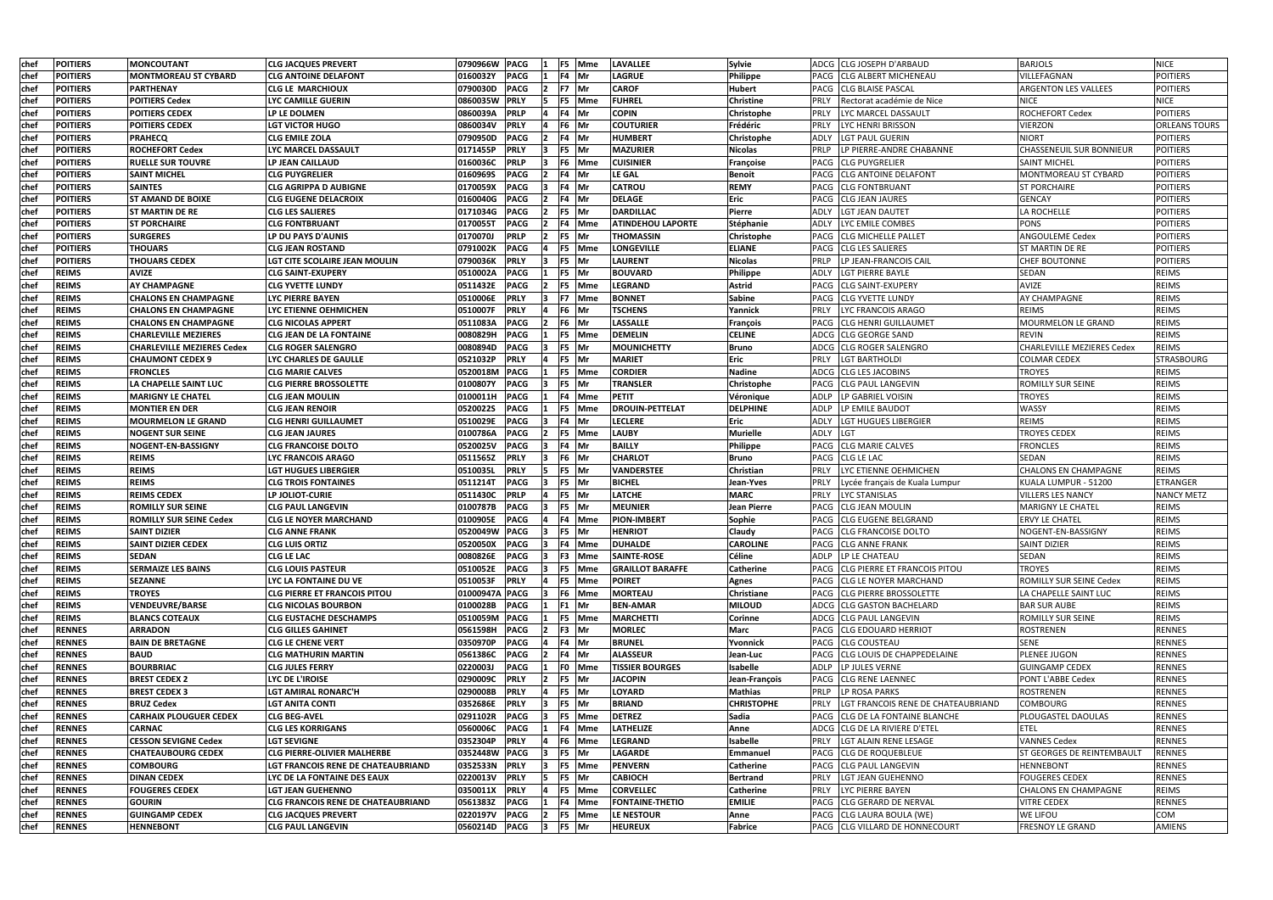| chef        | <b>POITIERS</b> | <b>MONCOUTANT</b>                 | <b>CLG JACQUES PREVERT</b>                | F5 Mme<br>0790966W PACG<br>$\mathbf{11}$                    | <b>LAVALLEE</b>          | Sylvie             |             | ADCG CLG JOSEPH D'ARBAUD           | <b>BARJOLS</b>                    | <b>NICE</b>          |
|-------------|-----------------|-----------------------------------|-------------------------------------------|-------------------------------------------------------------|--------------------------|--------------------|-------------|------------------------------------|-----------------------------------|----------------------|
| <b>chef</b> | <b>POITIERS</b> | <b>MONTMOREAU ST CYBARD</b>       | <b>CLG ANTOINE DELAFONT</b>               | <b>PACG</b><br>F4 Mr<br>0160032Y<br>$\mathbf{11}$           | <b>LAGRUE</b>            | <b>Philippe</b>    |             | PACG CLG ALBERT MICHENEAU          | VILLEFAGNAN                       | <b>POITIERS</b>      |
| chef        | <b>POITIERS</b> | PARTHENAY                         | CLG LE MARCHIOUX                          | F7 Mr<br><b>PACG</b><br>0790030D<br>12.                     | <b>CAROF</b>             | Hubert             |             | PACG CLG BLAISE PASCAL             | <b>ARGENTON LES VALLEES</b>       | <b>POITIERS</b>      |
| <b>chef</b> | <b>POITIERS</b> | <b>POITIERS Cedex</b>             | LYC CAMILLE GUERIN                        | F5 Mme<br>0860035W<br><b>PRLY</b><br>15                     | <b>FUHREL</b>            | <b>Christine</b>   | <b>PRLY</b> | Rectorat académie de Nice          | <b>NICE</b>                       | <b>NICE</b>          |
| <b>chef</b> | <b>POITIERS</b> | <b>POITIERS CEDEX</b>             | LP LE DOLMEN                              | F4 Mr<br>0860039A<br><b>PRLP</b>                            | <b>COPIN</b>             | <b>Christophe</b>  | <b>PRLY</b> | LYC MARCEL DASSAULT                | <b>ROCHEFORT Cedex</b>            | <b>POITIERS</b>      |
| chef        | <b>POITIERS</b> | <b>POITIERS CEDEX</b>             | <b>LGT VICTOR HUGO</b>                    | 0860034V<br><b>PRLY</b><br>F6 Mr<br>14                      | <b>COUTURIER</b>         | Frédéric           | <b>PRLY</b> | LYC HENRI BRISSON                  | VIERZON                           | <b>ORLEANS TOURS</b> |
| chef        | <b>POITIERS</b> | <b>PRAHECQ</b>                    | <b>CLG EMILE ZOLA</b>                     | <b>PACG</b><br>F4 Mr<br>0790950D<br> 2                      | <b>HUMBERT</b>           | Christophe         |             | ADLY LGT PAUL GUERIN               | <b>NIORT</b>                      | <b>POITIERS</b>      |
| chef        | <b>POITIERS</b> | <b>ROCHEFORT Cedex</b>            | LYC MARCEL DASSAULT                       | F5 Mr<br><b>PRLY</b><br>$\overline{\mathbf{3}}$<br>0171455P | <b>MAZURIER</b>          | <b>Nicolas</b>     | PRLP        | LP PIERRE-ANDRE CHABANNE           | CHASSENEUIL SUR BONNIEUR          | <b>POITIERS</b>      |
| chef        | <b>POITIERS</b> | <b>RUELLE SUR TOUVRE</b>          | LP JEAN CAILLAUD                          | 0160036C<br><b>PRLP</b><br>F6 Mme<br>13                     | <b>CUISINIER</b>         | Françoise          |             | <b>PACG CLG PUYGRELIER</b>         | <b>SAINT MICHEL</b>               | <b>POITIERS</b>      |
| chef        | <b>POITIERS</b> | <b>SAINT MICHEL</b>               | <b>CLG PUYGRELIER</b>                     | 0160969S<br><b>PACG</b><br>F4 Mr<br>12                      | <b>LE GAL</b>            | <b>Benoit</b>      |             | PACG CLG ANTOINE DELAFONT          | MONTMOREAU ST CYBARD              | <b>POITIERS</b>      |
| <b>chef</b> | <b>POITIERS</b> | <b>SAINTES</b>                    | <b>CLG AGRIPPA D AUBIGNE</b>              | 0170059X<br><b>PACG</b><br>F4 Mr                            | <b>CATROU</b>            | <b>REMY</b>        |             | PACG CLG FONTBRUANT                | <b>ST PORCHAIRE</b>               | <b>POITIERS</b>      |
| chef        | <b>POITIERS</b> | <b>ST AMAND DE BOIXE</b>          | <b>CLG EUGENE DELACROIX</b>               | 0160040G<br><b>PACG</b><br>F4 Mr                            | <b>DELAGE</b>            | <b>Eric</b>        |             | <b>PACG CLG JEAN JAURES</b>        | <b>GENCAY</b>                     | <b>POITIERS</b>      |
| chef        | <b>POITIERS</b> | <b>ST MARTIN DE RE</b>            | <b>CLG LES SALIERES</b>                   | <b>PACG</b><br>F5 Mr<br>0171034G<br>12                      | <b>DARDILLAC</b>         | Pierre             |             | ADLY LGT JEAN DAUTET               | LA ROCHELLE                       | <b>POITIERS</b>      |
| chef        | <b>POITIERS</b> | <b>ST PORCHAIRE</b>               | <b>CLG FONTBRUANT</b>                     | <b>PACG</b><br>F4 Mme<br>0170055T                           | <b>ATINDEHOU LAPORTE</b> | Stéphanie          | <b>ADLY</b> | LYC EMILE COMBES                   | <b>PONS</b>                       | <b>POITIERS</b>      |
| chef        | <b>POITIERS</b> | <b>SURGERES</b>                   | LP DU PAYS D'AUNIS                        | F5 Mr<br><b>PRLP</b><br>0170070J<br>$\overline{2}$          | <b>THOMASSIN</b>         | Christophe         |             | PACG CLG MICHELLE PALLET           | <b>ANGOULEME Cedex</b>            | <b>POITIERS</b>      |
| chef        | <b>POITIERS</b> | <b>THOUARS</b>                    | <b>CLG JEAN ROSTAND</b>                   | F5 Mme<br><b>PACG</b><br>0791002K                           | <b>LONGEVILLE</b>        | <b>ELIANE</b>      |             | <b>PACG CLG LES SALIERES</b>       | <b>ST MARTIN DE RE</b>            | <b>POITIERS</b>      |
| chef        | <b>POITIERS</b> | <b>THOUARS CEDEX</b>              | LGT CITE SCOLAIRE JEAN MOULIN             | F5 Mr<br>0790036K<br><b>PRLY</b>                            | <b>LAURENT</b>           | <b>Nicolas</b>     | PRLP        | LP JEAN-FRANCOIS CAIL              | <b>CHEF BOUTONNE</b>              | <b>POITIERS</b>      |
| chef        | <b>REIMS</b>    | <b>AVIZE</b>                      | <b>CLG SAINT-EXUPERY</b>                  | <b>PACG</b><br>F5 Mr<br>0510002A                            | <b>BOUVARD</b>           | Philippe           | <b>ADLY</b> | LGT PIERRE BAYLE                   | <b>SEDAN</b>                      | <b>REIMS</b>         |
| chef        | <b>REIMS</b>    | <b>AY CHAMPAGNE</b>               | <b>CLG YVETTE LUNDY</b>                   | <b>PACG</b><br>F5 Mme<br>0511432E<br>12                     | <b>LEGRAND</b>           | <b>Astrid</b>      |             | PACG CLG SAINT-EXUPERY             | AVIZE                             | <b>REIMS</b>         |
| chef        | <b>REIMS</b>    | <b>CHALONS EN CHAMPAGNE</b>       | <b>LYC PIERRE BAYEN</b>                   | <b>PRLY</b><br>F7 Mme<br>0510006E<br>$\vert$ 3              | <b>BONNET</b>            | <b>Sabine</b>      |             | <b>PACG CLG YVETTE LUNDY</b>       | <b>AY CHAMPAGNE</b>               | <b>REIMS</b>         |
| chef        | <b>REIMS</b>    | <b>CHALONS EN CHAMPAGNE</b>       | LYC ETIENNE OEHMICHEN                     | F6 Mr<br><b>PRLY</b><br>0510007F<br>14                      | <b>TSCHENS</b>           | Yannick            | <b>PRLY</b> | LYC FRANCOIS ARAGO                 | <b>REIMS</b>                      | <b>REIMS</b>         |
| chef        | <b>REIMS</b>    | <b>CHALONS EN CHAMPAGNE</b>       | <b>CLG NICOLAS APPERT</b>                 | F6 Mr<br><b>PACG</b><br>0511083A<br>12                      | <b>LASSALLE</b>          | François           |             | <b>PACG CLG HENRI GUILLAUMET</b>   | MOURMELON LE GRAND                | <b>REIMS</b>         |
| chef        | <b>REIMS</b>    | <b>CHARLEVILLE MEZIERES</b>       | <b>CLG JEAN DE LA FONTAINE</b>            | 0080829H<br><b>PACG</b><br>F5 Mme                           | <b>DEMELIN</b>           | <b>CELINE</b>      |             | ADCG CLG GEORGE SAND               | <b>REVIN</b>                      | <b>REIMS</b>         |
| chef        | <b>REIMS</b>    | <b>CHARLEVILLE MEZIERES Cedex</b> | <b>CLG ROGER SALENGRO</b>                 | <b>PACG</b><br>F5 Mr<br>0080894D                            | <b>MOUNICHETTY</b>       | <b>Bruno</b>       |             | ADCG CLG ROGER SALENGRO            | <b>CHARLEVILLE MEZIERES Cedex</b> | <b>REIMS</b>         |
| chef        | <b>REIMS</b>    | <b>CHAUMONT CEDEX 9</b>           | LYC CHARLES DE GAULLE                     | 0521032P<br><b>PRLY</b><br>F5 Mr<br>14                      | <b>MARIET</b>            | <b>Eric</b>        |             | <b>PRLY LGT BARTHOLDI</b>          | <b>COLMAR CEDEX</b>               | <b>STRASBOURG</b>    |
| chef        | <b>REIMS</b>    | <b>FRONCLES</b>                   | <b>CLG MARIE CALVES</b>                   | F5 Mme<br>0520018M PACG                                     | <b>CORDIER</b>           | <b>Nadine</b>      |             | ADCG CLG LES JACOBINS              | <b>TROYES</b>                     | <b>REIMS</b>         |
| chef        | <b>REIMS</b>    | LA CHAPELLE SAINT LUC             | <b>CLG PIERRE BROSSOLETTE</b>             | <b>PACG</b><br>F5 Mr<br>0100807Y                            | <b>TRANSLER</b>          | Christophe         |             | PACG CLG PAUL LANGEVIN             | <b>ROMILLY SUR SEINE</b>          | <b>REIMS</b>         |
| chef        | <b>REIMS</b>    | <b>MARIGNY LE CHATEL</b>          | <b>CLG JEAN MOULIN</b>                    | F4 Mme<br>0100011H<br><b>PACG</b>                           | <b>PETIT</b>             | Véronique          | ADLP        | LP GABRIEL VOISIN                  | <b>TROYES</b>                     | <b>REIMS</b>         |
| chef        | <b>REIMS</b>    | <b>MONTIER EN DER</b>             | <b>CLG JEAN RENOIR</b>                    | <b>PACG</b><br>F5 Mme<br>0520022S                           | <b>DROUIN-PETTELAT</b>   | <b>DELPHINE</b>    |             | ADLP LP EMILE BAUDOT               | WASSY                             | <b>REIMS</b>         |
| chef        | <b>REIMS</b>    | <b>MOURMELON LE GRAND</b>         | <b>CLG HENRI GUILLAUMET</b>               | F4 Mr<br><b>PACG</b><br>0510029E                            | <b>LECLERE</b>           | <b>Eric</b>        |             | ADLY   LGT HUGUES LIBERGIER        | <b>REIMS</b>                      | <b>REIMS</b>         |
| chef        | <b>REIMS</b>    | <b>NOGENT SUR SEINE</b>           | <b>CLG JEAN JAURES</b>                    | <b>PACG</b><br>F5 Mme<br>0100786A<br>$\overline{2}$         | <b>LAUBY</b>             | <b>Murielle</b>    | ADLY LGT    |                                    | <b>TROYES CEDEX</b>               | <b>REIMS</b>         |
| chef        | <b>REIMS</b>    | NOGENT-EN-BASSIGNY                | <b>CLG FRANCOISE DOLTO</b>                | <b>PACG</b><br>$FA$ Mr<br>0520025V<br><u> 3</u>             | <b>BAILLY</b>            | Philippe           |             | PACG CLG MARIE CALVES              | <b>FRONCLES</b>                   | <b>REIMS</b>         |
| chef        | <b>REIMS</b>    | <b>REIMS</b>                      | LYC FRANCOIS ARAGO                        | F6 Mr<br><b>PRLY</b><br>$\overline{\mathbf{3}}$<br>0511565Z | <b>CHARLOT</b>           | <b>Bruno</b>       |             | PACG CLG LE LAC                    | SEDAN                             | <b>REIMS</b>         |
| chef        | <b>REIMS</b>    | <b>REIMS</b>                      | <b>LGT HUGUES LIBERGIER</b>               | F5 Mr<br><b>PRLY</b><br>0510035L<br>15                      | <b>VANDERSTEE</b>        | Christian          | <b>PRLY</b> | LYC ETIENNE OEHMICHEN              | <b>CHALONS EN CHAMPAGNE</b>       | <b>REIMS</b>         |
| chef        | <b>REIMS</b>    | <b>REIMS</b>                      | <b>CLG TROIS FONTAINES</b>                | F5 Mr<br><b>PACG</b><br>0511214T<br>13                      | <b>BICHEL</b>            | Jean-Yves          | <b>PRLY</b> | Lycée français de Kuala Lumpur     | KUALA LUMPUR - 51200              | ETRANGER             |
| chef        | <b>REIMS</b>    | <b>REIMS CEDEX</b>                | LP JOLIOT-CURIE                           | F5 Mr<br>0511430C<br><b>PRLP</b>                            | <b>LATCHE</b>            | <b>MARC</b>        | <b>PRLY</b> | LYC STANISLAS                      | <b>VILLERS LES NANCY</b>          | <b>NANCY METZ</b>    |
| chef        | <b>REIMS</b>    | <b>ROMILLY SUR SEINE</b>          | <b>CLG PAUL LANGEVIN</b>                  | 0100787B<br><b>PACG</b><br>F5 Mr                            | <b>MEUNIER</b>           | <b>Jean Pierre</b> |             | PACG CLG JEAN MOULIN               | <b>MARIGNY LE CHATEL</b>          | <b>REIMS</b>         |
| chef        | <b>REIMS</b>    | <b>ROMILLY SUR SEINE Cedex</b>    | <b>CLG LE NOYER MARCHAND</b>              | <b>PACG</b><br>0100905E<br>F4 Mme                           | <b>PION-IMBERT</b>       | Sophie             |             | PACG CLG EUGENE BELGRAND           | <b>ERVY LE CHATEL</b>             | <b>REIMS</b>         |
| chef        | <b>REIMS</b>    | <b>SAINT DIZIER</b>               | <b>CLG ANNE FRANK</b>                     | $3$ F5 Mr<br>0520049W PACG                                  | <b>HENRIOT</b>           | Claudy             |             | PACG CLG FRANCOISE DOLTO           | NOGENT-EN-BASSIGNY                | <b>REIMS</b>         |
| chef        | <b>REIMS</b>    | <b>SAINT DIZIER CEDEX</b>         | <b>CLG LUIS ORTIZ</b>                     | 0520050X PACG<br>F4 Mme<br>13                               | <b>DUHALDE</b>           | <b>CAROLINE</b>    |             | PACG CLG ANNE FRANK                | <b>SAINT DIZIER</b>               | <b>REIMS</b>         |
| chef        | <b>REIMS</b>    | <b>SEDAN</b>                      | <b>CLG LE LAC</b>                         | <b>PACG</b><br>F3 Mme<br>0080826E                           | <b>SAINTE-ROSE</b>       | Céline             |             | ADLP LP LE CHATEAU                 | SEDAN                             | <b>REIMS</b>         |
| chef        | <b>REIMS</b>    | <b>SERMAIZE LES BAINS</b>         | <b>CLG LOUIS PASTEUR</b>                  | F5 Mme<br><b>PACG</b><br>0510052E                           | <b>GRAILLOT BARAFFE</b>  | <b>Catherine</b>   |             | PACG CLG PIERRE ET FRANCOIS PITOU  | <b>TROYES</b>                     | <b>REIMS</b>         |
| chef        | <b>REIMS</b>    | <b>SEZANNE</b>                    | LYC LA FONTAINE DU VE                     | F5 Mme<br>0510053F<br><b>PRLY</b><br>14                     | <b>POIRET</b>            | Agnes              |             | PACG CLG LE NOYER MARCHAND         | ROMILLY SUR SEINE Cedex           | <b>REIMS</b>         |
| chef        | <b>REIMS</b>    | <b>TROYES</b>                     | <b>CLG PIERRE ET FRANCOIS PITOU</b>       | 01000947A PACG<br>F6 Mme<br>13                              | <b>MORTEAU</b>           | Christiane         |             | PACG CLG PIERRE BROSSOLETTE        | LA CHAPELLE SAINT LUC             | <b>REIMS</b>         |
| chef        | <b>REIMS</b>    | <b>VENDEUVRE/BARSE</b>            | <b>CLG NICOLAS BOURBON</b>                | 0100028B<br><b>PACG</b><br>$1$ F1 Mr                        | <b>BEN-AMAR</b>          | <b>MILOUD</b>      |             | ADCG CLG GASTON BACHELARD          | <b>BAR SUR AUBE</b>               | <b>REIMS</b>         |
| chef        | <b>REIMS</b>    | <b>BLANCS COTEAUX</b>             | <b>CLG EUSTACHE DESCHAMPS</b>             | F5 Mme<br>0510059M PACG                                     | <b>MARCHETTI</b>         | Corinne            |             | ADCG CLG PAUL LANGEVIN             | ROMILLY SUR SEINE                 | <b>REIMS</b>         |
| chef        | <b>RENNES</b>   | <b>ARRADON</b>                    | <b>CLG GILLES GAHINET</b>                 | <b>PACG</b><br>F3 Mr<br>0561598H<br>12.                     | <b>MORLEC</b>            | <b>Marc</b>        |             | PACG CLG EDOUARD HERRIOT           | ROSTRENEN                         | <b>RENNES</b>        |
| chef        | <b>RENNES</b>   | <b>BAIN DE BRETAGNE</b>           | <b>CLG LE CHENE VERT</b>                  | <b>PACG</b><br>F4 Mr<br>0350970P                            | <b>BRUNEL</b>            | Yvonnick           |             | PACG CLG COUSTEAU                  | <b>SENE</b>                       | <b>RENNES</b>        |
| chef        | <b>RENNES</b>   | <b>BAUD</b>                       | <b>CLG MATHURIN MARTIN</b>                | 0561386C<br><b>PACG</b><br>F4 Mr                            | <b>ALASSEUR</b>          | Jean-Luc           |             | PACG CLG LOUIS DE CHAPPEDELAINE    | PLENEE JUGON                      | <b>RENNES</b>        |
| chef        | <b>RENNES</b>   | <b>BOURBRIAC</b>                  | <b>CLG JULES FERRY</b>                    | 0220003J<br><b>PACG</b><br>F0 Mme                           | <b>TISSIER BOURGES</b>   | Isabelle           |             | ADLP LP JULES VERNE                | <b>GUINGAMP CEDEX</b>             | <b>RENNES</b>        |
| chef        | <b>RENNES</b>   | <b>BREST CEDEX 2</b>              | LYC DE L'IROISE                           | 0290009C<br><b>PRLY</b><br>F5 Mr<br>$\vert$ 2               | <b>JACOPIN</b>           | Jean-François      |             | PACG CLG RENE LAENNEC              | PONT L'ABBE Cedex                 | <b>RENNES</b>        |
| chef        | <b>RENNES</b>   | <b>BREST CEDEX 3</b>              | LGT AMIRAL RONARC'H                       | <b>PRLY</b><br>F5 Mr<br>0290008B                            | <b>LOYARD</b>            | <b>Mathias</b>     |             | <b>PRLP LP ROSA PARKS</b>          | <b>ROSTRENEN</b>                  | <b>RENNES</b>        |
| chef        | <b>RENNES</b>   | <b>BRUZ Cedex</b>                 | <b>LGT ANITA CONTI</b>                    | F5 Mr<br><b>PRLY</b><br>0352686E<br>13                      | <b>BRIAND</b>            | <b>CHRISTOPHE</b>  | <b>PRLY</b> | LGT FRANCOIS RENE DE CHATEAUBRIAND | <b>COMBOURG</b>                   | <b>RENNES</b>        |
| chef        | <b>RENNES</b>   | <b>CARHAIX PLOUGUER CEDEX</b>     | <b>CLG BEG-AVEL</b>                       | F5 Mme<br><b>PACG</b><br>0291102R                           | <b>DETREZ</b>            | Sadia              |             | PACG CLG DE LA FONTAINE BLANCHE    | PLOUGASTEL DAOULAS                | <b>RENNES</b>        |
| chef        | <b>RENNES</b>   | <b>CARNAC</b>                     | <b>CLG LES KORRIGANS</b>                  | F4 Mme<br>0560006C<br><b>PACG</b>                           | <b>LATHELIZE</b>         | Anne               |             | ADCG CLG DE LA RIVIERE D'ETEL      | <b>ETEL</b>                       | <b>RENNES</b>        |
| chef        | <b>RENNES</b>   | <b>CESSON SEVIGNE Cedex</b>       | <b>LGT SEVIGNE</b>                        | 0352304P<br><b>PRLY</b><br>F6 Mme<br>14                     | <b>LEGRAND</b>           | Isabelle           | <b>PRLY</b> | LGT ALAIN RENE LESAGE              | <b>VANNES Cedex</b>               | <b>RENNES</b>        |
| chef        | <b>RENNES</b>   | <b>CHATEAUBOURG CEDEX</b>         | <b>CLG PIERRE-OLIVIER MALHERBE</b>        | 0352448W PACG<br>F5 Mr<br>13                                | <b>LAGARDE</b>           | Emmanuel           |             | PACG CLG DE ROQUEBLEUE             | ST GEORGES DE REINTEMBAULT        | <b>RENNES</b>        |
| chef        | <b>RENNES</b>   | <b>COMBOURG</b>                   | LGT FRANCOIS RENE DE CHATEAUBRIAND        | 0352533N PRLY<br>F5 Mme<br>$\vert$ 3                        | <b>PENVERN</b>           | <b>Catherine</b>   |             | PACG CLG PAUL LANGEVIN             | <b>HENNEBONT</b>                  | <b>RENNES</b>        |
| chef        | <b>RENNES</b>   | <b>DINAN CEDEX</b>                | LYC DE LA FONTAINE DES EAUX               | F5 Mr<br>0220013V<br><b>PRLY</b><br>$\overline{5}$          | <b>CABIOCH</b>           | Bertrand           |             | PRLY   LGT JEAN GUEHENNO           | <b>FOUGERES CEDEX</b>             | <b>RENNES</b>        |
| chef        | <b>RENNES</b>   | <b>FOUGERES CEDEX</b>             | <b>LGT JEAN GUEHENNO</b>                  | 0350011X<br><b>PRLY</b><br>F5 Mme                           | <b>CORVELLEC</b>         | <b>Catherine</b>   |             | <b>PRLY LYC PIERRE BAYEN</b>       | <b>CHALONS EN CHAMPAGNE</b>       | <b>REIMS</b>         |
| chef        | <b>RENNES</b>   | <b>GOURIN</b>                     | <b>CLG FRANCOIS RENE DE CHATEAUBRIAND</b> | 0561383Z<br>F4 Mme<br><b>PACG</b>                           | <b>FONTAINE-THETIO</b>   | <b>EMILIE</b>      |             | PACG CLG GERARD DE NERVAL          | <b>VITRE CEDEX</b>                | <b>RENNES</b>        |
| chef        | <b>RENNES</b>   | <b>GUINGAMP CEDEX</b>             | <b>CLG JACQUES PREVERT</b>                | 0220197V<br><b>PACG</b><br>F5 Mme                           | LE NESTOUR               | Anne               |             | PACG CLG LAURA BOULA (WE)          | WE LIFOU                          | COM                  |
| chef        | <b>RENNES</b>   | <b>HENNEBONT</b>                  | <b>CLG PAUL LANGEVIN</b>                  | 0560214D PACG<br>$3$ F5 Mr                                  | <b>HEUREUX</b>           | Fabrice            |             | PACG CLG VILLARD DE HONNECOURT     | <b>FRESNOY LE GRAND</b>           | <b>AMIENS</b>        |
|             |                 |                                   |                                           |                                                             |                          |                    |             |                                    |                                   |                      |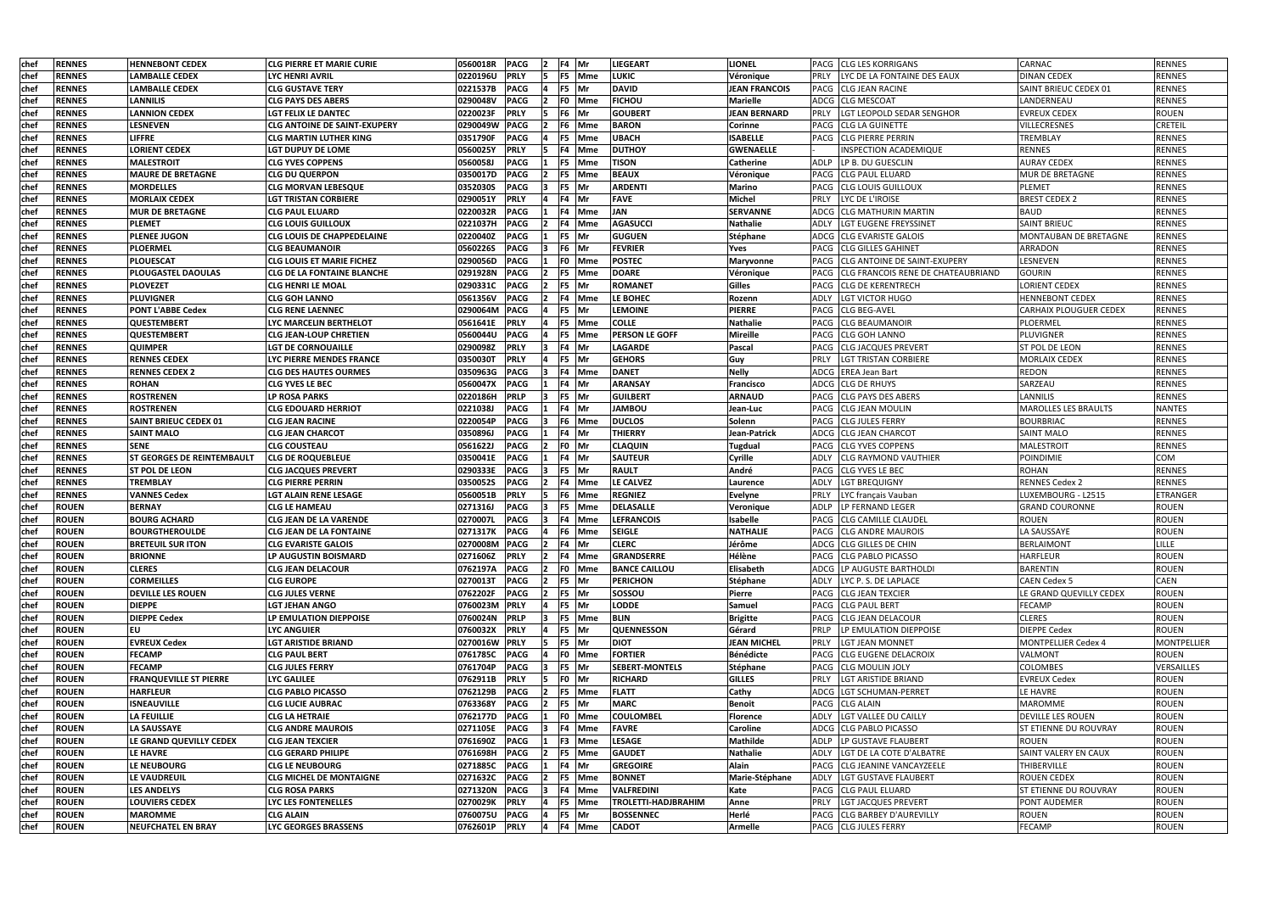| chef        | <b>RENNES</b> | <b>HENNEBONT CEDEX</b>            | <b>CLG PIERRE ET MARIE CURIE</b>    | 0560018R<br><b>PACG</b><br>F4 Mr<br><b>LIEGEART</b>             | <b>LIONEL</b>        |             | PACG ICLG LES KORRIGANS                   | <b>CARNAC</b>                 | <b>RENNES</b>      |
|-------------|---------------|-----------------------------------|-------------------------------------|-----------------------------------------------------------------|----------------------|-------------|-------------------------------------------|-------------------------------|--------------------|
| chef        | <b>RENNES</b> | <b>LAMBALLE CEDEX</b>             | LYC HENRI AVRIL                     | 0220196U<br><b>PRLY</b><br><b>LUKIC</b><br>F5  Mme              | Véronique            | <b>PRLY</b> | LYC DE LA FONTAINE DES EAUX               | <b>DINAN CEDEX</b>            | RENNES             |
| chef        | <b>RENNES</b> | <b>LAMBALLE CEDEX</b>             | <b>CLG GUSTAVE TERY</b>             | <b>DAVID</b><br>0221537B<br><b>PACG</b><br>F5 Mr                | <b>JEAN FRANCOIS</b> |             | PACG CLG JEAN RACINE                      | SAINT BRIEUC CEDEX 01         | <b>RENNES</b>      |
| <b>chef</b> | <b>RENNES</b> | <b>LANNILIS</b>                   | <b>CLG PAYS DES ABERS</b>           | <b>PACG</b><br><b>FICHOU</b><br>0290048V<br>F0 Mme              | <b>Marielle</b>      |             | ADCG CLG MESCOAT                          | LANDERNEAU                    | <b>RENNES</b>      |
| chef        | <b>RENNES</b> | <b>LANNION CEDEX</b>              | LGT FELIX LE DANTEC                 | 0220023F<br><b>PRLY</b><br>F6 Mr<br><b>GOUBERT</b>              | <b>JEAN BERNARD</b>  | <b>PRLY</b> | LGT LEOPOLD SEDAR SENGHOR                 | <b>EVREUX CEDEX</b>           | <b>ROUEN</b>       |
| chef        | <b>RENNES</b> | <b>LESNEVEN</b>                   | <b>CLG ANTOINE DE SAINT-EXUPERY</b> | 0290049W<br><b>PACG</b><br><b>BARON</b><br>F6 Mme               | <b>Corinne</b>       |             | <b>PACG</b> CLG LA GUINETTE               | <b>VILLECRESNES</b>           | <b>CRETEIL</b>     |
| chef        | <b>RENNES</b> | <b>LIFFRE</b>                     | <b>CLG MARTIN LUTHER KING</b>       | 0351790F<br><b>PACG</b><br><b>UBACH</b><br>F5 Mme               | <b>ISABELLE</b>      |             | PACG CLG PIERRE PERRIN                    | <b>TREMBLAY</b>               | <b>RENNES</b>      |
| chef        | <b>RENNES</b> | <b>LORIENT CEDEX</b>              | LGT DUPUY DE LOME                   | 0560025Y<br><b>PRLY</b><br><b>DUTHOY</b><br>F4 Mme              | <b>GWENAELLE</b>     |             | INSPECTION ACADEMIQUE                     | <b>RENNES</b>                 | <b>RENNES</b>      |
| chef        | <b>RENNES</b> | <b>MALESTROIT</b>                 | <b>CLG YVES COPPENS</b>             | 0560058J<br><b>PACG</b><br><b>TISON</b><br>F5 Mme               | <b>Catherine</b>     |             | ADLP LP B. DU GUESCLIN                    | <b>AURAY CEDEX</b>            | <b>RENNES</b>      |
| chef        | <b>RENNES</b> | <b>MAURE DE BRETAGNE</b>          | <b>CLG DU QUERPON</b>               | 0350017D<br><b>PACG</b><br><b>BEAUX</b><br>F5 Mme               | Véronique            |             | PACG CLG PAUL ELUARD                      | <b>MUR DE BRETAGNE</b>        | <b>RENNES</b>      |
| chef        | <b>RENNES</b> | <b>MORDELLES</b>                  | <b>CLG MORVAN LEBESQUE</b>          | 0352030S<br><b>PACG</b><br><b>ARDENTI</b><br>F5  Mr             | <b>Marino</b>        |             | PACG CLG LOUIS GUILLOUX                   | PLEMET                        | <b>RENNES</b>      |
| chef        | <b>RENNES</b> | <b>MORLAIX CEDEX</b>              | <b>LGT TRISTAN CORBIERE</b>         | 0290051Y<br><b>PRLY</b><br><b>FAVE</b><br>F4 Mr                 | <b>Michel</b>        | <b>PRLY</b> | LYC DE L'IROISE                           | <b>BREST CEDEX 2</b>          | <b>RENNES</b>      |
| chel        | <b>RENNES</b> | <b>MUR DE BRETAGNE</b>            | <b>CLG PAUL ELUARD</b>              | JAN<br>0220032R<br><b>PACG</b><br>4 Mme                         | <b>SERVANNE</b>      |             | ADCG CLG MATHURIN MARTIN                  | <b>BAUD</b>                   | <b>RENNES</b>      |
| <b>chef</b> | <b>RENNES</b> | <b>PLEMET</b>                     | <b>CLG LOUIS GUILLOUX</b>           | 0221037H<br><b>PACG</b><br><b>AGASUCCI</b><br>4 Mme             | <b>Nathalie</b>      | <b>ADLY</b> | LGT EUGENE FREYSSINET                     | <b>SAINT BRIEUC</b>           | <b>RENNES</b>      |
| chef        | <b>RENNES</b> | <b>PLENEE JUGON</b>               | CLG LOUIS DE CHAPPEDELAINE          | 0220040Z<br><b>PACG</b><br><b>GUGUEN</b><br>F5  Mr              | Stéphane             |             | ADCG CLG EVARISTE GALOIS                  | <b>MONTAUBAN DE BRETAGNE</b>  | <b>RENNES</b>      |
| chef        | <b>RENNES</b> | <b>PLOERMEL</b>                   | <b>CLG BEAUMANOIR</b>               | <b>PACG</b><br>F6 Mr<br><b>FEVRIER</b><br>0560226S              | Yves                 | <b>PACG</b> | <b>CLG GILLES GAHINET</b>                 | <b>ARRADON</b>                | <b>RENNES</b>      |
| chef        | <b>RENNES</b> | <b>PLOUESCAT</b>                  | <b>CLG LOUIS ET MARIE FICHEZ</b>    | <b>POSTEC</b><br>0290056D<br><b>PACG</b><br>F0 Mme              | Maryvonne            | PACG        | <b>CLG ANTOINE DE SAINT-EXUPERY</b>       | LESNEVEN                      | <b>RENNES</b>      |
| chef        | <b>RENNES</b> | <b>PLOUGASTEL DAOULAS</b>         | <b>CLG DE LA FONTAINE BLANCHE</b>   | 0291928N<br><b>PACG</b><br><b>DOARE</b><br>F5 Mme               | Véronique            | PACG        | <b>CLG FRANCOIS RENE DE CHATEAUBRIAND</b> | <b>GOURIN</b>                 | <b>RENNES</b>      |
| chef        | <b>RENNES</b> | <b>PLOVEZET</b>                   | <b>CLG HENRI LE MOAL</b>            | <b>PACG</b><br>0290331C<br>F5 Mr<br><b>ROMANET</b>              | Gilles               |             | <b>PACG CLG DE KERENTRECH</b>             | <b>LORIENT CEDEX</b>          | <b>RENNES</b>      |
| chef        | <b>RENNES</b> | <b>PLUVIGNER</b>                  | <b>CLG GOH LANNO</b>                | <b>PACG</b><br>0561356V<br>4 Mme<br>LE BOHEC                    | Rozenn               | ADLY        | LGT VICTOR HUGO                           | <b>HENNEBONT CEDEX</b>        | <b>RENNES</b>      |
| chef        | <b>RENNES</b> | <b>PONT L'ABBE Cedex</b>          | <b>CLG RENE LAENNEC</b>             | 0290064M<br><b>PACG</b><br>F5 Mr<br><b>LEMOINE</b>              | <b>PIERRE</b>        |             | PACG CLG BEG-AVEL                         | <b>CARHAIX PLOUGUER CEDEX</b> | <b>RENNES</b>      |
| chef        | <b>RENNES</b> | <b>QUESTEMBERT</b>                | <b>LYC MARCELIN BERTHELOT</b>       | <b>PRLY</b><br><b>COLLE</b><br>0561641E<br>F5 Mme               | <b>Nathalie</b>      |             | PACG CLG BEAUMANOIR                       | PLOERMEL                      | <b>RENNES</b>      |
| chef        | <b>RENNES</b> | <b>QUESTEMBERT</b>                | <b>CLG JEAN-LOUP CHRETIEN</b>       | 0560044U<br><b>PACG</b><br>PERSON LE GOFF<br>F5 Mme             | <b>Mireille</b>      |             | <b>PACG</b> CLG GOH LANNO                 | PLUVIGNER                     | <b>RENNES</b>      |
| <b>chef</b> | <b>RENNES</b> | <b>QUIMPER</b>                    | LGT DE CORNOUAILLE                  | 0290098Z<br><b>PRLY</b><br><b>LAGARDE</b><br>F4 Mr              | Pascal               |             | PACG CLG JACQUES PREVERT                  | <b>ST POL DE LEON</b>         | <b>RENNES</b>      |
| chef        | <b>RENNES</b> | <b>RENNES CEDEX</b>               | LYC PIERRE MENDES FRANCE            | 0350030T<br><b>PRLY</b><br><b>GEHORS</b><br>F5  Mr              | Guy                  | <b>PRLY</b> | <b>LGT TRISTAN CORBIERE</b>               | <b>MORLAIX CEDEX</b>          | <b>RENNES</b>      |
| <b>chet</b> | <b>RENNES</b> | <b>RENNES CEDEX 2</b>             | <b>CLG DES HAUTES OURMES</b>        | <b>DANET</b><br>0350963G<br><b>PACG</b><br>4 Mme                | <b>Nelly</b>         |             | ADCG EREA Jean Bart                       | <b>REDON</b>                  | <b>RENNES</b>      |
| chef        | <b>RENNES</b> | <b>ROHAN</b>                      | <b>CLG YVES LE BEC</b>              | 0560047X<br><b>PACG</b><br><b>ARANSAY</b><br>F4 IMr             | Francisco            |             | ADCG CLG DE RHUYS                         | SARZEAU                       | <b>RENNES</b>      |
| chef        | <b>RENNES</b> | <b>ROSTRENEN</b>                  | LP ROSA PARKS                       | 0220186H<br><b>PRLP</b><br>F5 Mr<br><b>GUILBERT</b>             | <b>ARNAUD</b>        | PACG        | <b>CLG PAYS DES ABERS</b>                 | LANNILIS                      | <b>RENNES</b>      |
| chef        | <b>RENNES</b> | <b>ROSTRENEN</b>                  | <b>CLG EDOUARD HERRIOT</b>          | 0221038J<br><b>JAMBOU</b><br><b>PACG</b><br>F4 Mr               | Jean-Luc             | PACG        | <b>CLG JEAN MOULIN</b>                    | MAROLLES LES BRAULTS          | <b>NANTES</b>      |
| <b>chef</b> | <b>RENNES</b> | <b>SAINT BRIEUC CEDEX 01</b>      | <b>CLG JEAN RACINE</b>              | 0220054P<br><b>DUCLOS</b><br><b>PACG</b><br>F6 Mme              | Solenn               |             | <b>PACG CLG JULES FERRY</b>               | <b>BOURBRIAC</b>              | <b>RENNES</b>      |
| chef        | <b>RENNES</b> | <b>SAINT MALO</b>                 | <b>CLG JEAN CHARCOT</b>             | 0350896J<br><b>PACG</b><br><b>THIERRY</b><br>F4 Mr              | Jean-Patrick         |             | ADCG CLG JEAN CHARCOT                     | <b>SAINT MALO</b>             | <b>RENNES</b>      |
| chef        | <b>RENNES</b> | <b>SENE</b>                       | <b>CLG COUSTEAU</b>                 | <b>PACG</b><br>F0 Mr<br>0561622J<br><b>CLAQUIN</b>              | <b>Tugdual</b>       |             | <b>PACG CLG YVES COPPENS</b>              | <b>MALESTROIT</b>             | <b>RENNES</b>      |
| chef        | <b>RENNES</b> | <b>ST GEORGES DE REINTEMBAULT</b> | <b>CLG DE ROQUEBLEUE</b>            | 0350041E<br><b>PACG</b><br>F4 Mr<br><b>SAUTEUR</b>              | <b>Cyrille</b>       | ADLY        | <b>CLG RAYMOND VAUTHIER</b>               | POINDIMIE                     | COM                |
| chef        | <b>RENNES</b> | <b>ST POL DE LEON</b>             | <b>CLG JACQUES PREVERT</b>          | 0290333E<br><b>PACG</b><br>F5 Mr<br><b>RAULT</b>                | André                |             | PACG CLG YVES LE BEC                      | <b>ROHAN</b>                  | <b>RENNES</b>      |
| chef        | <b>RENNES</b> | <b>TREMBLAY</b>                   | <b>CLG PIERRE PERRIN</b>            | 0350052S<br><b>PACG</b><br><b>LE CALVEZ</b><br>F4 Mme           | Laurence             | <b>ADLY</b> | <b>LGT BREQUIGNY</b>                      | <b>RENNES Cedex 2</b>         | <b>RENNES</b>      |
| chef        | <b>RENNES</b> | <b>VANNES Cedex</b>               | <b>LGT ALAIN RENE LESAGE</b>        | 0560051B<br><b>PRLY</b><br><b>REGNIEZ</b><br>F6 Mme             | <b>Evelyne</b>       | PRLY        | LYC français Vauban                       | LUXEMBOURG - L2515            | ETRANGER           |
| chef        | <b>ROUEN</b>  | <b>BERNAY</b>                     | <b>CLG LE HAMEAU</b>                | 0271316J<br><b>PACG</b><br>F5 Mme<br><b>DELASALLE</b>           | Veronique            | <b>ADLP</b> | LP FERNAND LEGER                          | <b>GRAND COURONNE</b>         | <b>ROUEN</b>       |
| chef        | <b>ROUEN</b>  | <b>BOURG ACHARD</b>               | <b>CLG JEAN DE LA VARENDE</b>       | <b>PACG</b><br>0270007L<br><b>LEFRANCOIS</b><br>∶4 Mme          | Isabelle             | PACG        | <b>CLG CAMILLE CLAUDEL</b>                | <b>ROUEN</b>                  | <b>ROUEN</b>       |
| chef        | <b>ROUEN</b>  | <b>BOURGTHEROULDE</b>             | CLG JEAN DE LA FONTAINE             | 0271317K PACG<br>F6 Mme<br><b>SEIGLE</b>                        | <b>NATHALIE</b>      |             | PACG CLG ANDRE MAUROIS                    | LA SAUSSAYE                   | <b>ROUEN</b>       |
| chef        | <b>ROUEN</b>  | <b>BRETEUIL SUR ITON</b>          | <b>CLG EVARISTE GALOIS</b>          | 0270008M PACG<br>F4 Mr<br><b>CLERC</b>                          | Jérôme               |             | ADCG CLG GILLES DE CHIN                   | <b>BERLAIMONT</b>             | <b>LILLE</b>       |
| chef        | <b>ROUEN</b>  | <b>BRIONNE</b>                    | LP AUGUSTIN BOISMARD                | 0271606Z PRLY<br><b>GRANDSERRE</b><br>F4 Mme                    | Hélène               |             | PACG CLG PABLO PICASSO                    | <b>HARFLEUR</b>               | <b>ROUEN</b>       |
| chef        | <b>ROUEN</b>  | <b>CLERES</b>                     | <b>CLG JEAN DELACOUR</b>            | 0762197A PACG<br>F0 Mme<br><b>BANCE CAILLOU</b>                 | Elisabeth            |             | ADCG LP AUGUSTE BARTHOLDI                 | <b>BARENTIN</b>               | <b>ROUEN</b>       |
| chef        | <b>ROUEN</b>  | <b>CORMEILLES</b>                 | <b>CLG EUROPE</b>                   | 0270013T<br><b>PACG</b><br>F5 Mr<br><b>PERICHON</b>             | Stéphane             | ADLY        | LYC P. S. DE LAPLACE                      | <b>CAEN Cedex 5</b>           | CAEN               |
| chef        | <b>ROUEN</b>  | <b>DEVILLE LES ROUEN</b>          | <b>CLG JULES VERNE</b>              | 0762202F PACG<br>F5 Mr<br>sossou                                | Pierre               |             | <b>PACG CLG JEAN TEXCIER</b>              | LE GRAND QUEVILLY CEDEX       | <b>ROUEN</b>       |
| chef        | <b>ROUEN</b>  | <b>DIEPPE</b>                     | <b>LGT JEHAN ANGO</b>               | 0760023M PRLY<br>F5 Mr<br><b>LODDE</b>                          | Samuel               |             | <b>PACG CLG PAUL BERT</b>                 | FECAMP                        | <b>ROUEN</b>       |
| chef        | <b>ROUEN</b>  | <b>DIEPPE Cedex</b>               | LP EMULATION DIEPPOISE              | 0760024N PRLP<br>F5 Mme<br><b>BLIN</b>                          | <b>Brigitte</b>      |             | PACG CLG JEAN DELACOUR                    | <b>CLERES</b>                 | <b>ROUEN</b>       |
| chef        | <b>ROUEN</b>  | ΙEU                               | LYC ANGUIER                         | 0760032X<br><b>PRLY</b><br>F5 Mr<br><b>QUENNESSON</b>           | Gérard               | PRLP        | LP EMULATION DIEPPOISE                    | <b>DIEPPE Cedex</b>           | <b>ROUEN</b>       |
| chef        | <b>ROUEN</b>  | <b>EVREUX Cedex</b>               | <b>LGT ARISTIDE BRIAND</b>          | 0270016W PRLY<br>F5 Mr<br><b>DIOT</b>                           | <b>JEAN MICHEL</b>   | <b>PRLY</b> | <b>LGT JEAN MONNET</b>                    | MONTPELLIER Cedex 4           | <b>MONTPELLIER</b> |
| chef        | <b>ROUEN</b>  | <b>FECAMP</b>                     | <b>CLG PAUL BERT</b>                | <b>FORTIER</b><br>0761785C PACG<br>F0 Mme                       | Bénédicte            |             | PACG CLG EUGENE DELACROIX                 | VALMONT                       | <b>ROUEN</b>       |
| chef        | <b>ROUEN</b>  | <b>FECAMP</b>                     | <b>CLG JULES FERRY</b>              | 0761704P<br><b>PACG</b><br>F5 Mr<br><b>SEBERT-MONTELS</b>       | Stéphane             |             | PACG CLG MOULIN JOLY                      | <b>COLOMBES</b>               | VERSAILLES         |
| chef        | <b>ROUEN</b>  | <b>FRANQUEVILLE ST PIERRE</b>     | <b>LYC GALILEE</b>                  | <b>PRLY</b><br>FO Mr<br>0762911B<br><b>RICHARD</b>              | <b>GILLES</b>        | <b>PRLY</b> | LGT ARISTIDE BRIAND                       | <b>EVREUX Cedex</b>           | <b>ROUEN</b>       |
| chef        | <b>ROUEN</b>  | <b>HARFLEUR</b>                   | <b>CLG PABLO PICASSO</b>            | 0762129B<br><b>FLATT</b><br><b>PACG</b><br>F5 Mme               | <b>Cathy</b>         |             | ADCG LGT SCHUMAN-PERRET                   | LE HAVRE                      | <b>ROUEN</b>       |
| chef        | <b>ROUEN</b>  | <b>ISNEAUVILLE</b>                | <b>CLG LUCIE AUBRAC</b>             | 0763368Y<br><b>MARC</b><br><b>PACG</b><br>F5 Mr                 | <b>Benoit</b>        |             | PACG CLG ALAIN                            | MAROMME                       | <b>ROUEN</b>       |
| chef        | <b>ROUEN</b>  | <b>LA FEUILLIE</b>                | <b>CLG LA HETRAIE</b>               | <b>COULOMBEL</b><br>0762177D<br><b>PACG</b><br>F0 Mme           | Florence             | <b>ADLY</b> | LGT VALLEE DU CAILLY                      | <b>DEVILLE LES ROUEN</b>      | <b>ROUEN</b>       |
| chef        | <b>ROUEN</b>  | <b>LA SAUSSAYE</b>                | <b>CLG ANDRE MAUROIS</b>            | 0271105E PACG<br><b>FAVRE</b><br>F4 Mme                         | <b>Caroline</b>      |             | ADCG CLG PABLO PICASSO                    | <b>ST ETIENNE DU ROUVRAY</b>  | <b>ROUEN</b>       |
| chef        | <b>ROUEN</b>  | LE GRAND QUEVILLY CEDEX           | <b>CLG JEAN TEXCIER</b>             | 0761690Z PACG<br><b>LESAGE</b><br>F3 Mme                        | <b>Mathilde</b>      |             | ADLP   LP GUSTAVE FLAUBERT                | <b>ROUEN</b>                  | <b>ROUEN</b>       |
| chef        | <b>ROUEN</b>  | <b>LE HAVRE</b>                   | <b>CLG GERARD PHILIPE</b>           | 0761698H PACG<br>F5 Mme<br><b>GAUDET</b>                        | Nathalie             | ADLY        | LGT DE LA COTE D'ALBATRE                  | SAINT VALERY EN CAUX          | <b>ROUEN</b>       |
| chef        | <b>ROUEN</b>  | <b>LE NEUBOURG</b>                | <b>CLG LE NEUBOURG</b>              | 0271885C PACG<br>F4 Mr<br><b>GREGOIRE</b>                       | <b>Alain</b>         |             | PACG CLG JEANINE VANCAYZEELE              | THIBERVILLE                   | <b>ROUEN</b>       |
| chef        | <b>ROUEN</b>  | LE VAUDREUIL                      | <b>CLG MICHEL DE MONTAIGNE</b>      | 0271632C<br><b>PACG</b><br>F5 Mme<br><b>BONNET</b>              | Marie-Stéphane       | ADLY        | LGT GUSTAVE FLAUBERT                      | <b>ROUEN CEDEX</b>            | <b>ROUEN</b>       |
| chef        | <b>ROUEN</b>  | <b>LES ANDELYS</b>                | <b>CLG ROSA PARKS</b>               | 0271320N<br><b>PACG</b><br><b>VALFREDINI</b><br>F4 Mme          | Kate                 |             | PACG CLG PAUL ELUARD                      | <b>ST ETIENNE DU ROUVRAY</b>  | <b>ROUEN</b>       |
| chef        | <b>ROUEN</b>  | <b>LOUVIERS CEDEX</b>             | LYC LES FONTENELLES                 | 0270029K<br><b>PRLY</b><br><b>TROLETTI-HADJBRAHIM</b><br>F5 Mme | Anne                 | <b>PRLY</b> | LGT JACQUES PREVERT                       | <b>PONT AUDEMER</b>           | <b>ROUEN</b>       |
| chef        | <b>ROUEN</b>  | <b>MAROMME</b>                    | <b>CLG ALAIN</b>                    | 0760075U PACG<br>F5 Mr<br><b>BOSSENNEC</b>                      | Herlé                |             | PACG CLG BARBEY D'AUREVILLY               | <b>ROUEN</b>                  | <b>ROUEN</b>       |
| chef        | <b>ROUEN</b>  | <b>NEUFCHATEL EN BRAY</b>         | LYC GEORGES BRASSENS                | 0762601P PRLY<br>F4 Mme<br><b>CADOT</b><br>14                   | <b>Armelle</b>       |             | PACG CLG JULES FERRY                      | FECAMP                        | <b>ROUEN</b>       |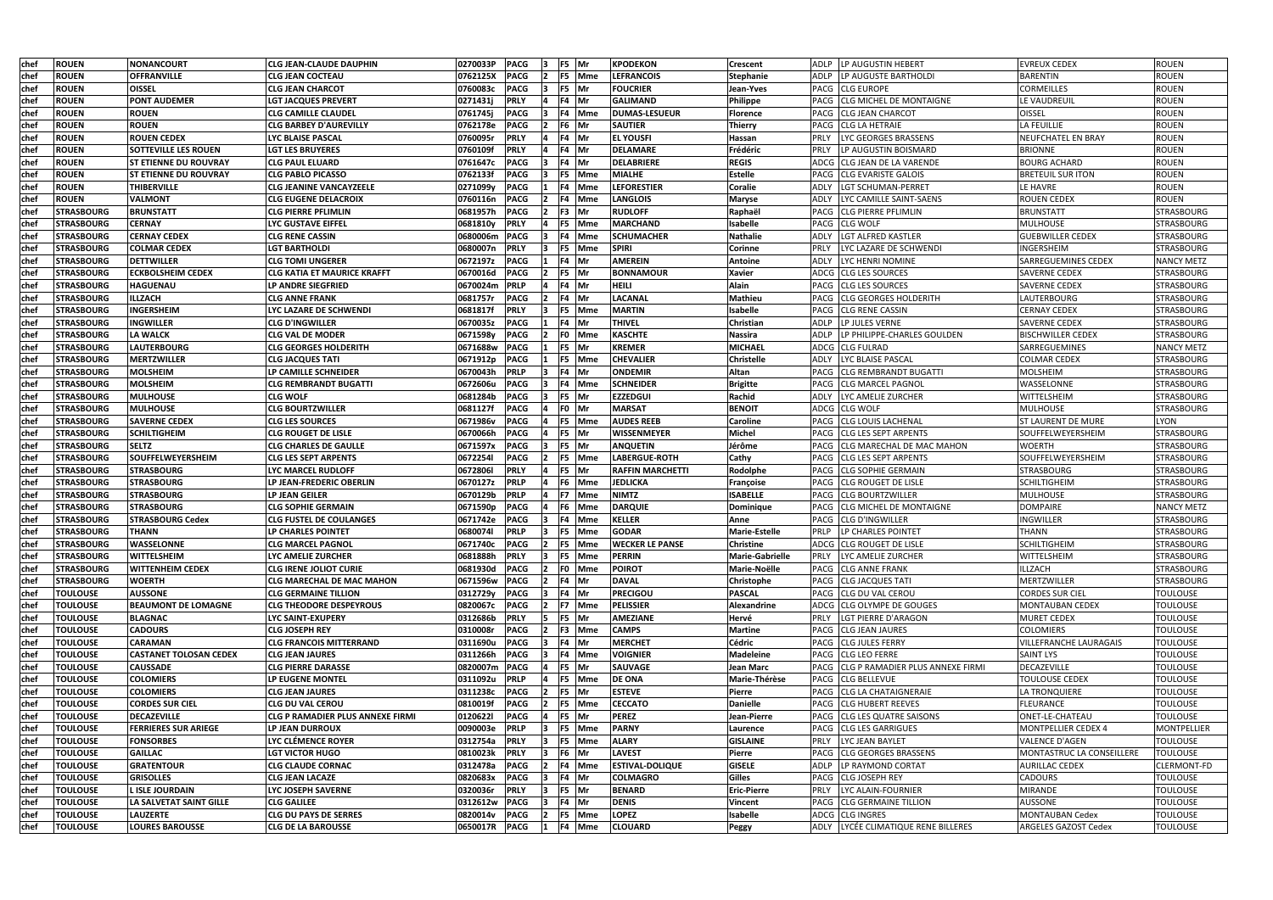| chef        | <b>ROUEN</b>      | <b>NONANCOURT</b>             | <b>CLG JEAN-CLAUDE DAUPHIN</b>     | 0270033P | <b>PACG</b> |     | F5 Mr          |               | <b>KPODEKON</b>         | Crescent               | ADLP<br><b>ILP AUGUSTIN HEBERT</b>            | <b>EVREUX CEDEX</b>           | <b>ROUEN</b>       |
|-------------|-------------------|-------------------------------|------------------------------------|----------|-------------|-----|----------------|---------------|-------------------------|------------------------|-----------------------------------------------|-------------------------------|--------------------|
| chef        | <b>ROUEN</b>      | OFFRANVILLE                   | CLG JEAN COCTEAU                   | 0762125X | <b>PACG</b> |     |                | F5 Mme        | <b>LEFRANCOIS</b>       | <b>Stephanie</b>       | ADLP<br>llP AUGUSTE BARTHOLDI                 | <b>BARENTIN</b>               | <b>ROUEN</b>       |
| chef        | <b>ROUEN</b>      | <b>OISSEL</b>                 | <b>CLG JEAN CHARCOT</b>            | 0760083c | <b>PACG</b> |     | F5 Mr          |               | <b>FOUCRIER</b>         | Jean-Yves              | PACG<br><b>CLG EUROPE</b>                     | <b>CORMEILLES</b>             | <b>ROUEN</b>       |
| chef        | <b>ROUEN</b>      | <b>PONT AUDEMER</b>           | <b>LGT JACQUES PREVERT</b>         | 0271431j | <b>PRLY</b> |     | F4 Mr          |               | <b>GALIMAND</b>         | <b>Philippe</b>        | <b>CLG MICHEL DE MONTAIGNE</b><br>PACG        | LE VAUDREUIL                  | <b>ROUEN</b>       |
| chef        | <b>ROUEN</b>      | <b>ROUEN</b>                  | <b>CLG CAMILLE CLAUDEL</b>         | 0761745j | <b>PACG</b> |     |                | F4 Mme        | <b>DUMAS-LESUEUR</b>    | <b>Florence</b>        | <b>PACG</b><br><b>CLG JEAN CHARCOT</b>        | OISSEL                        | <b>ROUEN</b>       |
| chef        | <b>ROUEN</b>      | <b>ROUEN</b>                  | <b>CLG BARBEY D'AUREVILLY</b>      | 0762178e | <b>PACG</b> |     | F <sub>6</sub> | Mr            | <b>SAUTIER</b>          | Thierry                | <b>CLG LA HETRAIE</b><br>PACG                 | LA FEUILLIE                   | <b>ROUEN</b>       |
| chef        | <b>ROUEN</b>      | <b>ROUEN CEDEX</b>            | LYC BLAISE PASCAL                  | 0760095r | <b>PRLY</b> |     | F4 Mr          |               | <b>EL YOUSFI</b>        | Hassan                 | PRLY<br><b>LYC GEORGES BRASSENS</b>           | NEUFCHATEL EN BRAY            | <b>ROUEN</b>       |
| chef        | <b>ROUEN</b>      | <b>SOTTEVILLE LES ROUEN</b>   | LGT LES BRUYERES                   | 0760109f | <b>PRLY</b> |     | F4 Mr          |               | <b>DELAMARE</b>         | Frédéric               | LP AUGUSTIN BOISMARD<br><b>PRLY</b>           | <b>BRIONNE</b>                | <b>ROUEN</b>       |
| chef        | <b>ROUEN</b>      | <b>ST ETIENNE DU ROUVRAY</b>  | <b>CLG PAUL ELUARD</b>             | 0761647c | <b>PACG</b> |     | F4 Mr          |               | <b>DELABRIERE</b>       | <b>REGIS</b>           | ADCG CLG JEAN DE LA VARENDE                   | <b>BOURG ACHARD</b>           | <b>ROUEN</b>       |
| chef        | <b>ROUEN</b>      | <b>ST ETIENNE DU ROUVRAY</b>  | <b>CLG PABLO PICASSO</b>           | 0762133f | <b>PACG</b> |     |                | F5 Mme        | <b>MIALHE</b>           | <b>Estelle</b>         | <b>CLG EVARISTE GALOIS</b><br>PACG            | <b>BRETEUIL SUR ITON</b>      | <b>ROUEN</b>       |
| chef        | <b>ROUEN</b>      | <b>THIBERVILLE</b>            | <b>CLG JEANINE VANCAYZEELE</b>     | 0271099y | <b>PACG</b> |     |                | F4 Mme        | <b>LEFORESTIER</b>      | <b>Coralie</b>         | <b>LGT SCHUMAN-PERRET</b><br>ADLY             | LE HAVRE                      | <b>ROUEN</b>       |
| chef        | <b>ROUEN</b>      | <b>VALMONT</b>                | <b>CLG EUGENE DELACROIX</b>        | 0760116n | <b>PACG</b> |     |                | F4 Mme        | <b>LANGLOIS</b>         | <b>Maryse</b>          | ADLY<br>LYC CAMILLE SAINT-SAENS               | <b>ROUEN CEDEX</b>            | <b>ROUEN</b>       |
| chef        | <b>STRASBOURG</b> | <b>BRUNSTATT</b>              | <b>CLG PIERRE PFLIMLIN</b>         | 0681957h | <b>PACG</b> |     | F3 Mr          |               | <b>RUDLOFF</b>          | Raphaël                | <b>ICLG PIERRE PFLIMLIN</b><br><b>PACG</b>    | <b>BRUNSTATT</b>              | <b>STRASBOURG</b>  |
| chef        | <b>STRASBOURG</b> | <b>CERNAY</b>                 | LYC GUSTAVE EIFFEL                 | 0681810y | <b>PRLY</b> |     |                | <b>F5</b> Mme | <b>MARCHAND</b>         | Isabelle               | <b>PACG</b><br><b>CLG WOLF</b>                | <b>MULHOUSE</b>               | <b>STRASBOURG</b>  |
| chef        | <b>STRASBOURG</b> | <b>CERNAY CEDEX</b>           | CLG RENE CASSIN                    | 0680006m | <b>PACG</b> |     |                | F4 Mme        | <b>SCHUMACHER</b>       | <b>Nathalie</b>        | LGT ALFRED KASTLER<br>ADLY                    | <b>GUEBWILLER CEDEX</b>       | <b>STRASBOURG</b>  |
| chef        | <b>STRASBOURG</b> | <b>COLMAR CEDEX</b>           | LGT BARTHOLDI                      | 0680007n | <b>PRLY</b> |     | F5             | <b>Mme</b>    | <b>SPIRI</b>            | Corinne                | PRLY<br>LYC LAZARE DE SCHWENDI                | INGERSHEIM                    | <b>STRASBOURG</b>  |
| chef        | <b>STRASBOURG</b> | <b>DETTWILLER</b>             | CLG TOMI UNGERER                   | 0672197z | <b>PACG</b> |     | F4             | Mr            | <b>AMEREIN</b>          | <b>Antoine</b>         | ADLY<br>LYC HENRI NOMINE                      | <b>SARREGUEMINES CEDEX</b>    | <b>NANCY METZ</b>  |
| chef        | <b>STRASBOURG</b> | <b>ECKBOLSHEIM CEDEX</b>      | <b>CLG KATIA ET MAURICE KRAFFT</b> | 0670016d | <b>PACG</b> |     | F5 Mr          |               | <b>BONNAMOUR</b>        | <b>Xavier</b>          | ADCG<br><b>CLG LES SOURCES</b>                | <b>SAVERNE CEDEX</b>          | <b>STRASBOURG</b>  |
| chef        | <b>STRASBOURG</b> | <b>HAGUENAU</b>               | LP ANDRE SIEGFRIED                 | 0670024m | <b>PRLP</b> |     | F4 Mr          |               | <b>HEILI</b>            | Alain                  | <b>CLG LES SOURCES</b><br>PACG                | <b>SAVERNE CEDEX</b>          | <b>STRASBOURG</b>  |
| chef        | <b>STRASBOURG</b> | <b>ILLZACH</b>                | <b>CLG ANNE FRANK</b>              | 0681757r | <b>PACG</b> |     | F4 Mr          |               | LACANAL                 | <b>Mathieu</b>         | CLG GEORGES HOLDERITH<br><b>PACG</b>          | <b>LAUTERBOURG</b>            | <b>STRASBOURG</b>  |
| chef        | <b>STRASBOURG</b> | <b>INGERSHEIM</b>             | LYC LAZARE DE SCHWENDI             | 0681817f | <b>PRLY</b> |     |                | F5 Mme        | <b>MARTIN</b>           | Isabelle               | PACG<br><b>CLG RENE CASSIN</b>                | <b>CERNAY CEDEX</b>           | <b>STRASBOURG</b>  |
| chef        | <b>STRASBOURG</b> | <b>INGWILLER</b>              | <b>CLG D'INGWILLER</b>             | 0670035z | <b>PACG</b> |     | F4 Mr          |               | <b>THIVEL</b>           | Christian              | LP JULES VERNE<br>ADLP                        | <b>SAVERNE CEDEX</b>          | <b>STRASBOURG</b>  |
| chef        | <b>STRASBOURG</b> | <b>LA WALCK</b>               | <b>CLG VAL DE MODER</b>            | 0671598y | <b>PACG</b> |     |                | F0 Mme        | <b>KASCHTE</b>          | <b>Nassira</b>         | LP PHILIPPE-CHARLES GOULDEN<br>ADLP           | <b>BISCHWILLER CEDEX</b>      | <b>STRASBOURG</b>  |
| chef        | <b>STRASBOURG</b> | <b>LAUTERBOURG</b>            | <b>CLG GEORGES HOLDERITH</b>       | 0671688w | <b>PACG</b> |     | F5 Mr          |               | <b>KREMER</b>           | <b>MICHAEL</b>         | ADCG  CLG FULRAD                              | SARREGUEMINES                 | <b>NANCY METZ</b>  |
| chef        | <b>STRASBOURG</b> | <b>MERTZWILLER</b>            | <b>CLG JACQUES TATI</b>            | 0671912p | <b>PACG</b> |     |                | F5 Mme        | <b>CHEVALIER</b>        | <b>Christelle</b>      | LYC BLAISE PASCAL<br>ADLY                     | <b>COLMAR CEDEX</b>           | <b>STRASBOURG</b>  |
| chef        | <b>STRASBOURG</b> | MOLSHEIM                      | LP CAMILLE SCHNEIDER               | 0670043h | <b>PRLP</b> |     | F4 Mr          |               | <b>ONDEMIR</b>          | Altan                  | CLG REMBRANDT BUGATTI<br><b>PACG</b>          | <b>MOLSHEIM</b>               | <b>STRASBOURG</b>  |
| chef        | <b>STRASBOURG</b> | MOLSHEIM                      | CLG REMBRANDT BUGATTI              | 0672606u | <b>PACG</b> |     |                | F4 Mme        | <b>SCHNEIDER</b>        | <b>Brigitte</b>        | <b>PACG</b><br><b>CLG MARCEL PAGNOL</b>       | WASSELONNE                    | <b>STRASBOURG</b>  |
| chef        | <b>STRASBOURG</b> | <b>MULHOUSE</b>               | CLG WOLF                           | 0681284b | <b>PACG</b> |     | F5 Mr          |               | <b>EZZEDGUI</b>         | Rachid                 | ADLY<br>LYC AMELIE ZURCHER                    | WITTELSHEIM                   | <b>STRASBOURG</b>  |
| chef        | <b>STRASBOURG</b> | <b>MULHOUSE</b>               | CLG BOURTZWILLER                   | 0681127f | <b>PACG</b> |     | F0 Mr          |               | <b>MARSAT</b>           | <b>BENOIT</b>          | ADCG<br><b>CLG WOLF</b>                       | <b>MULHOUSE</b>               | STRASBOURG         |
| chef        | <b>STRASBOURG</b> | <b>SAVERNE CEDEX</b>          | <b>CLG LES SOURCES</b>             | 0671986v | <b>PACG</b> |     |                | <b>F5</b> Mme | <b>AUDES REEB</b>       | Caroline               | <b>CLG LOUIS LACHENAL</b><br><b>PACG</b>      | <b>ST LAURENT DE MURE</b>     | <b>LYON</b>        |
| chef        | <b>STRASBOURG</b> | <b>SCHILTIGHEIM</b>           | <b>CLG ROUGET DE LISLE</b>         | 0670066h | <b>PACG</b> |     | F5 Mr          |               | WISSENMEYER             | Michel                 | CLG LES SEPT ARPENTS<br><b>PACG</b>           | SOUFFELWEYERSHEIM             | <b>STRASBOURG</b>  |
| chef        | <b>STRASBOURG</b> | <b>SELTZ</b>                  | <b>CLG CHARLES DE GAULLE</b>       | 0671597x | <b>PACG</b> |     | F5 Mr          |               | <b>ANQUETIN</b>         | Jérôme                 | <b>CLG MARECHAL DE MAC MAHON</b><br>PACG      | <b>WOERTH</b>                 | <b>STRASBOURG</b>  |
| chef        | <b>STRASBOURG</b> | <b>SOUFFELWEYERSHEIM</b>      | <b>CLG LES SEPT ARPENTS</b>        | 06722541 | <b>PACG</b> |     |                | F5 Mme        | <b>LABERGUE-ROTH</b>    | Cathy                  | PACG<br><b>CLG LES SEPT ARPENTS</b>           | SOUFFELWEYERSHEIM             | <b>STRASBOURG</b>  |
| chef        | <b>STRASBOURG</b> | <b>STRASBOURG</b>             | LYC MARCEL RUDLOFF                 | 06728061 | <b>PRLY</b> |     | F5 Mr          |               | <b>RAFFIN MARCHETTI</b> | Rodolphe               | PACG CLG SOPHIE GERMAIN                       | <b>STRASBOURG</b>             | <b>STRASBOURG</b>  |
| chef        | <b>STRASBOURG</b> | <b>STRASBOURG</b>             | LP JEAN-FREDERIC OBERLIN           | 0670127z | <b>PRLP</b> |     |                | F6 Mme        | <b>JEDLICKA</b>         | Françoise              | <b>CLG ROUGET DE LISLE</b><br>PACG            | <b>SCHILTIGHEIM</b>           | <b>STRASBOURG</b>  |
| chef        | <b>STRASBOURG</b> | <b>STRASBOURG</b>             | LP JEAN GEILER                     | 0670129b | <b>PRLP</b> |     |                | F7 Mme        | <b>NIMTZ</b>            | <b>ISABELLE</b>        | <b>CLG BOURTZWILLER</b><br>PACG               | MULHOUSE                      | <b>STRASBOURG</b>  |
| chef        | <b>STRASBOURG</b> | <b>STRASBOURG</b>             | <b>CLG SOPHIE GERMAIN</b>          | 0671590p | <b>PACG</b> |     |                | F6 Mme        | <b>DARQUIE</b>          | Dominique              | <b>CLG MICHEL DE MONTAIGNE</b><br><b>PACG</b> | <b>DOMPAIRE</b>               | <b>NANCY METZ</b>  |
| chef        | <b>STRASBOURG</b> | <b>STRASBOURG Cedex</b>       | <b>CLG FUSTEL DE COULANGES</b>     | 0671742e | <b>PACG</b> |     |                | F4 Mme        | <b>KELLER</b>           | Anne                   | <b>PACG</b><br><b>CLG D'INGWILLER</b>         | <b>INGWILLER</b>              | STRASBOURG         |
| <b>chef</b> | <b>STRASBOURG</b> | <b>THANN</b>                  | LP CHARLES POINTET                 | 06800741 | <b>PRLP</b> | 13. |                | F5 Mme        | <b>GODAR</b>            | <b>Marie-Estelle</b>   | PRLP<br>LP CHARLES POINTET                    | <b>THANN</b>                  | STRASBOURG         |
| chef        | <b>STRASBOURG</b> | <b>WASSELONNE</b>             | <b>CLG MARCEL PAGNOL</b>           | 0671740c | <b>PACG</b> |     |                | F5 Mme        | <b>WECKER LE PANSE</b>  | <b>Christine</b>       | ADCG CLG ROUGET DE LISLE                      | <b>SCHILTIGHEIM</b>           | STRASBOURG         |
| chef        | <b>STRASBOURG</b> | <b>WITTELSHEIM</b>            | LYC AMELIE ZURCHER                 | 0681888h | <b>PRLY</b> |     |                | F5 Mme        | <b>PERRIN</b>           | <b>Marie-Gabrielle</b> | <b>PRLY</b><br>LYC AMELIE ZURCHER             | WITTELSHEIM                   | <b>STRASBOURG</b>  |
| chef        | <b>STRASBOURG</b> | <b>WITTENHEIM CEDEX</b>       | <b>CLG IRENE JOLIOT CURIE</b>      | 0681930d | <b>PACG</b> |     |                | F0 Mme        | <b>POIROT</b>           | Marie-Noëlle           | PACG CLG ANNE FRANK                           | <b>ILLZACH</b>                | <b>STRASBOURG</b>  |
| chef        | <b>STRASBOURG</b> | <b>WOERTH</b>                 | <b>CLG MARECHAL DE MAC MAHON</b>   | 0671596w | <b>PACG</b> |     | F4 Mr          |               | <b>DAVAL</b>            | Christophe             | PACG CLG JACQUES TATI                         | MERTZWILLER                   | <b>STRASBOURG</b>  |
| chef        | <b>TOULOUSE</b>   | <b>AUSSONE</b>                | <b>CLG GERMAINE TILLION</b>        | 0312729y | <b>PACG</b> |     | F4 Mr          |               | <b>PRECIGOU</b>         | <b>PASCAL</b>          | PACG<br><b>CLG DU VAL CEROU</b>               | <b>CORDES SUR CIEL</b>        | <b>TOULOUSE</b>    |
| chef        | <b>TOULOUSE</b>   | <b>BEAUMONT DE LOMAGNE</b>    | <b>CLG THEODORE DESPEYROUS</b>     | 0820067c | <b>PACG</b> |     |                | F7 Mme        | <b>PELISSIER</b>        | <b>Alexandrine</b>     | ADCG CLG OLYMPE DE GOUGES                     | <b>MONTAUBAN CEDEX</b>        | <b>TOULOUSE</b>    |
| chef        | <b>TOULOUSE</b>   | <b>BLAGNAC</b>                | <b>LYC SAINT-EXUPERY</b>           | 0312686b | <b>PRLY</b> |     | F5 Mr          |               | <b>AMEZIANE</b>         | Hervé                  | <b>PRLY</b><br>LGT PIERRE D'ARAGON            | <b>MURET CEDEX</b>            | <b>TOULOUSE</b>    |
| chef        | <b>TOULOUSE</b>   | <b>CADOURS</b>                | <b>CLG JOSEPH REY</b>              | 0310008r | <b>PACG</b> |     |                | F3 Mme        | <b>CAMPS</b>            | <b>Martine</b>         | PACG CLG JEAN JAURES                          | <b>COLOMIERS</b>              | <b>TOULOUSE</b>    |
| chef        | <b>TOULOUSE</b>   | <b>CARAMAN</b>                | <b>CLG FRANCOIS MITTERRAND</b>     | 0311690u | <b>PACG</b> |     | F4 Mr          |               | <b>MERCHET</b>          | <b>Cédric</b>          | PACG CLG JULES FERRY                          | <b>VILLEFRANCHE LAURAGAIS</b> | <b>TOULOUSE</b>    |
| chef        | <b>TOULOUSE</b>   | <b>CASTANET TOLOSAN CEDEX</b> | <b>CLG JEAN JAURES</b>             | 0311266h | <b>PACG</b> |     |                | F4 Mme        | <b>VOIGNIER</b>         | <b>Madeleine</b>       | PACG CLG LEO FERRE                            | <b>SAINT LYS</b>              | <b>TOULOUSE</b>    |
| chef        | <b>TOULOUSE</b>   | <b>CAUSSADE</b>               | <b>CLG PIERRE DARASSE</b>          | 0820007m | <b>PACG</b> |     | F5 Mr          |               | <b>SAUVAGE</b>          | <b>Jean Marc</b>       | PACG CLG P RAMADIER PLUS ANNEXE FIRMI         | DECAZEVILLE                   | <b>TOULOUSE</b>    |
| chef        | <b>TOULOUSE</b>   | <b>COLOMIERS</b>              | LP EUGENE MONTEL                   | 0311092u | <b>PRLP</b> |     |                | F5 Mme        | <b>DE ONA</b>           | Marie-Thérèse          | PACG CLG BELLEVUE                             | <b>TOULOUSE CEDEX</b>         | <b>TOULOUSE</b>    |
| chef        | <b>TOULOUSE</b>   | <b>COLOMIERS</b>              | <b>CLG JEAN JAURES</b>             | 0311238c | <b>PACG</b> |     | F5 Mr          |               | <b>ESTEVE</b>           | Pierre                 | PACG<br><b>CLG LA CHATAIGNERAIE</b>           | LA TRONQUIERE                 | <b>TOULOUSE</b>    |
| chef        | <b>TOULOUSE</b>   | <b>CORDES SUR CIEL</b>        | CLG DU VAL CEROU                   | 0810019f | <b>PACG</b> |     |                | F5 Mme        | <b>CECCATO</b>          | <b>Danielle</b>        | <b>CLG HUBERT REEVES</b><br>PACG              | <b>FLEURANCE</b>              | <b>TOULOUSE</b>    |
| chef        | <b>TOULOUSE</b>   | <b>DECAZEVILLE</b>            | CLG P RAMADIER PLUS ANNEXE FIRMI   | 01206221 | <b>PACG</b> |     | F5 Mr          |               | <b>PEREZ</b>            | Jean-Pierre            | <b>CLG LES QUATRE SAISONS</b><br>PACG         | ONET-LE-CHATEAU               | TOULOUSE           |
| chef        | <b>TOULOUSE</b>   | <b>FERRIERES SUR ARIEGE</b>   | LP JEAN DURROUX                    | 0090003e | <b>PRLP</b> |     |                | F5 Mme        | <b>PARNY</b>            | Laurence               | PACG<br><b>CLG LES GARRIGUES</b>              | MONTPELLIER CEDEX 4           | <b>MONTPELLIER</b> |
| chef        | <b>TOULOUSE</b>   | <b>FONSORBES</b>              | LYC CLÉMENCE ROYER                 | 0312754a | <b>PRLY</b> |     |                | F5 Mme        | <b>ALARY</b>            | <b>GISLAINE</b>        | <b>PRLY</b><br><b>LYC JEAN BAYLET</b>         | <b>VALENCE D'AGEN</b>         | <b>TOULOUSE</b>    |
| chef        | <b>TOULOUSE</b>   | <b>GAILLAC</b>                | <b>LGT VICTOR HUGO</b>             | 0810023k | <b>PRLY</b> | 13  | F6 Mr          |               | <b>LAVEST</b>           | Pierre                 | <b>CLG GEORGES BRASSENS</b><br>PACG           | MONTASTRUC LA CONSEILLERE     | <b>TOULOUSE</b>    |
| chef        | <b>TOULOUSE</b>   | <b>GRATENTOUR</b>             | <b>CLG CLAUDE CORNAC</b>           | 0312478a | <b>PACG</b> |     |                | F4 Mme        | <b>ESTIVAL-DOLIQUE</b>  | <b>GISELE</b>          | <b>ADLP</b><br>LP RAYMOND CORTAT              | <b>AURILLAC CEDEX</b>         | <b>CLERMONT-FD</b> |
| chef        | <b>TOULOUSE</b>   | <b>GRISOLLES</b>              | <b>CLG JEAN LACAZE</b>             | 0820683x | <b>PACG</b> |     | F4 Mr          |               | <b>COLMAGRO</b>         | Gilles                 | PACG CLG JOSEPH REY                           | <b>CADOURS</b>                | <b>TOULOUSE</b>    |
| chef        | <b>TOULOUSE</b>   | <b>LISLE JOURDAIN</b>         | LYC JOSEPH SAVERNE                 | 0320036r | <b>PRLY</b> |     | F5 Mr          |               | <b>BENARD</b>           | <b>Eric-Pierre</b>     | <b>PRLY</b><br>LYC ALAIN-FOURNIER             | <b>MIRANDE</b>                | <b>TOULOUSE</b>    |
| chef        | <b>TOULOUSE</b>   | LA SALVETAT SAINT GILLE       | <b>CLG GALILEE</b>                 | 0312612w | <b>PACG</b> |     | F4 Mr          |               | <b>DENIS</b>            | <b>Vincent</b>         | PACG CLG GERMAINE TILLION                     | AUSSONE                       | <b>TOULOUSE</b>    |
| chef        | <b>TOULOUSE</b>   | <b>LAUZERTE</b>               | <b>CLG DU PAYS DE SERRES</b>       | 0820014v | <b>PACG</b> |     |                | F5 Mme        | <b>LOPEZ</b>            | Isabelle               | ADCG CLG INGRES                               | <b>MONTAUBAN Cedex</b>        | <b>TOULOUSE</b>    |
| chef        | <b>TOULOUSE</b>   | <b>LOURES BAROUSSE</b>        | <b>CLG DE LA BAROUSSE</b>          | 0650017R | <b>PACG</b> |     |                | F4 Mme        | <b>CLOUARD</b>          | <b>Peggy</b>           | ADLY LYCÉE CLIMATIQUE RENE BILLERES           | ARGELES GAZOST Cedex          | <b>TOULOUSE</b>    |
|             |                   |                               |                                    |          |             |     |                |               |                         |                        |                                               |                               |                    |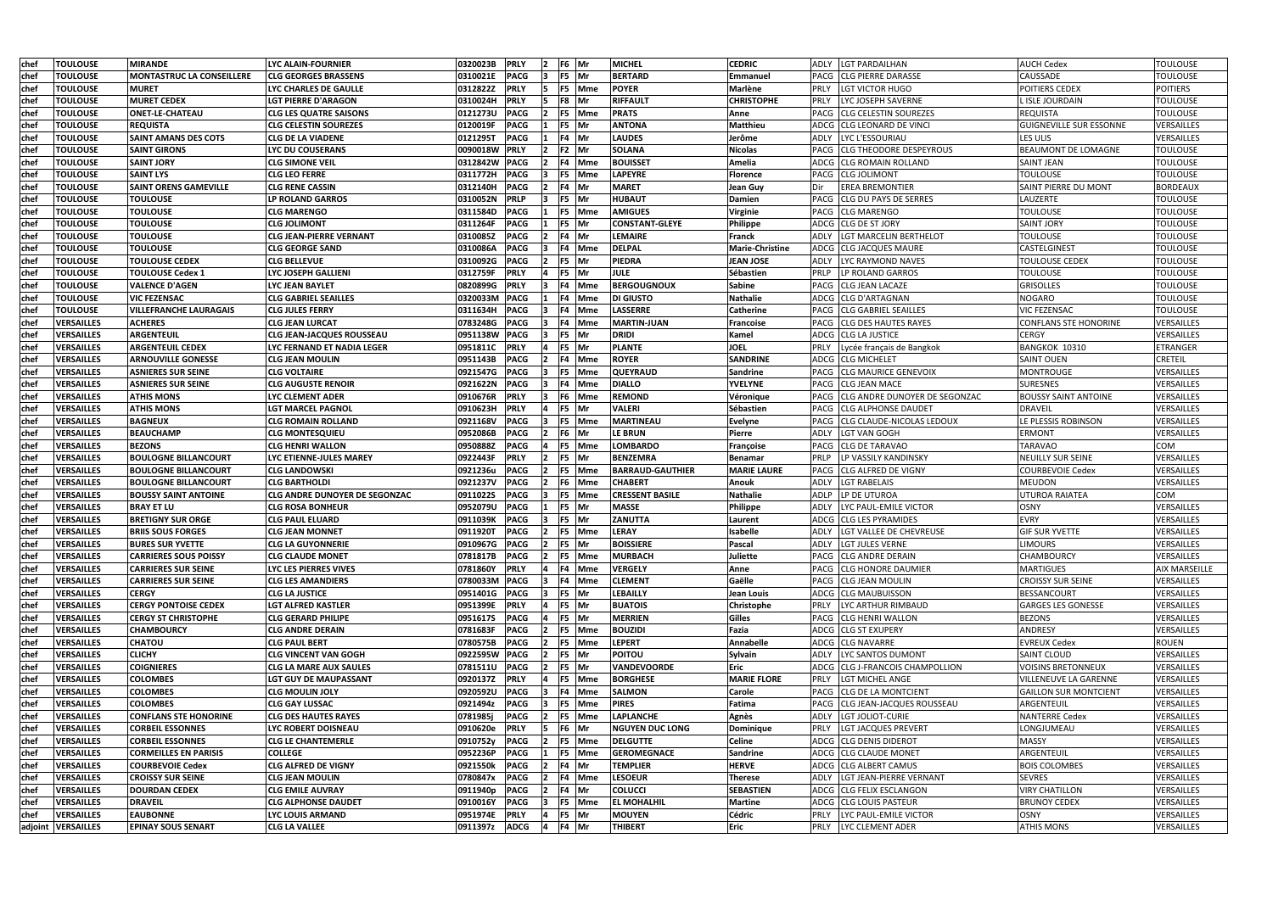| chef         | <b>TOULOUSE</b>                        | <b>MIRANDE</b>                                   | <b>LYC ALAIN-FOURNIER</b>                                    | 0320023B             | <b>PRLY</b>                | $\overline{2}$ | F6 Mr          |                  | <b>MICHEL</b>                          | <b>CEDRIC</b>               | <b>ADLY</b>                | <b>LGT PARDAILHAN</b>                            | <b>AUCH Cedex</b>                               | <b>TOULOUSE</b>                    |
|--------------|----------------------------------------|--------------------------------------------------|--------------------------------------------------------------|----------------------|----------------------------|----------------|----------------|------------------|----------------------------------------|-----------------------------|----------------------------|--------------------------------------------------|-------------------------------------------------|------------------------------------|
| chef         | <b>TOULOUSE</b>                        | MONTASTRUC LA CONSEILLERE                        | <b>CLG GEORGES BRASSENS</b>                                  | 0310021E             | <b>PACG</b>                |                | F5 Mr          |                  | <b>BERTARD</b>                         | Emmanuel                    | PACG                       | <b>CLG PIERRE DARASSE</b>                        | <b>CAUSSADE</b>                                 | <b>TOULOUSE</b>                    |
| chef         | <b>TOULOUSE</b>                        | <b>MURET</b>                                     | LYC CHARLES DE GAULLE                                        | 0312822Z             | <b>PRLY</b>                | 15             |                | F5 Mme           | <b>POYER</b>                           | Marlène                     | <b>PRLY</b>                | LGT VICTOR HUGO                                  | POITIERS CEDEX                                  | <b>POITIERS</b>                    |
| chef         | <b>TOULOUSE</b>                        | <b>MURET CEDEX</b>                               | LGT PIERRE D'ARAGON                                          | 0310024H             | <b>PRLY</b>                |                | F8 Mr          |                  | <b>RIFFAULT</b>                        | <b>CHRISTOPHE</b>           | PRLY                       | LYC JOSEPH SAVERNE                               | L ISLE JOURDAIN                                 | <b>TOULOUSE</b>                    |
| chef         | <b>TOULOUSE</b>                        | <b>ONET-LE-CHATEAU</b>                           | <b>CLG LES QUATRE SAISONS</b>                                | 0121273U             | <b>PACG</b>                |                |                | F5 Mme           | <b>PRATS</b>                           | Anne                        | <b>PACG</b>                | <b>CLG CELESTIN SOUREZES</b>                     | <b>REQUISTA</b>                                 | <b>TOULOUSE</b>                    |
| chef         | <b>TOULOUSE</b>                        | <b>REQUISTA</b>                                  | <b>CLG CELESTIN SOUREZES</b>                                 | 0120019F             | <b>PACG</b>                |                | F5 Mr          |                  | <b>ANTONA</b>                          | <b>Matthieu</b>             | ADCG                       | <b>CLG LEONARD DE VINCI</b>                      | <b>GUIGNEVILLE SUR ESSONNE</b>                  | VERSAILLES                         |
| chef         | <b>TOULOUSE</b>                        | <b>SAINT AMANS DES COTS</b>                      | <b>CLG DE LA VIADENE</b>                                     | 0121295T             | <b>PACG</b>                |                | F4 Mr          |                  | <b>LAUDES</b>                          | Jerôme                      | <b>ADLY</b>                | LYC L'ESSOURIAU                                  | LES ULIS                                        | VERSAILLES                         |
| chef         | <b>TOULOUSE</b>                        | <b>SAINT GIRONS</b>                              | LYC DU COUSERANS                                             | 0090018W PRLY        |                            | $\overline{2}$ | $F2$ Mr        |                  | <b>SOLANA</b>                          | <b>Nicolas</b>              |                            | <b>PACG CLG THEODORE DESPEYROUS</b>              | <b>BEAUMONT DE LOMAGNE</b>                      | <b>TOULOUSE</b>                    |
| chef         | <b>TOULOUSE</b>                        | <b>SAINT JORY</b>                                | <b>CLG SIMONE VEIL</b>                                       | 0312842W             | <b>PACG</b>                | 12             |                | F4 Mme           | <b>BOUISSET</b>                        | Amelia                      |                            | ADCG CLG ROMAIN ROLLAND                          | <b>SAINT JEAN</b>                               | <b>TOULOUSE</b>                    |
| chef         | <b>TOULOUSE</b>                        | <b>SAINT LYS</b>                                 | <b>CLG LEO FERRE</b>                                         | 0311772H             | <b>PACG</b>                |                |                | F5 Mme           | <b>LAPEYRE</b>                         | Florence                    | PACG                       | <b>CLG JOLIMONT</b>                              | <b>TOULOUSE</b>                                 | <b>TOULOUSE</b>                    |
| chef         | <b>TOULOUSE</b>                        | <b>SAINT ORENS GAMEVILLE</b>                     | <b>CLG RENE CASSIN</b>                                       | 0312140H             | <b>PACG</b>                |                | F4 Mr          |                  | <b>MARET</b>                           | <b>Jean Guy</b>             |                            | <b>EREA BREMONTIER</b>                           | <b>SAINT PIERRE DU MONT</b>                     | <b>BORDEAUX</b>                    |
| chef         | <b>TOULOUSE</b>                        | <b>TOULOUSE</b>                                  | <b>LP ROLAND GARROS</b>                                      | 0310052N             | <b>PRLP</b>                |                | F5 Mr          |                  | <b>HUBAUT</b>                          | <b>Damien</b>               | PACG                       | <b>CLG DU PAYS DE SERRES</b>                     | LAUZERTE                                        | <b>TOULOUSE</b>                    |
| chef         | <b>TOULOUSE</b>                        | <b>TOULOUSE</b>                                  | CLG MARENGO                                                  | 0311584D             | <b>PACG</b>                |                |                | F5 Mme           | <b>AMIGUES</b>                         | <b>Virginie</b>             | PACG                       | <b>CLG MARENGO</b>                               | <b>TOULOUSE</b>                                 | <b>TOULOUSE</b>                    |
| chef         | <b>TOULOUSE</b>                        | <b>TOULOUSE</b>                                  | CLG JOLIMONT                                                 | 0311264F             | <b>PACG</b>                |                | F5 Mr          |                  | <b>CONSTANT-GLEYE</b>                  | Philippe                    | <b>ADCG</b>                | <b>CLG DE ST JORY</b>                            | <b>SAINT JORY</b>                               | <b>TOULOUSE</b>                    |
| chef         | <b>TOULOUSE</b>                        | TOULOUSE                                         | CLG JEAN-PIERRE VERNANT                                      | 0310085Z             | <b>PACG</b>                |                | F4 Mr          |                  | <b>LEMAIRE</b>                         | Franck                      | <b>ADLY</b>                | LGT MARCELIN BERTHELOT                           | <b>TOULOUSE</b>                                 | <b>TOULOUSE</b>                    |
| chef         | <b>TOULOUSE</b>                        | <b>TOULOUSE</b>                                  | <b>CLG GEORGE SAND</b>                                       | 0310086A             | <b>PACG</b>                |                |                | F4 Mme           | <b>DELPAL</b>                          | <b>Marie-Christine</b>      | ADCG                       | <b>CLG JACQUES MAURE</b>                         | <b>CASTELGINEST</b>                             | <b>TOULOUSE</b>                    |
| chef         | <b>TOULOUSE</b>                        | <b>TOULOUSE CEDEX</b>                            | CLG BELLEVUE                                                 | 0310092G             | <b>PACG</b>                |                | F5 Mr          |                  | <b>PIEDRA</b>                          | JEAN JOSE                   | <b>ADLY</b>                | LYC RAYMOND NAVES                                | <b>TOULOUSE CEDEX</b>                           | <b>TOULOUSE</b>                    |
| chef         | <b>TOULOUSE</b>                        | <b>TOULOUSE Cedex 1</b>                          | LYC JOSEPH GALLIENI                                          | 0312759F             | <b>PRLY</b>                |                | F5 Mr          |                  | <b>JULE</b>                            | Sébastien                   | PRLP                       | LP ROLAND GARROS                                 | <b>TOULOUSE</b>                                 | <b>TOULOUSE</b>                    |
|              | <b>TOULOUSE</b>                        | <b>VALENCE D'AGEN</b>                            | LYC JEAN BAYLET                                              | 0820899G             | <b>PRLY</b>                | 13             |                | F4 Mme           | <b>BERGOUGNOUX</b>                     | Sabine                      | <b>PACG</b>                | <b>CLG JEAN LACAZE</b>                           | <b>GRISOLLES</b>                                | <b>TOULOUSE</b>                    |
| chef         | <b>TOULOUSE</b>                        | <b>VIC FEZENSAC</b>                              | <b>CLG GABRIEL SEAILLES</b>                                  | 0320033M  PACG       |                            |                |                | F4 Mme           | <b>DI GIUSTO</b>                       | <b>Nathalie</b>             | ADCG                       | <b>CLG D'ARTAGNAN</b>                            | <b>NOGARO</b>                                   | <b>TOULOUSE</b>                    |
| chef         | <b>TOULOUSE</b>                        |                                                  |                                                              |                      | <b>PACG</b>                |                |                | F4 Mme           | <b>LASSERRE</b>                        |                             |                            |                                                  | <b>VIC FEZENSAC</b>                             | <b>TOULOUSE</b>                    |
| chef         | <b>VERSAILLES</b>                      | <b>VILLEFRANCHE LAURAGAIS</b>                    | <b>CLG JULES FERRY</b>                                       | 0311634H             |                            |                |                |                  |                                        | <b>Catherine</b>            | PACG                       | <b>CLG GABRIEL SEAILLES</b>                      |                                                 | VERSAILLES                         |
| chef         |                                        | <b>ACHERES</b>                                   | <b>CLG JEAN LURCAT</b>                                       | 0783248G             | <b>PACG</b>                |                |                | F4 Mme           | <b>MARTIN-JUAN</b>                     | Francoise                   | PACG                       | <b>CLG DES HAUTES RAYES</b>                      | CONFLANS STE HONORINE                           |                                    |
| chef         | <b>VERSAILLES</b>                      | <b>ARGENTEUIL</b>                                | <b>CLG JEAN-JACQUES ROUSSEAU</b>                             | 0951138W             | <b>PACG</b>                |                | F5 Mr          |                  | <b>DRIDI</b>                           | Kamel                       | ADCG                       | <b>CLG LA JUSTICE</b>                            | <b>CERGY</b>                                    | VERSAILLES                         |
| chef         | VERSAILLES                             | <b>ARGENTEUIL CEDEX</b>                          | LYC FERNAND ET NADIA LEGER                                   | 0951811C             | <b>PRLY</b>                |                | F5 Mr          |                  | <b>PLANTE</b>                          | <b>JOEL</b>                 | <b>PRLY</b>                | Lycée français de Bangkok                        | BANGKOK 10310                                   | <b>ETRANGER</b>                    |
| chef         | <b>VERSAILLES</b>                      | <b>ARNOUVILLE GONESSE</b>                        | <b>CLG JEAN MOULIN</b>                                       | 0951143B             | <b>PACG</b>                |                |                | F4 Mme           | <b>ROYER</b>                           | <b>SANDRINE</b>             |                            | ADCG CLG MICHELET                                | <b>SAINT OUEN</b>                               | CRETEIL                            |
| chef         | VERSAILLES                             | <b>ASNIERES SUR SEINE</b>                        | <b>CLG VOLTAIRE</b>                                          | 0921547G             | <b>PACG</b>                |                |                | F5 Mme           | <b>QUEYRAUD</b>                        | <b>Sandrine</b>             | PACG                       | <b>CLG MAURICE GENEVOIX</b>                      | <b>MONTROUGE</b>                                | VERSAILLES                         |
| chef         | <b>VERSAILLES</b>                      | <b>ASNIERES SUR SEINE</b>                        | CLG AUGUSTE RENOIR                                           | 0921622N             | <b>PACG</b>                |                |                | F4 Mme           | <b>DIALLO</b>                          | <b>YVELYNE</b>              | PACG                       | <b>CLG JEAN MACE</b>                             | <b>SURESNES</b>                                 | VERSAILLES                         |
| chef         | <b>VERSAILLES</b>                      | <b>ATHIS MONS</b>                                | LYC CLEMENT ADER                                             | 0910676R             | <b>PRLY</b><br><b>PRLY</b> |                | F5 Mr          | F6 Mme           | <b>REMOND</b><br><b>VALERI</b>         | Véronique                   | <b>PACG</b>                | CLG ANDRE DUNOYER DE SEGONZAC                    | <b>BOUSSY SAINT ANTOINE</b><br><b>DRAVEIL</b>   | VERSAILLES                         |
| chef         | <b>VERSAILLES</b>                      | <b>ATHIS MONS</b>                                | LGT MARCEL PAGNOL                                            | 0910623H             |                            |                |                |                  |                                        | Sébastien                   | <b>PACG</b>                | <b>CLG ALPHONSE DAUDET</b>                       |                                                 | VERSAILLES                         |
| chef         | <b>VERSAILLES</b>                      | <b>BAGNEUX</b>                                   | <b>CLG ROMAIN ROLLAND</b>                                    | 0921168V             | <b>PACG</b>                |                |                | F5 Mme           | <b>MARTINEAU</b>                       | Evelyne                     | <b>PACG</b>                | <b>CLG CLAUDE-NICOLAS LEDOUX</b>                 | LE PLESSIS ROBINSON                             | VERSAILLES                         |
| chef         | <b>VERSAILLES</b>                      | <b>BEAUCHAMP</b>                                 | <b>CLG MONTESQUIEU</b>                                       | 0952086B             | <b>PACG</b>                | 12<br>14       | F6 Mr          |                  | <b>LE BRUN</b>                         | Pierre                      | <b>ADLY</b>                | <b>LGT VAN GOGH</b>                              | <b>ERMONT</b>                                   | VERSAILLES                         |
| chef         | <b>VERSAILLES</b>                      | <b>BEZONS</b>                                    | <b>CLG HENRI WALLON</b>                                      | 0950888Z<br>0922443F | <b>PACG</b><br><b>PRLY</b> |                | F5 Mr          | F5 Mme           | <b>LOMBARDO</b>                        | Françoise                   | <b>PACG</b>                | <b>CLG DE TARAVAO</b>                            | <b>TARAVAO</b>                                  | COM<br>VERSAILLES                  |
| chef         | <b>VERSAILLES</b><br><b>VERSAILLES</b> | <b>BOULOGNE BILLANCOURT</b>                      | LYC ETIENNE-JULES MAREY                                      |                      | <b>PACG</b>                | $\overline{2}$ |                | F5 Mme           | <b>BENZEMRA</b>                        | Benamar                     | PRLP                       | LP VASSILY KANDINSKY<br>PACG CLG ALFRED DE VIGNY | <b>NEUILLY SUR SEINE</b>                        | VERSAILLES                         |
| chef         |                                        | <b>BOULOGNE BILLANCOURT</b>                      | <b>CLG LANDOWSKI</b>                                         | 0921236u             |                            | 12.            |                |                  | <b>BARRAUD-GAUTHIER</b>                | <b>MARIE LAURE</b>          |                            |                                                  | <b>COURBEVOIE Cedex</b>                         |                                    |
| chef         | <b>VERSAILLES</b>                      | <b>BOULOGNE BILLANCOURT</b>                      | <b>CLG BARTHOLDI</b><br><b>CLG ANDRE DUNOYER DE SEGONZAC</b> | 0921237V             | <b>PACG</b><br><b>PACG</b> |                |                | F6 Mme           | <b>CHABERT</b>                         | Anouk                       | <b>ADLY</b>                | <b>LGT RABELAIS</b>                              | <b>MEUDON</b><br><b>UTUROA RAIATEA</b>          | VERSAILLES<br>COM                  |
| chef<br>chef | VERSAILLES<br><b>VERSAILLES</b>        | <b>BOUSSY SAINT ANTOINE</b><br><b>BRAY ET LU</b> | <b>CLG ROSA BONHEUR</b>                                      | 0911022S<br>0952079U | <b>PACG</b>                |                | F5 Mr          | F5 Mme           | <b>CRESSENT BASILE</b><br><b>MASSE</b> | <b>Nathalie</b><br>Philippe | <b>ADLP</b><br><b>ADLY</b> | LP DE UTUROA<br>LYC PAUL-EMILE VICTOR            | <b>OSNY</b>                                     | VERSAILLES                         |
| chef         | <b>VERSAILLES</b>                      | <b>BRETIGNY SUR ORGE</b>                         | CLG PAUL ELUARD                                              | 0911039K             | <b>PACG</b>                |                | F5 Mr          |                  | ZANUTTA                                |                             |                            | ADCG CLG LES PYRAMIDES                           | <b>EVRY</b>                                     | VERSAILLES                         |
| <b>chef</b>  | <b>VERSAILLES</b>                      | <b>BRIIS SOUS FORGES</b>                         | <b>CLG JEAN MONNET</b>                                       | 0911920T             | <b>PACG</b>                | $\overline{2}$ |                | <b>F5</b> Mme    | <b>LERAY</b>                           | Laurent<br>Isabelle         |                            | ADLY LGT VALLEE DE CHEVREUSE                     | <b>GIF SUR YVETTE</b>                           | VERSAILLES                         |
| chef         | <b>VERSAILLES</b>                      | <b>BURES SUR YVETTE</b>                          | <b>CLG LA GUYONNERIE</b>                                     | 0910967G PACG        |                            | $\overline{2}$ | F5 Mr          |                  | <b>BOISSIERE</b>                       | Pascal                      |                            | ADLY  LGT JULES VERNE                            | <b>LIMOURS</b>                                  | VERSAILLES                         |
|              | <b>VERSAILLES</b>                      | <b>CARRIERES SOUS POISSY</b>                     | <b>CLG CLAUDE MONET</b>                                      | 0781817B             | <b>PACG</b>                |                |                | F5 Mme           | <b>MURBACH</b>                         | Juliette                    |                            | PACG CLG ANDRE DERAIN                            | CHAMBOURCY                                      | VERSAILLES                         |
| chef         | <b>VERSAILLES</b>                      | <b>CARRIERES SUR SEINE</b>                       |                                                              |                      | <b>PRLY</b>                |                |                |                  | <b>VERGELY</b>                         |                             |                            | PACG ICLG HONORE DAUMIER                         |                                                 |                                    |
| chef         |                                        |                                                  | LYC LES PIERRES VIVES                                        | 0781860Y             |                            |                |                | F4 Mme<br>F4 Mme | <b>CLEMENT</b>                         | Anne<br>Gaëlle              |                            | PACG CLG JEAN MOULIN                             | <b>MARTIGUES</b>                                | <b>AIX MARSEILLE</b><br>VERSAILLES |
| chef         | <b>VERSAILLES</b>                      | <b>CARRIERES SUR SEINE</b>                       | <b>CLG LES AMANDIERS</b>                                     | 0780033M PACG        |                            |                |                |                  |                                        |                             |                            |                                                  | <b>CROISSY SUR SEINE</b>                        |                                    |
| chef         | <b>VERSAILLES</b>                      | <b>CERGY</b>                                     | <b>CLG LA JUSTICE</b>                                        | 0951401G PACG        |                            | 13.            | F5 Mr<br>F5 Mr |                  | <b>LEBAILLY</b>                        | Jean Louis                  |                            | ADCG CLG MAUBUISSON                              | <b>BESSANCOURT</b><br><b>GARGES LES GONESSE</b> | VERSAILLES                         |
| chef         | <b>VERSAILLES</b>                      | <b>CERGY PONTOISE CEDEX</b>                      | <b>LGT ALFRED KASTLER</b>                                    | 0951399E PRLY        |                            | 14             |                |                  | <b>BUATOIS</b>                         | Christophe                  | <b>PRLY</b>                | LYC ARTHUR RIMBAUD                               |                                                 | VERSAILLES                         |
| chef         | <b>VERSAILLES</b>                      | <b>CERGY ST CHRISTOPHE</b>                       | <b>CLG GERARD PHILIPE</b>                                    | 0951617S PACG        |                            |                | F5 Mr          |                  | <b>MERRIEN</b>                         | Gilles                      |                            | PACG CLG HENRI WALLON                            | <b>BEZONS</b>                                   | VERSAILLES                         |
| chef         | <b>VERSAILLES</b>                      | <b>CHAMBOURCY</b>                                | <b>CLG ANDRE DERAIN</b>                                      | 0781683F             | <b>PACG</b>                |                |                | F5 Mme           | <b>BOUZIDI</b>                         | Fazia                       |                            | ADCG CLG ST EXUPERY                              | ANDRESY                                         | VERSAILLES                         |
| chef         | <b>VERSAILLES</b>                      | <b>CHATOU</b>                                    | <b>CLG PAUL BERT</b>                                         | 0780575B             | <b>PACG</b>                |                |                | F5 Mme           | <b>LEPERT</b>                          | Annabelle                   |                            | ADCG CLG NAVARRE                                 | <b>EVREUX Cedex</b>                             | <b>ROUEN</b>                       |
| chef         | <b>VERSAILLES</b>                      | <b>CLICHY</b>                                    | <b>CLG VINCENT VAN GOGH</b>                                  | 0922595W             | <b>PACG</b>                |                | F5 Mr          |                  | <b>POITOU</b>                          | Sylvain                     | ADLY                       | LYC SANTOS DUMONT                                | SAINT CLOUD                                     | VERSAILLES                         |
| chef         | <b>VERSAILLES</b>                      | <b>COIGNIERES</b>                                | <b>CLG LA MARE AUX SAULES</b>                                | 0781511U             | <b>PACG</b>                | 12.            | F5 Mr          |                  | <b>VANDEVOORDE</b>                     | Eric                        |                            | ADCG CLG J-FRANCOIS CHAMPOLLION                  | <b>VOISINS BRETONNEUX</b>                       | VERSAILLES                         |
| chef         | <b>VERSAILLES</b>                      | <b>COLOMBES</b>                                  | <b>LGT GUY DE MAUPASSANT</b>                                 | 0920137Z             | <b>PRLY</b>                |                |                | F5 Mme           | <b>BORGHESE</b>                        | <b>MARIE FLORE</b>          | <b>PRLY</b>                | LGT MICHEL ANGE                                  | <b>VILLENEUVE LA GARENNE</b>                    | VERSAILLES                         |
| chef         | <b>VERSAILLES</b>                      | <b>COLOMBES</b>                                  | <b>CLG MOULIN JOLY</b>                                       | 0920592U             | <b>PACG</b>                |                |                | F4 Mme           | <b>SALMON</b>                          | Carole                      |                            | PACG CLG DE LA MONTCIENT                         | GAILLON SUR MONTCIENT                           | VERSAILLES                         |
| chef         | <b>VERSAILLES</b>                      | <b>COLOMBES</b>                                  | <b>CLG GAY LUSSAC</b>                                        | 0921494z             | <b>PACG</b>                |                |                | F5 Mme           | <b>PIRES</b>                           | Fatima                      |                            | PACG CLG JEAN-JACQUES ROUSSEAU                   | ARGENTEUIL                                      | VERSAILLES                         |
| chef         | <b>VERSAILLES</b>                      | <b>CONFLANS STE HONORINE</b>                     | <b>CLG DES HAUTES RAYES</b>                                  | 0781985j             | <b>PACG</b>                |                |                | F5 Mme           | <b>LAPLANCHE</b>                       | Agnès                       | <b>ADLY</b>                | LGT JOLIOT-CURIE                                 | <b>NANTERRE Cedex</b>                           | VERSAILLES                         |
| chef         | <b>VERSAILLES</b>                      | <b>CORBEIL ESSONNES</b>                          | LYC ROBERT DOISNEAU                                          | 0910620e             | <b>PRLY</b>                | 15.            | F6 Mr          |                  | <b>NGUYEN DUC LONG</b>                 | Dominique                   | <b>PRLY</b>                | <b>LGT JACQUES PREVERT</b>                       | LONGJUMEAU                                      | VERSAILLES                         |
| chef         | <b>VERSAILLES</b>                      | <b>CORBEIL ESSONNES</b>                          | <b>CLG LE CHANTEMERLE</b>                                    | 0910752y             | <b>PACG</b>                |                |                | F5 Mme           | <b>DELGUTTE</b>                        | <b>Celine</b>               |                            | ADCG CLG DENIS DIDEROT                           | <b>MASSY</b>                                    | VERSAILLES                         |
| chef         | <b>VERSAILLES</b>                      | <b>CORMEILLES EN PARISIS</b>                     | <b>COLLEGE</b>                                               | 0952236P             | <b>PACG</b>                |                |                | F5 Mme           | <b>GEROMEGNACE</b>                     | Sandrine                    |                            | ADCG CLG CLAUDE MONET                            | ARGENTEUIL                                      | VERSAILLES                         |
| chef         | <b>VERSAILLES</b>                      | <b>COURBEVOIE Cedex</b>                          | <b>CLG ALFRED DE VIGNY</b>                                   | 0921550k             | <b>PACG</b>                |                | F4 Mr          |                  | <b>TEMPLIER</b>                        | <b>HERVE</b>                |                            | ADCG CLG ALBERT CAMUS                            | <b>BOIS COLOMBES</b>                            | VERSAILLES                         |
| chef         | <b>VERSAILLES</b>                      | <b>CROISSY SUR SEINE</b>                         | <b>CLG JEAN MOULIN</b>                                       | 0780847x             | <b>PACG</b>                |                |                | F4 Mme           | <b>LESOEUR</b>                         | <b>Therese</b>              | <b>ADLY</b>                | LGT JEAN-PIERRE VERNANT                          | <b>SEVRES</b>                                   | VERSAILLES                         |
| chef         | <b>VERSAILLES</b>                      | <b>DOURDAN CEDEX</b>                             | <b>CLG EMILE AUVRAY</b>                                      | 0911940p             | <b>PACG</b>                |                | F4 Mr          |                  | <b>COLUCCI</b>                         | <b>SEBASTIEN</b>            |                            | ADCG CLG FELIX ESCLANGON                         | <b>VIRY CHATILLON</b>                           | VERSAILLES                         |
| chef         | <b>VERSAILLES</b>                      | <b>DRAVEIL</b>                                   | <b>CLG ALPHONSE DAUDET</b>                                   | 0910016Y             | <b>PACG</b>                |                |                | F5 Mme           | <b>EL MOHALHIL</b>                     | <b>Martine</b>              |                            | ADCG CLG LOUIS PASTEUR                           | <b>BRUNOY CEDEX</b>                             | VERSAILLES                         |
| chef         | <b>VERSAILLES</b>                      | <b>EAUBONNE</b>                                  | <b>LYC LOUIS ARMAND</b>                                      | 0951974E             | <b>PRLY</b>                |                | F5 Mr          |                  | <b>MOUYEN</b>                          | <b>Cédric</b>               | PRLY                       | LYC PAUL-EMILE VICTOR                            | <b>OSNY</b>                                     | VERSAILLES                         |
|              | adjoint VERSAILLES                     | <b>EPINAY SOUS SENART</b>                        | <b>CLG LA VALLEE</b>                                         | 0911397z ADCG        |                            | 14             | F4 Mr          |                  | <b>THIBERT</b>                         | Eric                        |                            | PRLY LYC CLEMENT ADER                            | <b>ATHIS MONS</b>                               | VERSAILLES                         |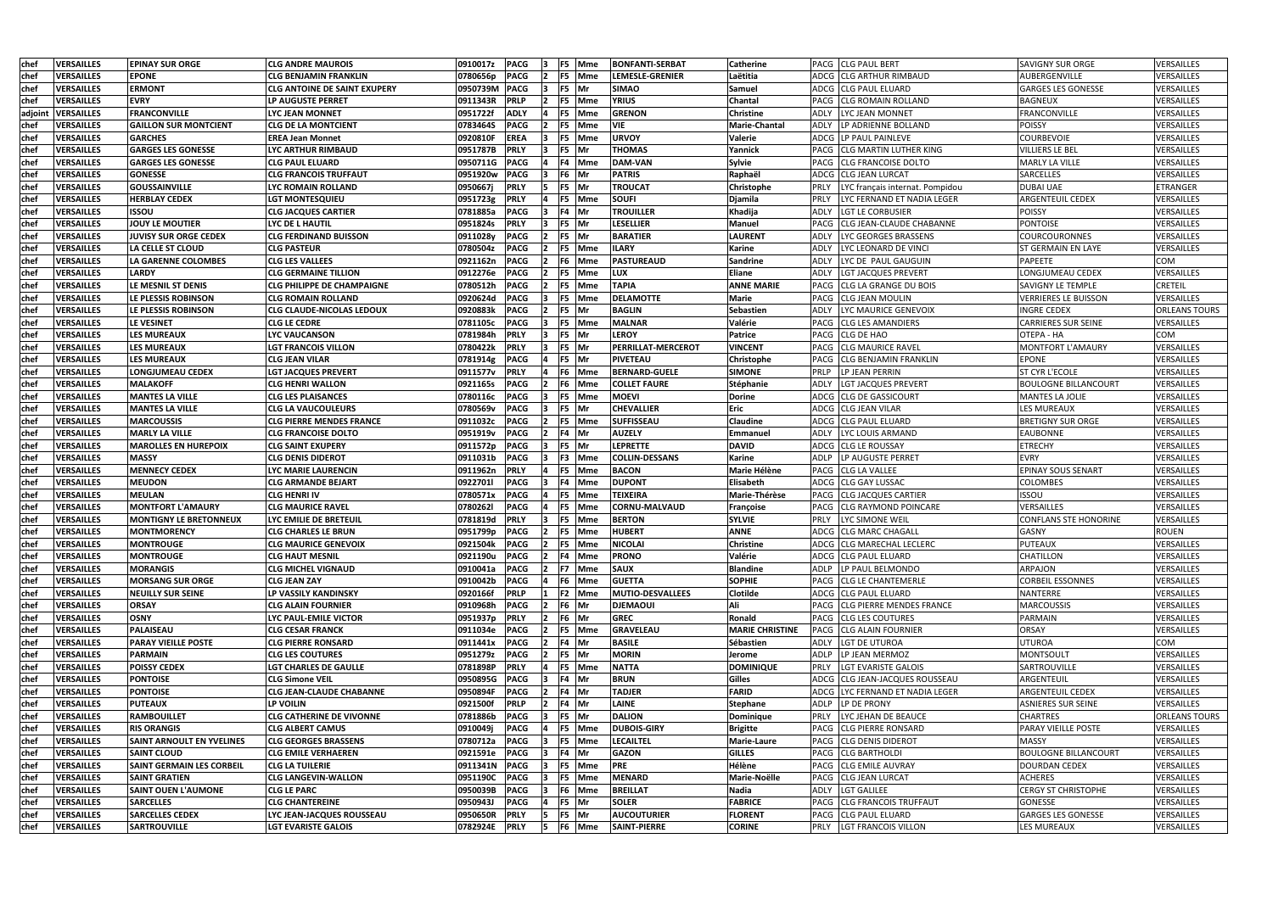| <b>chef</b> | VERSAILLES        | <b>EPINAY SUR ORGE</b>           | <b>CLG ANDRE MAUROIS</b>            | 0910017z | <b>PACG</b> |                | F5 Mme     | <b>BONFANTI-SERBAT</b> | <b>Catherine</b>       | <b>PACG CLG PAUL BERT</b>               | <b>SAVIGNY SUR ORGE</b>     | VERSAILLES           |
|-------------|-------------------|----------------------------------|-------------------------------------|----------|-------------|----------------|------------|------------------------|------------------------|-----------------------------------------|-----------------------------|----------------------|
| chef        | VERSAILLES        | EPONE                            | <b>CLG BENJAMIN FRANKLIN</b>        | 0780656p | <b>PACG</b> |                | F5 Mme     | <b>LEMESLE-GRENIER</b> | Laëtitia               | ADCG CLG ARTHUR RIMBAUD                 | AUBERGENVILLE               | VERSAILLES           |
| chef        | <b>VERSAILLES</b> | <b>ERMONT</b>                    | <b>CLG ANTOINE DE SAINT EXUPERY</b> | 0950739M | <b>PACG</b> | F <sub>5</sub> | <b>IMr</b> | <b>SIMAO</b>           | Samuel                 | ADCG  CLG PAUL ELUARD                   | <b>GARGES LES GONESSE</b>   | VERSAILLES           |
| chef        | <b>VERSAILLES</b> | <b>EVRY</b>                      | <b>LP AUGUSTE PERRET</b>            | 0911343R | <b>PRLP</b> |                | F5 Mme     | <b>YRIUS</b>           | Chantal                | <b>CLG ROMAIN ROLLAND</b><br>PACG       | <b>BAGNEUX</b>              | VERSAILLES           |
| adjoint     | <b>VERSAILLES</b> | <b>FRANCONVILLE</b>              | LYC JEAN MONNET                     | 0951722f | <b>ADLY</b> |                | F5 Mme     | <b>GRENON</b>          | <b>Christine</b>       | ADLY<br>LYC JEAN MONNET                 | <b>FRANCONVILLE</b>         | VERSAILLES           |
| chef        | VERSAILLES        | <b>GAILLON SUR MONTCIENT</b>     | <b>CLG DE LA MONTCIENT</b>          | 0783464S | <b>PACG</b> |                | F5 Mme     | <b>VIE</b>             | <b>Marie-Chantal</b>   | LP ADRIENNE BOLLAND<br>ADLY             | <b>POISSY</b>               | VERSAILLES           |
| chef        | VERSAILLES        | <b>GARCHES</b>                   | <b>EREA Jean Monnet</b>             | 0920810F | <b>EREA</b> |                | F5 Mme     | <b>URVOY</b>           | Valerie                | ADCG ILP PAUL PAINLEVE                  | <b>COURBEVOIE</b>           | VERSAILLES           |
| chef        | <b>VERSAILLES</b> | <b>GARGES LES GONESSE</b>        | <b>LYC ARTHUR RIMBAUD</b>           | 0951787B | <b>PRLY</b> |                | F5 Mr      | <b>THOMAS</b>          | Yannick                | PACG CLG MARTIN LUTHER KING             | <b>VILLIERS LE BEL</b>      | VERSAILLES           |
| chef        | <b>VERSAILLES</b> | <b>GARGES LES GONESSE</b>        | <b>CLG PAUL ELUARD</b>              | 0950711G | <b>PACG</b> |                | F4 Mme     | <b>DAM-VAN</b>         | Sylvie                 | <b>CLG FRANCOISE DOLTO</b><br>PACG      | <b>MARLY LA VILLE</b>       | VERSAILLES           |
| chef        | VERSAILLES        | <b>GONESSE</b>                   | <b>CLG FRANCOIS TRUFFAUT</b>        | 0951920w | <b>PACG</b> |                | F6 Mr      | <b>PATRIS</b>          | Raphaël                | ADCG CLG JEAN LURCAT                    | <b>SARCELLES</b>            | VERSAILLES           |
| <b>chef</b> | <b>VERSAILLES</b> | <b>GOUSSAINVILLE</b>             | <b>LYC ROMAIN ROLLAND</b>           | 0950667j | <b>PRLY</b> |                | F5 Mr      | <b>TROUCAT</b>         | Christophe             | LYC français internat. Pompidou         | <b>DUBAI UAE</b>            | <b>ETRANGER</b>      |
| chef        | VERSAILLES        | HERBLAY CEDEX                    | <b>LGT MONTESQUIEU</b>              | 0951723g | PRLY        |                | F5 Mme     | <b>SOUFI</b>           | Djamila                | LYC FERNAND ET NADIA LEGER<br>PRLY      | <b>ARGENTEUIL CEDEX</b>     | VERSAILLES           |
| chef        | VERSAILLES        | ISSOU                            | <b>CLG JACQUES CARTIER</b>          | 0781885a | <b>PACG</b> |                | F4 Mr      | <b>TROUILLER</b>       | Khadija                | ADLY<br>LGT LE CORBUSIER                | <b>POISSY</b>               | VERSAILLES           |
| chef        | VERSAILLES        | <b>JOUY LE MOUTIER</b>           | LYC DE L HAUTIL                     | 0951824s | <b>PRLY</b> |                | F5 Mr      | <b>LESELLIER</b>       | <b>Manuel</b>          | <b>CLG JEAN-CLAUDE CHABANNE</b><br>PACG | <b>PONTOISE</b>             | VERSAILLES           |
| chef        | <b>VERSAILLES</b> | <b>JUVISY SUR ORGE CEDEX</b>     | <b>CLG FERDINAND BUISSON</b>        | 0911028y | <b>PACG</b> |                | F5 Mr      | <b>BARATIER</b>        | <b>LAURENT</b>         | LYC GEORGES BRASSENS<br>ADLY            | <b>COURCOURONNES</b>        | VERSAILLES           |
| chef        | VERSAILLES        | LA CELLE ST CLOUD                | <b>CLG PASTEUR</b>                  | 0780504z | <b>PACG</b> |                | F5 Mme     | <b>ILARY</b>           | <b>Karine</b>          | LYC LEONARD DE VINCI<br>ADLY            | <b>ST GERMAIN EN LAYE</b>   | VERSAILLES           |
| chef        | <b>VERSAILLES</b> | LA GARENNE COLOMBES              | <b>CLG LES VALLEES</b>              | 0921162n | <b>PACG</b> | F6             | <b>Mme</b> | <b>PASTUREAUD</b>      | <b>Sandrine</b>        | ADLY<br>LYC DE PAUL GAUGUIN             | <b>PAPEETE</b>              | COM                  |
| chef        | VERSAILLES        | LARDY                            | <b>CLG GERMAINE TILLION</b>         | 0912276e | <b>PACG</b> | F <sub>5</sub> | <b>Mme</b> | <b>LUX</b>             | Eliane                 | LGT JACQUES PREVERT<br>ADLY             | LONGJUMEAU CEDEX            | VERSAILLES           |
| chef        | VERSAILLES        | LE MESNIL ST DENIS               | <b>CLG PHILIPPE DE CHAMPAIGNE</b>   | 0780512h | <b>PACG</b> |                | F5 Mme     | <b>TAPIA</b>           | <b>ANNE MARIE</b>      | PACG ICLG LA GRANGE DU BOIS             | <b>SAVIGNY LE TEMPLE</b>    | <b>CRETEIL</b>       |
| chef        | <b>VERSAILLES</b> | LE PLESSIS ROBINSON              | <b>CLG ROMAIN ROLLAND</b>           | 0920624d | <b>PACG</b> |                | F5 Mme     | <b>DELAMOTTE</b>       | <b>Marie</b>           | PACG CLG JEAN MOULIN                    | <b>VERRIERES LE BUISSON</b> | VERSAILLES           |
| chef        | <b>VERSAILLES</b> | LE PLESSIS ROBINSON              | <b>CLG CLAUDE-NICOLAS LEDOUX</b>    | 0920883k | PACG        | F <sub>5</sub> | <b>IMr</b> | <b>BAGLIN</b>          | <b>Sebastien</b>       | LYC MAURICE GENEVOIX<br>ADLY            | <b>INGRE CEDEX</b>          | <b>ORLEANS TOURS</b> |
| chef        | VERSAILLES        | LE VESINET                       | <b>CLG LE CEDRE</b>                 | 0781105c | <b>PACG</b> |                | F5 Mme     | <b>MALNAR</b>          | Valérie                | <b>CLG LES AMANDIERS</b><br>PACG        | <b>CARRIERES SUR SEINE</b>  | VERSAILLES           |
| chef        | <b>VERSAILLES</b> | <b>LES MUREAUX</b>               | <b>LYC VAUCANSON</b>                | 0781984h | <b>PRLY</b> | F5             | <b>IMr</b> | <b>LEROY</b>           | <b>Patrice</b>         | PACG<br><b>CLG DE HAO</b>               | OTEPA - HA                  | COM                  |
| chef        | <b>VERSAILLES</b> | <b>LES MUREAUX</b>               | <b>LGT FRANCOIS VILLON</b>          | 0780422k | <b>PRLY</b> |                | F5 Mr      | PERRILLAT-MERCEROT     | <b>VINCENT</b>         | <b>CLG MAURICE RAVEL</b><br>PACG        | MONTFORT L'AMAURY           | VERSAILLES           |
| <b>chef</b> | <b>VERSAILLES</b> | LES MUREAUX                      | <b>CLG JEAN VILAR</b>               | 0781914g | <b>PACG</b> |                | F5 Mr      | <b>PIVETEAU</b>        | Christophe             | <b>CLG BENJAMIN FRANKLIN</b><br>PACG    | <b>EPONE</b>                | VERSAILLES           |
| chef        | VERSAILLES        | LONGJUMEAU CEDEX                 | <b>LGT JACQUES PREVERT</b>          | 0911577v | <b>PRLY</b> |                | F6 Mme     | <b>BERNARD-GUELE</b>   | <b>SIMONE</b>          | <b>PRLP</b><br>LP JEAN PERRIN           | <b>ST CYR L'ECOLE</b>       | VERSAILLES           |
| chef        | VERSAILLES        | MALAKOFF                         | <b>CLG HENRI WALLON</b>             | 0921165s | <b>PACG</b> | F6             | Mme        | <b>COLLET FAURE</b>    | Stéphanie              | <b>LGT JACQUES PREVERT</b><br>ADLY      | <b>BOULOGNE BILLANCOURT</b> | VERSAILLES           |
| chef        | VERSAILLES        | <b>MANTES LA VILLE</b>           | <b>CLG LES PLAISANCES</b>           | 0780116c | <b>PACG</b> | F <sub>5</sub> | <b>Mme</b> | <b>MOEVI</b>           | <b>Dorine</b>          | <b>CLG DE GASSICOURT</b><br>ADCG        | <b>MANTES LA JOLIE</b>      | VERSAILLES           |
| <b>chef</b> | <b>VERSAILLES</b> | <b>MANTES LA VILLE</b>           | <b>CLG LA VAUCOULEURS</b>           | 0780569v | <b>PACG</b> | F <sub>5</sub> | <b>Mr</b>  | <b>CHEVALLIER</b>      | <b>Eric</b>            | ADCG CLG JEAN VILAR                     | <b>LES MUREAUX</b>          | VERSAILLES           |
| chef        | <b>VERSAILLES</b> | MARCOUSSIS                       | <b>CLG PIERRE MENDES FRANCE</b>     | 0911032c | <b>PACG</b> |                | F5 Mme     | <b>SUFFISSEAU</b>      | Claudine               | ADCG CLG PAUL ELUARD                    | <b>BRETIGNY SUR ORGE</b>    | VERSAILLES           |
| chef        | <b>VERSAILLES</b> | MARLY LA VILLE                   | <b>CLG FRANCOISE DOLTO</b>          | 0951919v | <b>PACG</b> |                | F4 Mr      | <b>AUZELY</b>          | Emmanuel               | LYC LOUIS ARMAND<br>ADLY                | <b>EAUBONNE</b>             | VERSAILLES           |
| chef        | VERSAILLES        | <b>MAROLLES EN HUREPOIX</b>      | <b>CLG SAINT EXUPERY</b>            | 0911572p | <b>PACG</b> |                | F5 Mr      | <b>LEPRETTE</b>        | <b>DAVID</b>           | ADCG CLLG LE ROUSSAY                    | <b>ETRECHY</b>              | VERSAILLES           |
| chef        | <b>VERSAILLES</b> | <b>MASSY</b>                     | <b>CLG DENIS DIDEROT</b>            | 0911031b | PACG        |                | F3 Mme     | <b>COLLIN-DESSANS</b>  | <b>Karine</b>          | LP AUGUSTE PERRET<br>ADLP               | <b>EVRY</b>                 | VERSAILLES           |
| chef        | <b>VERSAILLES</b> | <b>MENNECY CEDEX</b>             | LYC MARIE LAURENCIN                 | 0911962n | <b>PRLY</b> | F <sub>5</sub> | <b>Mme</b> | <b>BACON</b>           | Marie Hélène           | PACG CLG LA VALLEE                      | <b>EPINAY SOUS SENART</b>   | VERSAILLES           |
| <b>chef</b> | VERSAILLES        | <b>MEUDON</b>                    | <b>CLG ARMANDE BEJART</b>           | 0922701  | <b>PACG</b> |                | F4 Mme     | <b>DUPONT</b>          | Elisabeth              | ADCG CLG GAY LUSSAC                     | <b>COLOMBES</b>             | VERSAILLES           |
| chef        | <b>VERSAILLES</b> | MEULAN                           | <b>CLG HENRI IV</b>                 | 0780571x | <b>PACG</b> |                | F5 Mme     | <b>TEIXEIRA</b>        | Marie-Thérèse          | PACG CLG JACQUES CARTIER                | <b>ISSOU</b>                | VERSAILLES           |
| chef        | VERSAILLES        | <b>MONTFORT L'AMAURY</b>         | <b>CLG MAURICE RAVEL</b>            | 07802621 | PACG        | F5             | Mme        | <b>CORNU-MALVAUD</b>   | Françoise              | <b>CLG RAYMOND POINCARE</b><br>PACG     | VERSAILLES                  | VERSAILLES           |
| chef        | VERSAILLES        | MONTIGNY LE BRETONNEUX           | LYC EMILIE DE BRETEUIL              | 0781819d | <b>PRLY</b> | F5             | Mme        | <b>BERTON</b>          | <b>SYLVIE</b>          | PRLY<br>LYC SIMONE WEIL                 | CONFLANS STE HONORINE       | VERSAILLES           |
| chef        | <b>VERSAILLES</b> | <b>MONTMORENCY</b>               | <b>CLG CHARLES LE BRUN</b>          | 0951799p | <b>PACG</b> | $\mathbf{12}$  | F5 Mme     | <b>HUBERT</b>          | <b>ANNE</b>            | ADCG CCLG MARC CHAGALL                  | <b>GASNY</b>                | <b>ROUEN</b>         |
| chef        | <b>VERSAILLES</b> | <b>MONTROUGE</b>                 | <b>CLG MAURICE GENEVOIX</b>         | 0921504k | <b>PACG</b> |                | F5 Mme     | <b>NICOLAI</b>         | <b>Christine</b>       | ADCG CLG MARECHAL LECLERC               | PUTEAUX                     | VERSAILLES           |
| <b>chef</b> | <b>VERSAILLES</b> | <b>MONTROUGE</b>                 | <b>CLG HAUT MESNIL</b>              | 0921190u | <b>PACG</b> |                | F4 Mme     | <b>PRONO</b>           | Valérie                | ADCG CLG PAUL ELUARD                    | <b>CHATILLON</b>            | VERSAILLES           |
| <b>chef</b> | <b>VERSAILLES</b> | <b>MORANGIS</b>                  | <b>CLG MICHEL VIGNAUD</b>           | 0910041a | <b>PACG</b> |                | F7 Mme     | <b>SAUX</b>            | <b>Blandine</b>        | LP PAUL BELMONDO<br>ADLP                | ARPAJON                     | VERSAILLES           |
| chef        | <b>VERSAILLES</b> | <b>MORSANG SUR ORGE</b>          | <b>CLG JEAN ZAY</b>                 | 0910042b | <b>PACG</b> |                | F6 Mme     | <b>GUETTA</b>          | <b>SOPHIE</b>          | PACG CLG LE CHANTEMERLE                 | <b>CORBEIL ESSONNES</b>     | VERSAILLES           |
| chef        | <b>VERSAILLES</b> | <b>NEUILLY SUR SEINE</b>         | LP VASSILY KANDINSKY                | 0920166f | <b>PRLP</b> |                | F2 Mme     | MUTIO-DESVALLEES       | <b>Clotilde</b>        | ADCG CLG PAUL ELUARD                    | <b>NANTERRE</b>             | VERSAILLES           |
| chef        | <b>VERSAILLES</b> | <b>ORSAY</b>                     | <b>CLG ALAIN FOURNIER</b>           | 0910968h | <b>PACG</b> |                | F6 Mr      | <b>DJEMAOUI</b>        | Ali                    | PACG CLG PIERRE MENDES FRANCE           | <b>MARCOUSSIS</b>           | VERSAILLES           |
| chef        | <b>VERSAILLES</b> | <b>OSNY</b>                      | <b>LYC PAUL-EMILE VICTOR</b>        | 0951937p | <b>PRLY</b> |                | F6 Mr      | <b>GREC</b>            | Ronald                 | PACG CLG LES COUTURES                   | PARMAIN                     | VERSAILLES           |
| chef        | <b>VERSAILLES</b> | <b>PALAISEAU</b>                 | <b>CLG CESAR FRANCK</b>             | 0911034e | <b>PACG</b> |                | F5 Mme     | <b>GRAVELEAU</b>       | <b>MARIE CHRISTINE</b> | PACG CLG ALAIN FOURNIER                 | <b>ORSAY</b>                | <b>VERSAILLES</b>    |
| chef        | <b>VERSAILLES</b> | <b>PARAY VIEILLE POSTE</b>       | <b>CLG PIERRE RONSARD</b>           | 0911441x | <b>PACG</b> |                | F4 Mr      | <b>BASILE</b>          | Sébastien              | <b>LGT DE UTUROA</b><br>ADLY            | <b>UTUROA</b>               | COM                  |
| chef        | <b>VERSAILLES</b> | <b>PARMAIN</b>                   | <b>CLG LES COUTURES</b>             | 0951279z | <b>PACG</b> |                | F5 Mr      | <b>MORIN</b>           | Jerome                 | <b>ADLP</b><br>LP JEAN MERMOZ           | <b>MONTSOULT</b>            | VERSAILLES           |
| chef        | <b>VERSAILLES</b> | POISSY CEDEX                     | <b>LGT CHARLES DE GAULLE</b>        | 0781898P | <b>PRLY</b> |                | F5 Mme     | <b>NATTA</b>           | <b>DOMINIQUE</b>       | PRLY<br><b>LGT EVARISTE GALOIS</b>      | SARTROUVILLE                | VERSAILLES           |
| chef        | VERSAILLES        | <b>PONTOISE</b>                  | <b>CLG Simone VEIL</b>              | 0950895G | <b>PACG</b> |                | F4 Mr      | <b>BRUN</b>            | <b>Gilles</b>          | ADCG   CLG JEAN-JACQUES ROUSSEAU        | ARGENTEUIL                  | VERSAILLES           |
| chef        | <b>VERSAILLES</b> | <b>PONTOISE</b>                  | <b>CLG JEAN-CLAUDE CHABANNE</b>     | 0950894F | <b>PACG</b> |                | F4 Mr      | <b>TADJER</b>          | <b>FARID</b>           | ADCG<br>LYC FERNAND ET NADIA LEGER      | <b>ARGENTEUIL CEDEX</b>     | VERSAILLES           |
| chef        | <b>VERSAILLES</b> | <b>PUTEAUX</b>                   | LP VOILIN                           | 0921500f | <b>PRLP</b> |                | F4 Mr      | <b>LAINE</b>           | <b>Stephane</b>        | <b>ADLP</b><br>LP DE PRONY              | <b>ASNIERES SUR SEINE</b>   | VERSAILLES           |
| <b>chef</b> | <b>VERSAILLES</b> | <b>RAMBOUILLET</b>               | <b>CLG CATHERINE DE VIVONNE</b>     | 0781886b | <b>PACG</b> |                | F5 Mr      | <b>DALION</b>          | <b>Dominique</b>       | PRLY<br>LYC JEHAN DE BEAUCE             | <b>CHARTRES</b>             | <b>ORLEANS TOURS</b> |
| chef        | <b>VERSAILLES</b> | <b>RIS ORANGIS</b>               | <b>CLG ALBERT CAMUS</b>             | 0910049j | <b>PACG</b> |                | F5 Mme     | <b>DUBOIS-GIRY</b>     | <b>Brigitte</b>        | PACG CLG PIERRE RONSARD                 | <b>PARAY VIEILLE POSTE</b>  | VERSAILLES           |
| chef        | <b>VERSAILLES</b> | <b>SAINT ARNOULT EN YVELINES</b> | <b>CLG GEORGES BRASSENS</b>         | 0780712a | <b>PACG</b> |                | F5 Mme     | <b>LECAILTEL</b>       | <b>Marie-Laure</b>     | PACG CLG DENIS DIDEROT                  | <b>MASSY</b>                | VERSAILLES           |
| chef        | <b>VERSAILLES</b> | <b>SAINT CLOUD</b>               | <b>CLG EMILE VERHAEREN</b>          | 0921591e | <b>PACG</b> |                | $F4$ Mr    | <b>GAZON</b>           | <b>GILLES</b>          | PACG CLG BARTHOLDI                      | <b>BOULOGNE BILLANCOURT</b> | VERSAILLES           |
| chef        | <b>VERSAILLES</b> | <b>SAINT GERMAIN LES CORBEIL</b> | <b>CLG LA TUILERIE</b>              | 0911341N | <b>PACG</b> |                | F5 Mme     | <b>PRE</b>             | Hélène                 | PACG CLG EMILE AUVRAY                   | <b>DOURDAN CEDEX</b>        | VERSAILLES           |
| chef        | <b>VERSAILLES</b> | <b>SAINT GRATIEN</b>             | <b>CLG LANGEVIN-WALLON</b>          | 0951190C | PACG        |                | F5 Mme     | <b>MENARD</b>          | Marie-Noëlle           | PACG CLG JEAN LURCAT                    | <b>ACHERES</b>              | VERSAILLES           |
| chef        | VERSAILLES        | <b>SAINT OUEN L'AUMONE</b>       | <b>CLG LE PARC</b>                  | 0950039B | <b>PACG</b> |                | F6 Mme     | <b>BREILLAT</b>        | Nadia                  | ADLY<br><b>LGT GALILEE</b>              | <b>CERGY ST CHRISTOPHE</b>  | VERSAILLES           |
| chef        | <b>VERSAILLES</b> | <b>SARCELLES</b>                 | <b>CLG CHANTEREINE</b>              | 0950943J | PACG        |                | F5 Mr      | <b>SOLER</b>           | <b>FABRICE</b>         | PACG CLG FRANCOIS TRUFFAUT              | <b>GONESSE</b>              | VERSAILLES           |
| chef        | <b>VERSAILLES</b> | <b>SARCELLES CEDEX</b>           | LYC JEAN-JACQUES ROUSSEAU           | 0950650R | PRLY        |                | F5 Mr      | <b>AUCOUTURIER</b>     | <b>FLORENT</b>         | PACG CLG PAUL ELUARD                    | <b>GARGES LES GONESSE</b>   | VERSAILLES           |
| chef        | <b>VERSAILLES</b> | <b>SARTROUVILLE</b>              | <b>LGT EVARISTE GALOIS</b>          | 0782924E | <b>PRLY</b> |                | F6 Mme     | SAINT-PIERRE           | <b>CORINE</b>          | PRLY<br>LGT FRANCOIS VILLON             | <b>LES MUREAUX</b>          | VERSAILLES           |
|             |                   |                                  |                                     |          |             |                |            |                        |                        |                                         |                             |                      |